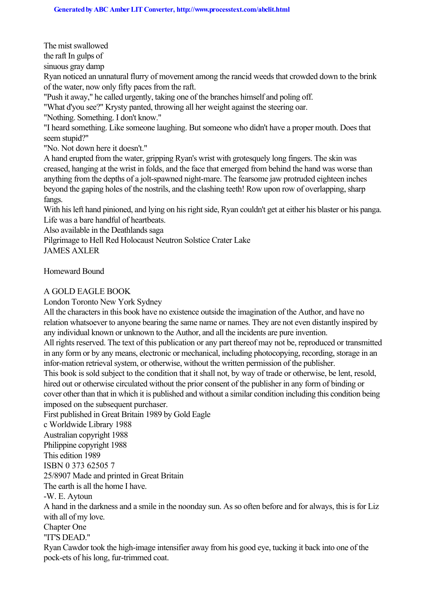The mist swallowed

the raft In gulps of

sinuous gray damp

Ryan noticed an unnatural flurry of movement among the rancid weeds that crowded down to the brink of the water, now only fifty paces from the raft.

"Push it away," he called urgently, taking one of the branches himself and poling off.

"What d'you see?" Krysty panted, throwing all her weight against the steering oar.

"Nothing. Something. I don't know."

"I heard something. Like someone laughing. But someone who didn't have a proper mouth. Does that seem stupid?"

"No. Not down here it doesn't."

A hand erupted from the water, gripping Ryan's wrist with grotesquely long fingers. The skin was creased, hanging at the wrist in folds, and the face that emerged from behind the hand was worse than anything from the depths of a jolt-spawned night-mare. The fearsome jaw protruded eighteen inches beyond the gaping holes of the nostrils, and the clashing teeth! Row upon row of overlapping, sharp fangs.

With his left hand pinioned, and lying on his right side. Ryan couldn't get at either his blaster or his panga. Life was a bare handful of heartbeats.

Also available in the Deathlands saga

Pilgrimage to Hell Red Holocaust Neutron Solstice Crater Lake

JAMES AXLER

Homeward Bound

# A GOLD EAGLE BOOK

London Toronto New York Sydney

All the characters in this book have no existence outside the imagination of the Author, and have no relation whatsoever to anyone bearing the same name or names. They are not even distantly inspired by any individual known or unknown to the Author, and all the incidents are pure invention.

All rights reserved. The text of this publication or any part thereof may not be, reproduced or transmitted in any form or by any means, electronic or mechanical, including photocopying, recording, storage in an infor-mation retrieval system, or otherwise, without the written permission of the publisher.

This book is sold subject to the condition that it shall not, by way of trade or otherwise, be lent, resold, hired out or otherwise circulated without the prior consent of the publisher in any form of binding or cover other than that in which it is published and without a similar condition including this condition being imposed on the subsequent purchaser.

First published in Great Britain 1989 by Gold Eagle

c Worldwide Library 1988

Australian copyright 1988

Philippine copyright 1988

This edition 1989

ISBN 0 373 62505 7

25/8907 Made and printed in Great Britain

The earth is all the home I have.

-W. E. Aytoun

A hand in the darkness and a smile in the noonday sun. As so often before and for always, this is for Liz with all of my love.

Chapter One

"IT'S DEAD."

Ryan Cawdor took the high-image intensifier away from his good eye, tucking it back into one of the pock-ets of his long, fur-trimmed coat.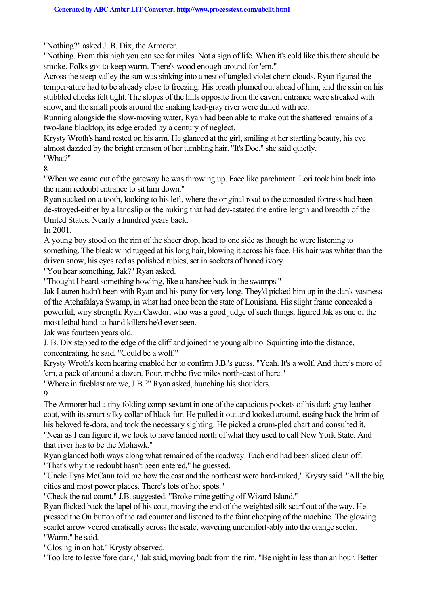"Nothing?" asked J. B. Dix, the Armorer.

"Nothing. From this high you can see for miles. Not a sign of life. When it's cold like this there should be smoke. Folks got to keep warm. There's wood enough around for 'em."

Across the steep valley the sun was sinking into a nest of tangled violet chem clouds. Ryan figured the temper-ature had to be already close to freezing. His breath plumed out ahead of him, and the skin on his stubbled cheeks felt tight. The slopes of the hills opposite from the cavern entrance were streaked with snow, and the small pools around the snaking lead-gray river were dulled with ice.

Running alongside the slow-moving water, Ryan had been able to make out the shattered remains of a two-lane blacktop, its edge eroded by a century of neglect.

Krysty Wroth's hand rested on his arm. He glanced at the girl, smiling at her startling beauty, his eye almost dazzled by the bright crimson of her tumbling hair. "It's Doc," she said quietly. "What?"

8

"When we came out of the gateway he was throwing up. Face like parchment. Lori took him back into the main redoubt entrance to sit him down."

Ryan sucked on a tooth, looking to his left, where the original road to the concealed fortress had been de-stroyed-either by a landslip or the nuking that had dev-astated the entire length and breadth of the United States. Nearly a hundred years back.

In 2001.

A young boy stood on the rim of the sheer drop, head to one side as though he were listening to something. The bleak wind tugged at his long hair, blowing it across his face. His hair was whiter than the driven snow, his eyes red as polished rubies, set in sockets of honed ivory.

"You hear something, Jak?" Ryan asked.

"Thought I heard something howling, like a banshee back in the swamps."

Jak Lauren hadn't been with Ryan and his party for very long. They'd picked him up in the dank vastness of the Atchafalaya Swamp, in what had once been the state of Louisiana. His slight frame concealed a powerful, wiry strength. Ryan Cawdor, who was a good judge of such things, figured Jak as one of the most lethal hand-to-hand killers he'd ever seen.

Jak was fourteen years old.

J. B. Dix stepped to the edge of the cliff and joined the young albino. Squinting into the distance, concentrating, he said, "Could be a wolf."

Krysty Wroth's keen hearing enabled her to confirm J.B.'s guess. "Yeah. It's a wolf. And there's more of 'em, a pack of around a dozen. Four, mebbe five miles north-east of here."

"Where in fireblast are we, J.B.?" Ryan asked, hunching his shoulders.

9

The Armorer had a tiny folding comp-sextant in one of the capacious pockets of his dark gray leather coat, with its smart silky collar of black fur. He pulled it out and looked around, easing back the brim of his beloved fe-dora, and took the necessary sighting. He picked a crum-pled chart and consulted it. "Near as I can figure it, we look to have landed north of what they used to call New York State. And that river has to be the Mohawk."

Ryan glanced both ways along what remained of the roadway. Each end had been sliced clean off. "That's why the redoubt hasn't been entered," he guessed.

"Uncle Tyas McCann told me how the east and the northeast were hard-nuked," Krysty said. "All the big cities and most power places. There's lots of hot spots."

"Check the rad count," J.B. suggested. "Broke mine getting off Wizard Island."

Ryan flicked back the lapel of his coat, moving the end of the weighted silk scarf out of the way. He pressed the On button of the rad counter and listened to the faint cheeping of the machine. The glowing scarlet arrow veered erratically across the scale, wavering uncomfort-ably into the orange sector. "Warm," he said.

"Closing in on hot," Krysty observed.

"Too late to leave 'fore dark," Jak said, moving back from the rim. "Be night in less than an hour. Better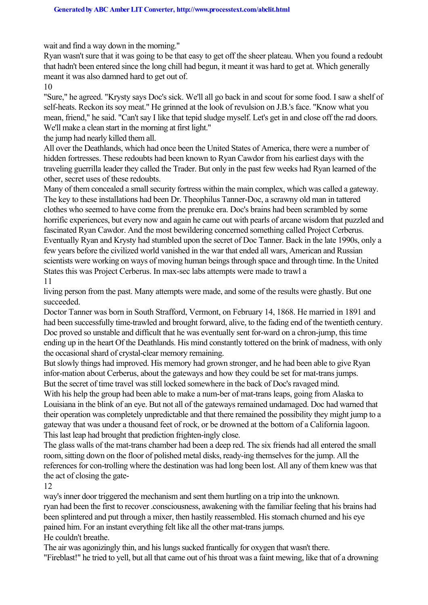wait and find a way down in the morning."

Ryan wasn't sure that it was going to be that easy to get off the sheer plateau. When you found a redoubt that hadn't been entered since the long chill had begun, it meant it was hard to get at. Which generally meant it was also damned hard to get out of.

10

"Sure," he agreed. "Krysty says Doc's sick. We'll all go back in and scout for some food. I saw a shelf of self-heats. Reckon its soy meat." He grinned at the look of revulsion on J.B.'s face. "Know what you mean, friend," he said. "Can't say I like that tepid sludge myself. Let's get in and close off the rad doors. We'll make a clean start in the morning at first light."

the jump had nearly killed them all.

All over the Deathlands, which had once been the United States of America, there were a number of hidden fortresses. These redoubts had been known to Ryan Cawdor from his earliest days with the traveling guerrilla leader they called the Trader. But only in the past few weeks had Ryan learned of the other, secret uses of these redoubts.

Many of them concealed a small security fortress within the main complex, which was called a gateway. The key to these installations had been Dr. Theophilus Tanner-Doc, a scrawny old man in tattered clothes who seemed to have come from the prenuke era. Doc's brains had been scrambled by some horrific experiences, but every now and again he came out with pearls of arcane wisdom that puzzled and fascinated Ryan Cawdor. And the most bewildering concerned something called Project Cerberus. Eventually Ryan and Krysty had stumbled upon the secret of Doc Tanner. Back in the late 1990s, only a few years before the civilized world vanished in the war that ended all wars, American and Russian scientists were working on ways of moving human beings through space and through time. In the United States this was Project Cerberus. In max-sec labs attempts were made to trawl a 11

living person from the past. Many attempts were made, and some of the results were ghastly. But one succeeded.

Doctor Tanner was born in South Strafford, Vermont, on February 14, 1868. He married in 1891 and had been successfully time-trawled and brought forward, alive, to the fading end of the twentieth century. Doc proved so unstable and difficult that he was eventually sent for-ward on a chron-jump, this time ending up in the heart Of the Deathlands. His mind constantly tottered on the brink of madness, with only the occasional shard of crystal-clear memory remaining.

But slowly things had improved. His memory had grown stronger, and he had been able to give Ryan infor-mation about Cerberus, about the gateways and how they could be set for mat-trans jumps. But the secret of time travel was still locked somewhere in the back of Doc's ravaged mind.

With his help the group had been able to make a num-ber of mat-trans leaps, going from Alaska to Louisiana in the blink of an eye. But not all of the gateways remained undamaged. Doc had warned that their operation was completely unpredictable and that there remained the possibility they might jump to a gateway that was under a thousand feet of rock, or be drowned at the bottom of a California lagoon. This last leap had brought that prediction frighten-ingly close.

The glass walls of the mat-trans chamber had been a deep red. The six friends had all entered the small room, sitting down on the floor of polished metal disks, ready-ing themselves for the jump. All the references for con-trolling where the destination was had long been lost. All any of them knew was that the act of closing the gate-

12

way's inner door triggered the mechanism and sent them hurtling on a trip into the unknown. ryan had been the first to recover .consciousness, awakening with the familiar feeling that his brains had been splintered and put through a mixer, then hastily reassembled. His stomach churned and his eye pained him. For an instant everything felt like all the other mat-trans jumps. He couldn't breathe.

The air was agonizingly thin, and his lungs sucked frantically for oxygen that wasn't there. "Fireblast!" he tried to yell, but all that came out of his throat was a faint mewing, like that of a drowning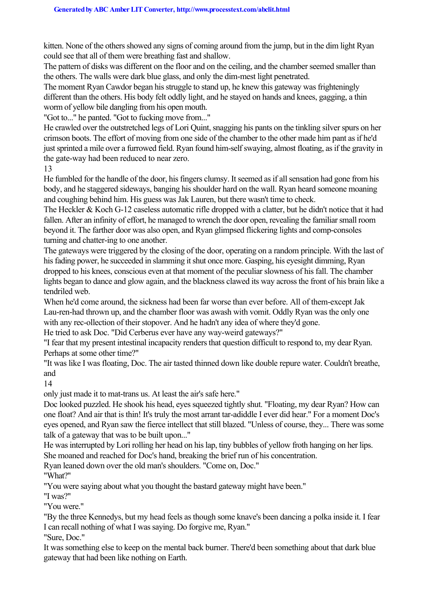kitten. None of the others showed any signs of coming around from the jump, but in the dim light Ryan could see that all of them were breathing fast and shallow.

The pattern of disks was different on the floor and on the ceiling, and the chamber seemed smaller than the others. The walls were dark blue glass, and only the dim-mest light penetrated.

The moment Ryan Cawdor began his struggle to stand up, he knew this gateway was frighteningly different than the others. His body felt oddly light, and he stayed on hands and knees, gagging, a thin worm of yellow bile dangling from his open mouth.

"Got to..." he panted. "Got to fucking move from..."

He crawled over the outstretched legs of Lori Quint, snagging his pants on the tinkling silver spurs on her crimson boots. The effort of moving from one side of the chamber to the other made him pant as if he'd just sprinted a mile over a furrowed field. Ryan found him-self swaying, almost floating, as if the gravity in the gate-way had been reduced to near zero.

13

He fumbled for the handle of the door, his fingers clumsy. It seemed as if all sensation had gone from his body, and he staggered sideways, banging his shoulder hard on the wall. Ryan heard someone moaning and coughing behind him. His guess was Jak Lauren, but there wasn't time to check.

The Heckler & Koch G-12 caseless automatic rifle dropped with a clatter, but he didn't notice that it had fallen. After an infinity of effort, he managed to wrench the door open, revealing the familiar small room beyond it. The farther door was also open, and Ryan glimpsed flickering lights and comp-consoles turning and chatter-ing to one another.

The gateways were triggered by the closing of the door, operating on a random principle. With the last of his fading power, he succeeded in slamming it shut once more. Gasping, his eyesight dimming, Ryan dropped to his knees, conscious even at that moment of the peculiar slowness of his fall. The chamber lights began to dance and glow again, and the blackness clawed its way across the front of his brain like a tendriled web.

When he'd come around, the sickness had been far worse than ever before. All of them-except Jak Lau-ren-had thrown up, and the chamber floor was awash with vomit. Oddly Ryan was the only one with any rec-ollection of their stopover. And he hadn't any idea of where they'd gone.

He tried to ask Doc. "Did Cerberus ever have any way-weird gateways?"

"I fear that my present intestinal incapacity renders that question difficult to respond to, my dear Ryan. Perhaps at some other time?"

"It was like I was floating, Doc. The air tasted thinned down like double repure water. Couldn't breathe, and

14

only just made it to mat-trans us. At least the air's safe here."

Doc looked puzzled. He shook his head, eyes squeezed tightly shut. "Floating, my dear Ryan? How can one float? And air that is thin! It's truly the most arrant tar-adiddle I ever did hear." For a moment Doc's eyes opened, and Ryan saw the fierce intellect that still blazed. "Unless of course, they... There was some talk of a gateway that was to be built upon..."

He was interrupted by Lori rolling her head on his lap, tiny bubbles of yellow froth hanging on her lips. She moaned and reached for Doc's hand, breaking the brief run of his concentration.

Ryan leaned down over the old man's shoulders. "Come on, Doc."

"What?"

"You were saying about what you thought the bastard gateway might have been."

"I was?"

"You were."

"By the three Kennedys, but my head feels as though some knave's been dancing a polka inside it. I fear I can recall nothing of what I was saying. Do forgive me, Ryan."

"Sure, Doc."

It was something else to keep on the mental back burner. There'd been something about that dark blue gateway that had been like nothing on Earth.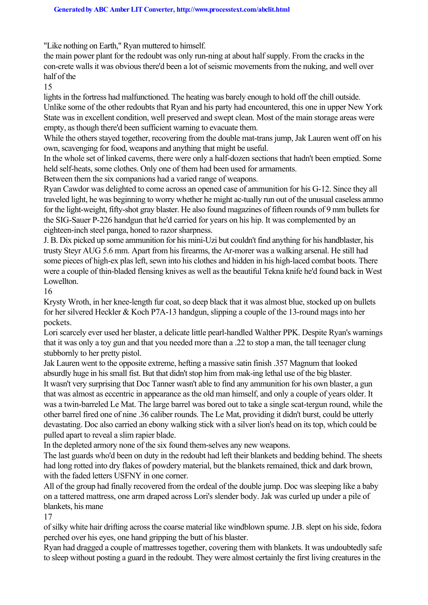"Like nothing on Earth," Ryan muttered to himself.

the main power plant for the redoubt was only run-ning at about half supply. From the cracks in the con-crete walls it was obvious there'd been a lot of seismic movements from the nuking, and well over half of the

15

lights in the fortress had malfunctioned. The heating was barely enough to hold off the chill outside. Unlike some of the other redoubts that Ryan and his party had encountered, this one in upper New York State was in excellent condition, well preserved and swept clean. Most of the main storage areas were empty, as though there'd been sufficient warning to evacuate them.

While the others stayed together, recovering from the double mat-trans jump, Jak Lauren went off on his own, scavenging for food, weapons and anything that might be useful.

In the whole set of linked caverns, there were only a half-dozen sections that hadn't been emptied. Some held self-heats, some clothes. Only one of them had been used for armaments.

Between them the six companions had a varied range of weapons.

Ryan Cawdor was delighted to come across an opened case of ammunition for his G-12. Since they all traveled light, he was beginning to worry whether he might ac-tually run out of the unusual caseless ammo for the light-weight, fifty-shot gray blaster. He also found magazines of fifteen rounds of 9 mm bullets for the SIG-Sauer P-226 handgun that he'd carried for years on his hip. It was complemented by an eighteen-inch steel panga, honed to razor sharpness.

J. B. Dix picked up some ammunition for his mini-Uzi but couldn't find anything for his handblaster, his trusty Steyr AUG 5.6 mm. Apart from his firearms, the Ar-morer was a walking arsenal. He still had some pieces of high-ex plas left, sewn into his clothes and hidden in his high-laced combat boots. There were a couple of thin-bladed flensing knives as well as the beautiful Tekna knife he'd found back in West Lowellton.

16

Krysty Wroth, in her knee-length fur coat, so deep black that it was almost blue, stocked up on bullets for her silvered Heckler & Koch P7A-13 handgun, slipping a couple of the 13-round mags into her pockets.

Lori scarcely ever used her blaster, a delicate little pearl-handled Walther PPK. Despite Ryan's warnings that it was only a toy gun and that you needed more than a .22 to stop a man, the tall teenager clung stubbornly to her pretty pistol.

Jak Lauren went to the opposite extreme, hefting a massive satin finish .357 Magnum that looked absurdly huge in his small fist. But that didn't stop him from mak-ing lethal use of the big blaster. It wasn't very surprising that Doc Tanner wasn't able to find any ammunition for his own blaster, a gun that was almost as eccentric in appearance as the old man himself, and only a couple of years older. It was a twin-barreled Le Mat. The large barrel was bored out to take a single scat-tergun round, while the other barrel fired one of nine .36 caliber rounds. The Le Mat, providing it didn't burst, could be utterly devastating. Doc also carried an ebony walking stick with a silver lion's head on its top, which could be pulled apart to reveal a slim rapier blade.

In the depleted armory none of the six found them-selves any new weapons.

The last guards who'd been on duty in the redoubt had left their blankets and bedding behind. The sheets had long rotted into dry flakes of powdery material, but the blankets remained, thick and dark brown, with the faded letters USFNY in one corner.

All of the group had finally recovered from the ordeal of the double jump. Doc was sleeping like a baby on a tattered mattress, one arm draped across Lori's slender body. Jak was curled up under a pile of blankets, his mane

17

of silky white hair drifting across the coarse material like windblown spume. J.B. slept on his side, fedora perched over his eyes, one hand gripping the butt of his blaster.

Ryan had dragged a couple of mattresses together, covering them with blankets. It was undoubtedly safe to sleep without posting a guard in the redoubt. They were almost certainly the first living creatures in the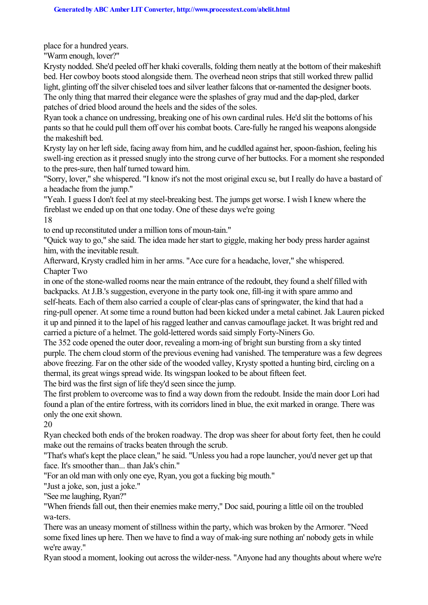place for a hundred years.

"Warm enough, lover?"

Krysty nodded. She'd peeled off her khaki coveralls, folding them neatly at the bottom of their makeshift bed. Her cowboy boots stood alongside them. The overhead neon strips that still worked threw pallid light, glinting off the silver chiseled toes and silver leather falcons that or-namented the designer boots. The only thing that marred their elegance were the splashes of gray mud and the dap-pled, darker patches of dried blood around the heels and the sides of the soles.

Ryan took a chance on undressing, breaking one of his own cardinal rules. He'd slit the bottoms of his pants so that he could pull them off over his combat boots. Care-fully he ranged his weapons alongside the makeshift bed.

Krysty lay on her left side, facing away from him, and he cuddled against her, spoon-fashion, feeling his swell-ing erection as it pressed snugly into the strong curve of her buttocks. For a moment she responded to the pres-sure, then half turned toward him.

"Sorry, lover," she whispered. "I know it's not the most original excu se, but I really do have a bastard of a headache from the jump."

"Yeah. I guess I don't feel at my steel-breaking best. The jumps get worse. I wish I knew where the fireblast we ended up on that one today. One of these days we're going

18

to end up reconstituted under a million tons of moun-tain."

"Quick way to go," she said. The idea made her start to giggle, making her body press harder against him, with the inevitable result.

Afterward, Krysty cradled him in her arms. "Ace cure for a headache, lover," she whispered. Chapter Two

in one of the stone-walled rooms near the main entrance of the redoubt, they found a shelf filled with backpacks. At J.B.'s suggestion, everyone in the party took one, fill-ing it with spare ammo and self-heats. Each of them also carried a couple of clear-plas cans of springwater, the kind that had a ring-pull opener. At some time a round button had been kicked under a metal cabinet. Jak Lauren picked it up and pinned it to the lapel of his ragged leather and canvas camouflage jacket. It was bright red and carried a picture of a helmet. The gold-lettered words said simply Forty-Niners Go.

The 352 code opened the outer door, revealing a morn-ing of bright sun bursting from a sky tinted purple. The chem cloud storm of the previous evening had vanished. The temperature was a few degrees above freezing. Far on the other side of the wooded valley, Krysty spotted a hunting bird, circling on a thermal, its great wings spread wide. Its wingspan looked to be about fifteen feet.

The bird was the first sign of life they'd seen since the jump.

The first problem to overcome was to find a way down from the redoubt. Inside the main door Lori had found a plan of the entire fortress, with its corridors lined in blue, the exit marked in orange. There was only the one exit shown.

20

Ryan checked both ends of the broken roadway. The drop was sheer for about forty feet, then he could make out the remains of tracks beaten through the scrub.

"That's what's kept the place clean," he said. "Unless you had a rope launcher, you'd never get up that face. It's smoother than... than Jak's chin."

"For an old man with only one eye, Ryan, you got a fucking big mouth."

"Just a joke, son, just a joke."

"See me laughing, Ryan?"

"When friends fall out, then their enemies make merry," Doc said, pouring a little oil on the troubled wa-ters.

There was an uneasy moment of stillness within the party, which was broken by the Armorer. "Need some fixed lines up here. Then we have to find a way of mak-ing sure nothing an' nobody gets in while we're away."

Ryan stood a moment, looking out across the wilder-ness. "Anyone had any thoughts about where we're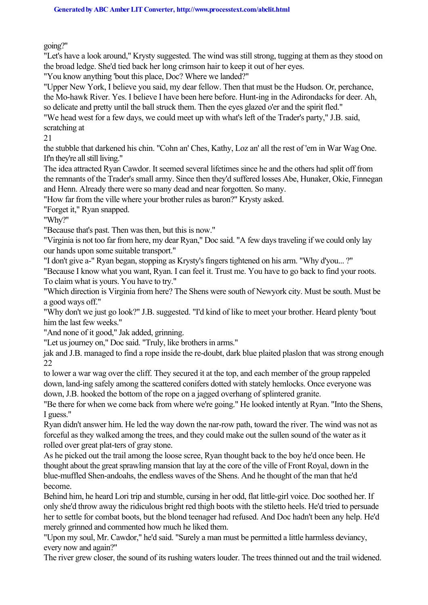going?"

"Let's have a look around," Krysty suggested. The wind was still strong, tugging at them as they stood on the broad ledge. She'd tied back her long crimson hair to keep it out of her eyes.

"You know anything 'bout this place, Doc? Where we landed?"

"Upper New York, I believe you said, my dear fellow. Then that must be the Hudson. Or, perchance, the Mo-hawk River. Yes. I believe I have been here before. Hunt-ing in the Adirondacks for deer. Ah, so delicate and pretty until the ball struck them. Then the eyes glazed o'er and the spirit fled."

"We head west for a few days, we could meet up with what's left of the Trader's party," J.B. said, scratching at

21

the stubble that darkened his chin. "Cohn an' Ches, Kathy, Loz an' all the rest of 'em in War Wag One. If'n they're all still living."

The idea attracted Ryan Cawdor. It seemed several lifetimes since he and the others had split off from the remnants of the Trader's small army. Since then they'd suffered losses Abe, Hunaker, Okie, Finnegan and Henn. Already there were so many dead and near forgotten. So many.

"How far from the ville where your brother rules as baron?" Krysty asked.

"Forget it," Ryan snapped.

"Why?"

"Because that's past. Then was then, but this is now."

"Virginia is not too far from here, my dear Ryan," Doc said. "A few days traveling if we could only lay our hands upon some suitable transport."

"I don't give a-" Ryan began, stopping as Krysty's fingers tightened on his arm. "Why d'you... ?"

"Because I know what you want, Ryan. I can feel it. Trust me. You have to go back to find your roots. To claim what is yours. You have to try."

"Which direction is Virginia from here? The Shens were south of Newyork city. Must be south. Must be a good ways off."

"Why don't we just go look?" J.B. suggested. "I'd kind of like to meet your brother. Heard plenty 'bout him the last few weeks."

"And none of it good," Jak added, grinning.

"Let us journey on," Doc said. "Truly, like brothers in arms."

jak and J.B. managed to find a rope inside the re-doubt, dark blue plaited plaslon that was strong enough 22

to lower a war wag over the cliff. They secured it at the top, and each member of the group rappeled down, land-ing safely among the scattered conifers dotted with stately hemlocks. Once everyone was down, J.B. hooked the bottom of the rope on a jagged overhang of splintered granite.

"Be there for when we come back from where we're going." He looked intently at Ryan. "Into the Shens, I guess."

Ryan didn't answer him. He led the way down the nar-row path, toward the river. The wind was not as forceful as they walked among the trees, and they could make out the sullen sound of the water as it rolled over great plat-ters of gray stone.

As he picked out the trail among the loose scree, Ryan thought back to the boy he'd once been. He thought about the great sprawling mansion that lay at the core of the ville of Front Royal, down in the blue-muffled Shen-andoahs, the endless waves of the Shens. And he thought of the man that he'd become.

Behind him, he heard Lori trip and stumble, cursing in her odd, flat little-girl voice. Doc soothed her. If only she'd throw away the ridiculous bright red thigh boots with the stiletto heels. He'd tried to persuade her to settle for combat boots, but the blond teenager had refused. And Doc hadn't been any help. He'd merely grinned and commented how much he liked them.

"Upon my soul, Mr. Cawdor," he'd said. "Surely a man must be permitted a little harmless deviancy, every now and again?"

The river grew closer, the sound of its rushing waters louder. The trees thinned out and the trail widened.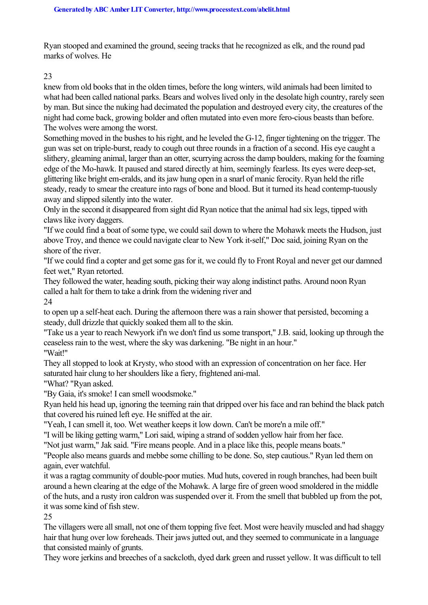Ryan stooped and examined the ground, seeing tracks that he recognized as elk, and the round pad marks of wolves. He

## 23

knew from old books that in the olden times, before the long winters, wild animals had been limited to what had been called national parks. Bears and wolves lived only in the desolate high country, rarely seen by man. But since the nuking had decimated the population and destroyed every city, the creatures of the night had come back, growing bolder and often mutated into even more fero-cious beasts than before. The wolves were among the worst.

Something moved in the bushes to his right, and he leveled the G-12, finger tightening on the trigger. The gun was set on triple-burst, ready to cough out three rounds in a fraction of a second. His eye caught a slithery, gleaming animal, larger than an otter, scurrying across the damp boulders, making for the foaming edge of the Mo-hawk. It paused and stared directly at him, seemingly fearless. Its eyes were deep-set, glittering like bright em-eralds, and its jaw hung open in a snarl of manic ferocity. Ryan held the rifle steady, ready to smear the creature into rags of bone and blood. But it turned its head contemp-tuously away and slipped silently into the water.

Only in the second it disappeared from sight did Ryan notice that the animal had six legs, tipped with claws like ivory daggers.

"If we could find a boat of some type, we could sail down to where the Mohawk meets the Hudson, just above Troy, and thence we could navigate clear to New York it-self," Doc said, joining Ryan on the shore of the river.

"If we could find a copter and get some gas for it, we could fly to Front Royal and never get our damned feet wet," Ryan retorted.

They followed the water, heading south, picking their way along indistinct paths. Around noon Ryan called a halt for them to take a drink from the widening river and 24

to open up a self-heat each. During the afternoon there was a rain shower that persisted, becoming a steady, dull drizzle that quickly soaked them all to the skin.

"Take us a year to reach Newyork if'n we don't find us some transport," J.B. said, looking up through the ceaseless rain to the west, where the sky was darkening. "Be night in an hour." "Wait!"

They all stopped to look at Krysty, who stood with an expression of concentration on her face. Her saturated hair clung to her shoulders like a fiery, frightened ani-mal.

"What? "Ryan asked.

"By Gaia, it's smoke! I can smell woodsmoke."

Ryan held his head up, ignoring the teeming rain that dripped over his face and ran behind the black patch that covered his ruined left eye. He sniffed at the air.

"Yeah, I can smell it, too. Wet weather keeps it low down. Can't be more'n a mile off."

"I will be liking getting warm," Lori said, wiping a strand of sodden yellow hair from her face.

"Not just warm," Jak said. "Fire means people. And in a place like this, people means boats."

"People also means guards and mebbe some chilling to be done. So, step cautious." Ryan led them on again, ever watchful.

it was a ragtag community of double-poor muties. Mud huts, covered in rough branches, had been built around a hewn clearing at the edge of the Mohawk. A large fire of green wood smoldered in the middle of the huts, and a rusty iron caldron was suspended over it. From the smell that bubbled up from the pot, it was some kind of fish stew.

25

The villagers were all small, not one of them topping five feet. Most were heavily muscled and had shaggy hair that hung over low foreheads. Their jaws jutted out, and they seemed to communicate in a language that consisted mainly of grunts.

They wore jerkins and breeches of a sackcloth, dyed dark green and russet yellow. It was difficult to tell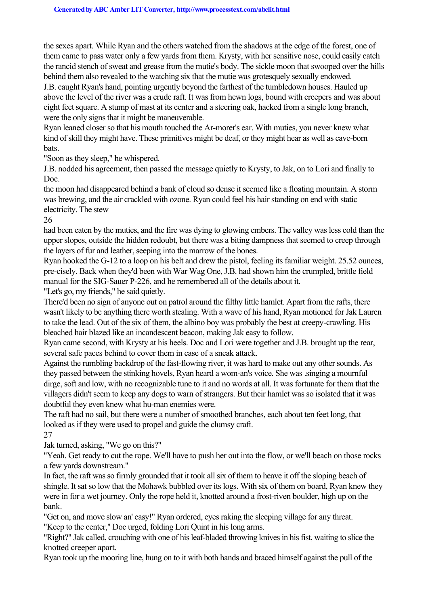the sexes apart. While Ryan and the others watched from the shadows at the edge of the forest, one of them came to pass water only a few yards from them. Krysty, with her sensitive nose, could easily catch the rancid stench of sweat and grease from the mutie's body. The sickle moon that swooped over the hills behind them also revealed to the watching six that the mutie was grotesquely sexually endowed.

J.B. caught Ryan's hand, pointing urgently beyond the farthest of the tumbledown houses. Hauled up above the level of the river was a crude raft. It was from hewn logs, bound with creepers and was about eight feet square. A stump of mast at its center and a steering oak, hacked from a single long branch, were the only signs that it might be maneuverable.

Ryan leaned closer so that his mouth touched the Ar-morer's ear. With muties, you never knew what kind of skill they might have. These primitives might be deaf, or they might hear as well as cave-born **bats** 

"Soon as they sleep," he whispered.

J.B. nodded his agreement, then passed the message quietly to Krysty, to Jak, on to Lori and finally to Doc.

the moon had disappeared behind a bank of cloud so dense it seemed like a floating mountain. A storm was brewing, and the air crackled with ozone. Ryan could feel his hair standing on end with static electricity. The stew

#### 26

had been eaten by the muties, and the fire was dying to glowing embers. The valley was less cold than the upper slopes, outside the hidden redoubt, but there was a biting dampness that seemed to creep through the layers of fur and leather, seeping into the marrow of the bones.

Ryan hooked the G-12 to a loop on his belt and drew the pistol, feeling its familiar weight. 25.52 ounces, pre-cisely. Back when they'd been with War Wag One, J.B. had shown him the crumpled, brittle field manual for the SIG-Sauer P-226, and he remembered all of the details about it.

"Let's go, my friends," he said quietly.

There'd been no sign of anyone out on patrol around the filthy little hamlet. Apart from the rafts, there wasn't likely to be anything there worth stealing. With a wave of his hand, Ryan motioned for Jak Lauren to take the lead. Out of the six of them, the albino boy was probably the best at creepy-crawling. His bleached hair blazed like an incandescent beacon, making Jak easy to follow.

Ryan came second, with Krysty at his heels. Doc and Lori were together and J.B. brought up the rear, several safe paces behind to cover them in case of a sneak attack.

Against the rumbling backdrop of the fast-flowing river, it was hard to make out any other sounds. As they passed between the stinking hovels, Ryan heard a wom-an's voice. She was .singing a mournful dirge, soft and low, with no recognizable tune to it and no words at all. It was fortunate for them that the villagers didn't seem to keep any dogs to warn of strangers. But their hamlet was so isolated that it was doubtful they even knew what hu-man enemies were.

The raft had no sail, but there were a number of smoothed branches, each about ten feet long, that looked as if they were used to propel and guide the clumsy craft.

27

Jak turned, asking, "We go on this?"

"Yeah. Get ready to cut the rope. We'll have to push her out into the flow, or we'll beach on those rocks a few yards downstream."

In fact, the raft was so firmly grounded that it took all six of them to heave it off the sloping beach of shingle. It sat so low that the Mohawk bubbled over its logs. With six of them on board, Ryan knew they were in for a wet journey. Only the rope held it, knotted around a frost-riven boulder, high up on the bank.

"Get on, and move slow an' easy!" Ryan ordered, eyes raking the sleeping village for any threat. "Keep to the center," Doc urged, folding Lori Quint in his long arms.

"Right?" Jak called, crouching with one of his leaf-bladed throwing knives in his fist, waiting to slice the knotted creeper apart.

Ryan took up the mooring line, hung on to it with both hands and braced himself against the pull of the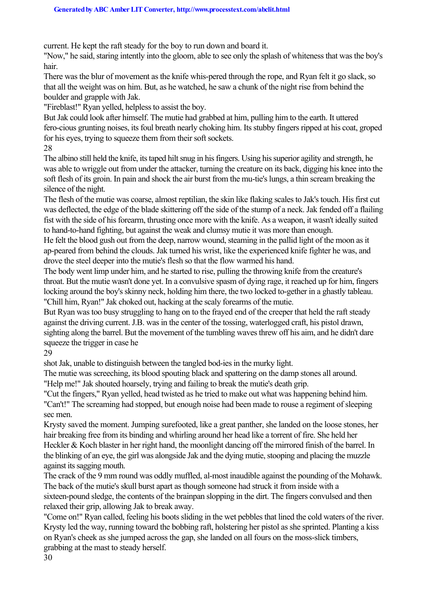current. He kept the raft steady for the boy to run down and board it.

"Now," he said, staring intently into the gloom, able to see only the splash of whiteness that was the boy's hair.

There was the blur of movement as the knife whis-pered through the rope, and Ryan felt it go slack, so that all the weight was on him. But, as he watched, he saw a chunk of the night rise from behind the boulder and grapple with Jak.

"Fireblast!" Ryan yelled, helpless to assist the boy.

But Jak could look after himself. The mutie had grabbed at him, pulling him to the earth. It uttered fero-cious grunting noises, its foul breath nearly choking him. Its stubby fingers ripped at his coat, groped for his eyes, trying to squeeze them from their soft sockets.

28

The albino still held the knife, its taped hilt snug in his fingers. Using his superior agility and strength, he was able to wriggle out from under the attacker, turning the creature on its back, digging his knee into the soft flesh of its groin. In pain and shock the air burst from the mu-tie's lungs, a thin scream breaking the silence of the night.

The flesh of the mutie was coarse, almost reptilian, the skin like flaking scales to Jak's touch. His first cut was deflected, the edge of the blade skittering off the side of the stump of a neck. Jak fended off a flailing fist with the side of his forearm, thrusting once more with the knife. As a weapon, it wasn't ideally suited to hand-to-hand fighting, but against the weak and clumsy mutie it was more than enough.

He felt the blood gush out from the deep, narrow wound, steaming in the pallid light of the moon as it ap-peared from behind the clouds. Jak turned his wrist, like the experienced knife fighter he was, and drove the steel deeper into the mutie's flesh so that the flow warmed his hand.

The body went limp under him, and he started to rise, pulling the throwing knife from the creature's throat. But the mutie wasn't done yet. In a convulsive spasm of dying rage, it reached up for him, fingers locking around the boy's skinny neck, holding him there, the two locked to-gether in a ghastly tableau. "Chill him, Ryan!" Jak choked out, hacking at the scaly forearms of the mutie.

But Ryan was too busy struggling to hang on to the frayed end of the creeper that held the raft steady against the driving current. J.B. was in the center of the tossing, waterlogged craft, his pistol drawn, sighting along the barrel. But the movement of the tumbling waves threw off his aim, and he didn't dare squeeze the trigger in case he

29

shot Jak, unable to distinguish between the tangled bod-ies in the murky light.

The mutie was screeching, its blood spouting black and spattering on the damp stones all around. "Help me!" Jak shouted hoarsely, trying and failing to break the mutie's death grip.

"Cut the fingers," Ryan yelled, head twisted as he tried to make out what was happening behind him. "Can't!" The screaming had stopped, but enough noise had been made to rouse a regiment of sleeping sec men.

Krysty saved the moment. Jumping surefooted, like a great panther, she landed on the loose stones, her hair breaking free from its binding and whirling around her head like a torrent of fire. She held her Heckler & Koch blaster in her right hand, the moonlight dancing off the mirrored finish of the barrel. In the blinking of an eye, the girl was alongside Jak and the dying mutie, stooping and placing the muzzle against its sagging mouth.

The crack of the 9 mm round was oddly muffled, al-most inaudible against the pounding of the Mohawk. The back of the mutie's skull burst apart as though someone had struck it from inside with a sixteen-pound sledge, the contents of the brainpan slopping in the dirt. The fingers convulsed and then relaxed their grip, allowing Jak to break away.

"Come on!" Ryan called, feeling his boots sliding in the wet pebbles that lined the cold waters of the river. Krysty led the way, running toward the bobbing raft, holstering her pistol as she sprinted. Planting a kiss on Ryan's cheek as she jumped across the gap, she landed on all fours on the moss-slick timbers, grabbing at the mast to steady herself.

30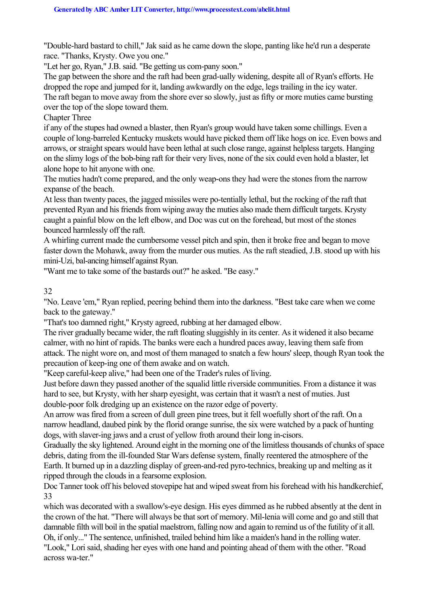"Double-hard bastard to chill," Jak said as he came down the slope, panting like he'd run a desperate race. "Thanks, Krysty. Owe you one."

"Let her go, Ryan," J.B. said. "Be getting us com-pany soon."

The gap between the shore and the raft had been grad-ually widening, despite all of Ryan's efforts. He dropped the rope and jumped for it, landing awkwardly on the edge, legs trailing in the icy water. The raft began to move away from the shore ever so slowly, just as fifty or more muties came bursting

over the top of the slope toward them.

Chapter Three

if any of the stupes had owned a blaster, then Ryan's group would have taken some chillings. Even a couple of long-barreled Kentucky muskets would have picked them off like hogs on ice. Even bows and arrows, or straight spears would have been lethal at such close range, against helpless targets. Hanging on the slimy logs of the bob-bing raft for their very lives, none of the six could even hold a blaster, let alone hope to hit anyone with one.

The muties hadn't come prepared, and the only weap-ons they had were the stones from the narrow expanse of the beach.

At less than twenty paces, the jagged missiles were po-tentially lethal, but the rocking of the raft that prevented Ryan and his friends from wiping away the muties also made them difficult targets. Krysty caught a painful blow on the left elbow, and Doc was cut on the forehead, but most of the stones bounced harmlessly off the raft.

A whirling current made the cumbersome vessel pitch and spin, then it broke free and began to move faster down the Mohawk, away from the murder ous muties. As the raft steadied, J.B. stood up with his mini-Uzi, bal-ancing himself against Ryan.

"Want me to take some of the bastards out?" he asked. "Be easy."

#### 32

"No. Leave 'em," Ryan replied, peering behind them into the darkness. "Best take care when we come back to the gateway.''

"That's too damned right," Krysty agreed, rubbing at her damaged elbow.

The river gradually became wider, the raft floating sluggishly in its center. As it widened it also became calmer, with no hint of rapids. The banks were each a hundred paces away, leaving them safe from attack. The night wore on, and most of them managed to snatch a few hours' sleep, though Ryan took the precaution of keep-ing one of them awake and on watch.

"Keep careful-keep alive," had been one of the Trader's rules of living.

Just before dawn they passed another of the squalid little riverside communities. From a distance it was hard to see, but Krysty, with her sharp eyesight, was certain that it wasn't a nest of muties. Just double-poor folk dredging up an existence on the razor edge of poverty.

An arrow was fired from a screen of dull green pine trees, but it fell woefully short of the raft. On a narrow headland, daubed pink by the florid orange sunrise, the six were watched by a pack of hunting dogs, with slaver-ing jaws and a crust of yellow froth around their long in-cisors.

Gradually the sky lightened. Around eight in the morning one of the limitless thousands of chunks of space debris, dating from the ill-founded Star Wars defense system, finally reentered the atmosphere of the Earth. It burned up in a dazzling display of green-and-red pyro-technics, breaking up and melting as it ripped through the clouds in a fearsome explosion.

Doc Tanner took off his beloved stovepipe hat and wiped sweat from his forehead with his handkerchief, 33

which was decorated with a swallow's-eye design. His eyes dimmed as he rubbed absently at the dent in the crown of the hat. "There will always be that sort of memory. Mil-lenia will come and go and still that damnable filth will boil in the spatial maelstrom, falling now and again to remind us of the futility of it all. Oh, if only..." The sentence, unfinished, trailed behind him like a maiden's hand in the rolling water. "Look," Lori said, shading her eyes with one hand and pointing ahead of them with the other. "Road across wa-ter."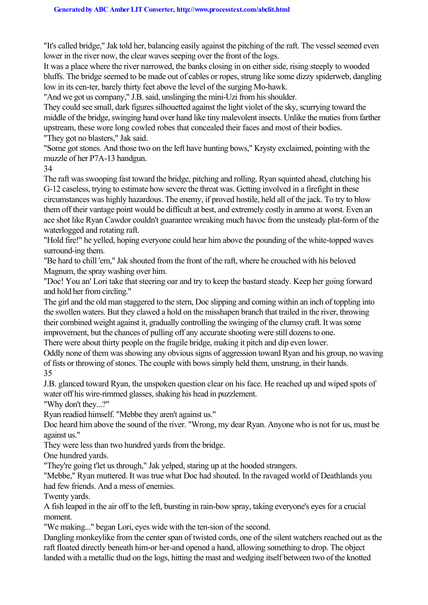"It's called bridge," Jak told her, balancing easily against the pitching of the raft. The vessel seemed even lower in the river now, the clear waves seeping over the front of the logs.

It was a place where the river narrowed, the banks closing in on either side, rising steeply to wooded bluffs. The bridge seemed to be made out of cables or ropes, strung like some dizzy spiderweb, dangling low in its cen-ter, barely thirty feet above the level of the surging Mo-hawk.

"And we got us company," J.B. said, unslinging the mini-Uzi from his shoulder.

They could see small, dark figures silhouetted against the light violet of the sky, scurrying toward the middle of the bridge, swinging hand over hand like tiny malevolent insects. Unlike the muties from farther upstream, these wore long cowled robes that concealed their faces and most of their bodies. "They got no blasters," Jak said.

"Some got stones. And those two on the left have hunting bows," Krysty exclaimed, pointing with the muzzle of her P7A-13 handgun.

34

The raft was swooping fast toward the bridge, pitching and rolling. Ryan squinted ahead, clutching his G-12 caseless, trying to estimate how severe the threat was. Getting involved in a firefight in these circumstances was highly hazardous. The enemy, if proved hostile, held all of the jack. To try to blow them off their vantage point would be difficult at best, and extremely costly in ammo at worst. Even an ace shot like Ryan Cawdor couldn't guarantee wreaking much havoc from the unsteady plat-form of the waterlogged and rotating raft.

"Hold fire!" he yelled, hoping everyone could hear him above the pounding of the white-topped waves surround-ing them.

"Be hard to chill 'em," Jak shouted from the front of the raft, where he crouched with his beloved Magnum, the spray washing over him.

"Doc! You an' Lori take that steering oar and try to keep the bastard steady. Keep her going forward and hold her from circling."

The girl and the old man staggered to the stern, Doc slipping and coming within an inch of toppling into the swollen waters. But they clawed a hold on the misshapen branch that trailed in the river, throwing their combined weight against it, gradually controlling the swinging of the clumsy craft. It was some improvement, but the chances of pulling off any accurate shooting were still dozens to one.

There were about thirty people on the fragile bridge, making it pitch and dip even lower.

Oddly none of them was showing any obvious signs of aggression toward Ryan and his group, no waving of fists or throwing of stones. The couple with bows simply held them, unstrung, in their hands. 35

J.B. glanced toward Ryan, the unspoken question clear on his face. He reached up and wiped spots of water off his wire-rimmed glasses, shaking his head in puzzlement.

"Why don't they...?"

Ryan readied himself. "Mebbe they aren't against us."

Doc heard him above the sound of the river. "Wrong, my dear Ryan. Anyone who is not for us, must be against us."

They were less than two hundred yards from the bridge.

One hundred yards.

"They're going t'let us through," Jak yelped, staring up at the hooded strangers.

"Mebbe," Ryan muttered. It was true what Doc had shouted. In the ravaged world of Deathlands you had few friends. And a mess of enemies.

Twenty yards.

A fish leaped in the air off to the left, bursting in rain-bow spray, taking everyone's eyes for a crucial moment.

"We making..." began Lori, eyes wide with the ten-sion of the second.

Dangling monkeylike from the center span of twisted cords, one of the silent watchers reached out as the raft floated directly beneath him-or her-and opened a hand, allowing something to drop. The object landed with a metallic thud on the logs, hitting the mast and wedging itself between two of the knotted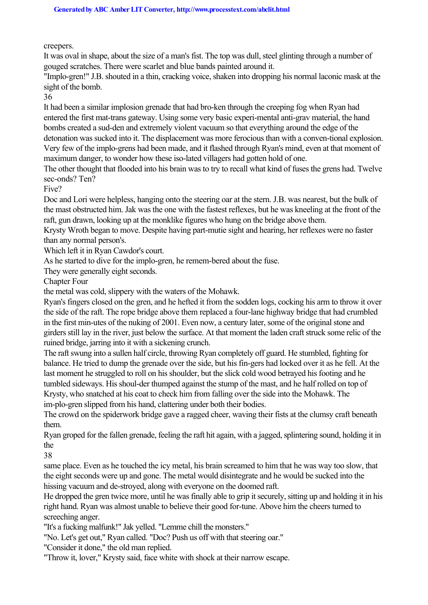creepers.

It was oval in shape, about the size of a man's fist. The top was dull, steel glinting through a number of gouged scratches. There were scarlet and blue bands painted around it.

"Implo-gren!" J.B. shouted in a thin, cracking voice, shaken into dropping his normal laconic mask at the sight of the bomb.

36

It had been a similar implosion grenade that had bro-ken through the creeping fog when Ryan had entered the first mat-trans gateway. Using some very basic experi-mental anti-grav material, the hand bombs created a sud-den and extremely violent vacuum so that everything around the edge of the detonation was sucked into it. The displacement was more ferocious than with a conven-tional explosion. Very few of the implo-grens had been made, and it flashed through Ryan's mind, even at that moment of maximum danger, to wonder how these iso-lated villagers had gotten hold of one.

The other thought that flooded into his brain was to try to recall what kind of fuses the grens had. Twelve sec-onds? Ten?

Five?

Doc and Lori were helpless, hanging onto the steering oar at the stern. J.B. was nearest, but the bulk of the mast obstructed him. Jak was the one with the fastest reflexes, but he was kneeling at the front of the raft, gun drawn, looking up at the monklike figures who hung on the bridge above them.

Krysty Wroth began to move. Despite having part-mutie sight and hearing, her reflexes were no faster than any normal person's.

Which left it in Ryan Cawdor's court.

As he started to dive for the implo-gren, he remem-bered about the fuse.

They were generally eight seconds.

Chapter Four

the metal was cold, slippery with the waters of the Mohawk.

Ryan's fingers closed on the gren, and he hefted it from the sodden logs, cocking his arm to throw it over the side of the raft. The rope bridge above them replaced a four-lane highway bridge that had crumbled in the first min-utes of the nuking of 2001. Even now, a century later, some of the original stone and girders still lay in the river, just below the surface. At that moment the laden craft struck some relic of the ruined bridge, jarring into it with a sickening crunch.

The raft swung into a sullen half circle, throwing Ryan completely off guard. He stumbled, fighting for balance. He tried to dump the grenade over the side, but his fin-gers had locked over it as he fell. At the last moment he struggled to roll on his shoulder, but the slick cold wood betrayed his footing and he tumbled sideways. His shoul-der thumped against the stump of the mast, and he half rolled on top of Krysty, who snatched at his coat to check him from falling over the side into the Mohawk. The im-plo-gren slipped from his hand, clattering under both their bodies.

The crowd on the spiderwork bridge gave a ragged cheer, waving their fists at the clumsy craft beneath them.

Ryan groped for the fallen grenade, feeling the raft hit again, with a jagged, splintering sound, holding it in the

38

same place. Even as he touched the icy metal, his brain screamed to him that he was way too slow, that the eight seconds were up and gone. The metal would disintegrate and he would be sucked into the hissing vacuum and de-stroyed, along with everyone on the doomed raft.

He dropped the gren twice more, until he was finally able to grip it securely, sitting up and holding it in his right hand. Ryan was almost unable to believe their good for-tune. Above him the cheers turned to screeching anger.

"It's a fucking malfunk!" Jak yelled. "Lemme chill the monsters."

"No. Let's get out," Ryan called. "Doc? Push us off with that steering oar."

"Consider it done," the old man replied.

"Throw it, lover," Krysty said, face white with shock at their narrow escape.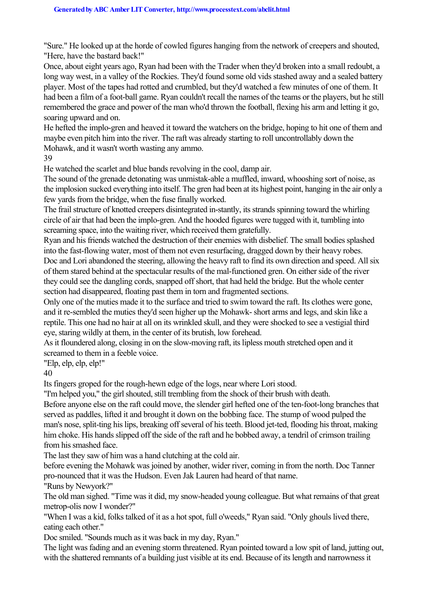"Sure." He looked up at the horde of cowled figures hanging from the network of creepers and shouted, "Here, have the bastard back!"

Once, about eight years ago, Ryan had been with the Trader when they'd broken into a small redoubt, a long way west, in a valley of the Rockies. They'd found some old vids stashed away and a sealed battery player. Most of the tapes had rotted and crumbled, but they'd watched a few minutes of one of them. It had been a film of a foot-ball game. Ryan couldn't recall the names of the teams or the players, but he still remembered the grace and power of the man who'd thrown the football, flexing his arm and letting it go, soaring upward and on.

He hefted the implo-gren and heaved it toward the watchers on the bridge, hoping to hit one of them and maybe even pitch him into the river. The raft was already starting to roll uncontrollably down the Mohawk, and it wasn't worth wasting any ammo.

39

He watched the scarlet and blue bands revolving in the cool, damp air.

The sound of the grenade detonating was unmistak-able a muffled, inward, whooshing sort of noise, as the implosion sucked everything into itself. The gren had been at its highest point, hanging in the air only a few yards from the bridge, when the fuse finally worked.

The frail structure of knotted creepers disintegrated in-stantly, its strands spinning toward the whirling circle of air that had been the implo-gren. And the hooded figures were tugged with it, tumbling into screaming space, into the waiting river, which received them gratefully.

Ryan and his friends watched the destruction of their enemies with disbelief. The small bodies splashed into the fast-flowing water, most of them not even resurfacing, dragged down by their heavy robes. Doc and Lori abandoned the steering, allowing the heavy raft to find its own direction and speed. All six of them stared behind at the spectacular results of the mal-functioned gren. On either side of the river they could see the dangling cords, snapped off short, that had held the bridge. But the whole center section had disappeared, floating past them in torn and fragmented sections.

Only one of the muties made it to the surface and tried to swim toward the raft. Its clothes were gone, and it re-sembled the muties they'd seen higher up the Mohawk- short arms and legs, and skin like a reptile. This one had no hair at all on its wrinkled skull, and they were shocked to see a vestigial third eye, staring wildly at them, in the center of its brutish, low forehead.

As it floundered along, closing in on the slow-moving raft, its lipless mouth stretched open and it screamed to them in a feeble voice.

"Elp, elp, elp, elp!"

40

Its fingers groped for the rough-hewn edge of the logs, near where Lori stood.

"I'm helped you," the girl shouted, still trembling from the shock of their brush with death.

Before anyone else on the raft could move, the slender girl hefted one of the ten-foot-long branches that served as paddles, lifted it and brought it down on the bobbing face. The stump of wood pulped the man's nose, split-ting his lips, breaking off several of his teeth. Blood jet-ted, flooding his throat, making him choke. His hands slipped off the side of the raft and he bobbed away, a tendril of crimson trailing from his smashed face.

The last they saw of him was a hand clutching at the cold air.

before evening the Mohawk was joined by another, wider river, coming in from the north. Doc Tanner pro-nounced that it was the Hudson. Even Jak Lauren had heard of that name.

"Runs by Newyork?"

The old man sighed. "Time was it did, my snow-headed young colleague. But what remains of that great metrop-olis now I wonder?"

"When I was a kid, folks talked of it as a hot spot, full o'weeds," Ryan said. "Only ghouls lived there, eating each other."

Doc smiled. "Sounds much as it was back in my day, Ryan."

The light was fading and an evening storm threatened. Ryan pointed toward a low spit of land, jutting out, with the shattered remnants of a building just visible at its end. Because of its length and narrowness it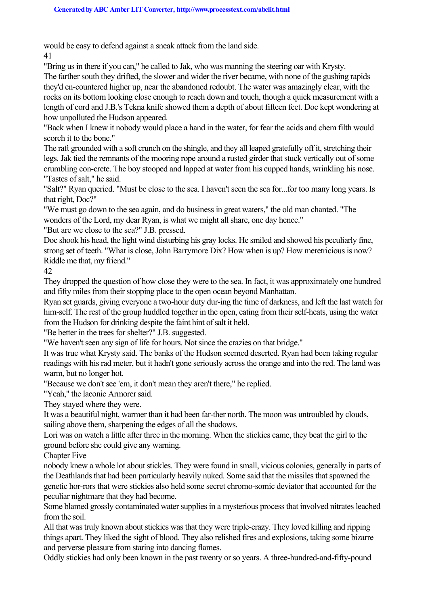would be easy to defend against a sneak attack from the land side.

41

"Bring us in there if you can," he called to Jak, who was manning the steering oar with Krysty.

The farther south they drifted, the slower and wider the river became, with none of the gushing rapids they'd en-countered higher up, near the abandoned redoubt. The water was amazingly clear, with the rocks on its bottom looking close enough to reach down and touch, though a quick measurement with a length of cord and J.B.'s Tekna knife showed them a depth of about fifteen feet. Doc kept wondering at how unpolluted the Hudson appeared.

"Back when I knew it nobody would place a hand in the water, for fear the acids and chem filth would scorch it to the bone."

The raft grounded with a soft crunch on the shingle, and they all leaped gratefully off it, stretching their legs. Jak tied the remnants of the mooring rope around a rusted girder that stuck vertically out of some crumbling con-crete. The boy stooped and lapped at water from his cupped hands, wrinkling his nose. "Tastes of salt," he said.

"Salt?" Ryan queried. "Must be close to the sea. I haven't seen the sea for...for too many long years. Is that right, Doc?"

"We must go down to the sea again, and do business in great waters," the old man chanted. "The wonders of the Lord, my dear Ryan, is what we might all share, one day hence."

"But are we close to the sea?" J.B. pressed.

Doc shook his head, the light wind disturbing his gray locks. He smiled and showed his peculiarly fine, strong set of teeth. "What is close, John Barrymore Dix? How when is up? How meretricious is now? Riddle me that, my friend."

42

They dropped the question of how close they were to the sea. In fact, it was approximately one hundred and fifty miles from their stopping place to the open ocean beyond Manhattan.

Ryan set guards, giving everyone a two-hour duty dur-ing the time of darkness, and left the last watch for him-self. The rest of the group huddled together in the open, eating from their self-heats, using the water from the Hudson for drinking despite the faint hint of salt it held.

"Be better in the trees for shelter?" J.B. suggested.

"We haven't seen any sign of life for hours. Not since the crazies on that bridge."

It was true what Krysty said. The banks of the Hudson seemed deserted. Ryan had been taking regular readings with his rad meter, but it hadn't gone seriously across the orange and into the red. The land was warm, but no longer hot.

"Because we don't see 'em, it don't mean they aren't there," he replied.

"Yeah," the laconic Armorer said.

They stayed where they were.

It was a beautiful night, warmer than it had been far-ther north. The moon was untroubled by clouds, sailing above them, sharpening the edges of all the shadows.

Lori was on watch a little after three in the morning. When the stickies came, they beat the girl to the ground before she could give any warning.

Chapter Five

nobody knew a whole lot about stickles. They were found in small, vicious colonies, generally in parts of the Deathlands that had been particularly heavily nuked. Some said that the missiles that spawned the genetic hor-rors that were stickies also held some secret chromo-somic deviator that accounted for the peculiar nightmare that they had become.

Some blamed grossly contaminated water supplies in a mysterious process that involved nitrates leached from the soil.

All that was truly known about stickies was that they were triple-crazy. They loved killing and ripping things apart. They liked the sight of blood. They also relished fires and explosions, taking some bizarre and perverse pleasure from staring into dancing flames.

Oddly stickies had only been known in the past twenty or so years. A three-hundred-and-fifty-pound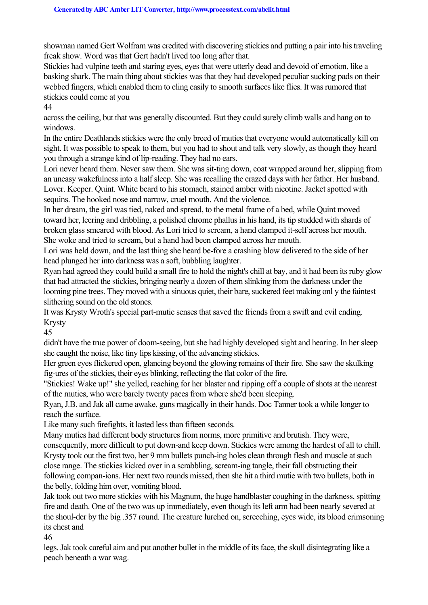showman named Gert Wolfram was credited with discovering stickies and putting a pair into his traveling freak show. Word was that Gert hadn't lived too long after that.

Stickies had vulpine teeth and staring eyes, eyes that were utterly dead and devoid of emotion, like a basking shark. The main thing about stickies was that they had developed peculiar sucking pads on their webbed fingers, which enabled them to cling easily to smooth surfaces like flies. It was rumored that stickies could come at you

44

across the ceiling, but that was generally discounted. But they could surely climb walls and hang on to windows.

In the entire Deathlands stickies were the only breed of muties that everyone would automatically kill on sight. It was possible to speak to them, but you had to shout and talk very slowly, as though they heard you through a strange kind of lip-reading. They had no ears.

Lori never heard them. Never saw them. She was sit-ting down, coat wrapped around her, slipping from an uneasy wakefulness into a half sleep. She was recalling the crazed days with her father. Her husband. Lover. Keeper. Quint. White beard to his stomach, stained amber with nicotine. Jacket spotted with sequins. The hooked nose and narrow, cruel mouth. And the violence.

In her dream, the girl was tied, naked and spread, to the metal frame of a bed, while Quint moved toward her, leering and dribbling, a polished chrome phallus in his hand, its tip studded with shards of broken glass smeared with blood. As Lori tried to scream, a hand clamped it-self across her mouth. She woke and tried to scream, but a hand had been clamped across her mouth.

Lori was held down, and the last thing she heard be-fore a crashing blow delivered to the side of her head plunged her into darkness was a soft, bubbling laughter.

Ryan had agreed they could build a small fire to hold the night's chill at bay, and it had been its ruby glow that had attracted the stickies, bringing nearly a dozen of them slinking from the darkness under the looming pine trees. They moved with a sinuous quiet, their bare, suckered feet making onl y the faintest slithering sound on the old stones.

It was Krysty Wroth's special part-mutie senses that saved the friends from a swift and evil ending. Krysty

45

didn't have the true power of doom-seeing, but she had highly developed sight and hearing. In her sleep she caught the noise, like tiny lips kissing, of the advancing stickies.

Her green eyes flickered open, glancing beyond the glowing remains of their fire. She saw the skulking fig-ures of the stickies, their eyes blinking, reflecting the flat color of the fire.

"Stickies! Wake up!" she yelled, reaching for her blaster and ripping off a couple of shots at the nearest of the muties, who were barely twenty paces from where she'd been sleeping.

Ryan, J.B. and Jak all came awake, guns magically in their hands. Doc Tanner took a while longer to reach the surface.

Like many such firefights, it lasted less than fifteen seconds.

Many muties had different body structures from norms, more primitive and brutish. They were, consequently, more difficult to put down-and keep down. Stickies were among the hardest of all to chill. Krysty took out the first two, her 9 mm bullets punch-ing holes clean through flesh and muscle at such close range. The stickies kicked over in a scrabbling, scream-ing tangle, their fall obstructing their following compan-ions. Her next two rounds missed, then she hit a third mutie with two bullets, both in the belly, folding him over, vomiting blood.

Jak took out two more stickies with his Magnum, the huge handblaster coughing in the darkness, spitting fire and death. One of the two was up immediately, even though its left arm had been nearly severed at the shoul-der by the big .357 round. The creature lurched on, screeching, eyes wide, its blood crimsoning its chest and

46

legs. Jak took careful aim and put another bullet in the middle of its face, the skull disintegrating like a peach beneath a war wag.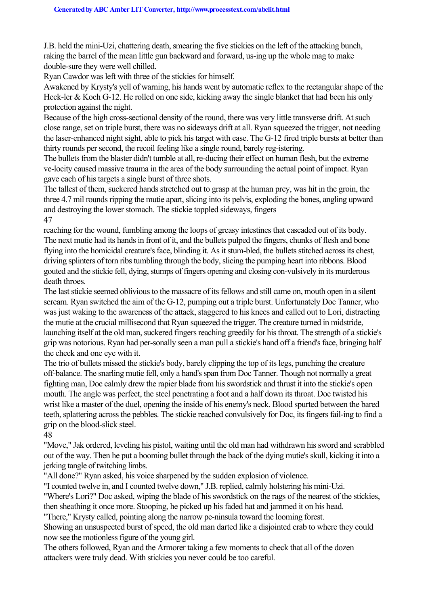J.B. held the mini-Uzi, chattering death, smearing the five stickies on the left of the attacking bunch, raking the barrel of the mean little gun backward and forward, us-ing up the whole mag to make double-sure they were well chilled.

Ryan Cawdor was left with three of the stickies for himself.

Awakened by Krysty's yell of warning, his hands went by automatic reflex to the rectangular shape of the Heck-ler & Koch G-12. He rolled on one side, kicking away the single blanket that had been his only protection against the night.

Because of the high cross-sectional density of the round, there was very little transverse drift. At such close range, set on triple burst, there was no sideways drift at all. Ryan squeezed the trigger, not needing the laser-enhanced night sight, able to pick his target with ease. The G-12 fired triple bursts at better than thirty rounds per second, the recoil feeling like a single round, barely reg-istering.

The bullets from the blaster didn't tumble at all, re-ducing their effect on human flesh, but the extreme ve-locity caused massive trauma in the area of the body surrounding the actual point of impact. Ryan gave each of his targets a single burst of three shots.

The tallest of them, suckered hands stretched out to grasp at the human prey, was hit in the groin, the three 4.7 mil rounds ripping the mutie apart, slicing into its pelvis, exploding the bones, angling upward and destroying the lower stomach. The stickie toppled sideways, fingers 47

reaching for the wound, fumbling among the loops of greasy intestines that cascaded out of its body. The next mutie had its hands in front of it, and the bullets pulped the fingers, chunks of flesh and bone flying into the homicidal creature's face, blinding it. As it stum-bled, the bullets stitched across its chest, driving splinters of torn ribs tumbling through the body, slicing the pumping heart into ribbons. Blood gouted and the stickie fell, dying, stumps of fingers opening and closing con-vulsively in its murderous death throes.

The last stickie seemed oblivious to the massacre of its fellows and still came on, mouth open in a silent scream. Ryan switched the aim of the G-12, pumping out a triple burst. Unfortunately Doc Tanner, who was just waking to the awareness of the attack, staggered to his knees and called out to Lori, distracting the mutie at the crucial millisecond that Ryan squeezed the trigger. The creature turned in midstride, launching itself at the old man, suckered fingers reaching greedily for his throat. The strength of a stickie's grip was notorious. Ryan had per-sonally seen a man pull a stickie's hand off a friend's face, bringing half the cheek and one eye with it.

The trio of bullets missed the stickie's body, barely clipping the top of its legs, punching the creature off-balance. The snarling mutie fell, only a hand's span from Doc Tanner. Though not normally a great fighting man, Doc calmly drew the rapier blade from his swordstick and thrust it into the stickie's open mouth. The angle was perfect, the steel penetrating a foot and a half down its throat. Doc twisted his wrist like a master of the duel, opening the inside of his enemy's neck. Blood spurted between the bared teeth, splattering across the pebbles. The stickie reached convulsively for Doc, its fingers fail-ing to find a grip on the blood-slick steel.

48

"Move," Jak ordered, leveling his pistol, waiting until the old man had withdrawn his sword and scrabbled out of the way. Then he put a booming bullet through the back of the dying mutie's skull, kicking it into a jerking tangle of twitching limbs.

"All done?" Ryan asked, his voice sharpened by the sudden explosion of violence.

"I counted twelve in, and I counted twelve down," J.B. replied, calmly holstering his mini-Uzi.

"Where's Lori?" Doc asked, wiping the blade of his swordstick on the rags of the nearest of the stickies, then sheathing it once more. Stooping, he picked up his faded hat and jammed it on his head.

"There," Krysty called, pointing along the narrow pe-ninsula toward the looming forest.

Showing an unsuspected burst of speed, the old man darted like a disjointed crab to where they could now see the motionless figure of the young girl.

The others followed, Ryan and the Armorer taking a few moments to check that all of the dozen attackers were truly dead. With stickies you never could be too careful.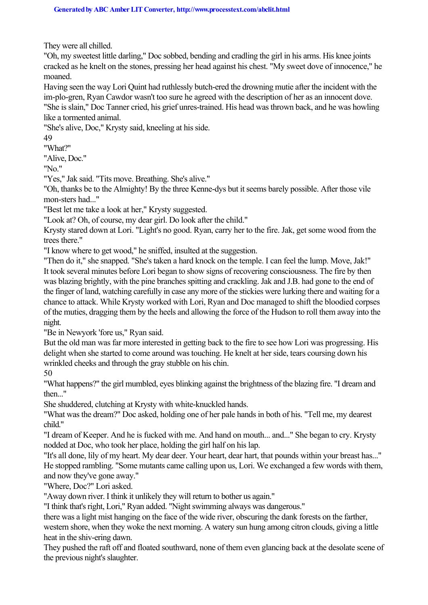They were all chilled.

"Oh, my sweetest little darling," Doc sobbed, bending and cradling the girl in his arms. His knee joints cracked as he knelt on the stones, pressing her head against his chest. "My sweet dove of innocence," he moaned.

Having seen the way Lori Quint had ruthlessly butch-ered the drowning mutie after the incident with the im-plo-gren, Ryan Cawdor wasn't too sure he agreed with the description of her as an innocent dove. "She is slain," Doc Tanner cried, his grief unres-trained. His head was thrown back, and he was howling like a tormented animal.

"She's alive, Doc," Krysty said, kneeling at his side.

49

"What?"

"Alive, Doc."

"No."

"Yes," Jak said. "Tits move. Breathing. She's alive."

"Oh, thanks be to the Almighty! By the three Kenne-dys but it seems barely possible. After those vile mon-sters had..."

"Best let me take a look at her," Krysty suggested.

"Look at? Oh, of course, my dear girl. Do look after the child."

Krysty stared down at Lori. "Light's no good. Ryan, carry her to the fire. Jak, get some wood from the trees there."

"I know where to get wood," he sniffed, insulted at the suggestion.

"Then do it," she snapped. "She's taken a hard knock on the temple. I can feel the lump. Move, Jak!" It took several minutes before Lori began to show signs of recovering consciousness. The fire by then was blazing brightly, with the pine branches spitting and crackling. Jak and J.B. had gone to the end of the finger of land, watching carefully in case any more of the stickies were lurking there and waiting for a chance to attack. While Krysty worked with Lori, Ryan and Doc managed to shift the bloodied corpses of the muties, dragging them by the heels and allowing the force of the Hudson to roll them away into the night.

"Be in Newyork 'fore us," Ryan said.

But the old man was far more interested in getting back to the fire to see how Lori was progressing. His delight when she started to come around was touching. He knelt at her side, tears coursing down his wrinkled cheeks and through the gray stubble on his chin.

50

"What happens?" the girl mumbled, eyes blinking against the brightness of the blazing fire. "I dream and then."

She shuddered, clutching at Krysty with white-knuckled hands.

"What was the dream?" Doc asked, holding one of her pale hands in both of his. "Tell me, my dearest child"

"I dream of Keeper. And he is fucked with me. And hand on mouth... and..." She began to cry. Krysty nodded at Doc, who took her place, holding the girl half on his lap.

"It's all done, lily of my heart. My dear deer. Your heart, dear hart, that pounds within your breast has..." He stopped rambling. "Some mutants came calling upon us, Lori. We exchanged a few words with them, and now they've gone away."

"Where, Doc?" Lori asked.

"Away down river. I think it unlikely they will return to bother us again."

"I think that's right, Lori," Ryan added. "Night swimming always was dangerous."

there was a light mist hanging on the face of the wide river, obscuring the dank forests on the farther, western shore, when they woke the next morning. A watery sun hung among citron clouds, giving a little heat in the shiv-ering dawn.

They pushed the raft off and floated southward, none of them even glancing back at the desolate scene of the previous night's slaughter.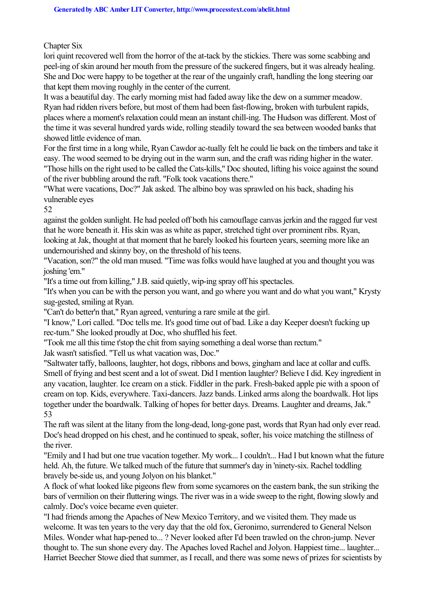#### Chapter Six

lori quint recovered well from the horror of the at-tack by the stickies. There was some scabbing and peel-ing of skin around her mouth from the pressure of the suckered fingers, but it was already healing. She and Doc were happy to be together at the rear of the ungainly craft, handling the long steering oar that kept them moving roughly in the center of the current.

It was a beautiful day. The early morning mist had faded away like the dew on a summer meadow. Ryan had ridden rivers before, but most of them had been fast-flowing, broken with turbulent rapids, places where a moment's relaxation could mean an instant chill-ing. The Hudson was different. Most of the time it was several hundred yards wide, rolling steadily toward the sea between wooded banks that showed little evidence of man.

For the first time in a long while, Ryan Cawdor ac-tually felt he could lie back on the timbers and take it easy. The wood seemed to be drying out in the warm sun, and the craft was riding higher in the water. "Those hills on the right used to be called the Cats-kills," Doc shouted, lifting his voice against the sound

of the river bubbling around the raft. "Folk took vacations there."

"What were vacations, Doc?" Jak asked. The albino boy was sprawled on his back, shading his vulnerable eyes

52

against the golden sunlight. He had peeled off both his camouflage canvas jerkin and the ragged fur vest that he wore beneath it. His skin was as white as paper, stretched tight over prominent ribs. Ryan, looking at Jak, thought at that moment that he barely looked his fourteen years, seeming more like an undernourished and skinny boy, on the threshold of his teens.

"Vacation, son?" the old man mused. "Time was folks would have laughed at you and thought you was joshing 'em."

"It's a time out from killing," J.B. said quietly, wip-ing spray off his spectacles.

"It's when you can be with the person you want, and go where you want and do what you want," Krysty sug-gested, smiling at Ryan.

"Can't do better'n that," Ryan agreed, venturing a rare smile at the girl.

"I know," Lori called. "Doc tells me. It's good time out of bad. Like a day Keeper doesn't fucking up rec-tum." She looked proudly at Doc, who shuffled his feet.

"Took me all this time t'stop the chit from saying something a deal worse than rectum."

Jak wasn't satisfied. "Tell us what vacation was, Doc."

"Saltwater taffy, balloons, laughter, hot dogs, ribbons and bows, gingham and lace at collar and cuffs. Smell of frying and best scent and a lot of sweat. Did I mention laughter? Believe I did. Key ingredient in any vacation, laughter. Ice cream on a stick. Fiddler in the park. Fresh-baked apple pie with a spoon of cream on top. Kids, everywhere. Taxi-dancers. Jazz bands. Linked arms along the boardwalk. Hot lips together under the boardwalk. Talking of hopes for better days. Dreams. Laughter and dreams, Jak." 53

The raft was silent at the litany from the long-dead, long-gone past, words that Ryan had only ever read. Doc's head dropped on his chest, and he continued to speak, softer, his voice matching the stillness of the river.

"Emily and I had but one true vacation together. My work... I couldn't... Had I but known what the future held. Ah, the future. We talked much of the future that summer's day in 'ninety-six. Rachel toddling bravely be-side us, and young Jolyon on his blanket."

A flock of what looked like pigeons flew from some sycamores on the eastern bank, the sun striking the bars of vermilion on their fluttering wings. The river was in a wide sweep to the right, flowing slowly and calmly. Doc's voice became even quieter.

"I had friends among the Apaches of New Mexico Territory, and we visited them. They made us welcome. It was ten years to the very day that the old fox, Geronimo, surrendered to General Nelson Miles. Wonder what hap-pened to... ? Never looked after I'd been trawled on the chron-jump. Never thought to. The sun shone every day. The Apaches loved Rachel and Jolyon. Happiest time... laughter... Harriet Beecher Stowe died that summer, as I recall, and there was some news of prizes for scientists by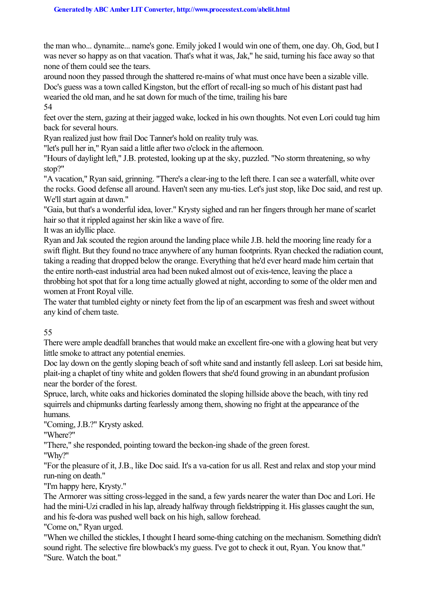the man who... dynamite... name's gone. Emily joked I would win one of them, one day. Oh, God, but I was never so happy as on that vacation. That's what it was, Jak," he said, turning his face away so that none of them could see the tears.

around noon they passed through the shattered re-mains of what must once have been a sizable ville. Doc's guess was a town called Kingston, but the effort of recall-ing so much of his distant past had wearied the old man, and he sat down for much of the time, trailing his bare

54

feet over the stern, gazing at their jagged wake, locked in his own thoughts. Not even Lori could tug him back for several hours.

Ryan realized just how frail Doc Tanner's hold on reality truly was.

"let's pull her in," Ryan said a little after two o'clock in the afternoon.

"Hours of daylight left," J.B. protested, looking up at the sky, puzzled. "No storm threatening, so why stop?"

"A vacation," Ryan said, grinning. "There's a clear-ing to the left there. I can see a waterfall, white over the rocks. Good defense all around. Haven't seen any mu-ties. Let's just stop, like Doc said, and rest up. We'll start again at dawn."

"Gaia, but that's a wonderful idea, lover." Krysty sighed and ran her fingers through her mane of scarlet hair so that it rippled against her skin like a wave of fire.

It was an idyllic place.

Ryan and Jak scouted the region around the landing place while J.B. held the mooring line ready for a swift flight. But they found no trace anywhere of any human footprints. Ryan checked the radiation count, taking a reading that dropped below the orange. Everything that he'd ever heard made him certain that the entire north-east industrial area had been nuked almost out of exis-tence, leaving the place a throbbing hot spot that for a long time actually glowed at night, according to some of the older men and women at Front Royal ville.

The water that tumbled eighty or ninety feet from the lip of an escarpment was fresh and sweet without any kind of chem taste.

55

There were ample deadfall branches that would make an excellent fire-one with a glowing heat but very little smoke to attract any potential enemies.

Doc lay down on the gently sloping beach of soft white sand and instantly fell asleep. Lori sat beside him, plait-ing a chaplet of tiny white and golden flowers that she'd found growing in an abundant profusion near the border of the forest.

Spruce, larch, white oaks and hickories dominated the sloping hillside above the beach, with tiny red squirrels and chipmunks darting fearlessly among them, showing no fright at the appearance of the humans.

"Coming, J.B.?" Krysty asked.

"Where?"

"There," she responded, pointing toward the beckon-ing shade of the green forest.

"Why?"

"For the pleasure of it, J.B., like Doc said. It's a va-cation for us all. Rest and relax and stop your mind run-ning on death."

"I'm happy here, Krysty."

The Armorer was sitting cross-legged in the sand, a few yards nearer the water than Doc and Lori. He had the mini-Uzi cradled in his lap, already halfway through fieldstripping it. His glasses caught the sun, and his fe-dora was pushed well back on his high, sallow forehead.

"Come on," Ryan urged.

"When we chilled the stickles, I thought I heard some-thing catching on the mechanism. Something didn't sound right. The selective fire blowback's my guess. I've got to check it out, Ryan. You know that." "Sure. Watch the boat."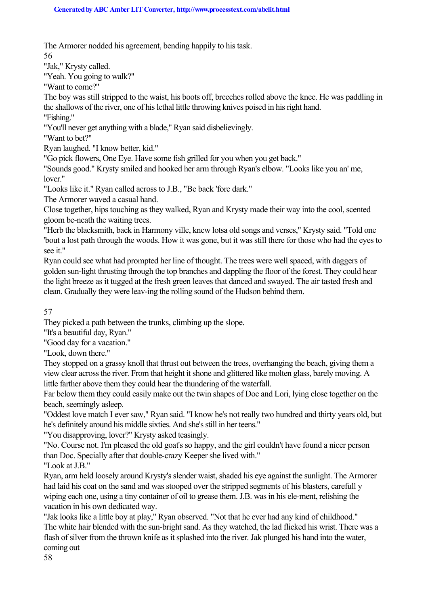The Armorer nodded his agreement, bending happily to his task.

56

"Jak," Krysty called.

"Yeah. You going to walk?"

"Want to come?"

The boy was still stripped to the waist, his boots off, breeches rolled above the knee. He was paddling in the shallows of the river, one of his lethal little throwing knives poised in his right hand. "Fishing."

"You'll never get anything with a blade," Ryan said disbelievingly.

"Want to bet?"

Ryan laughed. "I know better, kid."

"Go pick flowers, One Eye. Have some fish grilled for you when you get back."

"Sounds good." Krysty smiled and hooked her arm through Ryan's elbow. "Looks like you an' me, lover."

"Looks like it." Ryan called across to J.B., "Be back 'fore dark."

The Armorer waved a casual hand.

Close together, hips touching as they walked, Ryan and Krysty made their way into the cool, scented gloom be-neath the waiting trees.

"Herb the blacksmith, back in Harmony ville, knew lotsa old songs and verses," Krysty said. "Told one 'bout a lost path through the woods. How it was gone, but it was still there for those who had the eyes to see it."

Ryan could see what had prompted her line of thought. The trees were well spaced, with daggers of golden sun-light thrusting through the top branches and dappling the floor of the forest. They could hear the light breeze as it tugged at the fresh green leaves that danced and swayed. The air tasted fresh and clean. Gradually they were leav-ing the rolling sound of the Hudson behind them.

57

They picked a path between the trunks, climbing up the slope.

"It's a beautiful day, Ryan."

"Good day for a vacation."

"Look, down there."

They stopped on a grassy knoll that thrust out between the trees, overhanging the beach, giving them a view clear across the river. From that height it shone and glittered like molten glass, barely moving. A little farther above them they could hear the thundering of the waterfall.

Far below them they could easily make out the twin shapes of Doc and Lori, lying close together on the beach, seemingly asleep.

"Oddest love match I ever saw," Ryan said. "I know he's not really two hundred and thirty years old, but he's definitely around his middle sixties. And she's still in her teens."

"You disapproving, lover?" Krysty asked teasingly.

"No. Course not. I'm pleased the old goat's so happy, and the girl couldn't have found a nicer person than Doc. Specially after that double-crazy Keeper she lived with." "Look at J.B."

Ryan, arm held loosely around Krysty's slender waist, shaded his eye against the sunlight. The Armorer had laid his coat on the sand and was stooped over the stripped segments of his blasters, carefull y wiping each one, using a tiny container of oil to grease them. J.B. was in his ele-ment, relishing the vacation in his own dedicated way.

"Jak looks like a little boy at play," Ryan observed. "Not that he ever had any kind of childhood." The white hair blended with the sun-bright sand. As they watched, the lad flicked his wrist. There was a flash of silver from the thrown knife as it splashed into the river. Jak plunged his hand into the water, coming out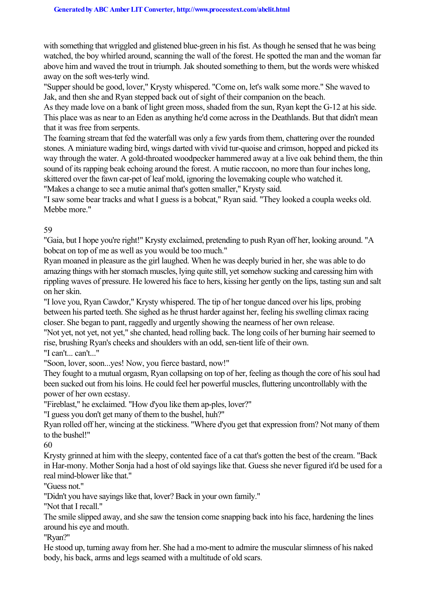with something that wriggled and glistened blue-green in his fist. As though he sensed that he was being watched, the boy whirled around, scanning the wall of the forest. He spotted the man and the woman far above him and waved the trout in triumph. Jak shouted something to them, but the words were whisked away on the soft wes-terly wind.

"Supper should be good, lover," Krysty whispered. "Come on, let's walk some more." She waved to Jak, and then she and Ryan stepped back out of sight of their companion on the beach.

As they made love on a bank of light green moss, shaded from the sun, Ryan kept the G-12 at his side. This place was as near to an Eden as anything he'd come across in the Deathlands. But that didn't mean that it was free from serpents.

The foaming stream that fed the waterfall was only a few yards from them, chattering over the rounded stones. A miniature wading bird, wings darted with vivid tur-quoise and crimson, hopped and picked its way through the water. A gold-throated woodpecker hammered away at a live oak behind them, the thin sound of its rapping beak echoing around the forest. A mutie raccoon, no more than four inches long, skittered over the fawn car-pet of leaf mold, ignoring the lovemaking couple who watched it. "Makes a change to see a mutie animal that's gotten smaller," Krysty said.

"I saw some bear tracks and what I guess is a bobcat," Ryan said. "They looked a coupla weeks old. Mebbe more."

#### 59

"Gaia, but I hope you're right!" Krysty exclaimed, pretending to push Ryan off her, looking around. "A bobcat on top of me as well as you would be too much."

Ryan moaned in pleasure as the girl laughed. When he was deeply buried in her, she was able to do amazing things with her stomach muscles, lying quite still, yet somehow sucking and caressing him with rippling waves of pressure. He lowered his face to hers, kissing her gently on the lips, tasting sun and salt on her skin.

"I love you, Ryan Cawdor," Krysty whispered. The tip of her tongue danced over his lips, probing between his parted teeth. She sighed as he thrust harder against her, feeling his swelling climax racing closer. She began to pant, raggedly and urgently showing the nearness of her own release.

"Not yet, not yet, not yet," she chanted, head rolling back. The long coils of her burning hair seemed to rise, brushing Ryan's cheeks and shoulders with an odd, sen-tient life of their own.

"I can't... can't..."

"Soon, lover, soon...yes! Now, you fierce bastard, now!"

They fought to a mutual orgasm, Ryan collapsing on top of her, feeling as though the core of his soul had been sucked out from his loins. He could feel her powerful muscles, fluttering uncontrollably with the power of her own ecstasy.

"Fireblast," he exclaimed. "How d'you like them ap-ples, lover?"

"I guess you don't get many of them to the bushel, huh?"

Ryan rolled off her, wincing at the stickiness. "Where d'you get that expression from? Not many of them to the bushel!"

60

Krysty grinned at him with the sleepy, contented face of a cat that's gotten the best of the cream. "Back in Har-mony. Mother Sonja had a host of old sayings like that. Guess she never figured it'd be used for a real mind-blower like that."

"Guess not."

"Didn't you have sayings like that, lover? Back in your own family."

"Not that I recall."

The smile slipped away, and she saw the tension come snapping back into his face, hardening the lines around his eye and mouth.

"Ryan?"

He stood up, turning away from her. She had a mo-ment to admire the muscular slimness of his naked body, his back, arms and legs seamed with a multitude of old scars.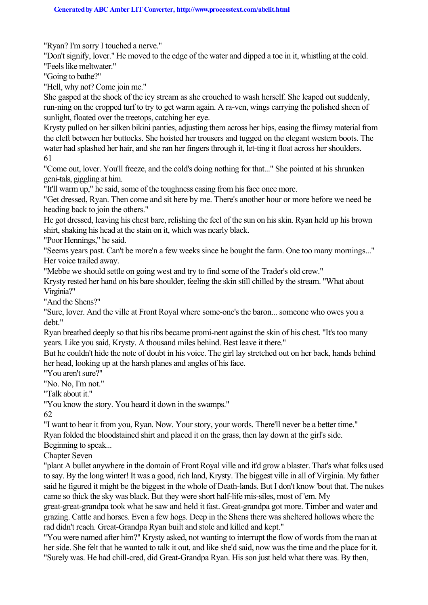"Ryan? I'm sorry I touched a nerve."

"Don't signify, lover." He moved to the edge of the water and dipped a toe in it, whistling at the cold. "Feels like meltwater."

"Going to bathe?"

"Hell, why not? Come join me."

She gasped at the shock of the icy stream as she crouched to wash herself. She leaped out suddenly, run-ning on the cropped turf to try to get warm again. A ra-ven, wings carrying the polished sheen of sunlight, floated over the treetops, catching her eye.

Krysty pulled on her silken bikini panties, adjusting them across her hips, easing the flimsy material from the cleft between her buttocks. She hoisted her trousers and tugged on the elegant western boots. The water had splashed her hair, and she ran her fingers through it, let-ting it float across her shoulders. 61

"Come out, lover. You'll freeze, and the cold's doing nothing for that..." She pointed at his shrunken geni-tals, giggling at him.

"It'll warm up," he said, some of the toughness easing from his face once more.

"Get dressed, Ryan. Then come and sit here by me. There's another hour or more before we need be heading back to join the others."

He got dressed, leaving his chest bare, relishing the feel of the sun on his skin. Ryan held up his brown shirt, shaking his head at the stain on it, which was nearly black.

"Poor Hennings," he said.

"Seems years past. Can't be more'n a few weeks since he bought the farm. One too many mornings..." Her voice trailed away.

"Mebbe we should settle on going west and try to find some of the Trader's old crew."

Krysty rested her hand on his bare shoulder, feeling the skin still chilled by the stream. "What about Virginia?"

"And the Shens?"

"Sure, lover. And the ville at Front Royal where some-one's the baron... someone who owes you a debt."

Ryan breathed deeply so that his ribs became promi-nent against the skin of his chest. "It's too many years. Like you said, Krysty. A thousand miles behind. Best leave it there."

But he couldn't hide the note of doubt in his voice. The girl lay stretched out on her back, hands behind her head, looking up at the harsh planes and angles of his face.

"You aren't sure?"

"No. No, I'm not."

"Talk about it."

"You know the story. You heard it down in the swamps."

62

"I want to hear it from you, Ryan. Now. Your story, your words. There'll never be a better time." Ryan folded the bloodstained shirt and placed it on the grass, then lay down at the girl's side.

Beginning to speak...

Chapter Seven

"plant A bullet anywhere in the domain of Front Royal ville and it'd grow a blaster. That's what folks used to say. By the long winter! It was a good, rich land, Krysty. The biggest ville in all of Virginia. My father said he figured it might be the biggest in the whole of Death-lands. But I don't know 'bout that. The nukes came so thick the sky was black. But they were short half-life mis-siles, most of 'em. My

great-great-grandpa took what he saw and held it fast. Great-grandpa got more. Timber and water and grazing. Cattle and horses. Even a few hogs. Deep in the Shens there was sheltered hollows where the rad didn't reach. Great-Grandpa Ryan built and stole and killed and kept."

"You were named after him?" Krysty asked, not wanting to interrupt the flow of words from the man at her side. She felt that he wanted to talk it out, and like she'd said, now was the time and the place for it. "Surely was. He had chill-cred, did Great-Grandpa Ryan. His son just held what there was. By then,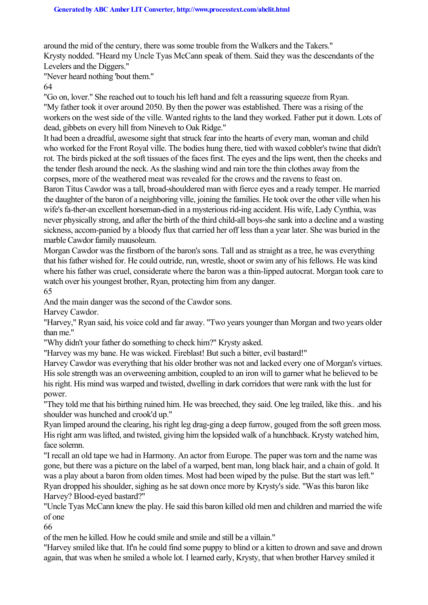around the mid of the century, there was some trouble from the Walkers and the Takers." Krysty nodded. "Heard my Uncle Tyas McCann speak of them. Said they was the descendants of the Levelers and the Diggers."

"Never heard nothing 'bout them."

64

"Go on, lover." She reached out to touch his left hand and felt a reassuring squeeze from Ryan. "My father took it over around 2050. By then the power was established. There was a rising of the workers on the west side of the ville. Wanted rights to the land they worked. Father put it down. Lots of dead, gibbets on every hill from Nineveh to Oak Ridge."

It had been a dreadful, awesome sight that struck fear into the hearts of every man, woman and child who worked for the Front Royal ville. The bodies hung there, tied with waxed cobbler's twine that didn't rot. The birds picked at the soft tissues of the faces first. The eyes and the lips went, then the cheeks and the tender flesh around the neck. As the slashing wind and rain tore the thin clothes away from the corpses, more of the weathered meat was revealed for the crows and the ravens to feast on.

Baron Titus Cawdor was a tall, broad-shouldered man with fierce eyes and a ready temper. He married the daughter of the baron of a neighboring ville, joining the families. He took over the other ville when his wife's fa-ther-an excellent horseman-died in a mysterious rid-ing accident. His wife, Lady Cynthia, was never physically strong, and after the birth of the third child-all boys-she sank into a decline and a wasting sickness, accom-panied by a bloody flux that carried her off less than a year later. She was buried in the marble Cawdor family mausoleum.

Morgan Cawdor was the firstborn of the baron's sons. Tall and as straight as a tree, he was everything that his father wished for. He could outride, run, wrestle, shoot or swim any of his fellows. He was kind where his father was cruel, considerate where the baron was a thin-lipped autocrat. Morgan took care to watch over his youngest brother, Ryan, protecting him from any danger.

65

And the main danger was the second of the Cawdor sons.

Harvey Cawdor.

"Harvey," Ryan said, his voice cold and far away. "Two years younger than Morgan and two years older than me."

"Why didn't your father do something to check him?" Krysty asked.

"Harvey was my bane. He was wicked. Fireblast! But such a bitter, evil bastard!"

Harvey Cawdor was everything that his older brother was not and lacked every one of Morgan's virtues. His sole strength was an overweening ambition, coupled to an iron will to garner what he believed to be his right. His mind was warped and twisted, dwelling in dark corridors that were rank with the lust for power.

"They told me that his birthing ruined him. He was breeched, they said. One leg trailed, like this.. .and his shoulder was hunched and crook'd up."

Ryan limped around the clearing, his right leg drag-ging a deep furrow, gouged from the soft green moss. His right arm was lifted, and twisted, giving him the lopsided walk of a hunchback. Krysty watched him, face solemn.

"I recall an old tape we had in Harmony. An actor from Europe. The paper was torn and the name was gone, but there was a picture on the label of a warped, bent man, long black hair, and a chain of gold. It was a play about a baron from olden times. Most had been wiped by the pulse. But the start was left." Ryan dropped his shoulder, sighing as he sat down once more by Krysty's side. "Was this baron like Harvey? Blood-eyed bastard?"

"Uncle Tyas McCann knew the play. He said this baron killed old men and children and married the wife of one

66

of the men he killed. How he could smile and smile and still be a villain."

"Harvey smiled like that. If'n he could find some puppy to blind or a kitten to drown and save and drown again, that was when he smiled a whole lot. I learned early, Krysty, that when brother Harvey smiled it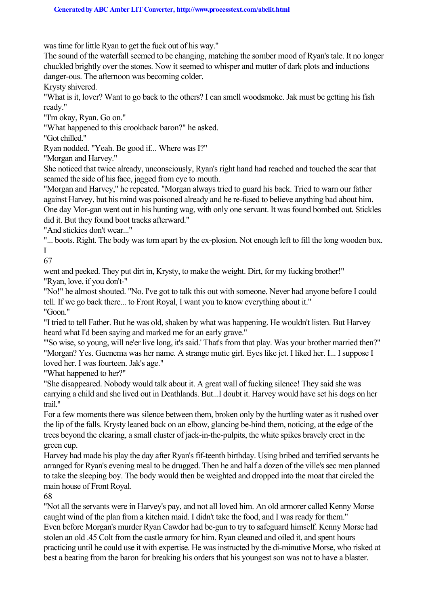was time for little Ryan to get the fuck out of his way."

The sound of the waterfall seemed to be changing, matching the somber mood of Ryan's tale. It no longer chuckled brightly over the stones. Now it seemed to whisper and mutter of dark plots and inductions danger-ous. The afternoon was becoming colder.

Krysty shivered.

"What is it, lover? Want to go back to the others? I can smell woodsmoke. Jak must be getting his fish ready."

"I'm okay, Ryan. Go on."

"What happened to this crookback baron?" he asked.

"Got chilled."

Ryan nodded. "Yeah. Be good if... Where was I?"

"Morgan and Harvey."

She noticed that twice already, unconsciously, Ryan's right hand had reached and touched the scar that seamed the side of his face, jagged from eye to mouth.

"Morgan and Harvey," he repeated. "Morgan always tried to guard his back. Tried to warn our father against Harvey, but his mind was poisoned already and he re-fused to believe anything bad about him. One day Mor-gan went out in his hunting wag, with only one servant. It was found bombed out. Stickles did it. But they found boot tracks afterward."

"And stickies don't wear..."

"... boots. Right. The body was torn apart by the ex-plosion. Not enough left to fill the long wooden box. I

67

went and peeked. They put dirt in, Krysty, to make the weight. Dirt, for my fucking brother!" "Ryan, love, if you don't-"

"No!" he almost shouted. "No. I've got to talk this out with someone. Never had anyone before I could tell. If we go back there... to Front Royal, I want you to know everything about it." "Goon"

"I tried to tell Father. But he was old, shaken by what was happening. He wouldn't listen. But Harvey heard what I'd been saying and marked me for an early grave."

'"So wise, so young, will ne'er live long, it's said.' That's from that play. Was your brother married then?" "Morgan? Yes. Guenema was her name. A strange mutie girl. Eyes like jet. I liked her. I... I suppose I loved her. I was fourteen. Jak's age."

"What happened to her?"

"She disappeared. Nobody would talk about it. A great wall of fucking silence! They said she was carrying a child and she lived out in Deathlands. But...I doubt it. Harvey would have set his dogs on her trail."

For a few moments there was silence between them, broken only by the hurtling water as it rushed over the lip of the falls. Krysty leaned back on an elbow, glancing be-hind them, noticing, at the edge of the trees beyond the clearing, a small cluster of jack-in-the-pulpits, the white spikes bravely erect in the green cup.

Harvey had made his play the day after Ryan's fif-teenth birthday. Using bribed and terrified servants he arranged for Ryan's evening meal to be drugged. Then he and half a dozen of the ville's sec men planned to take the sleeping boy. The body would then be weighted and dropped into the moat that circled the main house of Front Royal.

68

"Not all the servants were in Harvey's pay, and not all loved him. An old armorer called Kenny Morse caught wind of the plan from a kitchen maid. I didn't take the food, and I was ready for them." Even before Morgan's murder Ryan Cawdor had be-gun to try to safeguard himself. Kenny Morse had stolen an old .45 Colt from the castle armory for him. Ryan cleaned and oiled it, and spent hours practicing until he could use it with expertise. He was instructed by the di-minutive Morse, who risked at best a beating from the baron for breaking his orders that his youngest son was not to have a blaster.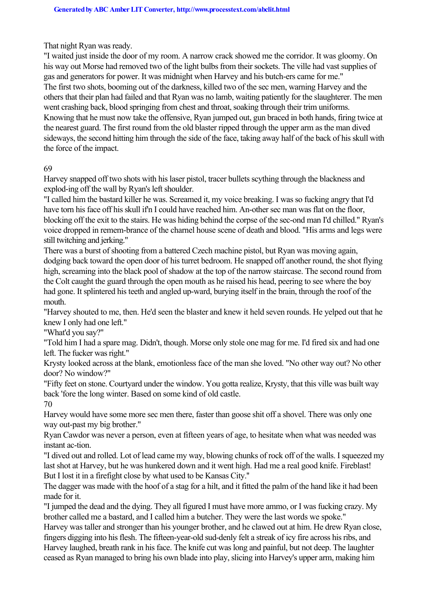That night Ryan was ready.

"I waited just inside the door of my room. A narrow crack showed me the corridor. It was gloomy. On his way out Morse had removed two of the light bulbs from their sockets. The ville had vast supplies of gas and generators for power. It was midnight when Harvey and his butch-ers came for me." The first two shots, booming out of the darkness, killed two of the sec men, warning Harvey and the others that their plan had failed and that Ryan was no lamb, waiting patiently for the slaughterer. The men went crashing back, blood springing from chest and throat, soaking through their trim uniforms. Knowing that he must now take the offensive, Ryan jumped out, gun braced in both hands, firing twice at the nearest guard. The first round from the old blaster ripped through the upper arm as the man dived sideways, the second hitting him through the side of the face, taking away half of the back of his skull with the force of the impact.

#### 69

Harvey snapped off two shots with his laser pistol, tracer bullets scything through the blackness and explod-ing off the wall by Ryan's left shoulder.

"I called him the bastard killer he was. Screamed it, my voice breaking. I was so fucking angry that I'd have torn his face off his skull if n I could have reached him. An-other sec man was flat on the floor, blocking off the exit to the stairs. He was hiding behind the corpse of the sec-ond man I'd chilled." Ryan's voice dropped in remem-brance of the charnel house scene of death and blood. "His arms and legs were still twitching and jerking."

There was a burst of shooting from a battered Czech machine pistol, but Ryan was moving again, dodging back toward the open door of his turret bedroom. He snapped off another round, the shot flying high, screaming into the black pool of shadow at the top of the narrow staircase. The second round from the Colt caught the guard through the open mouth as he raised his head, peering to see where the boy had gone. It splintered his teeth and angled up-ward, burying itself in the brain, through the roof of the mouth.

"Harvey shouted to me, then. He'd seen the blaster and knew it held seven rounds. He yelped out that he knew I only had one left."

"What'd you say?"

"Told him I had a spare mag. Didn't, though. Morse only stole one mag for me. I'd fired six and had one left. The fucker was right."

Krysty looked across at the blank, emotionless face of the man she loved. "No other way out? No other door? No window?"

"Fifty feet on stone. Courtyard under the window. You gotta realize, Krysty, that this ville was built way back 'fore the long winter. Based on some kind of old castle. 70

Harvey would have some more sec men there, faster than goose shit off a shovel. There was only one way out-past my big brother."

Ryan Cawdor was never a person, even at fifteen years of age, to hesitate when what was needed was instant ac-tion.

"I dived out and rolled. Lot of lead came my way, blowing chunks of rock off of the walls. I squeezed my last shot at Harvey, but he was hunkered down and it went high. Had me a real good knife. Fireblast! But I lost it in a firefight close by what used to be Kansas City.''

The dagger was made with the hoof of a stag for a hilt, and it fitted the palm of the hand like it had been made for it.

"I jumped the dead and the dying. They all figured I must have more ammo, or I was fucking crazy. My brother called me a bastard, and I called him a butcher. They were the last words we spoke."

Harvey was taller and stronger than his younger brother, and he clawed out at him. He drew Ryan close, fingers digging into his flesh. The fifteen-year-old sud-denly felt a streak of icy fire across his ribs, and Harvey laughed, breath rank in his face. The knife cut was long and painful, but not deep. The laughter ceased as Ryan managed to bring his own blade into play, slicing into Harvey's upper arm, making him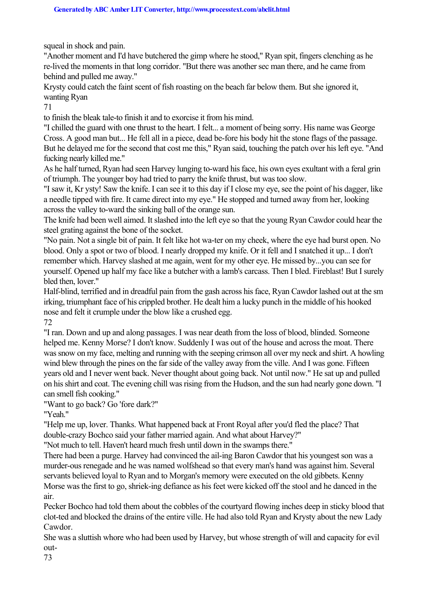squeal in shock and pain.

"Another moment and I'd have butchered the gimp where he stood," Ryan spit, fingers clenching as he re-lived the moments in that long corridor. "But there was another sec man there, and he came from behind and pulled me away."

Krysty could catch the faint scent of fish roasting on the beach far below them. But she ignored it, wanting Ryan

71

to finish the bleak tale-to finish it and to exorcise it from his mind.

"I chilled the guard with one thrust to the heart. I felt... a moment of being sorry. His name was George Cross. A good man but... He fell all in a piece, dead be-fore his body hit the stone flags of the passage. But he delayed me for the second that cost me this," Ryan said, touching the patch over his left eye. "And fucking nearly killed me."

As he half turned, Ryan had seen Harvey lunging to-ward his face, his own eyes exultant with a feral grin of triumph. The younger boy had tried to parry the knife thrust, but was too slow.

"I saw it, Kr ysty! Saw the knife. I can see it to this day if I close my eye, see the point of his dagger, like a needle tipped with fire. It came direct into my eye." He stopped and turned away from her, looking across the valley to-ward the sinking ball of the orange sun.

The knife had been well aimed. It slashed into the left eye so that the young Ryan Cawdor could hear the steel grating against the bone of the socket.

"No pain. Not a single bit of pain. It felt like hot wa-ter on my cheek, where the eye had burst open. No blood. Only a spot or two of blood. I nearly dropped my knife. Or it fell and I snatched it up... I don't remember which. Harvey slashed at me again, went for my other eye. He missed by...you can see for yourself. Opened up half my face like a butcher with a lamb's carcass. Then I bled. Fireblast! But I surely bled then, lover."

Half-blind, terrified and in dreadful pain from the gash across his face, Ryan Cawdor lashed out at the sm irking, triumphant face of his crippled brother. He dealt him a lucky punch in the middle of his hooked nose and felt it crumple under the blow like a crushed egg.

72

"I ran. Down and up and along passages. I was near death from the loss of blood, blinded. Someone helped me. Kenny Morse? I don't know. Suddenly I was out of the house and across the moat. There was snow on my face, melting and running with the seeping crimson all over my neck and shirt. A howling wind blew through the pines on the far side of the valley away from the ville. And I was gone. Fifteen years old and I never went back. Never thought about going back. Not until now." He sat up and pulled on his shirt and coat. The evening chill was rising from the Hudson, and the sun had nearly gone down. "I can smell fish cooking."

"Want to go back? Go 'fore dark?"

"Yeah"

"Help me up, lover. Thanks. What happened back at Front Royal after you'd fled the place? That double-crazy Bochco said your father married again. And what about Harvey?"

"Not much to tell. Haven't heard much fresh until down in the swamps there."

There had been a purge. Harvey had convinced the ail-ing Baron Cawdor that his youngest son was a murder-ous renegade and he was named wolfshead so that every man's hand was against him. Several servants believed loyal to Ryan and to Morgan's memory were executed on the old gibbets. Kenny Morse was the first to go, shriek-ing defiance as his feet were kicked off the stool and he danced in the air.

Pecker Bochco had told them about the cobbles of the courtyard flowing inches deep in sticky blood that clot-ted and blocked the drains of the entire ville. He had also told Ryan and Krysty about the new Lady Cawdor.

She was a sluttish whore who had been used by Harvey, but whose strength of will and capacity for evil out-

73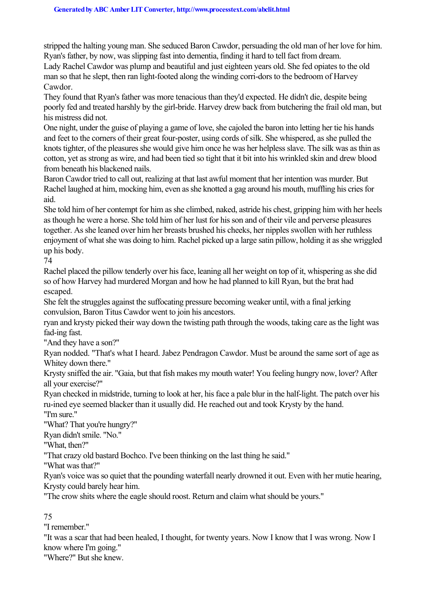stripped the halting young man. She seduced Baron Cawdor, persuading the old man of her love for him. Ryan's father, by now, was slipping fast into dementia, finding it hard to tell fact from dream. Lady Rachel Cawdor was plump and beautiful and just eighteen years old. She fed opiates to the old man so that he slept, then ran light-footed along the winding corri-dors to the bedroom of Harvey Cawdor.

They found that Ryan's father was more tenacious than they'd expected. He didn't die, despite being poorly fed and treated harshly by the girl-bride. Harvey drew back from butchering the frail old man, but his mistress did not.

One night, under the guise of playing a game of love, she cajoled the baron into letting her tie his hands and feet to the corners of their great four-poster, using cords of silk. She whispered, as she pulled the knots tighter, of the pleasures she would give him once he was her helpless slave. The silk was as thin as cotton, yet as strong as wire, and had been tied so tight that it bit into his wrinkled skin and drew blood from beneath his blackened nails.

Baron Cawdor tried to call out, realizing at that last awful moment that her intention was murder. But Rachel laughed at him, mocking him, even as she knotted a gag around his mouth, muffling his cries for aid.

She told him of her contempt for him as she climbed, naked, astride his chest, gripping him with her heels as though he were a horse. She told him of her lust for his son and of their vile and perverse pleasures together. As she leaned over him her breasts brushed his cheeks, her nipples swollen with her ruthless enjoyment of what she was doing to him. Rachel picked up a large satin pillow, holding it as she wriggled up his body.

74

Rachel placed the pillow tenderly over his face, leaning all her weight on top of it, whispering as she did so of how Harvey had murdered Morgan and how he had planned to kill Ryan, but the brat had escaped.

She felt the struggles against the suffocating pressure becoming weaker until, with a final jerking convulsion, Baron Titus Cawdor went to join his ancestors.

ryan and krysty picked their way down the twisting path through the woods, taking care as the light was fad-ing fast.

"And they have a son?"

Ryan nodded. "That's what I heard. Jabez Pendragon Cawdor. Must be around the same sort of age as Whitey down there."

Krysty sniffed the air. "Gaia, but that fish makes my mouth water! You feeling hungry now, lover? After all your exercise?"

Ryan checked in midstride, turning to look at her, his face a pale blur in the half-light. The patch over his ru-ined eye seemed blacker than it usually did. He reached out and took Krysty by the hand.

"I'm sure."

"What? That you're hungry?"

Ryan didn't smile. "No."

"What, then?"

"That crazy old bastard Bochco. I've been thinking on the last thing he said."

"What was that?"

Ryan's voice was so quiet that the pounding waterfall nearly drowned it out. Even with her mutie hearing, Krysty could barely hear him.

"The crow shits where the eagle should roost. Return and claim what should be yours."

75

"I remember."

"It was a scar that had been healed, I thought, for twenty years. Now I know that I was wrong. Now I know where I'm going."

"Where?" But she knew.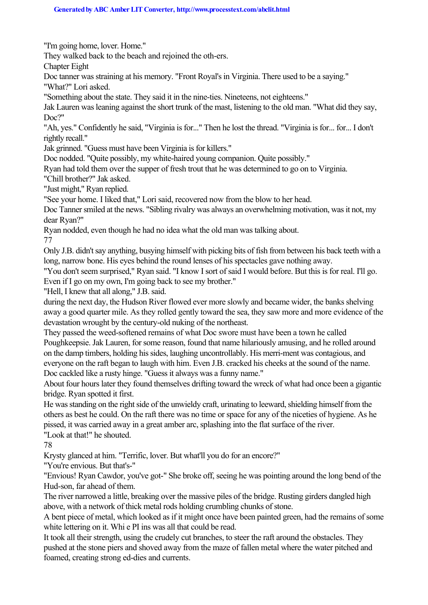"I'm going home, lover. Home."

They walked back to the beach and rejoined the oth-ers.

Chapter Eight

Doc tanner was straining at his memory. "Front Royal's in Virginia. There used to be a saying." "What?" Lori asked.

"Something about the state. They said it in the nine-ties. Nineteens, not eighteens."

Jak Lauren was leaning against the short trunk of the mast, listening to the old man. "What did they say, Doc?"

"Ah, yes." Confidently he said, "Virginia is for..." Then he lost the thread. "Virginia is for... for... I don't rightly recall."

Jak grinned. "Guess must have been Virginia is for killers."

Doc nodded. "Quite possibly, my white-haired young companion. Quite possibly."

Ryan had told them over the supper of fresh trout that he was determined to go on to Virginia.

"Chill brother?" Jak asked.

"Just might," Ryan replied.

"See your home. I liked that," Lori said, recovered now from the blow to her head.

Doc Tanner smiled at the news. "Sibling rivalry was always an overwhelming motivation, was it not, my dear Ryan?"

Ryan nodded, even though he had no idea what the old man was talking about.

77

Only J.B. didn't say anything, busying himself with picking bits of fish from between his back teeth with a long, narrow bone. His eyes behind the round lenses of his spectacles gave nothing away.

"You don't seem surprised," Ryan said. "I know I sort of said I would before. But this is for real. I'll go. Even if I go on my own, I'm going back to see my brother."

"Hell, I knew that all along," J.B. said.

during the next day, the Hudson River flowed ever more slowly and became wider, the banks shelving away a good quarter mile. As they rolled gently toward the sea, they saw more and more evidence of the devastation wrought by the century-old nuking of the northeast.

They passed the weed-softened remains of what Doc swore must have been a town he called Poughkeepsie. Jak Lauren, for some reason, found that name hilariously amusing, and he rolled around on the damp timbers, holding his sides, laughing uncontrollably. His merri-ment was contagious, and everyone on the raft began to laugh with him. Even J.B. cracked his cheeks at the sound of the name. Doc cackled like a rusty hinge. "Guess it always was a funny name."

About four hours later they found themselves drifting toward the wreck of what had once been a gigantic bridge. Ryan spotted it first.

He was standing on the right side of the unwieldy craft, urinating to leeward, shielding himself from the others as best he could. On the raft there was no time or space for any of the niceties of hygiene. As he pissed, it was carried away in a great amber arc, splashing into the flat surface of the river. "Look at that!" he shouted.

78

Krysty glanced at him. "Terrific, lover. But what'll you do for an encore?"

"You're envious. But that's-"

"Envious! Ryan Cawdor, you've got-" She broke off, seeing he was pointing around the long bend of the Hud-son, far ahead of them.

The river narrowed a little, breaking over the massive piles of the bridge. Rusting girders dangled high above, with a network of thick metal rods holding crumbling chunks of stone.

A bent piece of metal, which looked as if it might once have been painted green, had the remains of some white lettering on it. Whi e PI ins was all that could be read.

It took all their strength, using the crudely cut branches, to steer the raft around the obstacles. They pushed at the stone piers and shoved away from the maze of fallen metal where the water pitched and foamed, creating strong ed-dies and currents.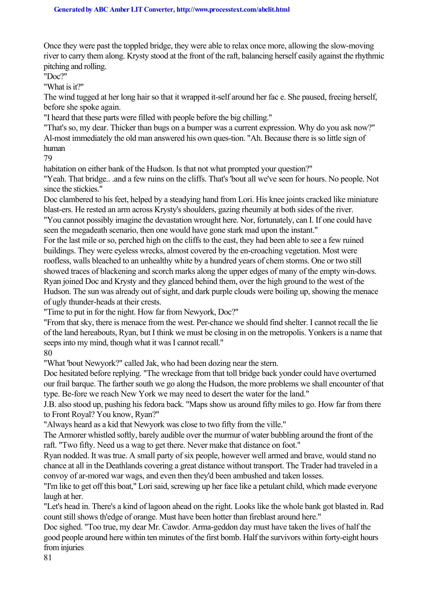Once they were past the toppled bridge, they were able to relax once more, allowing the slow-moving river to carry them along. Krysty stood at the front of the raft, balancing herself easily against the rhythmic pitching and rolling.

"Doc?"

"What is it?"

The wind tugged at her long hair so that it wrapped it-self around her fac e. She paused, freeing herself, before she spoke again.

"I heard that these parts were filled with people before the big chilling."

"That's so, my dear. Thicker than bugs on a bumper was a current expression. Why do you ask now?" Al-most immediately the old man answered his own ques-tion. "Ah. Because there is so little sign of human

79

habitation on either bank of the Hudson. Is that not what prompted your question?"

"Yeah. That bridge.. .and a few ruins on the cliffs. That's 'bout all we've seen for hours. No people. Not since the stickies."

Doc clambered to his feet, helped by a steadying hand from Lori. His knee joints cracked like miniature blast-ers. He rested an arm across Krysty's shoulders, gazing rheumily at both sides of the river.

"You cannot possibly imagine the devastation wrought here. Nor, fortunately, can I. If one could have seen the megadeath scenario, then one would have gone stark mad upon the instant."

For the last mile or so, perched high on the cliffs to the east, they had been able to see a few ruined buildings. They were eyeless wrecks, almost covered by the en-croaching vegetation. Most were roofless, walls bleached to an unhealthy white by a hundred years of chem storms. One or two still showed traces of blackening and scorch marks along the upper edges of many of the empty win-dows. Ryan joined Doc and Krysty and they glanced behind them, over the high ground to the west of the Hudson. The sun was already out of sight, and dark purple clouds were boiling up, showing the menace of ugly thunder-heads at their crests.

"Time to put in for the night. How far from Newyork, Doc?"

"From that sky, there is menace from the west. Per-chance we should find shelter. I cannot recall the lie of the land hereabouts, Ryan, but I think we must be closing in on the metropolis. Yonkers is a name that seeps into my mind, though what it was I cannot recall."

80

"What 'bout Newyork?" called Jak, who had been dozing near the stern.

Doc hesitated before replying. "The wreckage from that toll bridge back yonder could have overturned our frail barque. The farther south we go along the Hudson, the more problems we shall encounter of that type. Be-fore we reach New York we may need to desert the water for the land."

J.B. also stood up, pushing his fedora back. "Maps show us around fifty miles to go. How far from there to Front Royal? You know, Ryan?"

"Always heard as a kid that Newyork was close to two fifty from the ville."

The Armorer whistled softly, barely audible over the murmur of water bubbling around the front of the raft. "Two fifty. Need us a wag to get there. Never make that distance on foot."

Ryan nodded. It was true. A small party of six people, however well armed and brave, would stand no chance at all in the Deathlands covering a great distance without transport. The Trader had traveled in a convoy of ar-mored war wags, and even then they'd been ambushed and taken losses.

"I'm like to get off this boat," Lori said, screwing up her face like a petulant child, which made everyone laugh at her.

"Let's head in. There's a kind of lagoon ahead on the right. Looks like the whole bank got blasted in. Rad count still shows th'edge of orange. Must have been hotter than fireblast around here."

Doc sighed. "Too true, my dear Mr. Cawdor. Arma-geddon day must have taken the lives of half the good people around here within ten minutes of the first bomb. Half the survivors within forty-eight hours from injuries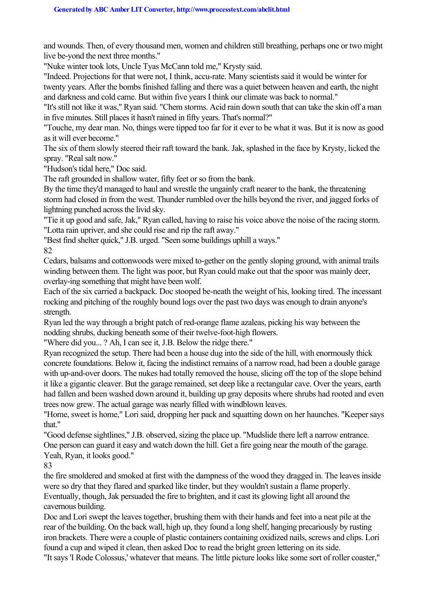and wounds. Then, of every thousand men, women and children still breathing, perhaps one or two might live be-yond the next three months."

"Nuke winter took lots, Uncle Tyas McCann told me," Krysty said.

"Indeed. Projections for that were not, I think, accu-rate. Many scientists said it would be winter for twenty years. After the bombs finished falling and there was a quiet between heaven and earth, the night and darkness and cold came. But within five years I think our climate was back to normal."

"It's still not like it was," Ryan said. "Chem storms. Acid rain down south that can take the skin off a man in five minutes. Still places it hasn't rained in fifty years. That's normal?"

"Touche, my dear man. No, things were tipped too far for it ever to be what it was. But it is now as good as it will ever become."

The six of them slowly steered their raft toward the bank. Jak, splashed in the face by Krysty, licked the spray. "Real salt now."

"Hudson's tidal here," Doc said.

The raft grounded in shallow water, fifty feet or so from the bank.

By the time they'd managed to haul and wrestle the ungainly craft nearer to the bank, the threatening storm had closed in from the west. Thunder rumbled over the hills beyond the river, and jagged forks of lightning punched across the livid sky.

"Tie it up good and safe, Jak," Ryan called, having to raise his voice above the noise of the racing storm. "Lotta rain upriver, and she could rise and rip the raft away."

"Best find shelter quick," J.B. urged. "Seen some buildings uphill a ways." 82

Cedars, balsams and cottonwoods were mixed to-gether on the gently sloping ground, with animal trails winding between them. The light was poor, but Ryan could make out that the spoor was mainly deer, overlay-ing something that might have been wolf.

Each of the six carried a backpack. Doc stooped be-neath the weight of his, looking tired. The incessant rocking and pitching of the roughly bound logs over the past two days was enough to drain anyone's strength.

Ryan led the way through a bright patch of red-orange flame azaleas, picking his way between the nodding shrubs, ducking beneath some of their twelve-foot-high flowers.

"Where did you... ? Ah, I can see it, J.B. Below the ridge there."

Ryan recognized the setup. There had been a house dug into the side of the hill, with enormously thick concrete foundations. Below it, facing the indistinct remains of a narrow road, had been a double garage with up-and-over doors. The nukes had totally removed the house, slicing off the top of the slope behind it like a gigantic cleaver. But the garage remained, set deep like a rectangular cave. Over the years, earth had fallen and been washed down around it, building up gray deposits where shrubs had rooted and even trees now grew. The actual garage was nearly filled with windblown leaves.

"Home, sweet is home," Lori said, dropping her pack and squatting down on her haunches. "Keeper says that."

"Good defense sightlines," J.B. observed, sizing the place up. "Mudslide there left a narrow entrance. One person can guard it easy and watch down the hill. Get a fire going near the mouth of the garage. Yeah, Ryan, it looks good."

83

the fire smoldered and smoked at first with the dampness of the wood they dragged in. The leaves inside were so dry that they flared and sparked like tinder, but they wouldn't sustain a flame properly. Eventually, though, Jak persuaded the fire to brighten, and it cast its glowing light all around the cavernous building.

Doc and Lori swept the leaves together, brushing them with their hands and feet into a neat pile at the rear of the building. On the back wall, high up, they found a long shelf, hanging precariously by rusting iron brackets. There were a couple of plastic containers containing oxidized nails, screws and clips. Lori found a cup and wiped it clean, then asked Doc to read the bright green lettering on its side.

"It says 'I Rode Colossus,' whatever that means. The little picture looks like some sort of roller coaster,"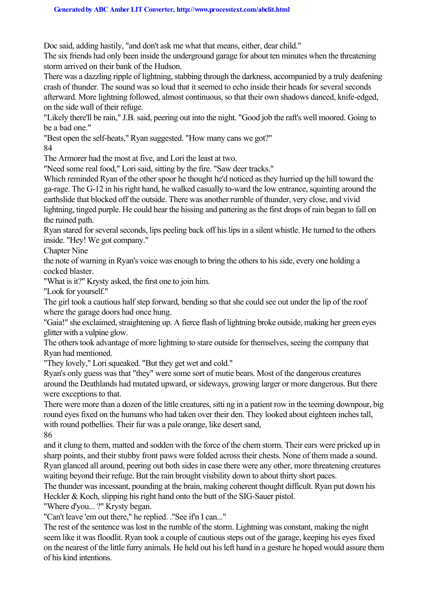Doc said, adding hastily, "and don't ask me what that means, either, dear child."

The six friends had only been inside the underground garage for about ten minutes when the threatening storm arrived on their bank of the Hudson.

There was a dazzling ripple of lightning, stabbing through the darkness, accompanied by a truly deafening crash of thunder. The sound was so loud that it seemed to echo inside their heads for several seconds afterward. More lightning followed, almost continuous, so that their own shadows danced, knife-edged, on the side wall of their refuge.

"Likely there'll be rain," J.B. said, peering out into the night. "Good job the raft's well moored. Going to be a bad one."

"Best open the self-heats," Ryan suggested. "How many cans we got?" 84

The Armorer had the most at five, and Lori the least at two.

"Need some real food," Lori said, sitting by the fire. "Saw deer tracks."

Which reminded Ryan of the other spoor he thought he'd noticed as they hurried up the hill toward the ga-rage. The G-12 in his right hand, he walked casually to-ward the low entrance, squinting around the earthslide that blocked off the outside. There was another rumble of thunder, very close, and vivid lightning, tinged purple. He could hear the hissing and pattering as the first drops of rain began to fall on the ruined path.

Ryan stared for several seconds, lips peeling back off his lips in a silent whistle. He turned to the others inside. "Hey! We got company."

Chapter Nine

the note of warning in Ryan's voice was enough to bring the others to his side, every one holding a cocked blaster.

"What is it?" Krysty asked, the first one to join him.

"Look for yourself."

The girl took a cautious half step forward, bending so that she could see out under the lip of the roof where the garage doors had once hung.

"Gaia!" she exclaimed, straightening up. A fierce flash of lightning broke outside, making her green eyes glitter with a vulpine glow.

The others took advantage of more lightning to stare outside for themselves, seeing the company that Ryan had mentioned.

"They lovely," Lori squeaked. "But they get wet and cold."

Ryan's only guess was that "they" were some sort of mutie bears. Most of the dangerous creatures around the Deathlands had mutated upward, or sideways, growing larger or more dangerous. But there were exceptions to that.

There were more than a dozen of the little creatures, sitti ng in a patient row in the teeming downpour, big round eyes fixed on the humans who had taken over their den. They looked about eighteen inches tall, with round potbellies. Their fur was a pale orange, like desert sand, 86

and it clung to them, matted and sodden with the force of the chem storm. Their ears were pricked up in sharp points, and their stubby front paws were folded across their chests. None of them made a sound. Ryan glanced all around, peering out both sides in case there were any other, more threatening creatures waiting beyond their refuge. But the rain brought visibility down to about thirty short paces.

The thunder was incessant, pounding at the brain, making coherent thought difficult. Ryan put down his Heckler & Koch, slipping his right hand onto the butt of the SIG-Sauer pistol.

"Where d'you... ?" Krysty began.

"Can't leave 'em out there," he replied. ."See if'n I can..."

The rest of the sentence was lost in the rumble of the storm. Lightning was constant, making the night seem like it was floodlit. Ryan took a couple of cautious steps out of the garage, keeping his eyes fixed on the nearest of the little furry animals. He held out his left hand in a gesture he hoped would assure them of his kind intentions.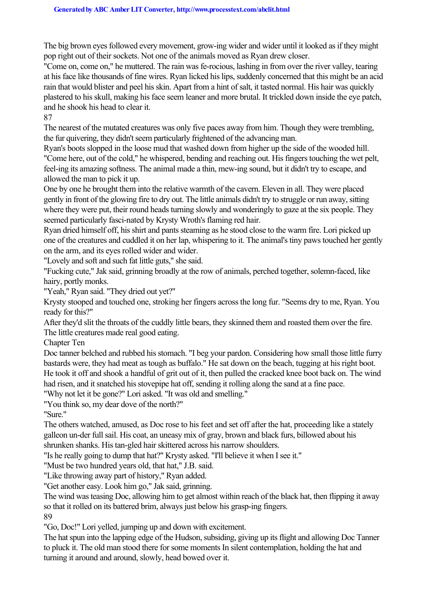The big brown eyes followed every movement, grow-ing wider and wider until it looked as if they might pop right out of their sockets. Not one of the animals moved as Ryan drew closer.

"Come on, come on," he muttered. The rain was fe-rocious, lashing in from over the river valley, tearing at his face like thousands of fine wires. Ryan licked his lips, suddenly concerned that this might be an acid rain that would blister and peel his skin. Apart from a hint of salt, it tasted normal. His hair was quickly plastered to his skull, making his face seem leaner and more brutal. It trickled down inside the eye patch, and he shook his head to clear it.

### 87

The nearest of the mutated creatures was only five paces away from him. Though they were trembling, the fur quivering, they didn't seem particularly frightened of the advancing man.

Ryan's boots slopped in the loose mud that washed down from higher up the side of the wooded hill. "Come here, out of the cold," he whispered, bending and reaching out. His fingers touching the wet pelt, feel-ing its amazing softness. The animal made a thin, mew-ing sound, but it didn't try to escape, and allowed the man to pick it up.

One by one he brought them into the relative warmth of the cavern. Eleven in all. They were placed gently in front of the glowing fire to dry out. The little animals didn't try to struggle or run away, sitting where they were put, their round heads turning slowly and wonderingly to gaze at the six people. They seemed particularly fasci-nated by Krysty Wroth's flaming red hair.

Ryan dried himself off, his shirt and pants steaming as he stood close to the warm fire. Lori picked up one of the creatures and cuddled it on her lap, whispering to it. The animal's tiny paws touched her gently on the arm, and its eyes rolled wider and wider.

"Lovely and soft and such fat little guts," she said.

"Fucking cute," Jak said, grinning broadly at the row of animals, perched together, solemn-faced, like hairy, portly monks.

"Yeah," Ryan said. "They dried out yet?"

Krysty stooped and touched one, stroking her fingers across the long fur. "Seems dry to me, Ryan. You ready for this?"

After they'd slit the throats of the cuddly little bears, they skinned them and roasted them over the fire. The little creatures made real good eating.

Chapter Ten

Doc tanner belched and rubbed his stomach. "I beg your pardon. Considering how small those little furry bastards were, they had meat as tough as buffalo." He sat down on the beach, tugging at his right boot. He took it off and shook a handful of grit out of it, then pulled the cracked knee boot back on. The wind had risen, and it snatched his stovepipe hat off, sending it rolling along the sand at a fine pace.

"Why not let it be gone?" Lori asked. "It was old and smelling."

"You think so, my dear dove of the north?"

"Sure."

The others watched, amused, as Doc rose to his feet and set off after the hat, proceeding like a stately galleon un-der full sail. His coat, an uneasy mix of gray, brown and black furs, billowed about his shrunken shanks. His tan-gled hair skittered across his narrow shoulders.

"Is he really going to dump that hat?" Krysty asked. "I'll believe it when I see it."

"Must be two hundred years old, that hat," J.B. said.

"Like throwing away part of history," Ryan added.

"Get another easy. Look him go," Jak said, grinning.

The wind was teasing Doc, allowing him to get almost within reach of the black hat, then flipping it away so that it rolled on its battered brim, always just below his grasp-ing fingers.

89

"Go, Doc!" Lori yelled, jumping up and down with excitement.

The hat spun into the lapping edge of the Hudson, subsiding, giving up its flight and allowing Doc Tanner to pluck it. The old man stood there for some moments In silent contemplation, holding the hat and turning it around and around, slowly, head bowed over it.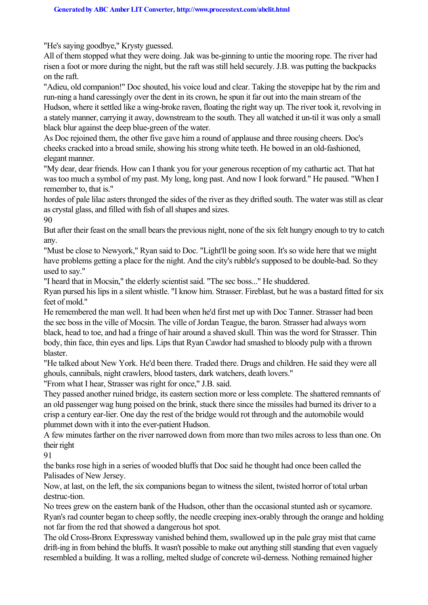"He's saying goodbye," Krysty guessed.

All of them stopped what they were doing. Jak was be-ginning to untie the mooring rope. The river had risen a foot or more during the night, but the raft was still held securely. J.B. was putting the backpacks on the raft.

"Adieu, old companion!" Doc shouted, his voice loud and clear. Taking the stovepipe hat by the rim and run-ning a hand caressingly over the dent in its crown, he spun it far out into the main stream of the Hudson, where it settled like a wing-broke raven, floating the right way up. The river took it, revolving in a stately manner, carrying it away, downstream to the south. They all watched it un-til it was only a small black blur against the deep blue-green of the water.

As Doc rejoined them, the other five gave him a round of applause and three rousing cheers. Doc's cheeks cracked into a broad smile, showing his strong white teeth. He bowed in an old-fashioned, elegant manner.

"My dear, dear friends. How can I thank you for your generous reception of my cathartic act. That hat was too much a symbol of my past. My long, long past. And now I look forward." He paused. "When I remember to, that is."

hordes of pale lilac asters thronged the sides of the river as they drifted south. The water was still as clear as crystal glass, and filled with fish of all shapes and sizes.

90

But after their feast on the small bears the previous night, none of the six felt hungry enough to try to catch any.

"Must be close to Newyork," Ryan said to Doc. "Light'll be going soon. It's so wide here that we might have problems getting a place for the night. And the city's rubble's supposed to be double-bad. So they used to say."

"I heard that in Mocsin," the elderly scientist said. "The sec boss..." He shuddered.

Ryan pursed his lips in a silent whistle. "I know him. Strasser. Fireblast, but he was a bastard fitted for six feet of mold."

He remembered the man well. It had been when he'd first met up with Doc Tanner. Strasser had been the sec boss in the ville of Mocsin. The ville of Jordan Teague, the baron. Strasser had always worn black, head to toe, and had a fringe of hair around a shaved skull. Thin was the word for Strasser. Thin body, thin face, thin eyes and lips. Lips that Ryan Cawdor had smashed to bloody pulp with a thrown blaster.

"He talked about New York. He'd been there. Traded there. Drugs and children. He said they were all ghouls, cannibals, night crawlers, blood tasters, dark watchers, death lovers."

"From what I hear, Strasser was right for once," J.B. said.

They passed another ruined bridge, its eastern section more or less complete. The shattered remnants of an old passenger wag hung poised on the brink, stuck there since the missiles had burned its driver to a crisp a century ear-lier. One day the rest of the bridge would rot through and the automobile would plummet down with it into the ever-patient Hudson.

A few minutes farther on the river narrowed down from more than two miles across to less than one. On their right

91

the banks rose high in a series of wooded bluffs that Doc said he thought had once been called the Palisades of New Jersey.

Now, at last, on the left, the six companions began to witness the silent, twisted horror of total urban destruc-tion.

No trees grew on the eastern bank of the Hudson, other than the occasional stunted ash or sycamore. Ryan's rad counter began to cheep softly, the needle creeping inex-orably through the orange and holding not far from the red that showed a dangerous hot spot.

The old Cross-Bronx Expressway vanished behind them, swallowed up in the pale gray mist that came drift-ing in from behind the bluffs. It wasn't possible to make out anything still standing that even vaguely resembled a building. It was a rolling, melted sludge of concrete wil-derness. Nothing remained higher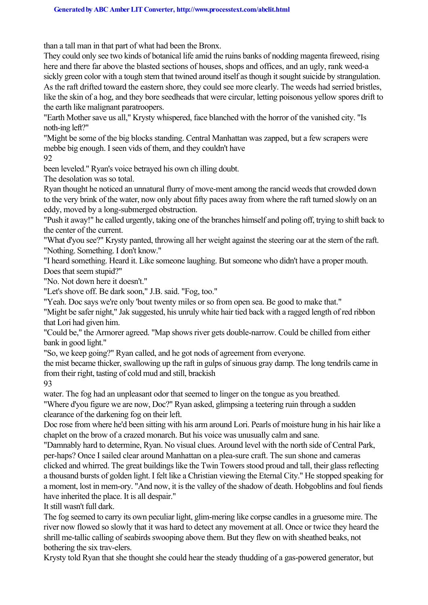than a tall man in that part of what had been the Bronx.

They could only see two kinds of botanical life amid the ruins banks of nodding magenta fireweed, rising here and there far above the blasted sections of houses, shops and offices, and an ugly, rank weed-a sickly green color with a tough stem that twined around itself as though it sought suicide by strangulation. As the raft drifted toward the eastern shore, they could see more clearly. The weeds had serried bristles, like the skin of a hog, and they bore seedheads that were circular, letting poisonous yellow spores drift to the earth like malignant paratroopers.

"Earth Mother save us all," Krysty whispered, face blanched with the horror of the vanished city. "Is noth-ing left?"

"Might be some of the big blocks standing. Central Manhattan was zapped, but a few scrapers were mebbe big enough. I seen vids of them, and they couldn't have

92

been leveled." Ryan's voice betrayed his own ch illing doubt.

The desolation was so total.

Ryan thought he noticed an unnatural flurry of move-ment among the rancid weeds that crowded down to the very brink of the water, now only about fifty paces away from where the raft turned slowly on an eddy, moved by a long-submerged obstruction.

"Push it away!" he called urgently, taking one of the branches himself and poling off, trying to shift back to the center of the current.

"What d'you see?" Krysty panted, throwing all her weight against the steering oar at the stern of the raft. "Nothing. Something. I don't know."

"I heard something. Heard it. Like someone laughing. But someone who didn't have a proper mouth. Does that seem stupid?"

"No. Not down here it doesn't."

"Let's shove off. Be dark soon," J.B. said. "Fog, too."

"Yeah. Doc says we're only 'bout twenty miles or so from open sea. Be good to make that."

"Might be safer night," Jak suggested, his unruly white hair tied back with a ragged length of red ribbon that Lori had given him.

"Could be," the Armorer agreed. "Map shows river gets double-narrow. Could be chilled from either bank in good light."

"So, we keep going?" Ryan called, and he got nods of agreement from everyone.

the mist became thicker, swallowing up the raft in gulps of sinuous gray damp. The long tendrils came in from their right, tasting of cold mud and still, brackish

93

water. The fog had an unpleasant odor that seemed to linger on the tongue as you breathed.

"Where d'you figure we are now, Doc?" Ryan asked, glimpsing a teetering ruin through a sudden clearance of the darkening fog on their left.

Doc rose from where he'd been sitting with his arm around Lori. Pearls of moisture hung in his hair like a chaplet on the brow of a crazed monarch. But his voice was unusually calm and sane.

"Damnably hard to determine, Ryan. No visual clues. Around level with the north side of Central Park, per-haps? Once I sailed clear around Manhattan on a plea-sure craft. The sun shone and cameras clicked and whirred. The great buildings like the Twin Towers stood proud and tall, their glass reflecting a thousand bursts of golden light. I felt like a Christian viewing the Eternal City." He stopped speaking for a moment, lost in mem-ory. "And now, it is the valley of the shadow of death. Hobgoblins and foul fiends have inherited the place. It is all despair."

It still wasn't full dark.

The fog seemed to carry its own peculiar light, glim-mering like corpse candles in a gruesome mire. The river now flowed so slowly that it was hard to detect any movement at all. Once or twice they heard the shrill me-tallic calling of seabirds swooping above them. But they flew on with sheathed beaks, not bothering the six trav-elers.

Krysty told Ryan that she thought she could hear the steady thudding of a gas-powered generator, but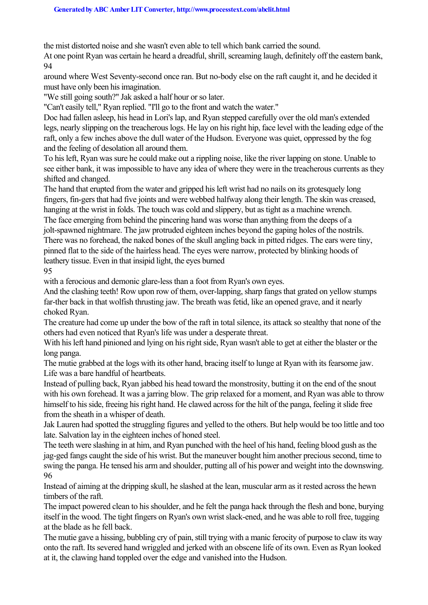the mist distorted noise and she wasn't even able to tell which bank carried the sound.

At one point Ryan was certain he heard a dreadful, shrill, screaming laugh, definitely off the eastern bank, 94

around where West Seventy-second once ran. But no-body else on the raft caught it, and he decided it must have only been his imagination.

"We still going south?" Jak asked a half hour or so later.

"Can't easily tell," Ryan replied. "I'll go to the front and watch the water."

Doc had fallen asleep, his head in Lori's lap, and Ryan stepped carefully over the old man's extended legs, nearly slipping on the treacherous logs. He lay on his right hip, face level with the leading edge of the raft, only a few inches above the dull water of the Hudson. Everyone was quiet, oppressed by the fog and the feeling of desolation all around them.

To his left, Ryan was sure he could make out a rippling noise, like the river lapping on stone. Unable to see either bank, it was impossible to have any idea of where they were in the treacherous currents as they shifted and changed.

The hand that erupted from the water and gripped his left wrist had no nails on its grotesquely long fingers, fin-gers that had five joints and were webbed halfway along their length. The skin was creased, hanging at the wrist in folds. The touch was cold and slippery, but as tight as a machine wrench. The face emerging from behind the pincering hand was worse than anything from the deeps of a jolt-spawned nightmare. The jaw protruded eighteen inches beyond the gaping holes of the nostrils. There was no forehead, the naked bones of the skull angling back in pitted ridges. The ears were tiny, pinned flat to the side of the hairless head. The eyes were narrow, protected by blinking hoods of leathery tissue. Even in that insipid light, the eyes burned

95

with a ferocious and demonic glare-less than a foot from Ryan's own eyes.

And the clashing teeth! Row upon row of them, over-lapping, sharp fangs that grated on yellow stumps far-ther back in that wolfish thrusting jaw. The breath was fetid, like an opened grave, and it nearly choked Ryan.

The creature had come up under the bow of the raft in total silence, its attack so stealthy that none of the others had even noticed that Ryan's life was under a desperate threat.

With his left hand pinioned and lying on his right side. Ryan wasn't able to get at either the blaster or the long panga.

The mutie grabbed at the logs with its other hand, bracing itself to lunge at Ryan with its fearsome jaw. Life was a bare handful of heartbeats.

Instead of pulling back, Ryan jabbed his head toward the monstrosity, butting it on the end of the snout with his own forehead. It was a jarring blow. The grip relaxed for a moment, and Ryan was able to throw himself to his side, freeing his right hand. He clawed across for the hilt of the panga, feeling it slide free from the sheath in a whisper of death.

Jak Lauren had spotted the struggling figures and yelled to the others. But help would be too little and too late. Salvation lay in the eighteen inches of honed steel.

The teeth were slashing in at him, and Ryan punched with the heel of his hand, feeling blood gush as the jag-ged fangs caught the side of his wrist. But the maneuver bought him another precious second, time to swing the panga. He tensed his arm and shoulder, putting all of his power and weight into the downswing. 96

Instead of aiming at the dripping skull, he slashed at the lean, muscular arm as it rested across the hewn timbers of the raft.

The impact powered clean to his shoulder, and he felt the panga hack through the flesh and bone, burying itself in the wood. The tight fingers on Ryan's own wrist slack-ened, and he was able to roll free, tugging at the blade as he fell back.

The mutie gave a hissing, bubbling cry of pain, still trying with a manic ferocity of purpose to claw its way onto the raft. Its severed hand wriggled and jerked with an obscene life of its own. Even as Ryan looked at it, the clawing hand toppled over the edge and vanished into the Hudson.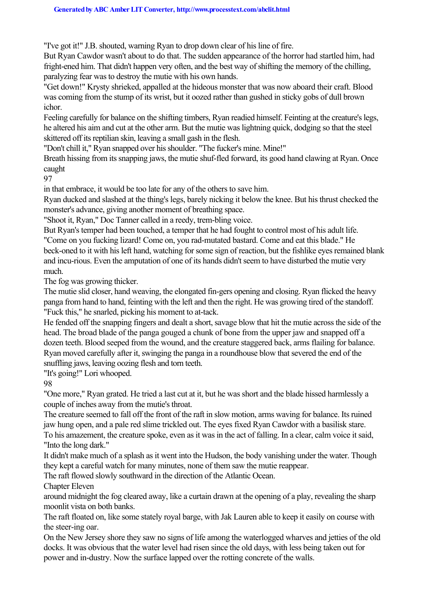"I've got it!" J.B. shouted, warning Ryan to drop down clear of his line of fire.

But Ryan Cawdor wasn't about to do that. The sudden appearance of the horror had startled him, had fright-ened him. That didn't happen very often, and the best way of shifting the memory of the chilling, paralyzing fear was to destroy the mutie with his own hands.

"Get down!" Krysty shrieked, appalled at the hideous monster that was now aboard their craft. Blood was coming from the stump of its wrist, but it oozed rather than gushed in sticky gobs of dull brown ichor.

Feeling carefully for balance on the shifting timbers, Ryan readied himself. Feinting at the creature's legs, he altered his aim and cut at the other arm. But the mutie was lightning quick, dodging so that the steel skittered off its reptilian skin, leaving a small gash in the flesh.

"Don't chill it," Ryan snapped over his shoulder. "The fucker's mine. Mine!"

Breath hissing from its snapping jaws, the mutie shuf-fled forward, its good hand clawing at Ryan. Once caught

97

in that embrace, it would be too late for any of the others to save him.

Ryan ducked and slashed at the thing's legs, barely nicking it below the knee. But his thrust checked the monster's advance, giving another moment of breathing space.

"Shoot it, Ryan," Doc Tanner called in a reedy, trem-bling voice.

But Ryan's temper had been touched, a temper that he had fought to control most of his adult life. "Come on you fucking lizard! Come on, you rad-mutated bastard. Come and eat this blade." He beck-oned to it with his left hand, watching for some sign of reaction, but the fishlike eyes remained blank and incu-rious. Even the amputation of one of its hands didn't seem to have disturbed the mutie very much.

The fog was growing thicker.

The mutie slid closer, hand weaving, the elongated fin-gers opening and closing. Ryan flicked the heavy panga from hand to hand, feinting with the left and then the right. He was growing tired of the standoff. "Fuck this," he snarled, picking his moment to at-tack.

He fended off the snapping fingers and dealt a short, savage blow that hit the mutie across the side of the head. The broad blade of the panga gouged a chunk of bone from the upper jaw and snapped off a dozen teeth. Blood seeped from the wound, and the creature staggered back, arms flailing for balance. Ryan moved carefully after it, swinging the panga in a roundhouse blow that severed the end of the snuffling jaws, leaving oozing flesh and torn teeth.

"It's going!" Lori whooped.

98

"One more," Ryan grated. He tried a last cut at it, but he was short and the blade hissed harmlessly a couple of inches away from the mutie's throat.

The creature seemed to fall off the front of the raft in slow motion, arms waving for balance. Its ruined jaw hung open, and a pale red slime trickled out. The eyes fixed Ryan Cawdor with a basilisk stare. To his amazement, the creature spoke, even as it was in the act of falling. In a clear, calm voice it said, "Into the long dark."

It didn't make much of a splash as it went into the Hudson, the body vanishing under the water. Though they kept a careful watch for many minutes, none of them saw the mutie reappear.

The raft flowed slowly southward in the direction of the Atlantic Ocean.

Chapter Eleven

around midnight the fog cleared away, like a curtain drawn at the opening of a play, revealing the sharp moonlit vista on both banks.

The raft floated on, like some stately royal barge, with Jak Lauren able to keep it easily on course with the steer-ing oar.

On the New Jersey shore they saw no signs of life among the waterlogged wharves and jetties of the old docks. It was obvious that the water level had risen since the old days, with less being taken out for power and in-dustry. Now the surface lapped over the rotting concrete of the walls.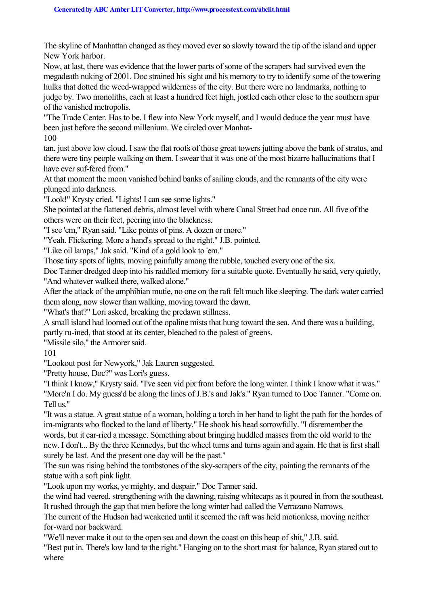The skyline of Manhattan changed as they moved ever so slowly toward the tip of the island and upper New York harbor.

Now, at last, there was evidence that the lower parts of some of the scrapers had survived even the megadeath nuking of 2001. Doc strained his sight and his memory to try to identify some of the towering hulks that dotted the weed-wrapped wilderness of the city. But there were no landmarks, nothing to judge by. Two monoliths, each at least a hundred feet high, jostled each other close to the southern spur of the vanished metropolis.

"The Trade Center. Has to be. I flew into New York myself, and I would deduce the year must have been just before the second millenium. We circled over Manhat-100

tan, just above low cloud. I saw the flat roofs of those great towers jutting above the bank of stratus, and there were tiny people walking on them. I swear that it was one of the most bizarre hallucinations that I have ever suf-fered from."

At that moment the moon vanished behind banks of sailing clouds, and the remnants of the city were plunged into darkness.

"Look!" Krysty cried. "Lights! I can see some lights."

She pointed at the flattened debris, almost level with where Canal Street had once run. All five of the others were on their feet, peering into the blackness.

"I see 'em," Ryan said. "Like points of pins. A dozen or more."

"Yeah. Flickering. More a hand's spread to the right." J.B. pointed.

"Like oil lamps," Jak said. "Kind of a gold look to 'em."

Those tiny spots of lights, moving painfully among the rubble, touched every one of the six.

Doc Tanner dredged deep into his raddled memory for a suitable quote. Eventually he said, very quietly, "And whatever walked there, walked alone."

After the attack of the amphibian mutie, no one on the raft felt much like sleeping. The dark water carried them along, now slower than walking, moving toward the dawn.

"What's that?" Lori asked, breaking the predawn stillness.

A small island had loomed out of the opaline mists that hung toward the sea. And there was a building, partly ru-ined, that stood at its center, bleached to the palest of greens.

"Missile silo," the Armorer said.

101

"Lookout post for Newyork," Jak Lauren suggested.

"Pretty house, Doc?" was Lori's guess.

"I think I know," Krysty said. "I've seen vid pix from before the long winter. I think I know what it was." "More'n I do. My guess'd be along the lines of J.B.'s and Jak's." Ryan turned to Doc Tanner. "Come on. Tell us."

"It was a statue. A great statue of a woman, holding a torch in her hand to light the path for the hordes of im-migrants who flocked to the land of liberty." He shook his head sorrowfully. "I disremember the words, but it car-ried a message. Something about bringing huddled masses from the old world to the new. I don't... By the three Kennedys, but the wheel turns and turns again and again. He that is first shall surely be last. And the present one day will be the past."

The sun was rising behind the tombstones of the sky-scrapers of the city, painting the remnants of the statue with a soft pink light.

"Look upon my works, ye mighty, and despair," Doc Tanner said.

the wind had veered, strengthening with the dawning, raising whitecaps as it poured in from the southeast. It rushed through the gap that men before the long winter had called the Verrazano Narrows.

The current of the Hudson had weakened until it seemed the raft was held motionless, moving neither for-ward nor backward.

"We'll never make it out to the open sea and down the coast on this heap of shit," J.B. said.

"Best put in. There's low land to the right." Hanging on to the short mast for balance, Ryan stared out to where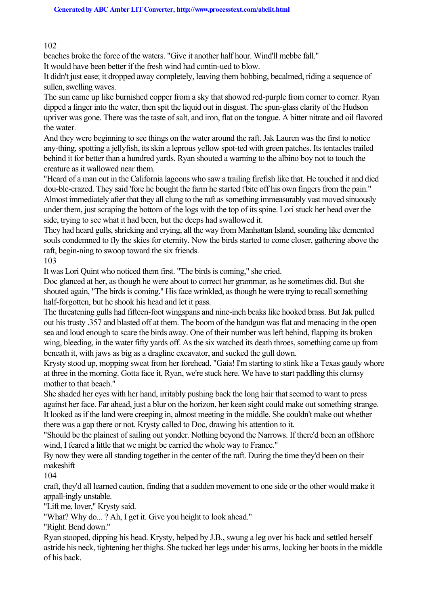## 102

beaches broke the force of the waters. "Give it another half hour. Wind'll mebbe fall."

It would have been better if the fresh wind had contin-ued to blow.

It didn't just ease; it dropped away completely, leaving them bobbing, becalmed, riding a sequence of sullen, swelling waves.

The sun came up like burnished copper from a sky that showed red-purple from corner to corner. Ryan dipped a finger into the water, then spit the liquid out in disgust. The spun-glass clarity of the Hudson upriver was gone. There was the taste of salt, and iron, flat on the tongue. A bitter nitrate and oil flavored the water.

And they were beginning to see things on the water around the raft. Jak Lauren was the first to notice any-thing, spotting a jellyfish, its skin a leprous yellow spot-ted with green patches. Its tentacles trailed behind it for better than a hundred yards. Ryan shouted a warning to the albino boy not to touch the creature as it wallowed near them.

"Heard of a man out in the California lagoons who saw a trailing firefish like that. He touched it and died dou-ble-crazed. They said 'fore he bought the farm he started t'bite off his own fingers from the pain." Almost immediately after that they all clung to the raft as something immeasurably vast moved sinuously under them, just scraping the bottom of the logs with the top of its spine. Lori stuck her head over the side, trying to see what it had been, but the deeps had swallowed it.

They had heard gulls, shrieking and crying, all the way from Manhattan Island, sounding like demented souls condemned to fly the skies for eternity. Now the birds started to come closer, gathering above the raft, begin-ning to swoop toward the six friends.

103

It was Lori Quint who noticed them first. "The birds is coming," she cried.

Doc glanced at her, as though he were about to correct her grammar, as he sometimes did. But she shouted again, "The birds is coming." His face wrinkled, as though he were trying to recall something half-forgotten, but he shook his head and let it pass.

The threatening gulls had fifteen-foot wingspans and nine-inch beaks like hooked brass. But Jak pulled out his trusty .357 and blasted off at them. The boom of the handgun was flat and menacing in the open sea and loud enough to scare the birds away. One of their number was left behind, flapping its broken wing, bleeding, in the water fifty yards off. As the six watched its death throes, something came up from beneath it, with jaws as big as a dragline excavator, and sucked the gull down.

Krysty stood up, mopping sweat from her forehead. "Gaia! I'm starting to stink like a Texas gaudy whore at three in the morning. Gotta face it, Ryan, we're stuck here. We have to start paddling this clumsy mother to that beach."

She shaded her eyes with her hand, irritably pushing back the long hair that seemed to want to press against her face. Far ahead, just a blur on the horizon, her keen sight could make out something strange. It looked as if the land were creeping in, almost meeting in the middle. She couldn't make out whether there was a gap there or not. Krysty called to Doc, drawing his attention to it.

"Should be the plainest of sailing out yonder. Nothing beyond the Narrows. If there'd been an offshore wind, I feared a little that we might be carried the whole way to France."

By now they were all standing together in the center of the raft. During the time they'd been on their makeshift

104

craft, they'd all learned caution, finding that a sudden movement to one side or the other would make it appall-ingly unstable.

"Lift me, lover," Krysty said.

"What? Why do... ? Ah, I get it. Give you height to look ahead."

"Right. Bend down."

Ryan stooped, dipping his head. Krysty, helped by J.B., swung a leg over his back and settled herself astride his neck, tightening her thighs. She tucked her legs under his arms, locking her boots in the middle of his back.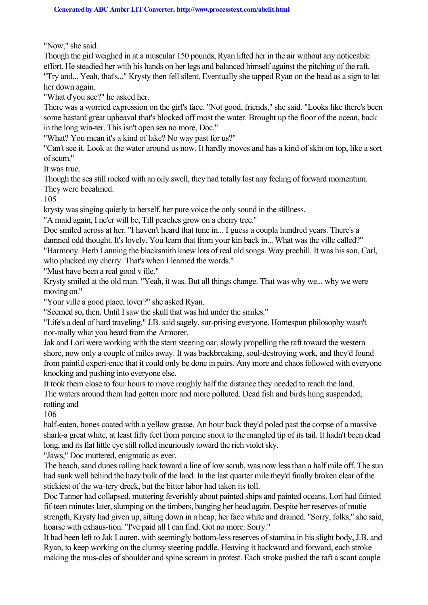"Now," she said.

Though the girl weighed in at a muscular 150 pounds, Ryan lifted her in the air without any noticeable effort. He steadied her with his hands on her legs and balanced himself against the pitching of the raft. "Try and... Yeah, that's..." Krysty then fell silent. Eventually she tapped Ryan on the head as a sign to let her down again.

"What d'you see?" he asked her.

There was a worried expression on the girl's face. "Not good, friends," she said. "Looks like there's been some bastard great upheaval that's blocked off most the water. Brought up the floor of the ocean, back in the long win-ter. This isn't open sea no more, Doc."

"What? You mean it's a kind of lake? No way past for us?"

"Can't see it. Look at the water around us now. It hardly moves and has a kind of skin on top, like a sort of scum."

It was true.

Though the sea still rocked with an oily swell, they had totally lost any feeling of forward momentum. They were becalmed.

105

krysty was singing quietly to herself, her pure voice the only sound in the stillness.

"A maid again, I ne'er will be, Till peaches grow on a cherry tree."

Doc smiled across at her. "I haven't heard that tune in... I guess a coupla hundred years. There's a damned odd thought. It's lovely. You learn that from your kin back in... What was the ville called?" "Harmony. Herb Lanning the blacksmith knew lots of real old songs. Way prechill. It was his son, Carl, who plucked my cherry. That's when I learned the words."

"Must have been a real good v ille."

Krysty smiled at the old man. "Yeah, it was. But all things change. That was why we... why we were moving on."

"Your ville a good place, lover?" she asked Ryan.

"Seemed so, then. Until I saw the skull that was hid under the smiles."

"Life's a deal of hard traveling," J.B. said sagely, sur-prising everyone. Homespun philosophy wasn't nor-mally what you heard from the Armorer.

Jak and Lori were working with the stern steering oar, slowly propelling the raft toward the western shore, now only a couple of miles away. It was backbreaking, soul-destroying work, and they'd found from painful experi-ence that it could only be done in pairs. Any more and chaos followed with everyone knocking and pushing into everyone else.

It took them close to four hours to move roughly half the distance they needed to reach the land. The waters around them had gotten more and more polluted. Dead fish and birds hung suspended, rotting and

106

half-eaten, bones coated with a yellow grease. An hour back they'd poled past the corpse of a massive shark-a great white, at least fifty feet from porcine snout to the mangled tip of its tail. It hadn't been dead long, and its flat little eye still rolled incuriously toward the rich violet sky.

"Jaws," Doc muttered, enigmatic as ever.

The beach, sand dunes rolling back toward a line of low scrub, was now less than a half mile off. The sun had sunk well behind the hazy bulk of the land. In the last quarter mile they'd finally broken clear of the stickiest of the wa-tery dreck, but the bitter labor had taken its toll.

Doc Tanner had collapsed, muttering feverishly about painted ships and painted oceans. Lori had fainted fif-teen minutes later, slumping on the timbers, banging her head again. Despite her reserves of mutie strength, Krysty had given up, sitting down in a heap, her face white and drained. "Sorry, folks," she said, hoarse with exhaus-tion. "I've paid all I can find. Got no more. Sorry."

It had been left to Jak Lauren, with seemingly bottom-less reserves of stamina in his slight body, J.B. and Ryan, to keep working on the clumsy steering paddle. Heaving it backward and forward, each stroke making the mus-cles of shoulder and spine scream in protest. Each stroke pushed the raft a scant couple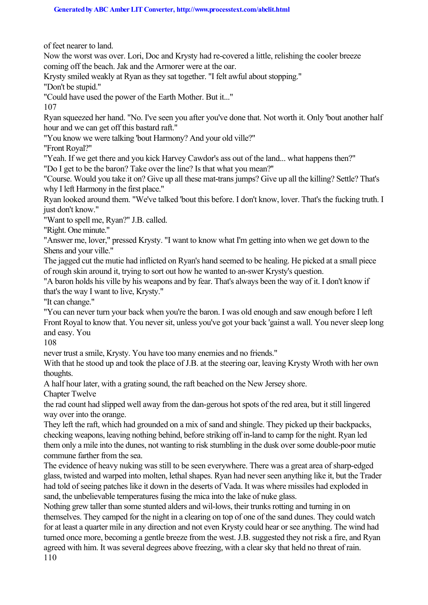of feet nearer to land.

Now the worst was over. Lori, Doc and Krysty had re-covered a little, relishing the cooler breeze coming off the beach. Jak and the Armorer were at the oar.

Krysty smiled weakly at Ryan as they sat together. "I felt awful about stopping."

"Don't be stupid."

"Could have used the power of the Earth Mother. But it..."

107

Ryan squeezed her hand. "No. I've seen you after you've done that. Not worth it. Only 'bout another half hour and we can get off this bastard raft."

"You know we were talking 'bout Harmony? And your old ville?"

"Front Royal?"

"Yeah. If we get there and you kick Harvey Cawdor's ass out of the land... what happens then?"

"Do I get to be the baron? Take over the line? Is that what you mean?''

"Course. Would you take it on? Give up all these mat-trans jumps? Give up all the killing? Settle? That's why I left Harmony in the first place."

Ryan looked around them. "We've talked 'bout this before. I don't know, lover. That's the fucking truth. I just don't know."

"Want to spell me, Ryan?" J.B. called.

"Right. One minute."

"Answer me, lover," pressed Krysty. "I want to know what I'm getting into when we get down to the Shens and your ville."

The jagged cut the mutie had inflicted on Ryan's hand seemed to be healing. He picked at a small piece of rough skin around it, trying to sort out how he wanted to an-swer Krysty's question.

"A baron holds his ville by his weapons and by fear. That's always been the way of it. I don't know if that's the way I want to live, Krysty."

"It can change."

"You can never turn your back when you're the baron. I was old enough and saw enough before I left Front Royal to know that. You never sit, unless you've got your back 'gainst a wall. You never sleep long and easy. You

108

never trust a smile, Krysty. You have too many enemies and no friends."

With that he stood up and took the place of J.B. at the steering oar, leaving Krysty Wroth with her own thoughts.

A half hour later, with a grating sound, the raft beached on the New Jersey shore.

Chapter Twelve

the rad count had slipped well away from the dan-gerous hot spots of the red area, but it still lingered way over into the orange.

They left the raft, which had grounded on a mix of sand and shingle. They picked up their backpacks, checking weapons, leaving nothing behind, before striking off in-land to camp for the night. Ryan led them only a mile into the dunes, not wanting to risk stumbling in the dusk over some double-poor mutie commune farther from the sea.

The evidence of heavy nuking was still to be seen everywhere. There was a great area of sharp-edged glass, twisted and warped into molten, lethal shapes. Ryan had never seen anything like it, but the Trader had told of seeing patches like it down in the deserts of Vada. It was where missiles had exploded in sand, the unbelievable temperatures fusing the mica into the lake of nuke glass.

Nothing grew taller than some stunted alders and wil-lows, their trunks rotting and turning in on themselves. They camped for the night in a clearing on top of one of the sand dunes. They could watch for at least a quarter mile in any direction and not even Krysty could hear or see anything. The wind had turned once more, becoming a gentle breeze from the west. J.B. suggested they not risk a fire, and Ryan agreed with him. It was several degrees above freezing, with a clear sky that held no threat of rain. 110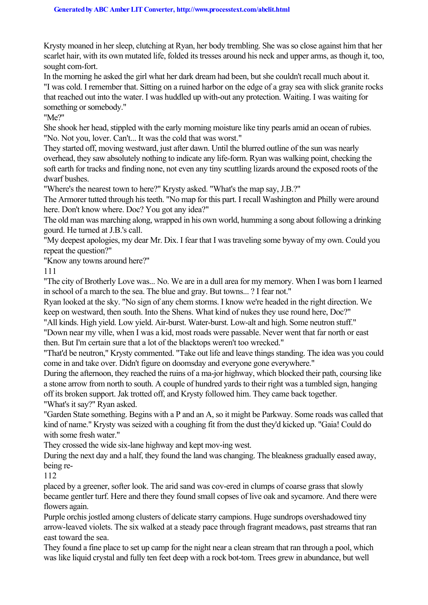Krysty moaned in her sleep, clutching at Ryan, her body trembling. She was so close against him that her scarlet hair, with its own mutated life, folded its tresses around his neck and upper arms, as though it, too, sought com-fort.

In the morning he asked the girl what her dark dream had been, but she couldn't recall much about it. "I was cold. I remember that. Sitting on a ruined harbor on the edge of a gray sea with slick granite rocks that reached out into the water. I was huddled up with-out any protection. Waiting. I was waiting for something or somebody."

"Me?"

She shook her head, stippled with the early morning moisture like tiny pearls amid an ocean of rubies. "No. Not you, lover. Can't... It was the cold that was worst."

They started off, moving westward, just after dawn. Until the blurred outline of the sun was nearly overhead, they saw absolutely nothing to indicate any life-form. Ryan was walking point, checking the soft earth for tracks and finding none, not even any tiny scuttling lizards around the exposed roots of the dwarf bushes.

"Where's the nearest town to here?" Krysty asked. "What's the map say, J.B.?"

The Armorer tutted through his teeth. "No map for this part. I recall Washington and Philly were around here. Don't know where. Doc? You got any idea?"

The old man was marching along, wrapped in his own world, humming a song about following a drinking gourd. He turned at J.B.'s call.

"My deepest apologies, my dear Mr. Dix. I fear that I was traveling some byway of my own. Could you repeat the question?"

"Know any towns around here?"

111

"The city of Brotherly Love was... No. We are in a dull area for my memory. When I was born I learned in school of a march to the sea. The blue and gray. But towns... ? I fear not."

Ryan looked at the sky. "No sign of any chem storms. I know we're headed in the right direction. We keep on westward, then south. Into the Shens. What kind of nukes they use round here, Doc?"

"All kinds. High yield. Low yield. Air-burst. Water-burst. Low-alt and high. Some neutron stuff." "Down near my ville, when I was a kid, most roads were passable. Never went that far north or east

then. But I'm certain sure that a lot of the blacktops weren't too wrecked."

"That'd be neutron," Krysty commented. "Take out life and leave things standing. The idea was you could come in and take over. Didn't figure on doomsday and everyone gone everywhere."

During the afternoon, they reached the ruins of a ma-jor highway, which blocked their path, coursing like a stone arrow from north to south. A couple of hundred yards to their right was a tumbled sign, hanging off its broken support. Jak trotted off, and Krysty followed him. They came back together. "What's it say?" Ryan asked.

"Garden State something. Begins with a P and an A, so it might be Parkway. Some roads was called that kind of name." Krysty was seized with a coughing fit from the dust they'd kicked up. "Gaia! Could do with some fresh water."

They crossed the wide six-lane highway and kept mov-ing west.

During the next day and a half, they found the land was changing. The bleakness gradually eased away, being re-

112

placed by a greener, softer look. The arid sand was cov-ered in clumps of coarse grass that slowly became gentler turf. Here and there they found small copses of live oak and sycamore. And there were flowers again.

Purple orchis jostled among clusters of delicate starry campions. Huge sundrops overshadowed tiny arrow-leaved violets. The six walked at a steady pace through fragrant meadows, past streams that ran east toward the sea.

They found a fine place to set up camp for the night near a clean stream that ran through a pool, which was like liquid crystal and fully ten feet deep with a rock bot-tom. Trees grew in abundance, but well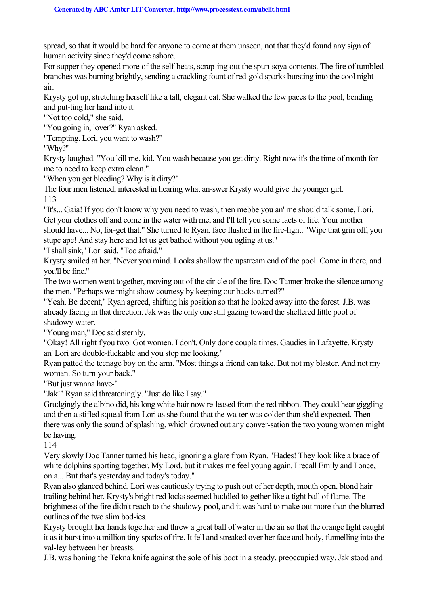spread, so that it would be hard for anyone to come at them unseen, not that they'd found any sign of human activity since they'd come ashore.

For supper they opened more of the self-heats, scrap-ing out the spun-soya contents. The fire of tumbled branches was burning brightly, sending a crackling fount of red-gold sparks bursting into the cool night air.

Krysty got up, stretching herself like a tall, elegant cat. She walked the few paces to the pool, bending and put-ting her hand into it.

"Not too cold," she said.

"You going in, lover?" Ryan asked.

"Tempting. Lori, you want to wash?"

"Why?"

Krysty laughed. "You kill me, kid. You wash because you get dirty. Right now it's the time of month for me to need to keep extra clean."

"When you get bleeding? Why is it dirty?"

The four men listened, interested in hearing what an-swer Krysty would give the younger girl. 113

"It's... Gaia! If you don't know why you need to wash, then mebbe you an' me should talk some, Lori. Get your clothes off and come in the water with me, and I'll tell you some facts of life. Your mother should have... No, for-get that." She turned to Ryan, face flushed in the fire-light. "Wipe that grin off, you stupe ape! And stay here and let us get bathed without you ogling at us."

"I shall sink," Lori said. "Too afraid."

Krysty smiled at her. "Never you mind. Looks shallow the upstream end of the pool. Come in there, and you'll be fine."

The two women went together, moving out of the cir-cle of the fire. Doc Tanner broke the silence among the men. "Perhaps we might show courtesy by keeping our backs turned?"

"Yeah. Be decent," Ryan agreed, shifting his position so that he looked away into the forest. J.B. was already facing in that direction. Jak was the only one still gazing toward the sheltered little pool of shadowy water.

"Young man," Doc said sternly.

"Okay! All right f'you two. Got women. I don't. Only done coupla times. Gaudies in Lafayette. Krysty an' Lori are double-fuckable and you stop me looking."

Ryan patted the teenage boy on the arm. "Most things a friend can take. But not my blaster. And not my woman. So turn your back."

"But just wanna have-"

"Jak!" Ryan said threateningly. "Just do like I say."

Grudgingly the albino did, his long white hair now re-leased from the red ribbon. They could hear giggling and then a stifled squeal from Lori as she found that the wa-ter was colder than she'd expected. Then there was only the sound of splashing, which drowned out any conver-sation the two young women might be having.

114

Very slowly Doc Tanner turned his head, ignoring a glare from Ryan. "Hades! They look like a brace of white dolphins sporting together. My Lord, but it makes me feel young again. I recall Emily and I once, on a... But that's yesterday and today's today."

Ryan also glanced behind. Lori was cautiously trying to push out of her depth, mouth open, blond hair trailing behind her. Krysty's bright red locks seemed huddled to-gether like a tight ball of flame. The brightness of the fire didn't reach to the shadowy pool, and it was hard to make out more than the blurred outlines of the two slim bod-ies.

Krysty brought her hands together and threw a great ball of water in the air so that the orange light caught it as it burst into a million tiny sparks of fire. It fell and streaked over her face and body, funnelling into the val-ley between her breasts.

J.B. was honing the Tekna knife against the sole of his boot in a steady, preoccupied way. Jak stood and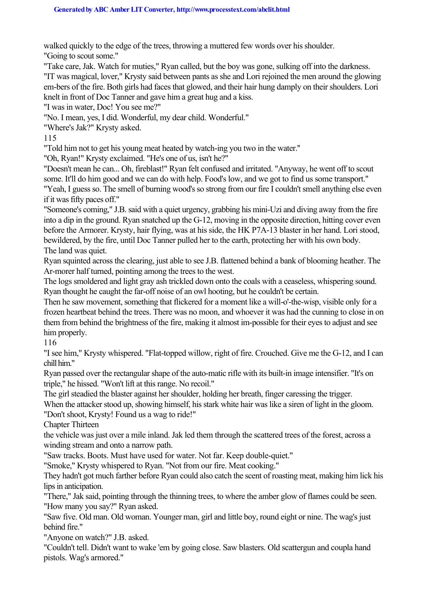walked quickly to the edge of the trees, throwing a muttered few words over his shoulder. "Going to scout some."

"Take care, Jak. Watch for muties," Ryan called, but the boy was gone, sulking off into the darkness. "IT was magical, lover," Krysty said between pants as she and Lori rejoined the men around the glowing em-bers of the fire. Both girls had faces that glowed, and their hair hung damply on their shoulders. Lori knelt in front of Doc Tanner and gave him a great hug and a kiss.

"I was in water, Doc! You see me?"

"No. I mean, yes, I did. Wonderful, my dear child. Wonderful."

"Where's Jak?" Krysty asked.

115

"Told him not to get his young meat heated by watch-ing you two in the water.''

"Oh, Ryan!" Krysty exclaimed. "He's one of us, isn't he?"

"Doesn't mean he can... Oh, fireblast!" Ryan felt confused and irritated. "Anyway, he went off to scout some. It'll do him good and we can do with help. Food's low, and we got to find us some transport." "Yeah, I guess so. The smell of burning wood's so strong from our fire I couldn't smell anything else even if it was fifty paces off."

"Someone's coming," J.B. said with a quiet urgency, grabbing his mini-Uzi and diving away from the fire into a dip in the ground. Ryan snatched up the G-12, moving in the opposite direction, hitting cover even before the Armorer. Krysty, hair flying, was at his side, the HK P7A-13 blaster in her hand. Lori stood, bewildered, by the fire, until Doc Tanner pulled her to the earth, protecting her with his own body. The land was quiet.

Ryan squinted across the clearing, just able to see J.B. flattened behind a bank of blooming heather. The Ar-morer half turned, pointing among the trees to the west.

The logs smoldered and light gray ash trickled down onto the coals with a ceaseless, whispering sound. Ryan thought he caught the far-off noise of an owl hooting, but he couldn't be certain.

Then he saw movement, something that flickered for a moment like a will-o'-the-wisp, visible only for a frozen heartbeat behind the trees. There was no moon, and whoever it was had the cunning to close in on them from behind the brightness of the fire, making it almost im-possible for their eyes to adjust and see him properly.

116

"I see him," Krysty whispered. "Flat-topped willow, right of fire. Crouched. Give me the G-12, and I can chill him."

Ryan passed over the rectangular shape of the auto-matic rifle with its built-in image intensifier. "It's on triple," he hissed. "Won't lift at this range. No recoil."

The girl steadied the blaster against her shoulder, holding her breath, finger caressing the trigger.

When the attacker stood up, showing himself, his stark white hair was like a siren of light in the gloom.

"Don't shoot, Krysty! Found us a wag to ride!"

Chapter Thirteen

the vehicle was just over a mile inland. Jak led them through the scattered trees of the forest, across a winding stream and onto a narrow path.

"Saw tracks. Boots. Must have used for water. Not far. Keep double-quiet."

"Smoke," Krysty whispered to Ryan. "Not from our fire. Meat cooking."

They hadn't got much farther before Ryan could also catch the scent of roasting meat, making him lick his lips in anticipation.

"There," Jak said, pointing through the thinning trees, to where the amber glow of flames could be seen. "How many you say?" Ryan asked.

"Saw five. Old man. Old woman. Younger man, girl and little boy, round eight or nine. The wag's just behind fire."

"Anyone on watch?" J.B. asked.

"Couldn't tell. Didn't want to wake 'em by going close. Saw blasters. Old scattergun and coupla hand pistols. Wag's armored."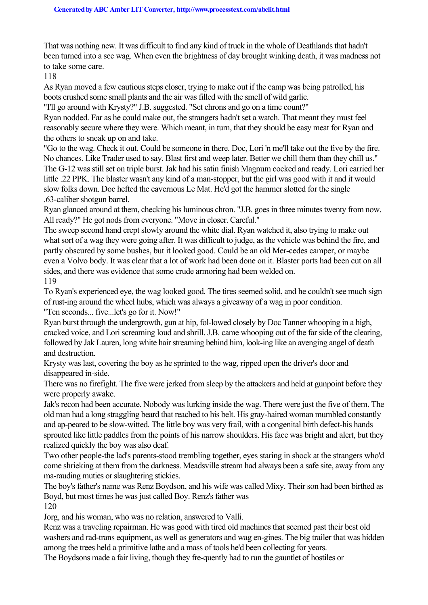That was nothing new. It was difficult to find any kind of truck in the whole of Deathlands that hadn't been turned into a sec wag. When even the brightness of day brought winking death, it was madness not to take some care.

118

As Ryan moved a few cautious steps closer, trying to make out if the camp was being patrolled, his boots crushed some small plants and the air was filled with the smell of wild garlic.

"I'll go around with Krysty?" J.B. suggested. "Set chrons and go on a time count?"

Ryan nodded. Far as he could make out, the strangers hadn't set a watch. That meant they must feel reasonably secure where they were. Which meant, in turn, that they should be easy meat for Ryan and the others to sneak up on and take.

"Go to the wag. Check it out. Could be someone in there. Doc, Lori 'n me'll take out the five by the fire. No chances. Like Trader used to say. Blast first and weep later. Better we chill them than they chill us." The G-12 was still set on triple burst. Jak had his satin finish Magnum cocked and ready. Lori carried her little .22 PPK. The blaster wasn't any kind of a man-stopper, but the girl was good with it and it would slow folks down. Doc hefted the cavernous Le Mat. He'd got the hammer slotted for the single .63-caliber shotgun barrel.

Ryan glanced around at them, checking his luminous chron. "J.B. goes in three minutes twenty from now. All ready?" He got nods from everyone. "Move in closer. Careful."

The sweep second hand crept slowly around the white dial. Ryan watched it, also trying to make out what sort of a wag they were going after. It was difficult to judge, as the vehicle was behind the fire, and partly obscured by some bushes, but it looked good. Could be an old Mer-cedes camper, or maybe even a Volvo body. It was clear that a lot of work had been done on it. Blaster ports had been cut on all sides, and there was evidence that some crude armoring had been welded on. 119

To Ryan's experienced eye, the wag looked good. The tires seemed solid, and he couldn't see much sign of rust-ing around the wheel hubs, which was always a giveaway of a wag in poor condition. "Ten seconds... five...let's go for it. Now!"

Ryan burst through the undergrowth, gun at hip, fol-lowed closely by Doc Tanner whooping in a high, cracked voice, and Lori screaming loud and shrill. J.B. came whooping out of the far side of the clearing, followed by Jak Lauren, long white hair streaming behind him, look-ing like an avenging angel of death and destruction.

Krysty was last, covering the boy as he sprinted to the wag, ripped open the driver's door and disappeared in-side.

There was no firefight. The five were jerked from sleep by the attackers and held at gunpoint before they were properly awake.

Jak's recon had been accurate. Nobody was lurking inside the wag. There were just the five of them. The old man had a long straggling beard that reached to his belt. His gray-haired woman mumbled constantly and ap-peared to be slow-witted. The little boy was very frail, with a congenital birth defect-his hands sprouted like little paddles from the points of his narrow shoulders. His face was bright and alert, but they realized quickly the boy was also deaf.

Two other people-the lad's parents-stood trembling together, eyes staring in shock at the strangers who'd come shrieking at them from the darkness. Meadsville stream had always been a safe site, away from any ma-rauding muties or slaughtering stickies.

The boy's father's name was Renz Boydson, and his wife was called Mixy. Their son had been birthed as Boyd, but most times he was just called Boy. Renz's father was

120

Jorg, and his woman, who was no relation, answered to Valli.

Renz was a traveling repairman. He was good with tired old machines that seemed past their best old washers and rad-trans equipment, as well as generators and wag en-gines. The big trailer that was hidden among the trees held a primitive lathe and a mass of tools he'd been collecting for years.

The Boydsons made a fair living, though they fre-quently had to run the gauntlet of hostiles or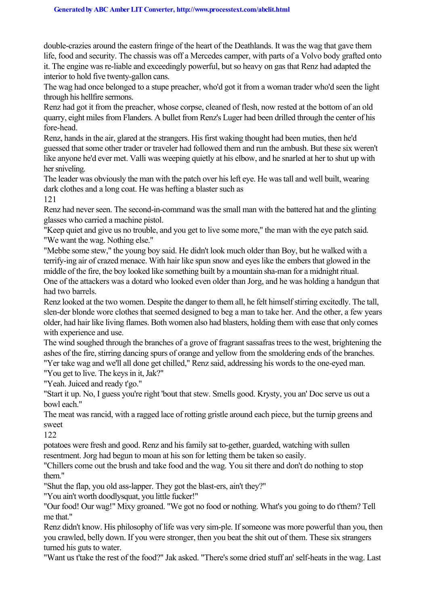double-crazies around the eastern fringe of the heart of the Deathlands. It was the wag that gave them life, food and security. The chassis was off a Mercedes camper, with parts of a Volvo body grafted onto it. The engine was re-liable and exceedingly powerful, but so heavy on gas that Renz had adapted the interior to hold five twenty-gallon cans.

The wag had once belonged to a stupe preacher, who'd got it from a woman trader who'd seen the light through his hellfire sermons.

Renz had got it from the preacher, whose corpse, cleaned of flesh, now rested at the bottom of an old quarry, eight miles from Flanders. A bullet from Renz's Luger had been drilled through the center of his fore-head.

Renz, hands in the air, glared at the strangers. His first waking thought had been muties, then he'd guessed that some other trader or traveler had followed them and run the ambush. But these six weren't like anyone he'd ever met. Valli was weeping quietly at his elbow, and he snarled at her to shut up with her sniveling.

The leader was obviously the man with the patch over his left eye. He was tall and well built, wearing dark clothes and a long coat. He was hefting a blaster such as

121

Renz had never seen. The second-in-command was the small man with the battered hat and the glinting glasses who carried a machine pistol.

"Keep quiet and give us no trouble, and you get to live some more," the man with the eye patch said. "We want the wag. Nothing else."

"Mebbe some stew," the young boy said. He didn't look much older than Boy, but he walked with a terrify-ing air of crazed menace. With hair like spun snow and eyes like the embers that glowed in the middle of the fire, the boy looked like something built by a mountain sha-man for a midnight ritual.

One of the attackers was a dotard who looked even older than Jorg, and he was holding a handgun that had two barrels.

Renz looked at the two women. Despite the danger to them all, he felt himself stirring excitedly. The tall, slen-der blonde wore clothes that seemed designed to beg a man to take her. And the other, a few years older, had hair like living flames. Both women also had blasters, holding them with ease that only comes with experience and use.

The wind soughed through the branches of a grove of fragrant sassafras trees to the west, brightening the ashes of the fire, stirring dancing spurs of orange and yellow from the smoldering ends of the branches. "Yer take wag and we'll all done get chilled," Renz said, addressing his words to the one-eyed man.

"You get to live. The keys in it, Jak?"

"Yeah. Juiced and ready t'go."

"Start it up. No, I guess you're right 'bout that stew. Smells good. Krysty, you an' Doc serve us out a bowl each."

The meat was rancid, with a ragged lace of rotting gristle around each piece, but the turnip greens and sweet

122

potatoes were fresh and good. Renz and his family sat to-gether, guarded, watching with sullen resentment. Jorg had begun to moan at his son for letting them be taken so easily.

"Chillers come out the brush and take food and the wag. You sit there and don't do nothing to stop them."

"Shut the flap, you old ass-lapper. They got the blast-ers, ain't they?"

"You ain't worth doodlysquat, you little fucker!"

"Our food! Our wag!" Mixy groaned. "We got no food or nothing. What's you going to do t'them? Tell me that."

Renz didn't know. His philosophy of life was very sim-ple. If someone was more powerful than you, then you crawled, belly down. If you were stronger, then you beat the shit out of them. These six strangers turned his guts to water.

"Want us t'take the rest of the food?" Jak asked. "There's some dried stuff an' self-heats in the wag. Last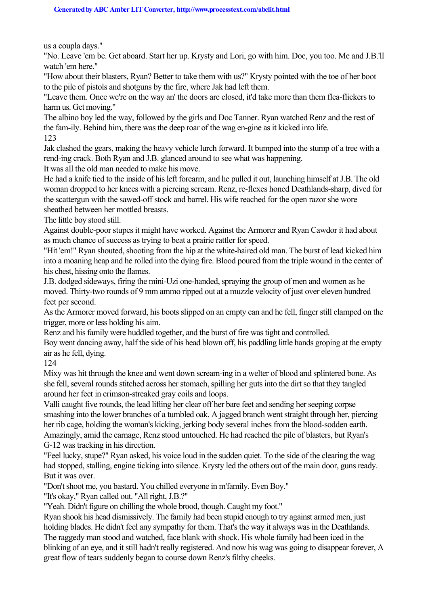us a coupla days."

"No. Leave 'em be. Get aboard. Start her up. Krysty and Lori, go with him. Doc, you too. Me and J.B.'ll watch 'em here."

"How about their blasters, Ryan? Better to take them with us?" Krysty pointed with the toe of her boot to the pile of pistols and shotguns by the fire, where Jak had left them.

"Leave them. Once we're on the way an' the doors are closed, it'd take more than them flea-flickers to harm us. Get moving."

The albino boy led the way, followed by the girls and Doc Tanner. Ryan watched Renz and the rest of the fam-ily. Behind him, there was the deep roar of the wag en-gine as it kicked into life. 123

Jak clashed the gears, making the heavy vehicle lurch forward. It bumped into the stump of a tree with a rend-ing crack. Both Ryan and J.B. glanced around to see what was happening.

It was all the old man needed to make his move.

He had a knife tied to the inside of his left forearm, and he pulled it out, launching himself at J.B. The old woman dropped to her knees with a piercing scream. Renz, re-flexes honed Deathlands-sharp, dived for the scattergun with the sawed-off stock and barrel. His wife reached for the open razor she wore sheathed between her mottled breasts.

The little boy stood still.

Against double-poor stupes it might have worked. Against the Armorer and Ryan Cawdor it had about as much chance of success as trying to beat a prairie rattler for speed.

"Hit 'em!" Ryan shouted, shooting from the hip at the white-haired old man. The burst of lead kicked him into a moaning heap and he rolled into the dying fire. Blood poured from the triple wound in the center of his chest, hissing onto the flames.

J.B. dodged sideways, firing the mini-Uzi one-handed, spraying the group of men and women as he moved. Thirty-two rounds of 9 mm ammo ripped out at a muzzle velocity of just over eleven hundred feet per second.

As the Armorer moved forward, his boots slipped on an empty can and he fell, finger still clamped on the trigger, more or less holding his aim.

Renz and his family were huddled together, and the burst of fire was tight and controlled.

Boy went dancing away, half the side of his head blown off, his paddling little hands groping at the empty air as he fell, dying.

124

Mixy was hit through the knee and went down scream-ing in a welter of blood and splintered bone. As she fell, several rounds stitched across her stomach, spilling her guts into the dirt so that they tangled around her feet in crimson-streaked gray coils and loops.

Valli caught five rounds, the lead lifting her clear off her bare feet and sending her seeping corpse smashing into the lower branches of a tumbled oak. A jagged branch went straight through her, piercing her rib cage, holding the woman's kicking, jerking body several inches from the blood-sodden earth. Amazingly, amid the carnage, Renz stood untouched. He had reached the pile of blasters, but Ryan's G-12 was tracking in his direction.

"Feel lucky, stupe?" Ryan asked, his voice loud in the sudden quiet. To the side of the clearing the wag had stopped, stalling, engine ticking into silence. Krysty led the others out of the main door, guns ready. But it was over.

"Don't shoot me, you bastard. You chilled everyone in m'family. Even Boy."

"It's okay," Ryan called out. "All right, J.B.?"

"Yeah. Didn't figure on chilling the whole brood, though. Caught my foot."

Ryan shook his head dismissively. The family had been stupid enough to try against armed men, just holding blades. He didn't feel any sympathy for them. That's the way it always was in the Deathlands. The raggedy man stood and watched, face blank with shock. His whole family had been iced in the blinking of an eye, and it still hadn't really registered. And now his wag was going to disappear forever, A great flow of tears suddenly began to course down Renz's filthy cheeks.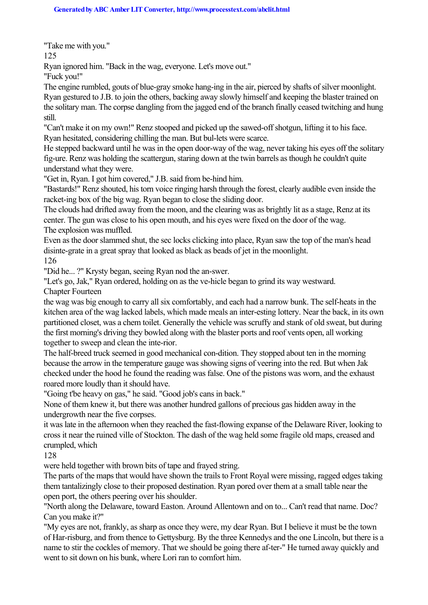"Take me with you."

125

Ryan ignored him. "Back in the wag, everyone. Let's move out."

"Fuck you!"

The engine rumbled, gouts of blue-gray smoke hang-ing in the air, pierced by shafts of silver moonlight. Ryan gestured to J.B. to join the others, backing away slowly himself and keeping the blaster trained on the solitary man. The corpse dangling from the jagged end of the branch finally ceased twitching and hung still.

"Can't make it on my own!" Renz stooped and picked up the sawed-off shotgun, lifting it to his face. Ryan hesitated, considering chilling the man. But bul-lets were scarce.

He stepped backward until he was in the open door-way of the wag, never taking his eyes off the solitary fig-ure. Renz was holding the scattergun, staring down at the twin barrels as though he couldn't quite understand what they were.

"Get in, Ryan. I got him covered," J.B. said from be-hind him.

"Bastards!" Renz shouted, his torn voice ringing harsh through the forest, clearly audible even inside the racket-ing box of the big wag. Ryan began to close the sliding door.

The clouds had drifted away from the moon, and the clearing was as brightly lit as a stage, Renz at its center. The gun was close to his open mouth, and his eyes were fixed on the door of the wag. The explosion was muffled.

Even as the door slammed shut, the sec locks clicking into place, Ryan saw the top of the man's head disinte-grate in a great spray that looked as black as beads of jet in the moonlight.

126

"Did he... ?" Krysty began, seeing Ryan nod the an-swer.

"Let's go, Jak," Ryan ordered, holding on as the ve-hicle began to grind its way westward.

Chapter Fourteen

the wag was big enough to carry all six comfortably, and each had a narrow bunk. The self-heats in the kitchen area of the wag lacked labels, which made meals an inter-esting lottery. Near the back, in its own partitioned closet, was a chem toilet. Generally the vehicle was scruffy and stank of old sweat, but during the first morning's driving they bowled along with the blaster ports and roof vents open, all working together to sweep and clean the inte-rior.

The half-breed truck seemed in good mechanical con-dition. They stopped about ten in the morning because the arrow in the temperature gauge was showing signs of veering into the red. But when Jak checked under the hood he found the reading was false. One of the pistons was worn, and the exhaust roared more loudly than it should have.

"Going t'be heavy on gas," he said. "Good job's cans in back."

None of them knew it, but there was another hundred gallons of precious gas hidden away in the undergrowth near the five corpses.

it was late in the afternoon when they reached the fast-flowing expanse of the Delaware River, looking to cross it near the ruined ville of Stockton. The dash of the wag held some fragile old maps, creased and crumpled, which

128

were held together with brown bits of tape and frayed string.

The parts of the maps that would have shown the trails to Front Royal were missing, ragged edges taking them tantalizingly close to their proposed destination. Ryan pored over them at a small table near the open port, the others peering over his shoulder.

"North along the Delaware, toward Easton. Around Allentown and on to... Can't read that name. Doc? Can you make it?"

"My eyes are not, frankly, as sharp as once they were, my dear Ryan. But I believe it must be the town of Har-risburg, and from thence to Gettysburg. By the three Kennedys and the one Lincoln, but there is a name to stir the cockles of memory. That we should be going there af-ter-" He turned away quickly and went to sit down on his bunk, where Lori ran to comfort him.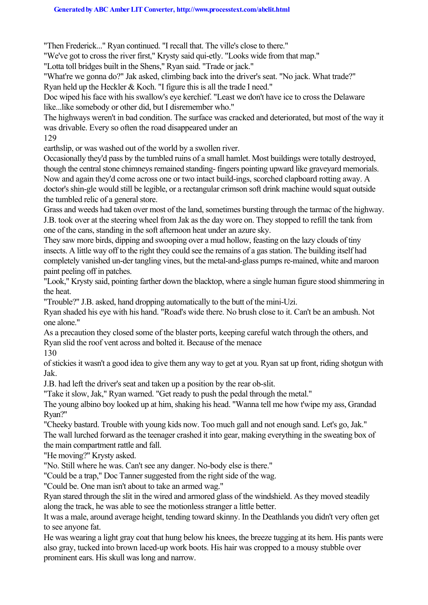"Then Frederick..." Ryan continued. "I recall that. The ville's close to there."

"We've got to cross the river first," Krysty said qui-etly. "Looks wide from that map."

"Lotta toll bridges built in the Shens," Ryan said. "Trade or jack."

"What're we gonna do?" Jak asked, climbing back into the driver's seat. "No jack. What trade?" Ryan held up the Heckler & Koch. "I figure this is all the trade I need."

Doc wiped his face with his swallow's eye kerchief. "Least we don't have ice to cross the Delaware like...like somebody or other did, but I disremember who."

The highways weren't in bad condition. The surface was cracked and deteriorated, but most of the way it was drivable. Every so often the road disappeared under an

129

earthslip, or was washed out of the world by a swollen river.

Occasionally they'd pass by the tumbled ruins of a small hamlet. Most buildings were totally destroyed, though the central stone chimneys remained standing- fingers pointing upward like graveyard memorials. Now and again they'd come across one or two intact build-ings, scorched clapboard rotting away. A doctor's shin-gle would still be legible, or a rectangular crimson soft drink machine would squat outside the tumbled relic of a general store.

Grass and weeds had taken over most of the land, sometimes bursting through the tarmac of the highway. J.B. took over at the steering wheel from Jak as the day wore on. They stopped to refill the tank from one of the cans, standing in the soft afternoon heat under an azure sky.

They saw more birds, dipping and swooping over a mud hollow, feasting on the lazy clouds of tiny insects. A little way off to the right they could see the remains of a gas station. The building itself had completely vanished un-der tangling vines, but the metal-and-glass pumps re-mained, white and maroon paint peeling off in patches.

"Look," Krysty said, pointing farther down the blacktop, where a single human figure stood shimmering in the heat.

"Trouble?" J.B. asked, hand dropping automatically to the butt of the mini-Uzi.

Ryan shaded his eye with his hand. "Road's wide there. No brush close to it. Can't be an ambush. Not one alone."

As a precaution they closed some of the blaster ports, keeping careful watch through the others, and Ryan slid the roof vent across and bolted it. Because of the menace

130

of stickies it wasn't a good idea to give them any way to get at you. Ryan sat up front, riding shotgun with Jak.

J.B. had left the driver's seat and taken up a position by the rear ob-slit.

"Take it slow, Jak," Ryan warned. "Get ready to push the pedal through the metal."

The young albino boy looked up at him, shaking his head. "Wanna tell me how t'wipe my ass, Grandad Ryan?"

"Cheeky bastard. Trouble with young kids now. Too much gall and not enough sand. Let's go, Jak." The wall lurched forward as the teenager crashed it into gear, making everything in the sweating box of the main compartment rattle and fall.

"He moving?" Krysty asked.

"No. Still where he was. Can't see any danger. No-body else is there."

"Could be a trap," Doc Tanner suggested from the right side of the wag.

"Could be. One man isn't about to take an armed wag."

Ryan stared through the slit in the wired and armored glass of the windshield. As they moved steadily along the track, he was able to see the motionless stranger a little better.

It was a male, around average height, tending toward skinny. In the Deathlands you didn't very often get to see anyone fat.

He was wearing a light gray coat that hung below his knees, the breeze tugging at its hem. His pants were also gray, tucked into brown laced-up work boots. His hair was cropped to a mousy stubble over prominent ears. His skull was long and narrow.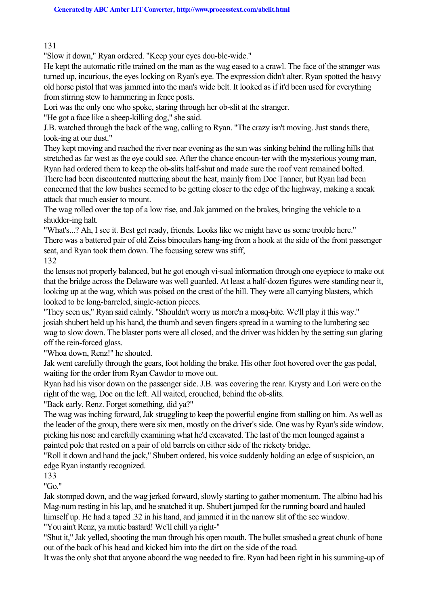131

"Slow it down," Ryan ordered. "Keep your eyes dou-ble-wide."

He kept the automatic rifle trained on the man as the wag eased to a crawl. The face of the stranger was turned up, incurious, the eyes locking on Ryan's eye. The expression didn't alter. Ryan spotted the heavy old horse pistol that was jammed into the man's wide belt. It looked as if it'd been used for everything from stirring stew to hammering in fence posts.

Lori was the only one who spoke, staring through her ob-slit at the stranger.

"He got a face like a sheep-killing dog," she said.

J.B. watched through the back of the wag, calling to Ryan. "The crazy isn't moving. Just stands there, look-ing at our dust."

They kept moving and reached the river near evening as the sun was sinking behind the rolling hills that stretched as far west as the eye could see. After the chance encoun-ter with the mysterious young man, Ryan had ordered them to keep the ob-slits half-shut and made sure the roof vent remained bolted.

There had been discontented muttering about the heat, mainly from Doc Tanner, but Ryan had been concerned that the low bushes seemed to be getting closer to the edge of the highway, making a sneak attack that much easier to mount.

The wag rolled over the top of a low rise, and Jak jammed on the brakes, bringing the vehicle to a shudder-ing halt.

"What's...? Ah, I see it. Best get ready, friends. Looks like we might have us some trouble here." There was a battered pair of old Zeiss binoculars hang-ing from a hook at the side of the front passenger seat, and Ryan took them down. The focusing screw was stiff,

132

the lenses not properly balanced, but he got enough vi-sual information through one eyepiece to make out that the bridge across the Delaware was well guarded. At least a half-dozen figures were standing near it, looking up at the wag, which was poised on the crest of the hill. They were all carrying blasters, which looked to be long-barreled, single-action pieces.

"They seen us," Ryan said calmly. "Shouldn't worry us more'n a mosq-bite. We'll play it this way." josiah shubert held up his hand, the thumb and seven fingers spread in a warning to the lumbering sec wag to slow down. The blaster ports were all closed, and the driver was hidden by the setting sun glaring off the rein-forced glass.

"Whoa down, Renz!" he shouted.

Jak went carefully through the gears, foot holding the brake. His other foot hovered over the gas pedal, waiting for the order from Ryan Cawdor to move out.

Ryan had his visor down on the passenger side. J.B. was covering the rear. Krysty and Lori were on the right of the wag, Doc on the left. All waited, crouched, behind the ob-slits.

"Back early, Renz. Forget something, did ya?"

The wag was inching forward, Jak struggling to keep the powerful engine from stalling on him. As well as the leader of the group, there were six men, mostly on the driver's side. One was by Ryan's side window, picking his nose and carefully examining what he'd excavated. The last of the men lounged against a painted pole that rested on a pair of old barrels on either side of the rickety bridge.

"Roll it down and hand the jack," Shubert ordered, his voice suddenly holding an edge of suspicion, an edge Ryan instantly recognized.

133

"Go."

Jak stomped down, and the wag jerked forward, slowly starting to gather momentum. The albino had his Mag-num resting in his lap, and he snatched it up. Shubert jumped for the running board and hauled himself up. He had a taped .32 in his hand, and jammed it in the narrow slit of the sec window. "You ain't Renz, ya mutie bastard! We'll chill ya right-"

"Shut it," Jak yelled, shooting the man through his open mouth. The bullet smashed a great chunk of bone out of the back of his head and kicked him into the dirt on the side of the road.

It was the only shot that anyone aboard the wag needed to fire. Ryan had been right in his summing-up of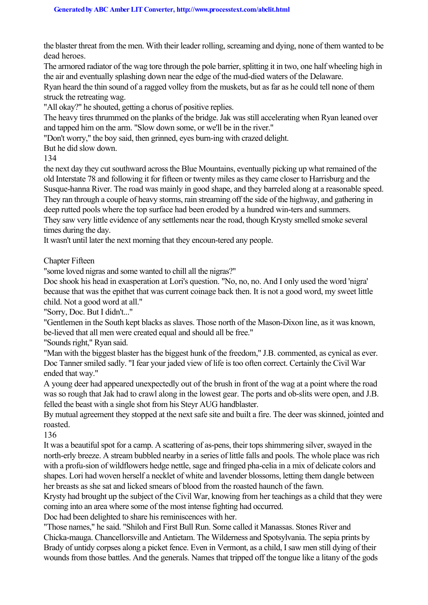the blaster threat from the men. With their leader rolling, screaming and dying, none of them wanted to be dead heroes.

The armored radiator of the wag tore through the pole barrier, splitting it in two, one half wheeling high in the air and eventually splashing down near the edge of the mud-died waters of the Delaware.

Ryan heard the thin sound of a ragged volley from the muskets, but as far as he could tell none of them struck the retreating wag.

"All okay?" he shouted, getting a chorus of positive replies.

The heavy tires thrummed on the planks of the bridge. Jak was still accelerating when Ryan leaned over and tapped him on the arm. "Slow down some, or we'll be in the river."

"Don't worry," the boy said, then grinned, eyes burn-ing with crazed delight.

But he did slow down.

134

the next day they cut southward across the Blue Mountains, eventually picking up what remained of the old Interstate 78 and following it for fifteen or twenty miles as they came closer to Harrisburg and the Susque-hanna River. The road was mainly in good shape, and they barreled along at a reasonable speed. They ran through a couple of heavy storms, rain streaming off the side of the highway, and gathering in deep rutted pools where the top surface had been eroded by a hundred win-ters and summers.

They saw very little evidence of any settlements near the road, though Krysty smelled smoke several times during the day.

It wasn't until later the next morning that they encoun-tered any people.

Chapter Fifteen

"some loved nigras and some wanted to chill all the nigras?"

Doc shook his head in exasperation at Lori's question. "No, no, no. And I only used the word 'nigra' because that was the epithet that was current coinage back then. It is not a good word, my sweet little child. Not a good word at all."

"Sorry, Doc. But I didn't..."

"Gentlemen in the South kept blacks as slaves. Those north of the Mason-Dixon line, as it was known, be-lieved that all men were created equal and should all be free."

"Sounds right," Ryan said.

"Man with the biggest blaster has the biggest hunk of the freedom," J.B. commented, as cynical as ever. Doc Tanner smiled sadly. "I fear your jaded view of life is too often correct. Certainly the Civil War ended that way."

A young deer had appeared unexpectedly out of the brush in front of the wag at a point where the road was so rough that Jak had to crawl along in the lowest gear. The ports and ob-slits were open, and J.B. felled the beast with a single shot from his Steyr AUG handblaster.

By mutual agreement they stopped at the next safe site and built a fire. The deer was skinned, jointed and roasted.

136

It was a beautiful spot for a camp. A scattering of as-pens, their tops shimmering silver, swayed in the north-erly breeze. A stream bubbled nearby in a series of little falls and pools. The whole place was rich with a profu-sion of wildflowers hedge nettle, sage and fringed pha-celia in a mix of delicate colors and shapes. Lori had woven herself a necklet of white and lavender blossoms, letting them dangle between her breasts as she sat and licked smears of blood from the roasted haunch of the fawn.

Krysty had brought up the subject of the Civil War, knowing from her teachings as a child that they were coming into an area where some of the most intense fighting had occurred.

Doc had been delighted to share his reminiscences with her.

"Those names," he said. "Shiloh and First Bull Run. Some called it Manassas. Stones River and Chicka-mauga. Chancellorsville and Antietam. The Wilderness and Spotsylvania. The sepia prints by Brady of untidy corpses along a picket fence. Even in Vermont, as a child, I saw men still dying of their wounds from those battles. And the generals. Names that tripped off the tongue like a litany of the gods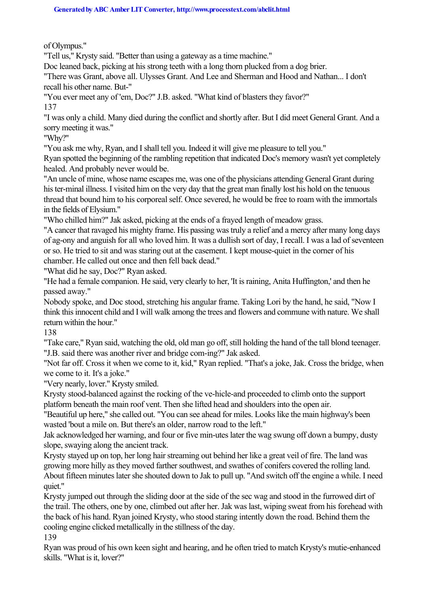of Olympus."

"Tell us," Krysty said. "Better than using a gateway as a time machine."

Doc leaned back, picking at his strong teeth with a long thorn plucked from a dog brier.

"There was Grant, above all. Ulysses Grant. And Lee and Sherman and Hood and Nathan... I don't recall his other name. But-"

"You ever meet any of 'em, Doc?" J.B. asked. "What kind of blasters they favor?" 137

"I was only a child. Many died during the conflict and shortly after. But I did meet General Grant. And a sorry meeting it was."

"Why?"

"You ask me why, Ryan, and I shall tell you. Indeed it will give me pleasure to tell you."

Ryan spotted the beginning of the rambling repetition that indicated Doc's memory wasn't yet completely healed. And probably never would be.

"An uncle of mine, whose name escapes me, was one of the physicians attending General Grant during his ter-minal illness. I visited him on the very day that the great man finally lost his hold on the tenuous thread that bound him to his corporeal self. Once severed, he would be free to roam with the immortals in the fields of Elysium."

"Who chilled him?" Jak asked, picking at the ends of a frayed length of meadow grass.

"A cancer that ravaged his mighty frame. His passing was truly a relief and a mercy after many long days of ag-ony and anguish for all who loved him. It was a dullish sort of day, I recall. I was a lad of seventeen or so. He tried to sit and was staring out at the casement. I kept mouse-quiet in the corner of his chamber. He called out once and then fell back dead."

"What did he say, Doc?" Ryan asked.

"He had a female companion. He said, very clearly to her, 'It is raining, Anita Huffington,' and then he passed away."

Nobody spoke, and Doc stood, stretching his angular frame. Taking Lori by the hand, he said, "Now I think this innocent child and I will walk among the trees and flowers and commune with nature. We shall return within the hour."

138

"Take care," Ryan said, watching the old, old man go off, still holding the hand of the tall blond teenager. "J.B. said there was another river and bridge com-ing?" Jak asked.

"Not far off. Cross it when we come to it, kid," Ryan replied. "That's a joke, Jak. Cross the bridge, when we come to it. It's a joke."

"Very nearly, lover." Krysty smiled.

Krysty stood-balanced against the rocking of the ve-hicle-and proceeded to climb onto the support platform beneath the main roof vent. Then she lifted head and shoulders into the open air.

"Beautiful up here," she called out. "You can see ahead for miles. Looks like the main highway's been wasted 'bout a mile on. But there's an older, narrow road to the left."

Jak acknowledged her warning, and four or five min-utes later the wag swung off down a bumpy, dusty slope, swaying along the ancient track.

Krysty stayed up on top, her long hair streaming out behind her like a great veil of fire. The land was growing more hilly as they moved farther southwest, and swathes of conifers covered the rolling land. About fifteen minutes later she shouted down to Jak to pull up. "And switch off the engine a while. I need quiet."

Krysty jumped out through the sliding door at the side of the sec wag and stood in the furrowed dirt of the trail. The others, one by one, climbed out after her. Jak was last, wiping sweat from his forehead with the back of his hand. Ryan joined Krysty, who stood staring intently down the road. Behind them the cooling engine clicked metallically in the stillness of the day.

139

Ryan was proud of his own keen sight and hearing, and he often tried to match Krysty's mutie-enhanced skills. "What is it, lover?"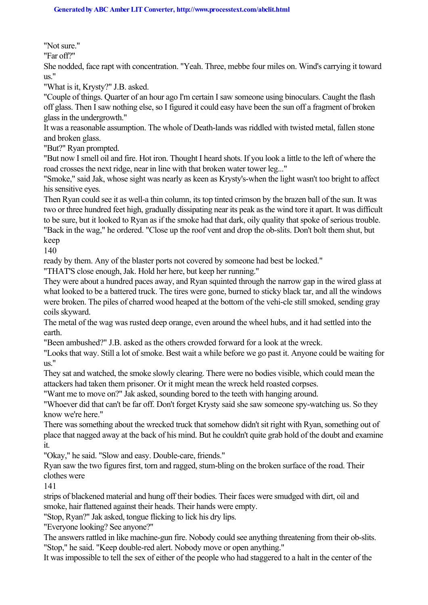"Not sure."

"Far off?"

She nodded, face rapt with concentration. "Yeah. Three, mebbe four miles on. Wind's carrying it toward us."

"What is it, Krysty?" J.B. asked.

"Couple of things. Quarter of an hour ago I'm certain I saw someone using binoculars. Caught the flash off glass. Then I saw nothing else, so I figured it could easy have been the sun off a fragment of broken glass in the undergrowth."

It was a reasonable assumption. The whole of Death-lands was riddled with twisted metal, fallen stone and broken glass.

"But?" Ryan prompted.

"But now I smell oil and fire. Hot iron. Thought I heard shots. If you look a little to the left of where the road crosses the next ridge, near in line with that broken water tower leg..."

"Smoke," said Jak, whose sight was nearly as keen as Krysty's-when the light wasn't too bright to affect his sensitive eyes.

Then Ryan could see it as well-a thin column, its top tinted crimson by the brazen ball of the sun. It was two or three hundred feet high, gradually dissipating near its peak as the wind tore it apart. It was difficult to be sure, but it looked to Ryan as if the smoke had that dark, oily quality that spoke of serious trouble. "Back in the wag," he ordered. "Close up the roof vent and drop the ob-slits. Don't bolt them shut, but keep

140

ready by them. Any of the blaster ports not covered by someone had best be locked."

"THAT'S close enough, Jak. Hold her here, but keep her running."

They were about a hundred paces away, and Ryan squinted through the narrow gap in the wired glass at what looked to be a battered truck. The tires were gone, burned to sticky black tar, and all the windows were broken. The piles of charred wood heaped at the bottom of the vehi-cle still smoked, sending gray coils skyward.

The metal of the wag was rusted deep orange, even around the wheel hubs, and it had settled into the earth.

"Been ambushed?" J.B. asked as the others crowded forward for a look at the wreck.

"Looks that way. Still a lot of smoke. Best wait a while before we go past it. Anyone could be waiting for us."

They sat and watched, the smoke slowly clearing. There were no bodies visible, which could mean the attackers had taken them prisoner. Or it might mean the wreck held roasted corpses.

"Want me to move on?" Jak asked, sounding bored to the teeth with hanging around.

"Whoever did that can't be far off. Don't forget Krysty said she saw someone spy-watching us. So they know we're here."

There was something about the wrecked truck that somehow didn't sit right with Ryan, something out of place that nagged away at the back of his mind. But he couldn't quite grab hold of the doubt and examine it.

"Okay," he said. "Slow and easy. Double-care, friends."

Ryan saw the two figures first, torn and ragged, stum-bling on the broken surface of the road. Their clothes were

141

strips of blackened material and hung off their bodies. Their faces were smudged with dirt, oil and smoke, hair flattened against their heads. Their hands were empty.

"Stop, Ryan?" Jak asked, tongue flicking to lick his dry lips.

"Everyone looking? See anyone?"

The answers rattled in like machine-gun fire. Nobody could see anything threatening from their ob-slits. "Stop," he said. "Keep double-red alert. Nobody move or open anything."

It was impossible to tell the sex of either of the people who had staggered to a halt in the center of the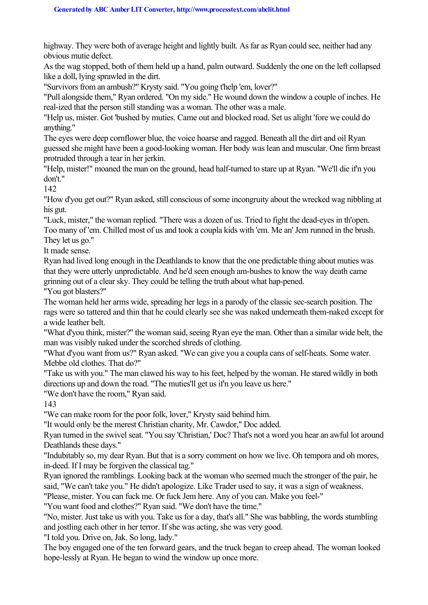highway. They were both of average height and lightly built. As far as Ryan could see, neither had any obvious mutie defect.

As the wag stopped, both of them held up a hand, palm outward. Suddenly the one on the left collapsed like a doll, lying sprawled in the dirt.

"Survivors from an ambush?" Krysty said. "You going t'help 'em, lover?"

"Pull alongside them," Ryan ordered. "On my side." He wound down the window a couple of inches. He real-ized that the person still standing was a woman. The other was a male.

"Help us, mister. Got 'bushed by muties. Came out and blocked road. Set us alight 'fore we could do anything."

The eyes were deep cornflower blue, the voice hoarse and ragged. Beneath all the dirt and oil Ryan guessed she might have been a good-looking woman. Her body was lean and muscular. One firm breast protruded through a tear in her jerkin.

"Help, mister!" moaned the man on the ground, head half-turned to stare up at Ryan. "We'll die if'n you don't."

142

"How d'you get out?" Ryan asked, still conscious of some incongruity about the wrecked wag nibbling at his gut.

"Luck, mister," the woman replied. "There was a dozen of us. Tried to fight the dead-eyes in th'open. Too many of 'em. Chilled most of us and took a coupla kids with 'em. Me an' Jem runned in the brush. They let us go."

It made sense.

Ryan had lived long enough in the Deathlands to know that the one predictable thing about muties was that they were utterly unpredictable. And he'd seen enough am-bushes to know the way death came grinning out of a clear sky. They could be telling the truth about what hap-pened.

"You got blasters?"

The woman held her arms wide, spreading her legs in a parody of the classic sec-search position. The rags were so tattered and thin that he could clearly see she was naked underneath them-naked except for a wide leather belt.

"What d'you think, mister?" the woman said, seeing Ryan eye the man. Other than a similar wide belt, the man was visibly naked under the scorched shreds of clothing.

"What d'you want from us?" Ryan asked. "We can give you a coupla cans of self-heats. Some water. Mebbe old clothes. That do?"

"Take us with you." The man clawed his way to his feet, helped by the woman. He stared wildly in both directions up and down the road. "The muties'll get us if'n you leave us here."

"We don't have the room," Ryan said.

143

"We can make room for the poor folk, lover," Krysty said behind him.

"It would only be the merest Christian charity, Mr. Cawdor," Doc added.

Ryan turned in the swivel seat. "You say 'Christian,' Doc? That's not a word you hear an awful lot around Deathlands these days."

"Indubitably so, my dear Ryan. But that is a sorry comment on how we live. Oh tempora and oh mores, in-deed. If I may be forgiven the classical tag."

Ryan ignored the ramblings. Looking back at the woman who seemed much the stronger of the pair, he said, "We can't take you." He didn't apologize. Like Trader used to say, it was a sign of weakness.

"Please, mister. You can fuck me. Or fuck Jem here. Any of you can. Make you feel-"

"You want food and clothes?" Ryan said. "We don't have the time."

"No, mister. Just take us with you. Take us for a day, that's all." She was babbling, the words stumbling and jostling each other in her terror. If she was acting, she was very good.

"I told you. Drive on, Jak. So long, lady."

The boy engaged one of the ten forward gears, and the truck began to creep ahead. The woman looked hope-lessly at Ryan. He began to wind the window up once more.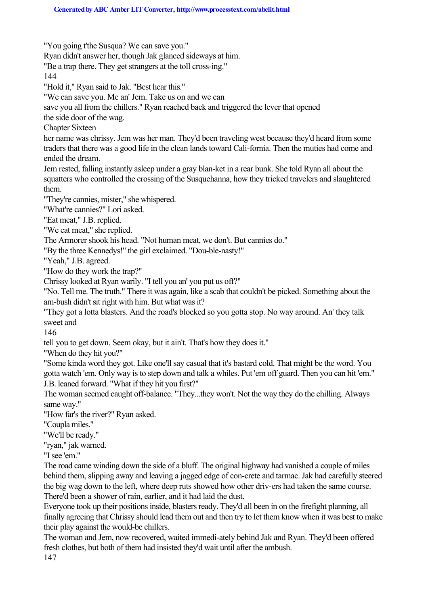"You going t'the Susqua? We can save you."

Ryan didn't answer her, though Jak glanced sideways at him.

"Be a trap there. They get strangers at the toll cross-ing."

144

"Hold it," Ryan said to Jak. "Best hear this."

"We can save you. Me an' Jem. Take us on and we can

save you all from the chillers." Ryan reached back and triggered the lever that opened

the side door of the wag.

Chapter Sixteen

her name was chrissy. Jem was her man. They'd been traveling west because they'd heard from some traders that there was a good life in the clean lands toward Cali-fornia. Then the muties had come and ended the dream.

Jem rested, falling instantly asleep under a gray blan-ket in a rear bunk. She told Ryan all about the squatters who controlled the crossing of the Susquehanna, how they tricked travelers and slaughtered them.

"They're cannies, mister," she whispered.

"What're cannies?" Lori asked.

"Eat meat," J.B. replied.

"We eat meat," she replied.

The Armorer shook his head. "Not human meat, we don't. But cannies do."

"By the three Kennedys!" the girl exclaimed. "Dou-ble-nasty!"

"Yeah," J.B. agreed.

"How do they work the trap?"

Chrissy looked at Ryan warily. "I tell you an' you put us off?"

"No. Tell me. The truth." There it was again, like a scab that couldn't be picked. Something about the am-bush didn't sit right with him. But what was it?

"They got a lotta blasters. And the road's blocked so you gotta stop. No way around. An' they talk sweet and

146

tell you to get down. Seem okay, but it ain't. That's how they does it."

"When do they hit you?"

"Some kinda word they got. Like one'll say casual that it's bastard cold. That might be the word. You gotta watch 'em. Only way is to step down and talk a whiles. Put 'em off guard. Then you can hit 'em." J.B. leaned forward. "What if they hit you first?"

The woman seemed caught off-balance. "They...they won't. Not the way they do the chilling. Always same way."

"How far's the river?" Ryan asked.

"Coupla miles."

"We'll be ready."

"ryan," jak warned.

"I see 'em."

The road came winding down the side of a bluff. The original highway had vanished a couple of miles behind them, slipping away and leaving a jagged edge of con-crete and tarmac. Jak had carefully steered the big wag down to the left, where deep ruts showed how other driv-ers had taken the same course. There'd been a shower of rain, earlier, and it had laid the dust.

Everyone took up their positions inside, blasters ready. They'd all been in on the firefight planning, all finally agreeing that Chrissy should lead them out and then try to let them know when it was best to make their play against the would-be chillers.

The woman and Jem, now recovered, waited immedi-ately behind Jak and Ryan. They'd been offered fresh clothes, but both of them had insisted they'd wait until after the ambush. 147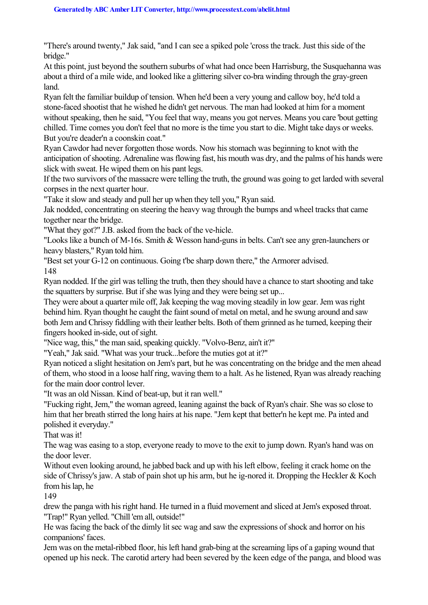"There's around twenty," Jak said, "and I can see a spiked pole 'cross the track. Just this side of the bridge."

At this point, just beyond the southern suburbs of what had once been Harrisburg, the Susquehanna was about a third of a mile wide, and looked like a glittering silver co-bra winding through the gray-green land.

Ryan felt the familiar buildup of tension. When he'd been a very young and callow boy, he'd told a stone-faced shootist that he wished he didn't get nervous. The man had looked at him for a moment without speaking, then he said, "You feel that way, means you got nerves. Means you care 'bout getting chilled. Time comes you don't feel that no more is the time you start to die. Might take days or weeks. But you're deader'n a coonskin coat."

Ryan Cawdor had never forgotten those words. Now his stomach was beginning to knot with the anticipation of shooting. Adrenaline was flowing fast, his mouth was dry, and the palms of his hands were slick with sweat. He wiped them on his pant legs.

If the two survivors of the massacre were telling the truth, the ground was going to get larded with several corpses in the next quarter hour.

"Take it slow and steady and pull her up when they tell you," Ryan said.

Jak nodded, concentrating on steering the heavy wag through the bumps and wheel tracks that came together near the bridge.

"What they got?" J.B. asked from the back of the ve-hicle.

"Looks like a bunch of M-16s. Smith & Wesson hand-guns in belts. Can't see any gren-launchers or heavy blasters," Ryan told him.

"Best set your G-12 on continuous. Going t'be sharp down there," the Armorer advised. 148

Ryan nodded. If the girl was telling the truth, then they should have a chance to start shooting and take the squatters by surprise. But if she was lying and they were being set up...

They were about a quarter mile off, Jak keeping the wag moving steadily in low gear. Jem was right behind him. Ryan thought he caught the faint sound of metal on metal, and he swung around and saw both Jem and Chrissy fiddling with their leather belts. Both of them grinned as he turned, keeping their fingers hooked in-side, out of sight.

"Nice wag, this," the man said, speaking quickly. "Volvo-Benz, ain't it?"

"Yeah," Jak said. "What was your truck...before the muties got at it?"

Ryan noticed a slight hesitation on Jem's part, but he was concentrating on the bridge and the men ahead of them, who stood in a loose half ring, waving them to a halt. As he listened, Ryan was already reaching for the main door control lever.

"It was an old Nissan. Kind of beat-up, but it ran well."

"Fucking right, Jem," the woman agreed, leaning against the back of Ryan's chair. She was so close to him that her breath stirred the long hairs at his nape. "Jem kept that better'n he kept me. Pa inted and polished it everyday."

That was it!

The wag was easing to a stop, everyone ready to move to the exit to jump down. Ryan's hand was on the door lever.

Without even looking around, he jabbed back and up with his left elbow, feeling it crack home on the side of Chrissy's jaw. A stab of pain shot up his arm, but he ig-nored it. Dropping the Heckler & Koch from his lap, he

149

drew the panga with his right hand. He turned in a fluid movement and sliced at Jem's exposed throat. "Trap!" Ryan yelled. "Chill 'em all, outside!"

He was facing the back of the dimly lit sec wag and saw the expressions of shock and horror on his companions' faces.

Jem was on the metal-ribbed floor, his left hand grab-bing at the screaming lips of a gaping wound that opened up his neck. The carotid artery had been severed by the keen edge of the panga, and blood was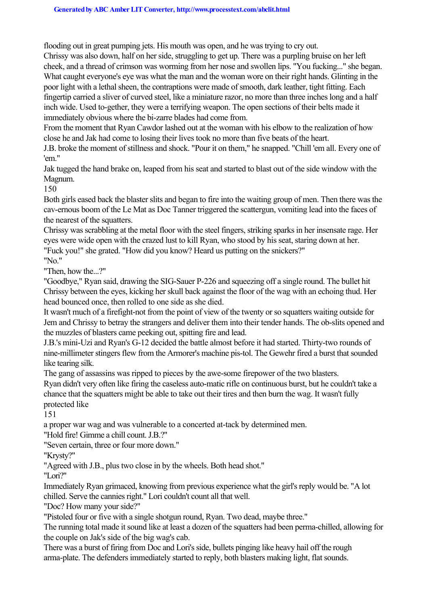flooding out in great pumping jets. His mouth was open, and he was trying to cry out.

Chrissy was also down, half on her side, struggling to get up. There was a purpling bruise on her left cheek, and a thread of crimson was worming from her nose and swollen lips. "You fucking..." she began. What caught everyone's eve was what the man and the woman wore on their right hands. Glinting in the poor light with a lethal sheen, the contraptions were made of smooth, dark leather, tight fitting. Each fingertip carried a sliver of curved steel, like a miniature razor, no more than three inches long and a half inch wide. Used to-gether, they were a terrifying weapon. The open sections of their belts made it immediately obvious where the bi-zarre blades had come from.

From the moment that Ryan Cawdor lashed out at the woman with his elbow to the realization of how close he and Jak had come to losing their lives took no more than five beats of the heart.

J.B. broke the moment of stillness and shock. "Pour it on them," he snapped. "Chill 'em all. Every one of 'em."

Jak tugged the hand brake on, leaped from his seat and started to blast out of the side window with the Magnum.

150

Both girls eased back the blaster slits and began to fire into the waiting group of men. Then there was the cav-ernous boom of the Le Mat as Doc Tanner triggered the scattergun, vomiting lead into the faces of the nearest of the squatters.

Chrissy was scrabbling at the metal floor with the steel fingers, striking sparks in her insensate rage. Her eyes were wide open with the crazed lust to kill Ryan, who stood by his seat, staring down at her. "Fuck you!" she grated. "How did you know? Heard us putting on the snickers?" "No."

"Then, how the...?"

"Goodbye," Ryan said, drawing the SIG-Sauer P-226 and squeezing off a single round. The bullet hit Chrissy between the eyes, kicking her skull back against the floor of the wag with an echoing thud. Her head bounced once, then rolled to one side as she died.

It wasn't much of a firefight-not from the point of view of the twenty or so squatters waiting outside for Jem and Chrissy to betray the strangers and deliver them into their tender hands. The ob-slits opened and the muzzles of blasters came peeking out, spitting fire and lead.

J.B.'s mini-Uzi and Ryan's G-12 decided the battle almost before it had started. Thirty-two rounds of nine-millimeter stingers flew from the Armorer's machine pis-tol. The Gewehr fired a burst that sounded like tearing silk.

The gang of assassins was ripped to pieces by the awe-some firepower of the two blasters.

Ryan didn't very often like firing the caseless auto-matic rifle on continuous burst, but he couldn't take a chance that the squatters might be able to take out their tires and then burn the wag. It wasn't fully protected like

151

a proper war wag and was vulnerable to a concerted at-tack by determined men.

"Hold fire! Gimme a chill count. J.B.?"

"Seven certain, three or four more down."

"Krysty?"

"Agreed with J.B., plus two close in by the wheels. Both head shot."

"Lori?"

Immediately Ryan grimaced, knowing from previous experience what the girl's reply would be. "A lot chilled. Serve the cannies right." Lori couldn't count all that well.

"Doc? How many your side?"

"Pistoled four or five with a single shotgun round, Ryan. Two dead, maybe three."

The running total made it sound like at least a dozen of the squatters had been perma-chilled, allowing for the couple on Jak's side of the big wag's cab.

There was a burst of firing from Doc and Lori's side, bullets pinging like heavy hail off the rough arma-plate. The defenders immediately started to reply, both blasters making light, flat sounds.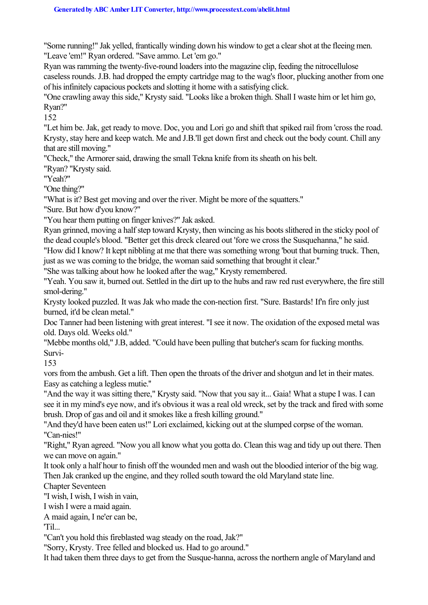"Some running!" Jak yelled, frantically winding down his window to get a clear shot at the fleeing men. "Leave 'em!" Ryan ordered. "Save ammo. Let 'em go."

Ryan was ramming the twenty-five-round loaders into the magazine clip, feeding the nitrocellulose caseless rounds. J.B. had dropped the empty cartridge mag to the wag's floor, plucking another from one of his infinitely capacious pockets and slotting it home with a satisfying click.

"One crawling away this side," Krysty said. "Looks like a broken thigh. Shall I waste him or let him go, Ryan?"

152

"Let him be. Jak, get ready to move. Doc, you and Lori go and shift that spiked rail from 'cross the road. Krysty, stay here and keep watch. Me and J.B.'ll get down first and check out the body count. Chill any that are still moving."

"Check," the Armorer said, drawing the small Tekna knife from its sheath on his belt.

"Ryan? "Krysty said.

"Yeah?"

"One thing?"

"What is it? Best get moving and over the river. Might be more of the squatters."

"Sure. But how d'you know?"

"You hear them putting on finger knives?" Jak asked.

Ryan grinned, moving a half step toward Krysty, then wincing as his boots slithered in the sticky pool of the dead couple's blood. "Better get this dreck cleared out 'fore we cross the Susquehanna," he said. "How did I know? It kept nibbling at me that there was something wrong 'bout that burning truck. Then, just as we was coming to the bridge, the woman said something that brought it clear.''

"She was talking about how he looked after the wag," Krysty remembered.

"Yeah. You saw it, burned out. Settled in the dirt up to the hubs and raw red rust everywhere, the fire still smol-dering."

Krysty looked puzzled. It was Jak who made the con-nection first. "Sure. Bastards! If'n fire only just burned, it'd be clean metal."

Doc Tanner had been listening with great interest. "I see it now. The oxidation of the exposed metal was old. Days old. Weeks old."

"Mebbe months old," J.B, added. "Could have been pulling that butcher's scam for fucking months. Survi-

153

vors from the ambush. Get a lift. Then open the throats of the driver and shotgun and let in their mates. Easy as catching a legless mutie.''

"And the way it was sitting there," Krysty said. "Now that you say it... Gaia! What a stupe I was. I can see it in my mind's eye now, and it's obvious it was a real old wreck, set by the track and fired with some brush. Drop of gas and oil and it smokes like a fresh killing ground."

"And they'd have been eaten us!" Lori exclaimed, kicking out at the slumped corpse of the woman. "Can-nies!"

"Right," Ryan agreed. "Now you all know what you gotta do. Clean this wag and tidy up out there. Then we can move on again."

It took only a half hour to finish off the wounded men and wash out the bloodied interior of the big wag. Then Jak cranked up the engine, and they rolled south toward the old Maryland state line.

Chapter Seventeen

"I wish, I wish, I wish in vain,

I wish I were a maid again.

A maid again, I ne'er can be,

'Til...

"Can't you hold this fireblasted wag steady on the road, Jak?"

"Sorry, Krysty. Tree felled and blocked us. Had to go around."

It had taken them three days to get from the Susque-hanna, across the northern angle of Maryland and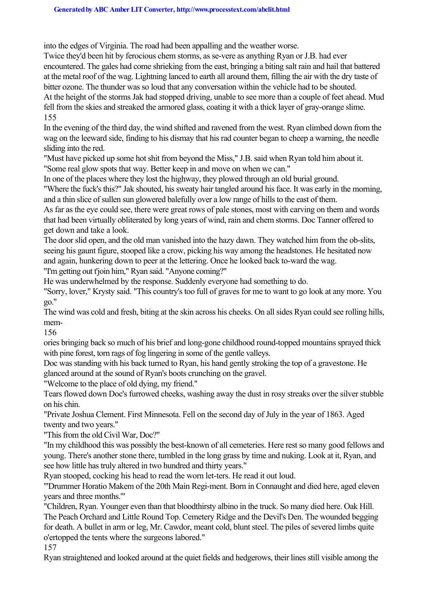into the edges of Virginia. The road had been appalling and the weather worse.

Twice they'd been hit by ferocious chem storms, as se-vere as anything Ryan or J.B. had ever encountered. The gales had come shrieking from the east, bringing a biting salt rain and hail that battered at the metal roof of the wag. Lightning lanced to earth all around them, filling the air with the dry taste of bitter ozone. The thunder was so loud that any conversation within the vehicle had to be shouted. At the height of the storms Jak had stopped driving, unable to see more than a couple of feet ahead. Mud fell from the skies and streaked the armored glass, coating it with a thick layer of gray-orange slime. 155

In the evening of the third day, the wind shifted and ravened from the west. Ryan climbed down from the wag on the leeward side, finding to his dismay that his rad counter began to cheep a warning, the needle sliding into the red.

"Must have picked up some hot shit from beyond the Miss," J.B. said when Ryan told him about it. "Some real glow spots that way. Better keep in and move on when we can."

In one of the places where they lost the highway, they plowed through an old burial ground.

"Where the fuck's this?" Jak shouted, his sweaty hair tangled around his face. It was early in the morning, and a thin slice of sullen sun glowered balefully over a low range of hills to the east of them.

As far as the eye could see, there were great rows of pale stones, most with carving on them and words that had been virtually obliterated by long years of wind, rain and chem storms. Doc Tanner offered to get down and take a look.

The door slid open, and the old man vanished into the hazy dawn. They watched him from the ob-slits, seeing his gaunt figure, stooped like a crow, picking his way among the headstones. He hesitated now and again, hunkering down to peer at the lettering. Once he looked back to-ward the wag.

"I'm getting out t'join him," Ryan said. "Anyone coming?"

He was underwhelmed by the response. Suddenly everyone had something to do.

"Sorry, lover," Krysty said. "This country's too full of graves for me to want to go look at any more. You go."

The wind was cold and fresh, biting at the skin across his cheeks. On all sides Ryan could see rolling hills, mem-

156

ories bringing back so much of his brief and long-gone childhood round-topped mountains sprayed thick with pine forest, torn rags of fog lingering in some of the gentle valleys.

Doc was standing with his back turned to Ryan, his hand gently stroking the top of a gravestone. He glanced around at the sound of Ryan's boots crunching on the gravel.

"Welcome to the place of old dying, my friend."

Tears flowed down Doc's furrowed cheeks, washing away the dust in rosy streaks over the silver stubble on his chin.

"Private Joshua Clement. First Minnesota. Fell on the second day of July in the year of 1863. Aged twenty and two years."

"This from the old Civil War, Doc?"

"In my childhood this was possibly the best-known of all cemeteries. Here rest so many good fellows and young. There's another stone there, tumbled in the long grass by time and nuking. Look at it, Ryan, and see how little has truly altered in two hundred and thirty years."

Ryan stooped, cocking his head to read the worn let-ters. He read it out loud.

"'Drummer Horatio Makem of the 20th Main Regi-ment. Born in Connaught and died here, aged eleven years and three months.'"

"Children, Ryan. Younger even than that bloodthirsty albino in the truck. So many died here. Oak Hill. The Peach Orchard and Little Round Top. Cemetery Ridge and the Devil's Den. The wounded begging for death. A bullet in arm or leg, Mr. Cawdor, meant cold, blunt steel. The piles of severed limbs quite o'ertopped the tents where the surgeons labored."

157

Ryan straightened and looked around at the quiet fields and hedgerows, their lines still visible among the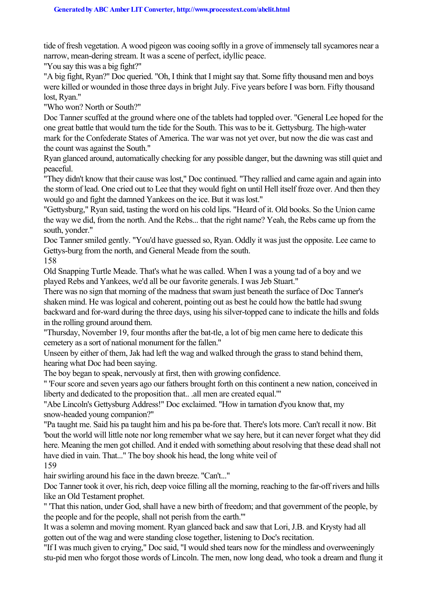tide of fresh vegetation. A wood pigeon was cooing softly in a grove of immensely tall sycamores near a narrow, mean-dering stream. It was a scene of perfect, idyllic peace.

"You say this was a big fight?"

"A big fight, Ryan?" Doc queried. "Oh, I think that I might say that. Some fifty thousand men and boys were killed or wounded in those three days in bright July. Five years before I was born. Fifty thousand lost, Ryan."

"Who won? North or South?"

Doc Tanner scuffed at the ground where one of the tablets had toppled over. "General Lee hoped for the one great battle that would turn the tide for the South. This was to be it. Gettysburg. The high-water mark for the Confederate States of America. The war was not yet over, but now the die was cast and the count was against the South."

Ryan glanced around, automatically checking for any possible danger, but the dawning was still quiet and peaceful.

"They didn't know that their cause was lost," Doc continued. "They rallied and came again and again into the storm of lead. One cried out to Lee that they would fight on until Hell itself froze over. And then they would go and fight the damned Yankees on the ice. But it was lost."

"Gettysburg," Ryan said, tasting the word on his cold lips. "Heard of it. Old books. So the Union came the way we did, from the north. And the Rebs... that the right name? Yeah, the Rebs came up from the south, yonder."

Doc Tanner smiled gently. "You'd have guessed so, Ryan. Oddly it was just the opposite. Lee came to Gettys-burg from the north, and General Meade from the south.

158

Old Snapping Turtle Meade. That's what he was called. When I was a young tad of a boy and we played Rebs and Yankees, we'd all be our favorite generals. I was Jeb Stuart."

There was no sign that morning of the madness that swam just beneath the surface of Doc Tanner's shaken mind. He was logical and coherent, pointing out as best he could how the battle had swung backward and for-ward during the three days, using his silver-topped cane to indicate the hills and folds in the rolling ground around them.

"Thursday, November 19, four months after the bat-tle, a lot of big men came here to dedicate this cemetery as a sort of national monument for the fallen."

Unseen by either of them, Jak had left the wag and walked through the grass to stand behind them, hearing what Doc had been saying.

The boy began to speak, nervously at first, then with growing confidence.

" 'Four score and seven years ago our fathers brought forth on this continent a new nation, conceived in liberty and dedicated to the proposition that... .all men are created equal."

"Abe Lincoln's Gettysburg Address!" Doc exclaimed. "How in tarnation d'you know that, my snow-headed young companion?"

"Pa taught me. Said his pa taught him and his pa be-fore that. There's lots more. Can't recall it now. Bit 'bout the world will little note nor long remember what we say here, but it can never forget what they did here. Meaning the men got chilled. And it ended with something about resolving that these dead shall not have died in vain. That..." The boy shook his head, the long white veil of

159

hair swirling around his face in the dawn breeze. "Can't..."

Doc Tanner took it over, his rich, deep voice filling all the morning, reaching to the far-off rivers and hills like an Old Testament prophet.

" 'That this nation, under God, shall have a new birth of freedom; and that government of the people, by the people and for the people, shall not perish from the earth.'"

It was a solemn and moving moment. Ryan glanced back and saw that Lori, J.B. and Krysty had all gotten out of the wag and were standing close together, listening to Doc's recitation.

"If I was much given to crying," Doc said, "I would shed tears now for the mindless and overweeningly stu-pid men who forgot those words of Lincoln. The men, now long dead, who took a dream and flung it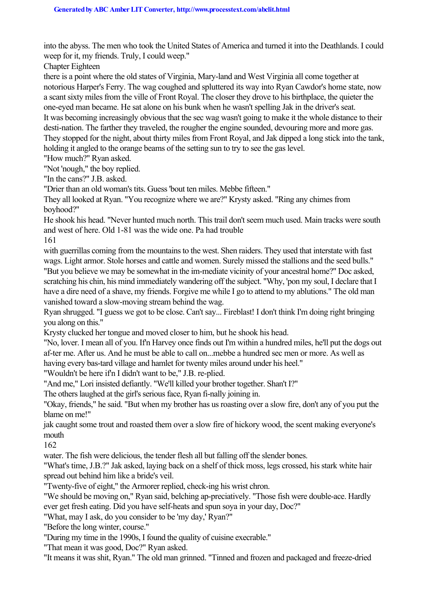into the abyss. The men who took the United States of America and turned it into the Deathlands. I could weep for it, my friends. Truly, I could weep."

Chapter Eighteen

there is a point where the old states of Virginia, Mary-land and West Virginia all come together at notorious Harper's Ferry. The wag coughed and spluttered its way into Ryan Cawdor's home state, now a scant sixty miles from the ville of Front Royal. The closer they drove to his birthplace, the quieter the one-eyed man became. He sat alone on his bunk when he wasn't spelling Jak in the driver's seat. It was becoming increasingly obvious that the sec wag wasn't going to make it the whole distance to their desti-nation. The farther they traveled, the rougher the engine sounded, devouring more and more gas. They stopped for the night, about thirty miles from Front Royal, and Jak dipped a long stick into the tank, holding it angled to the orange beams of the setting sun to try to see the gas level.

"How much?" Ryan asked.

"Not 'nough," the boy replied.

"In the cans?" J.B. asked.

"Drier than an old woman's tits. Guess 'bout ten miles. Mebbe fifteen."

They all looked at Ryan. "You recognize where we are?" Krysty asked. "Ring any chimes from boyhood?"

He shook his head. "Never hunted much north. This trail don't seem much used. Main tracks were south and west of here. Old 1-81 was the wide one. Pa had trouble

161

with guerrillas coming from the mountains to the west. Shen raiders. They used that interstate with fast wags. Light armor. Stole horses and cattle and women. Surely missed the stallions and the seed bulls." "But you believe we may be somewhat in the im-mediate vicinity of your ancestral home?" Doc asked, scratching his chin, his mind immediately wandering off the subject. "Why, 'pon my soul, I declare that I have a dire need of a shave, my friends. Forgive me while I go to attend to my ablutions." The old man vanished toward a slow-moving stream behind the wag.

Ryan shrugged. "I guess we got to be close. Can't say... Fireblast! I don't think I'm doing right bringing you along on this."

Krysty clucked her tongue and moved closer to him, but he shook his head.

"No, lover. I mean all of you. If'n Harvey once finds out I'm within a hundred miles, he'll put the dogs out af-ter me. After us. And he must be able to call on...mebbe a hundred sec men or more. As well as having every bas-tard village and hamlet for twenty miles around under his heel."

"Wouldn't be here if'n I didn't want to be," J.B. re-plied.

"And me," Lori insisted defiantly. "We'll killed your brother together. Shan't I?"

The others laughed at the girl's serious face, Ryan fi-nally joining in.

"Okay, friends," he said. "But when my brother has us roasting over a slow fire, don't any of you put the blame on me!"

jak caught some trout and roasted them over a slow fire of hickory wood, the scent making everyone's mouth

162

water. The fish were delicious, the tender flesh all but falling off the slender bones.

"What's time, J.B.?" Jak asked, laying back on a shelf of thick moss, legs crossed, his stark white hair spread out behind him like a bride's veil.

"Twenty-five of eight," the Armorer replied, check-ing his wrist chron.

"We should be moving on," Ryan said, belching ap-preciatively. "Those fish were double-ace. Hardly ever get fresh eating. Did you have self-heats and spun soya in your day, Doc?"

"What, may I ask, do you consider to be 'my day,' Ryan?"

"Before the long winter, course."

"During my time in the 1990s, I found the quality of cuisine execrable."

"That mean it was good, Doc?" Ryan asked.

"It means it was shit, Ryan." The old man grinned. "Tinned and frozen and packaged and freeze-dried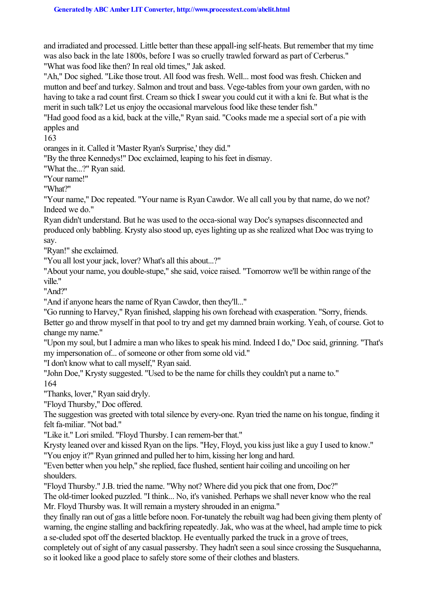and irradiated and processed. Little better than these appall-ing self-heats. But remember that my time was also back in the late 1800s, before I was so cruelly trawled forward as part of Cerberus." "What was food like then? In real old times," Jak asked.

"Ah," Doc sighed. "Like those trout. All food was fresh. Well... most food was fresh. Chicken and mutton and beef and turkey. Salmon and trout and bass. Vege-tables from your own garden, with no having to take a rad count first. Cream so thick I swear you could cut it with a kni fe. But what is the merit in such talk? Let us enjoy the occasional marvelous food like these tender fish."

"Had good food as a kid, back at the ville," Ryan said. "Cooks made me a special sort of a pie with apples and

163

oranges in it. Called it 'Master Ryan's Surprise,' they did."

"By the three Kennedys!" Doc exclaimed, leaping to his feet in dismay.

"What the...?" Ryan said.

"Your name!"

"What?"

"Your name," Doc repeated. "Your name is Ryan Cawdor. We all call you by that name, do we not? Indeed we do."

Ryan didn't understand. But he was used to the occa-sional way Doc's synapses disconnected and produced only babbling. Krysty also stood up, eyes lighting up as she realized what Doc was trying to say.

"Ryan!" she exclaimed.

"You all lost your jack, lover? What's all this about...?"

"About your name, you double-stupe," she said, voice raised. "Tomorrow we'll be within range of the ville."

"And?"

"And if anyone hears the name of Ryan Cawdor, then they'll..."

"Go running to Harvey," Ryan finished, slapping his own forehead with exasperation. "Sorry, friends.

Better go and throw myself in that pool to try and get my damned brain working. Yeah, of course. Got to change my name."

"Upon my soul, but I admire a man who likes to speak his mind. Indeed I do," Doc said, grinning. "That's my impersonation of... of someone or other from some old vid."

"I don't know what to call myself," Ryan said.

"John Doe," Krysty suggested. "Used to be the name for chills they couldn't put a name to."

164

"Thanks, lover," Ryan said dryly.

"Floyd Thursby," Doc offered.

The suggestion was greeted with total silence by every-one. Ryan tried the name on his tongue, finding it felt fa-miliar. "Not bad."

"Like it." Lori smiled. "Floyd Thursby. I can remem-ber that."

Krysty leaned over and kissed Ryan on the lips. "Hey, Floyd, you kiss just like a guy I used to know." "You enjoy it?" Ryan grinned and pulled her to him, kissing her long and hard.

"Even better when you help," she replied, face flushed, sentient hair coiling and uncoiling on her shoulders.

"Floyd Thursby." J.B. tried the name. "Why not? Where did you pick that one from, Doc?"

The old-timer looked puzzled. "I think... No, it's vanished. Perhaps we shall never know who the real Mr. Floyd Thursby was. It will remain a mystery shrouded in an enigma."

they finally ran out of gas a little before noon. For-tunately the rebuilt wag had been giving them plenty of warning, the engine stalling and backfiring repeatedly. Jak, who was at the wheel, had ample time to pick a se-cluded spot off the deserted blacktop. He eventually parked the truck in a grove of trees,

completely out of sight of any casual passersby. They hadn't seen a soul since crossing the Susquehanna, so it looked like a good place to safely store some of their clothes and blasters.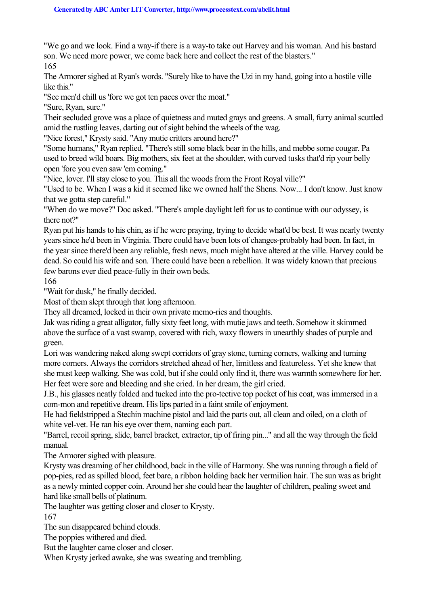"We go and we look. Find a way-if there is a way-to take out Harvey and his woman. And his bastard son. We need more power, we come back here and collect the rest of the blasters." 165

The Armorer sighed at Ryan's words. "Surely like to have the Uzi in my hand, going into a hostile ville like this."

"Sec men'd chill us 'fore we got ten paces over the moat."

"Sure, Ryan, sure."

Their secluded grove was a place of quietness and muted grays and greens. A small, furry animal scuttled amid the rustling leaves, darting out of sight behind the wheels of the wag.

"Nice forest," Krysty said. "Any mutie critters around here?"

"Some humans," Ryan replied. "There's still some black bear in the hills, and mebbe some cougar. Pa used to breed wild boars. Big mothers, six feet at the shoulder, with curved tusks that'd rip your belly open 'fore you even saw 'em coming."

"Nice, lover. I'll stay close to you. This all the woods from the Front Royal ville?"

"Used to be. When I was a kid it seemed like we owned half the Shens. Now... I don't know. Just know that we gotta step careful."

"When do we move?" Doc asked. "There's ample daylight left for us to continue with our odyssey, is there not?"

Ryan put his hands to his chin, as if he were praying, trying to decide what'd be best. It was nearly twenty years since he'd been in Virginia. There could have been lots of changes-probably had been. In fact, in the year since there'd been any reliable, fresh news, much might have altered at the ville. Harvey could be dead. So could his wife and son. There could have been a rebellion. It was widely known that precious few barons ever died peace-fully in their own beds.

166

"Wait for dusk," he finally decided.

Most of them slept through that long afternoon.

They all dreamed, locked in their own private memo-ries and thoughts.

Jak was riding a great alligator, fully sixty feet long, with mutie jaws and teeth. Somehow it skimmed above the surface of a vast swamp, covered with rich, waxy flowers in unearthly shades of purple and green.

Lori was wandering naked along swept corridors of gray stone, turning corners, walking and turning more corners. Always the corridors stretched ahead of her, limitless and featureless. Yet she knew that she must keep walking. She was cold, but if she could only find it, there was warmth somewhere for her. Her feet were sore and bleeding and she cried. In her dream, the girl cried.

J.B., his glasses neatly folded and tucked into the pro-tective top pocket of his coat, was immersed in a com-mon and repetitive dream. His lips parted in a faint smile of enjoyment.

He had fieldstripped a Stechin machine pistol and laid the parts out, all clean and oiled, on a cloth of white vel-vet. He ran his eve over them, naming each part.

"Barrel, recoil spring, slide, barrel bracket, extractor, tip of firing pin..." and all the way through the field manual.

The Armorer sighed with pleasure.

Krysty was dreaming of her childhood, back in the ville of Harmony. She was running through a field of pop-pies, red as spilled blood, feet bare, a ribbon holding back her vermilion hair. The sun was as bright as a newly minted copper coin. Around her she could hear the laughter of children, pealing sweet and hard like small bells of platinum.

The laughter was getting closer and closer to Krysty.

167

The sun disappeared behind clouds.

The poppies withered and died.

But the laughter came closer and closer.

When Krysty jerked awake, she was sweating and trembling.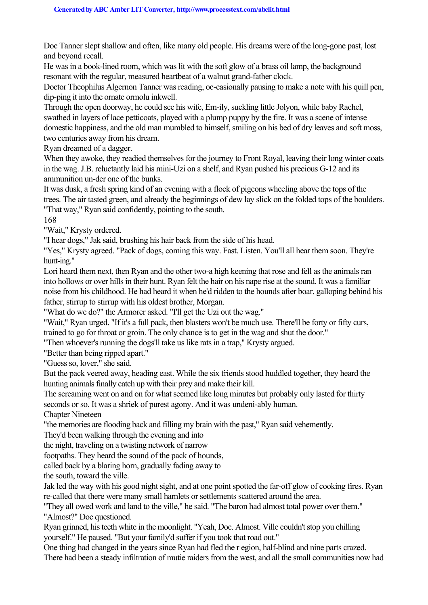Doc Tanner slept shallow and often, like many old people. His dreams were of the long-gone past, lost and beyond recall.

He was in a book-lined room, which was lit with the soft glow of a brass oil lamp, the background resonant with the regular, measured heartbeat of a walnut grand-father clock.

Doctor Theophilus Algernon Tanner was reading, oc-casionally pausing to make a note with his quill pen, dip-ping it into the ornate ormolu inkwell.

Through the open doorway, he could see his wife, Em-ily, suckling little Jolyon, while baby Rachel, swathed in layers of lace petticoats, played with a plump puppy by the fire. It was a scene of intense domestic happiness, and the old man mumbled to himself, smiling on his bed of dry leaves and soft moss, two centuries away from his dream.

Ryan dreamed of a dagger.

When they awoke, they readied themselves for the journey to Front Royal, leaving their long winter coats in the wag. J.B. reluctantly laid his mini-Uzi on a shelf, and Ryan pushed his precious G-12 and its ammunition un-der one of the bunks.

It was dusk, a fresh spring kind of an evening with a flock of pigeons wheeling above the tops of the trees. The air tasted green, and already the beginnings of dew lay slick on the folded tops of the boulders. "That way," Ryan said confidently, pointing to the south.

168

"Wait," Krysty ordered.

"I hear dogs," Jak said, brushing his hair back from the side of his head.

"Yes," Krysty agreed. "Pack of dogs, coming this way. Fast. Listen. You'll all hear them soon. They're hunt-ing."

Lori heard them next, then Ryan and the other two-a high keening that rose and fell as the animals ran into hollows or over hills in their hunt. Ryan felt the hair on his nape rise at the sound. It was a familiar noise from his childhood. He had heard it when he'd ridden to the hounds after boar, galloping behind his father, stirrup to stirrup with his oldest brother, Morgan.

"What do we do?" the Armorer asked. "I'll get the Uzi out the wag."

"Wait," Ryan urged. "If it's a full pack, then blasters won't be much use. There'll be forty or fifty curs, trained to go for throat or groin. The only chance is to get in the wag and shut the door."

"Then whoever's running the dogs'll take us like rats in a trap," Krysty argued.

"Better than being ripped apart."

"Guess so, lover," she said.

But the pack veered away, heading east. While the six friends stood huddled together, they heard the hunting animals finally catch up with their prey and make their kill.

The screaming went on and on for what seemed like long minutes but probably only lasted for thirty seconds or so. It was a shriek of purest agony. And it was undeni-ably human.

Chapter Nineteen

"the memories are flooding back and filling my brain with the past," Ryan said vehemently.

They'd been walking through the evening and into

the night, traveling on a twisting network of narrow

footpaths. They heard the sound of the pack of hounds,

called back by a blaring horn, gradually fading away to

the south, toward the ville.

Jak led the way with his good night sight, and at one point spotted the far-off glow of cooking fires. Ryan re-called that there were many small hamlets or settlements scattered around the area.

"They all owed work and land to the ville," he said. "The baron had almost total power over them." "Almost?" Doc questioned.

Ryan grinned, his teeth white in the moonlight. "Yeah, Doc. Almost. Ville couldn't stop you chilling yourself." He paused. "But your family'd suffer if you took that road out."

One thing had changed in the years since Ryan had fled the r egion, half-blind and nine parts crazed. There had been a steady infiltration of mutie raiders from the west, and all the small communities now had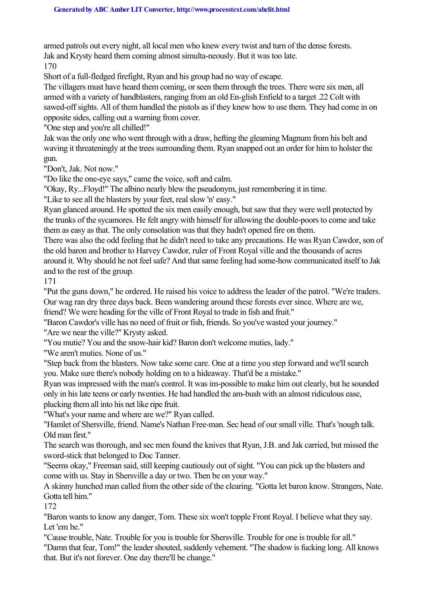armed patrols out every night, all local men who knew every twist and turn of the dense forests. Jak and Krysty heard them coming almost simulta-neously. But it was too late. 170

Short of a full-fledged firefight, Ryan and his group had no way of escape.

The villagers must have heard them coming, or seen them through the trees. There were six men, all armed with a variety of handblasters, ranging from an old En-glish Enfield to a target .22 Colt with sawed-off sights. All of them handled the pistols as if they knew how to use them. They had come in on opposite sides, calling out a warning from cover.

"One step and you're all chilled!"

Jak was the only one who went through with a draw, hefting the gleaming Magnum from his belt and waving it threateningly at the trees surrounding them. Ryan snapped out an order for him to holster the gun.

"Don't, Jak. Not now."

"Do like the one-eye says," came the voice, soft and calm.

"Okay, Ry...Floyd!" The albino nearly blew the pseudonym, just remembering it in time.

"Like to see all the blasters by your feet, real slow 'n' easy."

Ryan glanced around. He spotted the six men easily enough, but saw that they were well protected by the trunks of the sycamores. He felt angry with himself for allowing the double-poors to come and take them as easy as that. The only consolation was that they hadn't opened fire on them.

There was also the odd feeling that he didn't need to take any precautions. He was Ryan Cawdor, son of the old baron and brother to Harvey Cawdor, ruler of Front Royal ville and the thousands of acres around it. Why should he not feel safe? And that same feeling had some-how communicated itself to Jak and to the rest of the group.

171

"Put the guns down," he ordered. He raised his voice to address the leader of the patrol. "We're traders. Our wag ran dry three days back. Been wandering around these forests ever since. Where are we,

friend? We were heading for the ville of Front Royal to trade in fish and fruit."

"Baron Cawdor's ville has no need of fruit or fish, friends. So you've wasted your journey."

"Are we near the ville?" Krysty asked.

"You mutie? You and the snow-hair kid? Baron don't welcome muties, lady."

"We aren't muties. None of us."

"Step back from the blasters. Now take some care. One at a time you step forward and we'll search you. Make sure there's nobody holding on to a hideaway. That'd be a mistake."

Ryan was impressed with the man's control. It was im-possible to make him out clearly, but he sounded only in his late teens or early twenties. He had handled the am-bush with an almost ridiculous ease, plucking them all into his net like ripe fruit.

"What's your name and where are we?" Ryan called.

"Hamlet of Shersville, friend. Name's Nathan Free-man. Sec head of our small ville. That's 'nough talk. Old man first."

The search was thorough, and sec men found the knives that Ryan, J.B. and Jak carried, but missed the sword-stick that belonged to Doc Tanner.

"Seems okay," Freeman said, still keeping cautiously out of sight. "You can pick up the blasters and come with us. Stay in Shersville a day or two. Then be on your way."

A skinny hunched man called from the other side of the clearing. "Gotta let baron know. Strangers, Nate. Gotta tell him."

172

"Baron wants to know any danger, Tom. These six won't topple Front Royal. I believe what they say. Let 'em be."

"Cause trouble, Nate. Trouble for you is trouble for Shersville. Trouble for one is trouble for all." "Damn that fear, Tom!" the leader shouted, suddenly vehement. "The shadow is fucking long. All knows that. But it's not forever. One day there'll be change."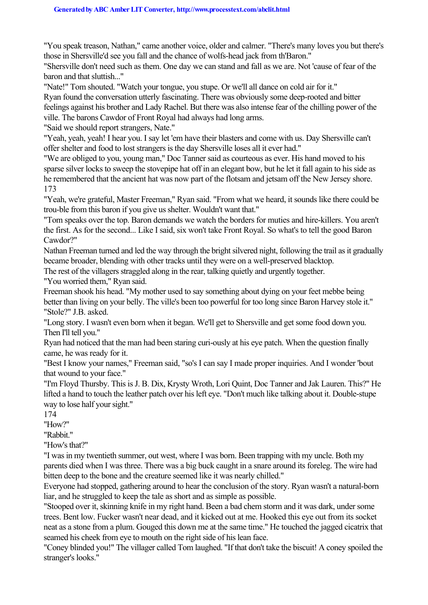"You speak treason, Nathan," came another voice, older and calmer. "There's many loves you but there's those in Shersville'd see you fall and the chance of wolfs-head jack from th'Baron."

"Shersville don't need such as them. One day we can stand and fall as we are. Not 'cause of fear of the baron and that sluttish."

"Nate!" Tom shouted. "Watch your tongue, you stupe. Or we'll all dance on cold air for it." Ryan found the conversation utterly fascinating. There was obviously some deep-rooted and bitter feelings against his brother and Lady Rachel. But there was also intense fear of the chilling power of the ville. The barons Cawdor of Front Royal had always had long arms.

"Said we should report strangers, Nate."

"Yeah, yeah, yeah! I hear you. I say let 'em have their blasters and come with us. Day Shersville can't offer shelter and food to lost strangers is the day Shersville loses all it ever had."

"We are obliged to you, young man," Doc Tanner said as courteous as ever. His hand moved to his sparse silver locks to sweep the stovepipe hat off in an elegant bow, but he let it fall again to his side as he remembered that the ancient hat was now part of the flotsam and jetsam off the New Jersey shore. 173

"Yeah, we're grateful, Master Freeman," Ryan said. "From what we heard, it sounds like there could be trou-ble from this baron if you give us shelter. Wouldn't want that."

"Tom speaks over the top. Baron demands we watch the borders for muties and hire-killers. You aren't the first. As for the second... Like I said, six won't take Front Royal. So what's to tell the good Baron Cawdor?"

Nathan Freeman turned and led the way through the bright silvered night, following the trail as it gradually became broader, blending with other tracks until they were on a well-preserved blacktop.

The rest of the villagers straggled along in the rear, talking quietly and urgently together.

"You worried them," Ryan said.

Freeman shook his head. "My mother used to say something about dying on your feet mebbe being better than living on your belly. The ville's been too powerful for too long since Baron Harvey stole it." "Stole?" J.B. asked.

"Long story. I wasn't even born when it began. We'll get to Shersville and get some food down you. Then I'll tell you."

Ryan had noticed that the man had been staring curi-ously at his eye patch. When the question finally came, he was ready for it.

"Best I know your names," Freeman said, "so's I can say I made proper inquiries. And I wonder 'bout that wound to your face."

"I'm Floyd Thursby. This is J. B. Dix, Krysty Wroth, Lori Quint, Doc Tanner and Jak Lauren. This?" He lifted a hand to touch the leather patch over his left eye. "Don't much like talking about it. Double-stupe way to lose half your sight."

174

"How?"

"Rabbit."

"How's that?"

"I was in my twentieth summer, out west, where I was born. Been trapping with my uncle. Both my parents died when I was three. There was a big buck caught in a snare around its foreleg. The wire had bitten deep to the bone and the creature seemed like it was nearly chilled."

Everyone had stopped, gathering around to hear the conclusion of the story. Ryan wasn't a natural-born liar, and he struggled to keep the tale as short and as simple as possible.

"Stooped over it, skinning knife in my right hand. Been a bad chem storm and it was dark, under some trees. Bent low. Fucker wasn't near dead, and it kicked out at me. Hooked this eye out from its socket neat as a stone from a plum. Gouged this down me at the same time." He touched the jagged cicatrix that seamed his cheek from eye to mouth on the right side of his lean face.

"Coney blinded you!" The villager called Tom laughed. "If that don't take the biscuit! A coney spoiled the stranger's looks."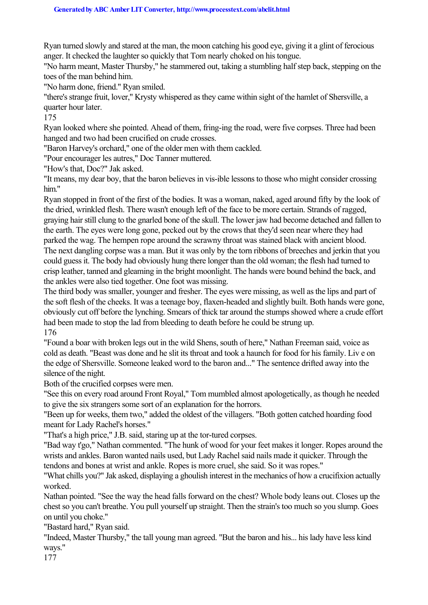Ryan turned slowly and stared at the man, the moon catching his good eye, giving it a glint of ferocious anger. It checked the laughter so quickly that Tom nearly choked on his tongue.

"No harm meant, Master Thursby," he stammered out, taking a stumbling half step back, stepping on the toes of the man behind him.

"No harm done, friend." Ryan smiled.

"there's strange fruit, lover," Krysty whispered as they came within sight of the hamlet of Shersville, a quarter hour later.

175

Ryan looked where she pointed. Ahead of them, fring-ing the road, were five corpses. Three had been hanged and two had been crucified on crude crosses.

"Baron Harvey's orchard," one of the older men with them cackled.

"Pour encourager les autres," Doc Tanner muttered.

"How's that, Doc?" Jak asked.

"It means, my dear boy, that the baron believes in vis-ible lessons to those who might consider crossing him."

Ryan stopped in front of the first of the bodies. It was a woman, naked, aged around fifty by the look of the dried, wrinkled flesh. There wasn't enough left of the face to be more certain. Strands of ragged, graying hair still clung to the gnarled bone of the skull. The lower jaw had become detached and fallen to the earth. The eyes were long gone, pecked out by the crows that they'd seen near where they had parked the wag. The hempen rope around the scrawny throat was stained black with ancient blood. The next dangling corpse was a man. But it was only by the torn ribbons of breeches and jerkin that you could guess it. The body had obviously hung there longer than the old woman; the flesh had turned to crisp leather, tanned and gleaming in the bright moonlight. The hands were bound behind the back, and the ankles were also tied together. One foot was missing.

The third body was smaller, younger and fresher. The eyes were missing, as well as the lips and part of the soft flesh of the cheeks. It was a teenage boy, flaxen-headed and slightly built. Both hands were gone, obviously cut off before the lynching. Smears of thick tar around the stumps showed where a crude effort had been made to stop the lad from bleeding to death before he could be strung up. 176

"Found a boar with broken legs out in the wild Shens, south of here," Nathan Freeman said, voice as cold as death. "Beast was done and he slit its throat and took a haunch for food for his family. Liv e on the edge of Shersville. Someone leaked word to the baron and..." The sentence drifted away into the silence of the night.

Both of the crucified corpses were men.

"See this on every road around Front Royal," Tom mumbled almost apologetically, as though he needed to give the six strangers some sort of an explanation for the horrors.

"Been up for weeks, them two," added the oldest of the villagers. "Both gotten catched hoarding food meant for Lady Rachel's horses."

"That's a high price," J.B. said, staring up at the tor-tured corpses.

"Bad way t'go," Nathan commented. "The hunk of wood for your feet makes it longer. Ropes around the wrists and ankles. Baron wanted nails used, but Lady Rachel said nails made it quicker. Through the tendons and bones at wrist and ankle. Ropes is more cruel, she said. So it was ropes."

"What chills you?" Jak asked, displaying a ghoulish interest in the mechanics of how a crucifixion actually worked.

Nathan pointed. "See the way the head falls forward on the chest? Whole body leans out. Closes up the chest so you can't breathe. You pull yourself up straight. Then the strain's too much so you slump. Goes on until you choke."

"Bastard hard," Ryan said.

"Indeed, Master Thursby," the tall young man agreed. "But the baron and his... his lady have less kind ways."

177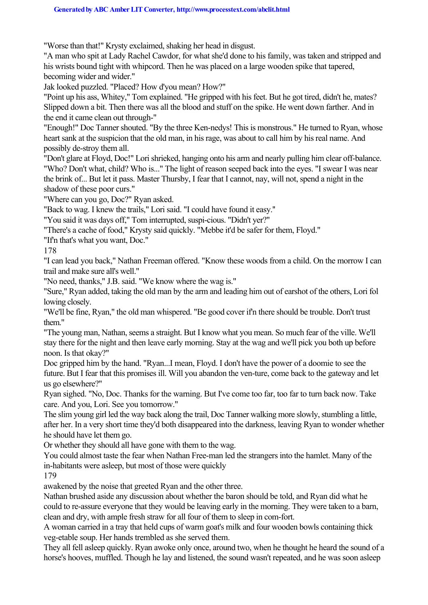"Worse than that!" Krysty exclaimed, shaking her head in disgust.

"A man who spit at Lady Rachel Cawdor, for what she'd done to his family, was taken and stripped and his wrists bound tight with whipcord. Then he was placed on a large wooden spike that tapered, becoming wider and wider."

Jak looked puzzled. "Placed? How d'you mean? How?"

"Point up his ass, Whitey," Tom explained. "He gripped with his feet. But he got tired, didn't he, mates? Slipped down a bit. Then there was all the blood and stuff on the spike. He went down farther. And in the end it came clean out through-"

"Enough!" Doc Tanner shouted. "By the three Ken-nedys! This is monstrous." He turned to Ryan, whose heart sank at the suspicion that the old man, in his rage, was about to call him by his real name. And possibly de-stroy them all.

"Don't glare at Floyd, Doc!" Lori shrieked, hanging onto his arm and nearly pulling him clear off-balance. "Who? Don't what, child? Who is..." The light of reason seeped back into the eyes. "I swear I was near the brink of... But let it pass. Master Thursby, I fear that I cannot, nay, will not, spend a night in the shadow of these poor curs."

"Where can you go, Doc?" Ryan asked.

"Back to wag. I knew the trails," Lori said. "I could have found it easy.''

"You said it was days off," Tom interrupted, suspi-cious. "Didn't yer?"

"There's a cache of food," Krysty said quickly. "Mebbe it'd be safer for them, Floyd."

"If'n that's what you want, Doc."

178

"I can lead you back," Nathan Freeman offered. "Know these woods from a child. On the morrow I can trail and make sure all's well."

"No need, thanks," J.B. said. "We know where the wag is."

"Sure," Ryan added, taking the old man by the arm and leading him out of earshot of the others, Lori fol lowing closely.

"We'll be fine, Ryan," the old man whispered. "Be good cover if'n there should be trouble. Don't trust them."

"The young man, Nathan, seems a straight. But I know what you mean. So much fear of the ville. We'll stay there for the night and then leave early morning. Stay at the wag and we'll pick you both up before noon. Is that okay?"

Doc gripped him by the hand. "Ryan...I mean, Floyd. I don't have the power of a doomie to see the future. But I fear that this promises ill. Will you abandon the ven-ture, come back to the gateway and let us go elsewhere?"

Ryan sighed. "No, Doc. Thanks for the warning. But I've come too far, too far to turn back now. Take care. And you, Lori. See you tomorrow."

The slim young girl led the way back along the trail, Doc Tanner walking more slowly, stumbling a little, after her. In a very short time they'd both disappeared into the darkness, leaving Ryan to wonder whether he should have let them go.

Or whether they should all have gone with them to the wag.

You could almost taste the fear when Nathan Free-man led the strangers into the hamlet. Many of the in-habitants were asleep, but most of those were quickly

179

awakened by the noise that greeted Ryan and the other three.

Nathan brushed aside any discussion about whether the baron should be told, and Ryan did what he could to re-assure everyone that they would be leaving early in the morning. They were taken to a barn, clean and dry, with ample fresh straw for all four of them to sleep in com-fort.

A woman carried in a tray that held cups of warm goat's milk and four wooden bowls containing thick veg-etable soup. Her hands trembled as she served them.

They all fell asleep quickly. Ryan awoke only once, around two, when he thought he heard the sound of a horse's hooves, muffled. Though he lay and listened, the sound wasn't repeated, and he was soon asleep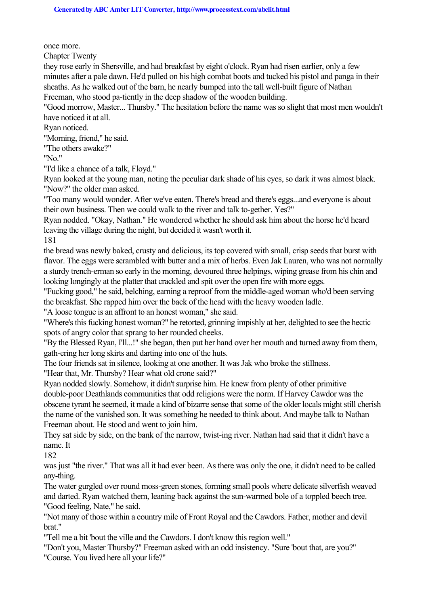once more.

Chapter Twenty

they rose early in Shersville, and had breakfast by eight o'clock. Ryan had risen earlier, only a few minutes after a pale dawn. He'd pulled on his high combat boots and tucked his pistol and panga in their sheaths. As he walked out of the barn, he nearly bumped into the tall well-built figure of Nathan Freeman, who stood pa-tiently in the deep shadow of the wooden building.

"Good morrow, Master... Thursby." The hesitation before the name was so slight that most men wouldn't have noticed it at all.

Ryan noticed.

"Morning, friend," he said.

"The others awake?"

"No."

"I'd like a chance of a talk, Floyd."

Ryan looked at the young man, noting the peculiar dark shade of his eyes, so dark it was almost black. "Now?" the older man asked.

"Too many would wonder. After we've eaten. There's bread and there's eggs...and everyone is about their own business. Then we could walk to the river and talk to-gether. Yes?"

Ryan nodded. "Okay, Nathan." He wondered whether he should ask him about the horse he'd heard leaving the village during the night, but decided it wasn't worth it.

181

the bread was newly baked, crusty and delicious, its top covered with small, crisp seeds that burst with flavor. The eggs were scrambled with butter and a mix of herbs. Even Jak Lauren, who was not normally a sturdy trench-erman so early in the morning, devoured three helpings, wiping grease from his chin and looking longingly at the platter that crackled and spit over the open fire with more eggs.

"Fucking good," he said, belching, earning a reproof from the middle-aged woman who'd been serving the breakfast. She rapped him over the back of the head with the heavy wooden ladle.

"A loose tongue is an affront to an honest woman," she said.

"Where's this fucking honest woman?" he retorted, grinning impishly at her, delighted to see the hectic spots of angry color that sprang to her rounded cheeks.

"By the Blessed Ryan, I'll...!" she began, then put her hand over her mouth and turned away from them, gath-ering her long skirts and darting into one of the huts.

The four friends sat in silence, looking at one another. It was Jak who broke the stillness. "Hear that, Mr. Thursby? Hear what old crone said?"

Ryan nodded slowly. Somehow, it didn't surprise him. He knew from plenty of other primitive double-poor Deathlands communities that odd religions were the norm. If Harvey Cawdor was the obscene tyrant he seemed, it made a kind of bizarre sense that some of the older locals might still cherish the name of the vanished son. It was something he needed to think about. And maybe talk to Nathan Freeman about. He stood and went to join him.

They sat side by side, on the bank of the narrow, twist-ing river. Nathan had said that it didn't have a name. It

182

was just "the river." That was all it had ever been. As there was only the one, it didn't need to be called any-thing.

The water gurgled over round moss-green stones, forming small pools where delicate silverfish weaved and darted. Ryan watched them, leaning back against the sun-warmed bole of a toppled beech tree. "Good feeling, Nate," he said.

"Not many of those within a country mile of Front Royal and the Cawdors. Father, mother and devil brat."

"Tell me a bit 'bout the ville and the Cawdors. I don't know this region well."

"Don't you, Master Thursby?" Freeman asked with an odd insistency. "Sure 'bout that, are you?" "Course. You lived here all your life?"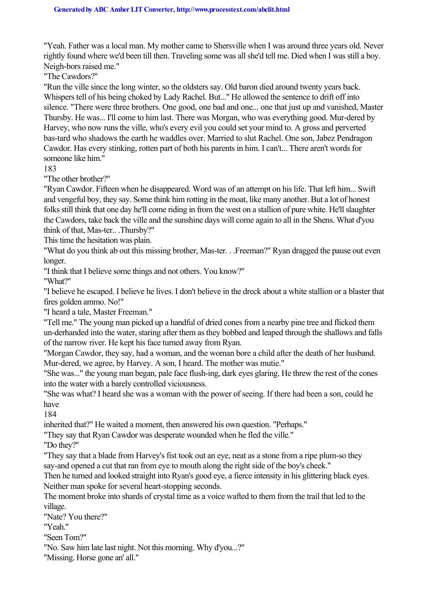"Yeah. Father was a local man. My mother came to Shersville when I was around three years old. Never rightly found where we'd been till then. Traveling some was all she'd tell me. Died when I was still a boy. Neigh-bors raised me."

"The Cawdors?"

"Run the ville since the long winter, so the oldsters say. Old baron died around twenty years back. Whispers tell of his being choked by Lady Rachel. But..." He allowed the sentence to drift off into silence. "There were three brothers. One good, one bad and one... one that just up and vanished, Master Thursby. He was... I'll come to him last. There was Morgan, who was everything good. Mur-dered by Harvey, who now runs the ville, who's every evil you could set your mind to. A gross and perverted bas-tard who shadows the earth he waddles over. Married to slut Rachel. One son, Jabez Pendragon Cawdor. Has every stinking, rotten part of both his parents in him. I can't... There aren't words for someone like him."

183

"The other brother?"

"Ryan Cawdor. Fifteen when he disappeared. Word was of an attempt on his life. That left him... Swift and vengeful boy, they say. Some think him rotting in the moat, like many another. But a lot of honest folks still think that one day he'll come riding in from the west on a stallion of pure white. He'll slaughter the Cawdors, take back the ville and the sunshine days will come again to all in the Shens. What d'you think of that, Mas-ter.. .Thursby?"

This time the hesitation was plain.

"What do you think ab out this missing brother, Mas-ter. . .Freeman?" Ryan dragged the pause out even longer.

"I think that I believe some things and not others. You know?"

"What?"

"I believe he escaped. I believe he lives. I don't believe in the dreck about a white stallion or a blaster that fires golden ammo. No!"

"I heard a tale, Master Freeman."

"Tell me." The young man picked up a handful of dried cones from a nearby pine tree and flicked them un-derhanded into the water, staring after them as they bobbed and leaped through the shallows and falls of the narrow river. He kept his face turned away from Ryan.

"Morgan Cawdor, they say, had a woman, and the woman bore a child after the death of her husband. Mur-dered, we agree, by Harvey. A son, I heard. The mother was mutie."

"She was..." the young man began, pale face flush-ing, dark eyes glaring. He threw the rest of the cones into the water with a barely controlled viciousness.

"She was what? I heard she was a woman with the power of seeing. If there had been a son, could he have

184

inherited that?" He waited a moment, then answered his own question. "Perhaps."

"They say that Ryan Cawdor was desperate wounded when he fled the ville."

"Do they?"

"They say that a blade from Harvey's fist took out an eye, neat as a stone from a ripe plum-so they say-and opened a cut that ran from eye to mouth along the right side of the boy's cheek."

Then he turned and looked straight into Ryan's good eye, a fierce intensity in his glittering black eyes. Neither man spoke for several heart-stopping seconds.

The moment broke into shards of crystal time as a voice wafted to them from the trail that led to the village.

"Nate? You there?"

"Yeah"

"Seen Tom?"

"No. Saw him late last night. Not this morning. Why d'you...?"

"Missing. Horse gone an' all."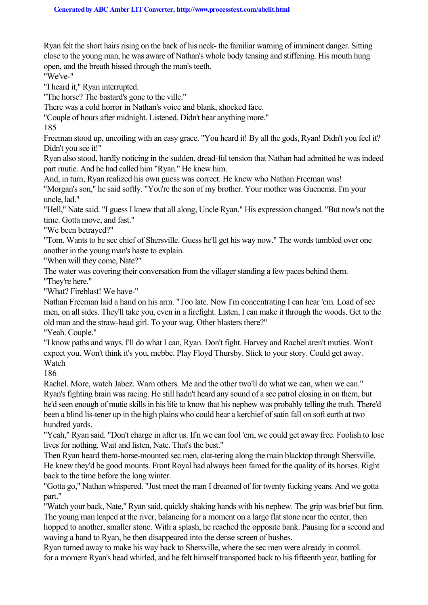Ryan felt the short hairs rising on the back of his neck- the familiar warning of imminent danger. Sitting close to the young man, he was aware of Nathan's whole body tensing and stiffening. His mouth hung open, and the breath hissed through the man's teeth.

"We've-"

"I heard it," Ryan interrupted.

"The horse? The bastard's gone to the ville."

There was a cold horror in Nathan's voice and blank, shocked face.

"Couple of hours after midnight. Listened. Didn't hear anything more."

185

Freeman stood up, uncoiling with an easy grace. "You heard it! By all the gods, Ryan! Didn't you feel it? Didn't you see it!"

Ryan also stood, hardly noticing in the sudden, dread-ful tension that Nathan had admitted he was indeed part rnutie. And he had called him "Ryan." He knew him.

And, in turn, Ryan realized his own guess was correct. He knew who Nathan Freeman was! "Morgan's son," he said softly. "You're the son of my brother. Your mother was Guenema. I'm your uncle, lad."

"Hell," Nate said. "I guess I knew that all along, Uncle Ryan." His expression changed. "But now's not the time. Gotta move, and fast."

"We been betrayed?"

"Tom. Wants to be sec chief of Shersville. Guess he'll get his way now." The words tumbled over one another in the young man's haste to explain.

"When will they come, Nate?"

The water was covering their conversation from the villager standing a few paces behind them.

"They're here."

"What? Fireblast! We have-"

Nathan Freeman laid a hand on his arm. "Too late. Now I'm concentrating I can hear 'em. Load of sec men, on all sides. They'll take you, even in a firefight. Listen, I can make it through the woods. Get to the old man and the straw-head girl. To your wag. Other blasters there?"

"Yeah. Couple."

"I know paths and ways. I'll do what I can, Ryan. Don't fight. Harvey and Rachel aren't muties. Won't expect you. Won't think it's you, mebbe. Play Floyd Thursby. Stick to your story. Could get away. **Watch** 

186

Rachel. More, watch Jabez. Warn others. Me and the other two'll do what we can, when we can." Ryan's fighting brain was racing. He still hadn't heard any sound of a sec patrol closing in on them, but he'd seen enough of mutie skills in his life to know that his nephew was probably telling the truth. There'd been a blind lis-tener up in the high plains who could hear a kerchief of satin fall on soft earth at two hundred yards.

"Yeah," Ryan said. "Don't charge in after us. If n we can fool 'em, we could get away free. Foolish to lose lives for nothing. Wait and listen, Nate. That's the best."

Then Ryan heard them-horse-mounted sec men, clat-tering along the main blacktop through Shersville. He knew they'd be good mounts. Front Royal had always been famed for the quality of its horses. Right back to the time before the long winter.

"Gotta go," Nathan whispered. "Just meet the man I dreamed of for twenty fucking years. And we gotta part."

"Watch your back, Nate," Ryan said, quickly shaking hands with his nephew. The grip was brief but firm. The young man leaped at the river, balancing for a moment on a large flat stone near the center, then hopped to another, smaller stone. With a splash, he reached the opposite bank. Pausing for a second and waving a hand to Ryan, he then disappeared into the dense screen of bushes.

Ryan turned away to make his way back to Shersville, where the sec men were already in control. for a moment Ryan's head whirled, and he felt himself transported back to his fifteenth year, battling for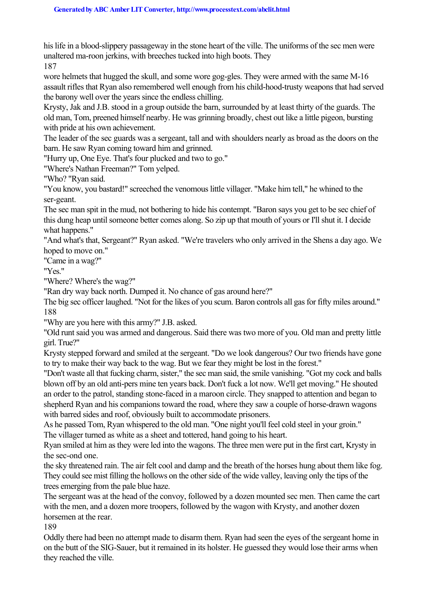his life in a blood-slippery passageway in the stone heart of the ville. The uniforms of the sec men were unaltered ma-roon jerkins, with breeches tucked into high boots. They 187

wore helmets that hugged the skull, and some wore gog-gles. They were armed with the same M-16 assault rifles that Ryan also remembered well enough from his child-hood-trusty weapons that had served the barony well over the years since the endless chilling.

Krysty, Jak and J.B. stood in a group outside the barn, surrounded by at least thirty of the guards. The old man, Tom, preened himself nearby. He was grinning broadly, chest out like a little pigeon, bursting with pride at his own achievement.

The leader of the sec guards was a sergeant, tall and with shoulders nearly as broad as the doors on the barn. He saw Ryan coming toward him and grinned.

"Hurry up, One Eye. That's four plucked and two to go."

"Where's Nathan Freeman?" Tom yelped.

"Who? "Ryan said.

"You know, you bastard!" screeched the venomous little villager. "Make him tell," he whined to the ser-geant.

The sec man spit in the mud, not bothering to hide his contempt. "Baron says you get to be sec chief of this dung heap until someone better comes along. So zip up that mouth of yours or I'll shut it. I decide what happens."

"And what's that, Sergeant?" Ryan asked. "We're travelers who only arrived in the Shens a day ago. We hoped to move on."

"Came in a wag?"

"Yes."

"Where? Where's the wag?"

"Ran dry way back north. Dumped it. No chance of gas around here?"

The big sec officer laughed. "Not for the likes of you scum. Baron controls all gas for fifty miles around." 188

"Why are you here with this army?" J.B. asked.

"Old runt said you was armed and dangerous. Said there was two more of you. Old man and pretty little girl. True?"

Krysty stepped forward and smiled at the sergeant. "Do we look dangerous? Our two friends have gone to try to make their way back to the wag. But we fear they might be lost in the forest."

"Don't waste all that fucking charm, sister," the sec man said, the smile vanishing. "Got my cock and balls blown off by an old anti-pers mine ten years back. Don't fuck a lot now. We'll get moving." He shouted an order to the patrol, standing stone-faced in a maroon circle. They snapped to attention and began to shepherd Ryan and his companions toward the road, where they saw a couple of horse-drawn wagons with barred sides and roof, obviously built to accommodate prisoners.

As he passed Tom, Ryan whispered to the old man. "One night you'll feel cold steel in your groin." The villager turned as white as a sheet and tottered, hand going to his heart.

Ryan smiled at him as they were led into the wagons. The three men were put in the first cart, Krysty in the sec-ond one.

the sky threatened rain. The air felt cool and damp and the breath of the horses hung about them like fog. They could see mist filling the hollows on the other side of the wide valley, leaving only the tips of the trees emerging from the pale blue haze.

The sergeant was at the head of the convoy, followed by a dozen mounted sec men. Then came the cart with the men, and a dozen more troopers, followed by the wagon with Krysty, and another dozen horsemen at the rear.

189

Oddly there had been no attempt made to disarm them. Ryan had seen the eyes of the sergeant home in on the butt of the SIG-Sauer, but it remained in its holster. He guessed they would lose their arms when they reached the ville.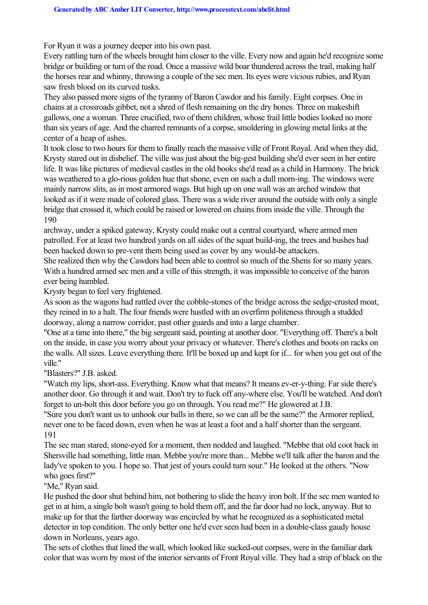For Ryan it was a journey deeper into his own past.

Every rattling turn of the wheels brought him closer to the ville. Every now and again he'd recognize some bridge or building or turn of the road. Once a massive wild boar thundered across the trail, making half the horses rear and whinny, throwing a couple of the sec men. Its eyes were vicious rubies, and Ryan saw fresh blood on its curved tusks.

They also passed more signs of the tyranny of Baron Cawdor and his family. Eight corpses. One in chains at a crossroads gibbet, not a shred of flesh remaining on the dry bones. Three on makeshift gallows, one a woman. Three crucified, two of them children, whose frail little bodies looked no more than six years of age. And the charred remnants of a corpse, smoldering in glowing metal links at the center of a heap of ashes.

It took close to two hours for them to finally reach the massive ville of Front Royal. And when they did, Krysty stared out in disbelief. The ville was just about the big-gest building she'd ever seen in her entire life. It was like pictures of medieval castles in the old books she'd read as a child in Harmony. The brick was weathered to a glo-rious golden hue that shone, even on such a dull morn-ing. The windows were mainly narrow slits, as in most armored wags. But high up on one wall was an arched window that looked as if it were made of colored glass. There was a wide river around the outside with only a single bridge that crossed it, which could be raised or lowered on chains from inside the ville. Through the 190

archway, under a spiked gateway, Krysty could make out a central courtyard, where armed men patrolled. For at least two hundred yards on all sides of the squat build-ing, the trees and bushes had been hacked down to pre-vent them being used as cover by any would-be attackers.

She realized then why the Cawdors had been able to control so much of the Shens for so many years. With a hundred armed sec men and a ville of this strength, it was impossible to conceive of the baron ever being humbled.

Krysty began to feel very frightened.

As soon as the wagons had rattled over the cobble-stones of the bridge across the sedge-crusted moat, they reined in to a halt. The four friends were hustled with an overfirm politeness through a studded doorway, along a narrow corridor, past other guards and into a large chamber.

"One at a time into there," the big sergeant said, pointing at another door. "Everything off. There's a bolt on the inside, in case you worry about your privacy or whatever. There's clothes and boots on racks on the walls. All sizes. Leave everything there. It'll be boxed up and kept for if... for when you get out of the ville."

"Blasters?" J.B. asked.

"Watch my lips, short-ass. Everything. Know what that means? It means ev-er-y-thing. Far side there's another door. Go through it and wait. Don't try to fuck off any-where else. You'll be watched. And don't forget to un-bolt this door before you go on through. You read me?" He glowered at J.B.

"Sure you don't want us to unhook our balls in there, so we can all be the same?" the Armorer replied, never one to be faced down, even when he was at least a foot and a half shorter than the sergeant. 191

The sec man stared, stone-eyed for a moment, then nodded and laughed. "Mebbe that old coot back in Shersville had something, little man. Mebbe you're more than... Mebbe we'll talk after the baron and the lady've spoken to you. I hope so. That jest of yours could turn sour." He looked at the others. "Now who goes first?"

"Me," Ryan said.

He pushed the door shut behind him, not bothering to slide the heavy iron bolt. If the sec men wanted to get in at him, a single bolt wasn't going to hold them off, and the far door had no lock, anyway. But to make up for that the farther doorway was encircled by what he recognized as a sophisticated metal detector in top condition. The only better one he'd ever seen had been in a double-class gaudy house down in Norleans, years ago.

The sets of clothes that lined the wall, which looked like sucked-out corpses, were in the familiar dark color that was worn by most of the interior servants of Front Royal ville. They had a strip of black on the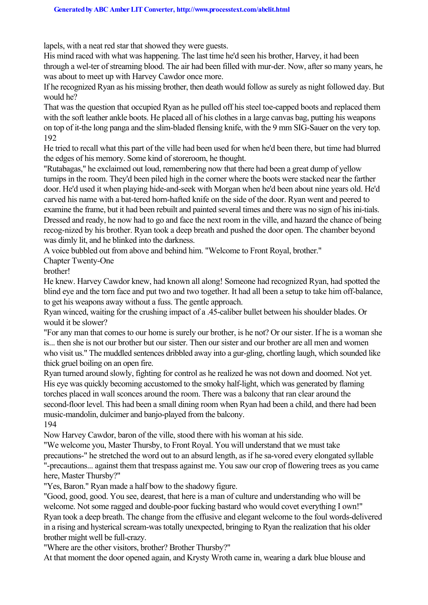lapels, with a neat red star that showed they were guests.

His mind raced with what was happening. The last time he'd seen his brother, Harvey, it had been through a wel-ter of streaming blood. The air had been filled with mur-der. Now, after so many years, he was about to meet up with Harvey Cawdor once more.

If he recognized Ryan as his missing brother, then death would follow as surely as night followed day. But would he?

That was the question that occupied Ryan as he pulled off his steel toe-capped boots and replaced them with the soft leather ankle boots. He placed all of his clothes in a large canvas bag, putting his weapons on top of it-the long panga and the slim-bladed flensing knife, with the 9 mm SIG-Sauer on the very top. 192

He tried to recall what this part of the ville had been used for when he'd been there, but time had blurred the edges of his memory. Some kind of storeroom, he thought.

"Rutabagas," he exclaimed out loud, remembering now that there had been a great dump of yellow turnips in the room. They'd been piled high in the corner where the boots were stacked near the farther door. He'd used it when playing hide-and-seek with Morgan when he'd been about nine years old. He'd carved his name with a bat-tered horn-hafted knife on the side of the door. Ryan went and peered to examine the frame, but it had been rebuilt and painted several times and there was no sign of his ini-tials. Dressed and ready, he now had to go and face the next room in the ville, and hazard the chance of being recog-nized by his brother. Ryan took a deep breath and pushed the door open. The chamber beyond was dimly lit, and he blinked into the darkness.

A voice bubbled out from above and behind him. "Welcome to Front Royal, brother."

Chapter Twenty-One

brother!

He knew. Harvey Cawdor knew, had known all along! Someone had recognized Ryan, had spotted the blind eye and the torn face and put two and two together. It had all been a setup to take him off-balance, to get his weapons away without a fuss. The gentle approach.

Ryan winced, waiting for the crushing impact of a .45-caliber bullet between his shoulder blades. Or would it be slower?

"For any man that comes to our home is surely our brother, is he not? Or our sister. If he is a woman she is... then she is not our brother but our sister. Then our sister and our brother are all men and women who visit us." The muddled sentences dribbled away into a gur-gling, chortling laugh, which sounded like thick gruel boiling on an open fire.

Ryan turned around slowly, fighting for control as he realized he was not down and doomed. Not yet. His eye was quickly becoming accustomed to the smoky half-light, which was generated by flaming torches placed in wall sconces around the room. There was a balcony that ran clear around the second-floor level. This had been a small dining room when Ryan had been a child, and there had been music-mandolin, dulcimer and banjo-played from the balcony. 194

Now Harvey Cawdor, baron of the ville, stood there with his woman at his side.

"We welcome you, Master Thursby, to Front Royal. You will understand that we must take precautions-" he stretched the word out to an absurd length, as if he sa-vored every elongated syllable "-precautions... against them that trespass against me. You saw our crop of flowering trees as you came here, Master Thursby?"

"Yes, Baron." Ryan made a half bow to the shadowy figure.

"Good, good, good. You see, dearest, that here is a man of culture and understanding who will be welcome. Not some ragged and double-poor fucking bastard who would covet everything I own!" Ryan took a deep breath. The change from the effusive and elegant welcome to the foul words-delivered in a rising and hysterical scream-was totally unexpected, bringing to Ryan the realization that his older brother might well be full-crazy.

"Where are the other visitors, brother? Brother Thursby?"

At that moment the door opened again, and Krysty Wroth came in, wearing a dark blue blouse and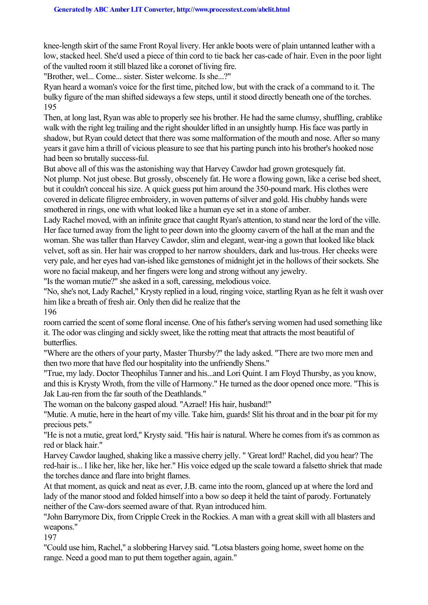knee-length skirt of the same Front Royal livery. Her ankle boots were of plain untanned leather with a low, stacked heel. She'd used a piece of thin cord to tie back her cas-cade of hair. Even in the poor light of the vaulted room it still blazed like a coronet of living fire.

"Brother, wel... Come... sister. Sister welcome. Is she...?"

Ryan heard a woman's voice for the first time, pitched low, but with the crack of a command to it. The bulky figure of the man shifted sideways a few steps, until it stood directly beneath one of the torches. 195

Then, at long last, Ryan was able to properly see his brother. He had the same clumsy, shuffling, crablike walk with the right leg trailing and the right shoulder lifted in an unsightly hump. His face was partly in shadow, but Ryan could detect that there was some malformation of the mouth and nose. After so many years it gave him a thrill of vicious pleasure to see that his parting punch into his brother's hooked nose had been so brutally success-ful.

But above all of this was the astonishing way that Harvey Cawdor had grown grotesquely fat.

Not plump. Not just obese. But grossly, obscenely fat. He wore a flowing gown, like a cerise bed sheet, but it couldn't conceal his size. A quick guess put him around the 350-pound mark. His clothes were covered in delicate filigree embroidery, in woven patterns of silver and gold. His chubby hands were smothered in rings, one with what looked like a human eye set in a stone of amber.

Lady Rachel moved, with an infinite grace that caught Ryan's attention, to stand near the lord of the ville. Her face turned away from the light to peer down into the gloomy cavern of the hall at the man and the woman. She was taller than Harvey Cawdor, slim and elegant, wear-ing a gown that looked like black velvet, soft as sin. Her hair was cropped to her narrow shoulders, dark and lus-trous. Her cheeks were very pale, and her eyes had van-ished like gemstones of midnight jet in the hollows of their sockets. She wore no facial makeup, and her fingers were long and strong without any jewelry.

"Is the woman mutie?" she asked in a soft, caressing, melodious voice.

"No, she's not, Lady Rachel," Krysty replied in a loud, ringing voice, startling Ryan as he felt it wash over him like a breath of fresh air. Only then did he realize that the

196

room carried the scent of some floral incense. One of his father's serving women had used something like it. The odor was clinging and sickly sweet, like the rotting meat that attracts the most beautiful of **butterflies** 

"Where are the others of your party, Master Thursby?'' the lady asked. "There are two more men and then two more that have fled our hospitality into the unfriendly Shens."

"True, my lady. Doctor Theophilus Tanner and his...and Lori Quint. I am Floyd Thursby, as you know, and this is Krysty Wroth, from the ville of Harmony." He turned as the door opened once more. "This is Jak Lau-ren from the far south of the Deathlands."

The woman on the balcony gasped aloud. "Azrael! His hair, husband!"

"Mutie. A mutie, here in the heart of my ville. Take him, guards! Slit his throat and in the boar pit for my precious pets."

"He is not a mutie, great lord," Krysty said. "His hair is natural. Where he comes from it's as common as red or black hair."

Harvey Cawdor laughed, shaking like a massive cherry jelly. " 'Great lord!' Rachel, did you hear? The red-hair is... I like her, like her, like her." His voice edged up the scale toward a falsetto shriek that made the torches dance and flare into bright flames.

At that moment, as quick and neat as ever, J.B. came into the room, glanced up at where the lord and lady of the manor stood and folded himself into a bow so deep it held the taint of parody. Fortunately neither of the Caw-dors seemed aware of that. Ryan introduced him.

"John Barrymore Dix, from Cripple Creek in the Rockies. A man with a great skill with all blasters and weapons."

197

"Could use him, Rachel," a slobbering Harvey said. "Lotsa blasters going home, sweet home on the range. Need a good man to put them together again, again."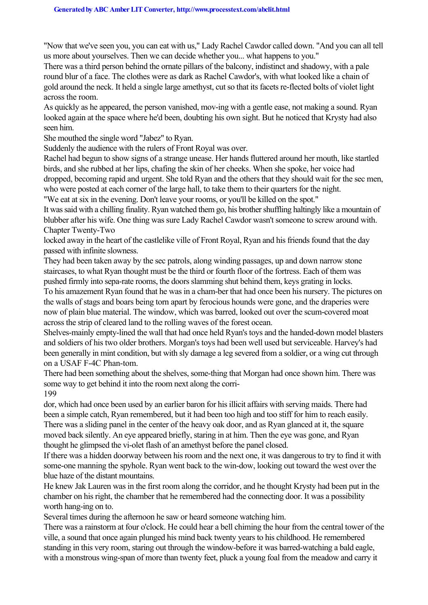"Now that we've seen you, you can eat with us," Lady Rachel Cawdor called down. "And you can all tell us more about yourselves. Then we can decide whether you... what happens to you."

There was a third person behind the ornate pillars of the balcony, indistinct and shadowy, with a pale round blur of a face. The clothes were as dark as Rachel Cawdor's, with what looked like a chain of gold around the neck. It held a single large amethyst, cut so that its facets re-flected bolts of violet light across the room.

As quickly as he appeared, the person vanished, mov-ing with a gentle ease, not making a sound. Ryan looked again at the space where he'd been, doubting his own sight. But he noticed that Krysty had also seen him.

She mouthed the single word "Jabez" to Ryan.

Suddenly the audience with the rulers of Front Royal was over.

Rachel had begun to show signs of a strange unease. Her hands fluttered around her mouth, like startled birds, and she rubbed at her lips, chafing the skin of her cheeks. When she spoke, her voice had dropped, becoming rapid and urgent. She told Ryan and the others that they should wait for the sec men, who were posted at each corner of the large hall, to take them to their quarters for the night.

"We eat at six in the evening. Don't leave your rooms, or you'll be killed on the spot."

It was said with a chilling finality. Ryan watched them go, his brother shuffling haltingly like a mountain of blubber after his wife. One thing was sure Lady Rachel Cawdor wasn't someone to screw around with. Chapter Twenty-Two

locked away in the heart of the castlelike ville of Front Royal, Ryan and his friends found that the day passed with infinite slowness.

They had been taken away by the sec patrols, along winding passages, up and down narrow stone staircases, to what Ryan thought must be the third or fourth floor of the fortress. Each of them was pushed firmly into sepa-rate rooms, the doors slamming shut behind them, keys grating in locks.

To his amazement Ryan found that he was in a cham-ber that had once been his nursery. The pictures on the walls of stags and boars being torn apart by ferocious hounds were gone, and the draperies were now of plain blue material. The window, which was barred, looked out over the scum-covered moat across the strip of cleared land to the rolling waves of the forest ocean.

Shelves-mainly empty-lined the wall that had once held Ryan's toys and the handed-down model blasters and soldiers of his two older brothers. Morgan's toys had been well used but serviceable. Harvey's had been generally in mint condition, but with sly damage a leg severed from a soldier, or a wing cut through on a USAF F-4C Phan-tom.

There had been something about the shelves, some-thing that Morgan had once shown him. There was some way to get behind it into the room next along the corri-199

dor, which had once been used by an earlier baron for his illicit affairs with serving maids. There had been a simple catch, Ryan remembered, but it had been too high and too stiff for him to reach easily. There was a sliding panel in the center of the heavy oak door, and as Ryan glanced at it, the square moved back silently. An eye appeared briefly, staring in at him. Then the eye was gone, and Ryan thought he glimpsed the vi-olet flash of an amethyst before the panel closed.

If there was a hidden doorway between his room and the next one, it was dangerous to try to find it with some-one manning the spyhole. Ryan went back to the win-dow, looking out toward the west over the blue haze of the distant mountains.

He knew Jak Lauren was in the first room along the corridor, and he thought Krysty had been put in the chamber on his right, the chamber that he remembered had the connecting door. It was a possibility worth hang-ing on to.

Several times during the afternoon he saw or heard someone watching him.

There was a rainstorm at four o'clock. He could hear a bell chiming the hour from the central tower of the ville, a sound that once again plunged his mind back twenty years to his childhood. He remembered standing in this very room, staring out through the window-before it was barred-watching a bald eagle, with a monstrous wing-span of more than twenty feet, pluck a young foal from the meadow and carry it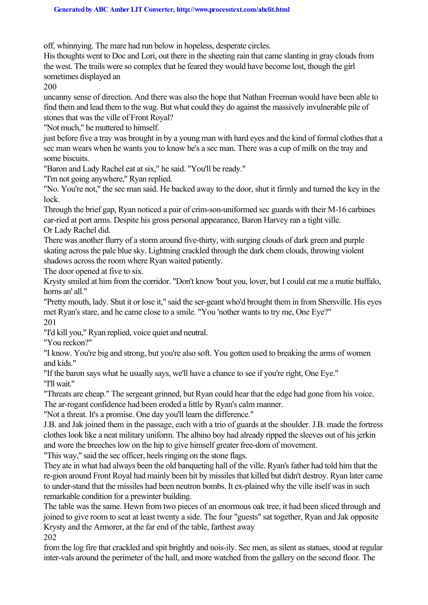off, whinnying. The mare had run below in hopeless, desperate circles.

His thoughts went to Doc and Lori, out there in the sheeting rain that came slanting in gray clouds from the west. The trails were so complex that he feared they would have become lost, though the girl sometimes displayed an

200

uncanny sense of direction. And there was also the hope that Nathan Freeman would have been able to find them and lead them to the wag. But what could they do against the massively invulnerable pile of stones that was the ville of Front Royal?

"Not much," he muttered to himself.

just before five a tray was brought in by a young man with hard eyes and the kind of formal clothes that a sec man wears when he wants you to know he's a sec man. There was a cup of milk on the tray and some biscuits.

"Baron and Lady Rachel eat at six," he said. "You'll be ready."

"I'm not going anywhere," Ryan replied.

"No. You're not," the sec man said. He backed away to the door, shut it firmly and turned the key in the lock.

Through the brief gap, Ryan noticed a pair of crim-son-uniformed sec guards with their M-16 carbines car-ried at port arms. Despite his gross personal appearance, Baron Harvey ran a tight ville. Or Lady Rachel did.

There was another flurry of a storm around five-thirty, with surging clouds of dark green and purple skating across the pale blue sky. Lightning crackled through the dark chem clouds, throwing violent shadows across the room where Ryan waited patiently.

The door opened at five to six.

Krysty smiled at him from the corridor. "Don't know 'bout you, lover, but I could eat me a mutie buffalo, horns an' all."

"Pretty mouth, lady. Shut it or lose it," said the ser-geant who'd brought them in from Shersville. His eyes met Ryan's stare, and he came close to a smile. "You 'nother wants to try me, One Eye?" 201

"I'd kill you," Ryan replied, voice quiet and neutral.

"You reckon?"

"I know. You're big and strong, but you're also soft. You gotten used to breaking the arms of women and kids."

"If the baron says what he usually says, we'll have a chance to see if you're right, One Eye." "I'll wait."

"Threats are cheap." The sergeant grinned, but Ryan could hear that the edge had gone from his voice. The ar-rogant confidence had been eroded a little by Ryan's calm manner.

"Not a threat. It's a promise. One day you'll learn the difference."

J.B. and Jak joined them in the passage, each with a trio of guards at the shoulder. J.B. made the fortress clothes look like a neat military uniform. The albino boy had already ripped the sleeves out of his jerkin and wore the breeches low on the hip to give himself greater free-dom of movement.

"This way," said the sec officer, heels ringing on the stone flags.

They ate in what had always been the old banqueting hall of the ville. Ryan's father had told him that the re-gion around Front Royal had mainly been hit by missiles that killed but didn't destroy. Ryan later came to under-stand that the missiles had been neutron bombs. It ex-plained why the ville itself was in such remarkable condition for a prewinter building.

The table was the same. Hewn from two pieces of an enormous oak tree, it had been sliced through and joined to give room to seat at least twenty a side. The four "guests" sat together, Ryan and Jak opposite Krysty and the Armorer, at the far end of the table, farthest away

202

from the log fire that crackled and spit brightly and nois-ily. Sec men, as silent as statues, stood at regular inter-vals around the perimeter of the hall, and more watched from the gallery on the second floor. The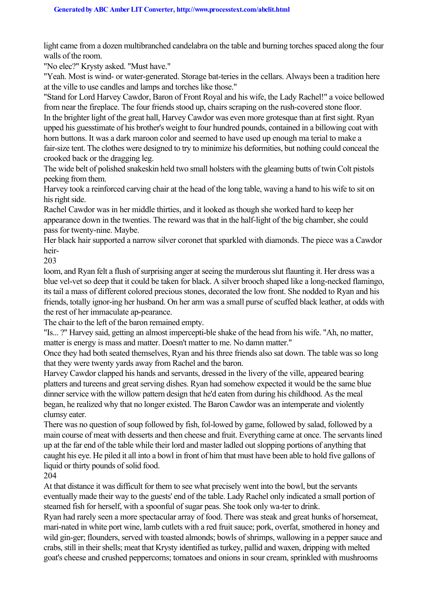light came from a dozen multibranched candelabra on the table and burning torches spaced along the four walls of the room.

"No elec?" Krysty asked. "Must have."

"Yeah. Most is wind- or water-generated. Storage bat-teries in the cellars. Always been a tradition here at the ville to use candles and lamps and torches like those."

"Stand for Lord Harvey Cawdor, Baron of Front Royal and his wife, the Lady Rachel!" a voice bellowed from near the fireplace. The four friends stood up, chairs scraping on the rush-covered stone floor. In the brighter light of the great hall, Harvey Cawdor was even more grotesque than at first sight. Ryan upped his guesstimate of his brother's weight to four hundred pounds, contained in a billowing coat with horn buttons. It was a dark maroon color and seemed to have used up enough ma terial to make a fair-size tent. The clothes were designed to try to minimize his deformities, but nothing could conceal the crooked back or the dragging leg.

The wide belt of polished snakeskin held two small holsters with the gleaming butts of twin Colt pistols peeking from them.

Harvey took a reinforced carving chair at the head of the long table, waving a hand to his wife to sit on his right side.

Rachel Cawdor was in her middle thirties, and it looked as though she worked hard to keep her appearance down in the twenties. The reward was that in the half-light of the big chamber, she could pass for twenty-nine. Maybe.

Her black hair supported a narrow silver coronet that sparkled with diamonds. The piece was a Cawdor heir-

203

loom, and Ryan felt a flush of surprising anger at seeing the murderous slut flaunting it. Her dress was a blue vel-vet so deep that it could be taken for black. A silver brooch shaped like a long-necked flamingo, its tail a mass of different colored precious stones, decorated the low front. She nodded to Ryan and his friends, totally ignor-ing her husband. On her arm was a small purse of scuffed black leather, at odds with the rest of her immaculate ap-pearance.

The chair to the left of the baron remained empty.

"Is... ?" Harvey said, getting an almost impercepti-ble shake of the head from his wife. "Ah, no matter, matter is energy is mass and matter. Doesn't matter to me. No damn matter."

Once they had both seated themselves, Ryan and his three friends also sat down. The table was so long that they were twenty yards away from Rachel and the baron.

Harvey Cawdor clapped his hands and servants, dressed in the livery of the ville, appeared bearing platters and tureens and great serving dishes. Ryan had somehow expected it would be the same blue dinner service with the willow pattern design that he'd eaten from during his childhood. As the meal began, he realized why that no longer existed. The Baron Cawdor was an intemperate and violently clumsy eater.

There was no question of soup followed by fish, fol-lowed by game, followed by salad, followed by a main course of meat with desserts and then cheese and fruit. Everything came at once. The servants lined up at the far end of the table while their lord and master ladled out slopping portions of anything that caught his eye. He piled it all into a bowl in front of him that must have been able to hold five gallons of liquid or thirty pounds of solid food.

204

At that distance it was difficult for them to see what precisely went into the bowl, but the servants eventually made their way to the guests' end of the table. Lady Rachel only indicated a small portion of steamed fish for herself, with a spoonful of sugar peas. She took only wa-ter to drink.

Ryan had rarely seen a more spectacular array of food. There was steak and great hunks of horsemeat, mari-nated in white port wine, lamb cutlets with a red fruit sauce; pork, overfat, smothered in honey and wild gin-ger; flounders, served with toasted almonds; bowls of shrimps, wallowing in a pepper sauce and crabs, still in their shells; meat that Krysty identified as turkey, pallid and waxen, dripping with melted goat's cheese and crushed peppercorns; tomatoes and onions in sour cream, sprinkled with mushrooms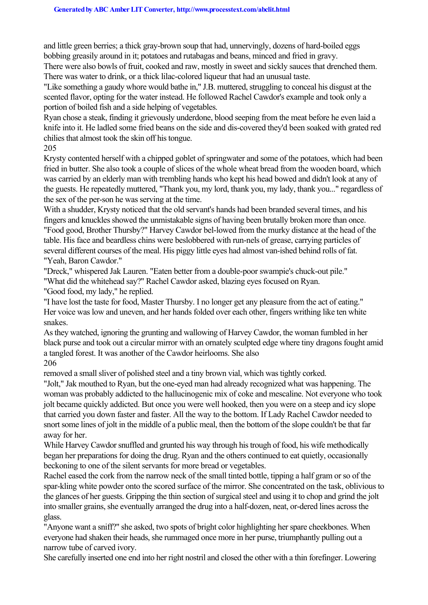and little green berries; a thick gray-brown soup that had, unnervingly, dozens of hard-boiled eggs bobbing greasily around in it; potatoes and rutabagas and beans, minced and fried in gravy.

There were also bowls of fruit, cooked and raw, mostly in sweet and sickly sauces that drenched them. There was water to drink, or a thick lilac-colored liqueur that had an unusual taste.

"Like something a gaudy whore would bathe in," J.B. muttered, struggling to conceal his disgust at the scented flavor, opting for the water instead. He followed Rachel Cawdor's example and took only a portion of boiled fish and a side helping of vegetables.

Ryan chose a steak, finding it grievously underdone, blood seeping from the meat before he even laid a knife into it. He ladled some fried beans on the side and dis-covered they'd been soaked with grated red chilies that almost took the skin off his tongue.

205

Krysty contented herself with a chipped goblet of springwater and some of the potatoes, which had been fried in butter. She also took a couple of slices of the whole wheat bread from the wooden board, which was carried by an elderly man with trembling hands who kept his head bowed and didn't look at any of the guests. He repeatedly muttered, "Thank you, my lord, thank you, my lady, thank you..." regardless of the sex of the per-son he was serving at the time.

With a shudder, Krysty noticed that the old servant's hands had been branded several times, and his fingers and knuckles showed the unmistakable signs of having been brutally broken more than once. "Food good, Brother Thursby?" Harvey Cawdor bel-lowed from the murky distance at the head of the table. His face and beardless chins were beslobbered with run-nels of grease, carrying particles of several different courses of the meal. His piggy little eyes had almost van-ished behind rolls of fat. "Yeah, Baron Cawdor."

"Dreck," whispered Jak Lauren. "Eaten better from a double-poor swampie's chuck-out pile." "What did the whitehead say?" Rachel Cawdor asked, blazing eyes focused on Ryan.

"Good food, my lady," he replied.

"I have lost the taste for food, Master Thursby. I no longer get any pleasure from the act of eating." Her voice was low and uneven, and her hands folded over each other, fingers writhing like ten white snakes.

As they watched, ignoring the grunting and wallowing of Harvey Cawdor, the woman fumbled in her black purse and took out a circular mirror with an ornately sculpted edge where tiny dragons fought amid a tangled forest. It was another of the Cawdor heirlooms. She also 206

removed a small sliver of polished steel and a tiny brown vial, which was tightly corked.

"Jolt," Jak mouthed to Ryan, but the one-eyed man had already recognized what was happening. The woman was probably addicted to the hallucinogenic mix of coke and mescaline. Not everyone who took jolt became quickly addicted. But once you were well hooked, then you were on a steep and icy slope that carried you down faster and faster. All the way to the bottom. If Lady Rachel Cawdor needed to snort some lines of jolt in the middle of a public meal, then the bottom of the slope couldn't be that far away for her.

While Harvey Cawdor snuffled and grunted his way through his trough of food, his wife methodically began her preparations for doing the drug. Ryan and the others continued to eat quietly, occasionally beckoning to one of the silent servants for more bread or vegetables.

Rachel eased the cork from the narrow neck of the small tinted bottle, tipping a half gram or so of the spar-kling white powder onto the scored surface of the mirror. She concentrated on the task, oblivious to the glances of her guests. Gripping the thin section of surgical steel and using it to chop and grind the jolt into smaller grains, she eventually arranged the drug into a half-dozen, neat, or-dered lines across the glass.

"Anyone want a sniff?" she asked, two spots of bright color highlighting her spare cheekbones. When everyone had shaken their heads, she rummaged once more in her purse, triumphantly pulling out a narrow tube of carved ivory.

She carefully inserted one end into her right nostril and closed the other with a thin forefinger. Lowering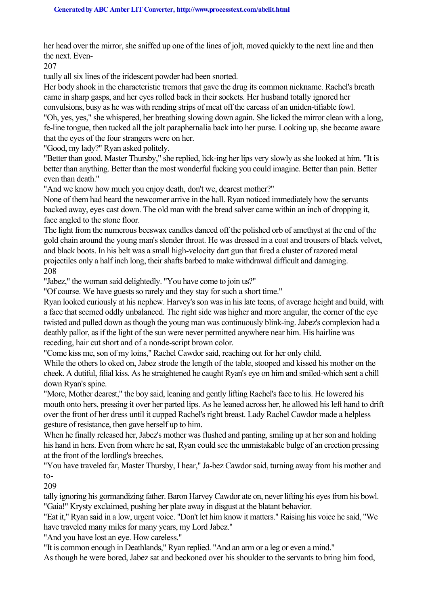her head over the mirror, she sniffed up one of the lines of jolt, moved quickly to the next line and then the next. Even-

207

tually all six lines of the iridescent powder had been snorted.

Her body shook in the characteristic tremors that gave the drug its common nickname. Rachel's breath came in sharp gasps, and her eyes rolled back in their sockets. Her husband totally ignored her convulsions, busy as he was with rending strips of meat off the carcass of an uniden-tifiable fowl.

"Oh, yes, yes," she whispered, her breathing slowing down again. She licked the mirror clean with a long, fe-line tongue, then tucked all the jolt paraphernalia back into her purse. Looking up, she became aware that the eyes of the four strangers were on her.

"Good, my lady?" Ryan asked politely.

"Better than good, Master Thursby," she replied, lick-ing her lips very slowly as she looked at him. "It is better than anything. Better than the most wonderful fucking you could imagine. Better than pain. Better even than death."

"And we know how much you enjoy death, don't we, dearest mother?"

None of them had heard the newcomer arrive in the hall. Ryan noticed immediately how the servants backed away, eyes cast down. The old man with the bread salver came within an inch of dropping it, face angled to the stone floor.

The light from the numerous beeswax candles danced off the polished orb of amethyst at the end of the gold chain around the young man's slender throat. He was dressed in a coat and trousers of black velvet, and black boots. In his belt was a small high-velocity dart gun that fired a cluster of razored metal projectiles only a half inch long, their shafts barbed to make withdrawal difficult and damaging. 208

"Jabez," the woman said delightedly. "You have come to join us?"

"Of course. We have guests so rarely and they stay for such a short time."

Ryan looked curiously at his nephew. Harvey's son was in his late teens, of average height and build, with a face that seemed oddly unbalanced. The right side was higher and more angular, the corner of the eye twisted and pulled down as though the young man was continuously blink-ing. Jabez's complexion had a deathly pallor, as if the light of the sun were never permitted anywhere near him. His hairline was receding, hair cut short and of a nonde-script brown color.

"Come kiss me, son of my loins," Rachel Cawdor said, reaching out for her only child.

While the others lo oked on, Jabez strode the length of the table, stooped and kissed his mother on the cheek. A dutiful, filial kiss. As he straightened he caught Ryan's eye on him and smiled-which sent a chill down Ryan's spine.

"More, Mother dearest," the boy said, leaning and gently lifting Rachel's face to his. He lowered his mouth onto hers, pressing it over her parted lips. As he leaned across her, he allowed his left hand to drift over the front of her dress until it cupped Rachel's right breast. Lady Rachel Cawdor made a helpless gesture of resistance, then gave herself up to him.

When he finally released her, Jabez's mother was flushed and panting, smiling up at her son and holding his hand in hers. Even from where he sat, Ryan could see the unmistakable bulge of an erection pressing at the front of the lordling's breeches.

"You have traveled far, Master Thursby, I hear," Ja-bez Cawdor said, turning away from his mother and to-

209

tally ignoring his gormandizing father. Baron Harvey Cawdor ate on, never lifting his eyes from his bowl. "Gaia!" Krysty exclaimed, pushing her plate away in disgust at the blatant behavior.

"Eat it," Ryan said in a low, urgent voice. "Don't let him know it matters." Raising his voice he said, "We have traveled many miles for many years, my Lord Jabez."

"And you have lost an eye. How careless."

"It is common enough in Deathlands," Ryan replied. "And an arm or a leg or even a mind."

As though he were bored, Jabez sat and beckoned over his shoulder to the servants to bring him food,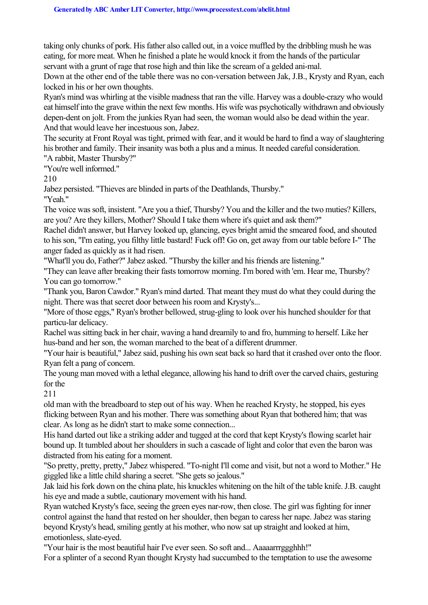taking only chunks of pork. His father also called out, in a voice muffled by the dribbling mush he was eating, for more meat. When he finished a plate he would knock it from the hands of the particular servant with a grunt of rage that rose high and thin like the scream of a gelded ani-mal.

Down at the other end of the table there was no con-versation between Jak, J.B., Krysty and Ryan, each locked in his or her own thoughts.

Ryan's mind was whirling at the visible madness that ran the ville. Harvey was a double-crazy who would eat himself into the grave within the next few months. His wife was psychotically withdrawn and obviously depen-dent on jolt. From the junkies Ryan had seen, the woman would also be dead within the year. And that would leave her incestuous son, Jabez.

The security at Front Royal was tight, primed with fear, and it would be hard to find a way of slaughtering his brother and family. Their insanity was both a plus and a minus. It needed careful consideration.

"A rabbit, Master Thursby?"

"You're well informed."

210

Jabez persisted. "Thieves are blinded in parts of the Deathlands, Thursby."

"Yeah"

The voice was soft, insistent. "Are you a thief, Thursby? You and the killer and the two muties? Killers, are you? Are they killers, Mother? Should I take them where it's quiet and ask them?"

Rachel didn't answer, but Harvey looked up, glancing, eyes bright amid the smeared food, and shouted to his son, "I'm eating, you filthy little bastard! Fuck off! Go on, get away from our table before I-" The anger faded as quickly as it had risen.

"What'll you do, Father?" Jabez asked. "Thursby the killer and his friends are listening."

"They can leave after breaking their fasts tomorrow morning. I'm bored with 'em. Hear me, Thursby? You can go tomorrow."

"Thank you, Baron Cawdor." Ryan's mind darted. That meant they must do what they could during the night. There was that secret door between his room and Krysty's...

"More of those eggs," Ryan's brother bellowed, strug-gling to look over his hunched shoulder for that particu-lar delicacy.

Rachel was sitting back in her chair, waving a hand dreamily to and fro, humming to herself. Like her hus-band and her son, the woman marched to the beat of a different drummer.

"Your hair is beautiful," Jabez said, pushing his own seat back so hard that it crashed over onto the floor. Ryan felt a pang of concern.

The young man moved with a lethal elegance, allowing his hand to drift over the carved chairs, gesturing for the

211

old man with the breadboard to step out of his way. When he reached Krysty, he stopped, his eyes flicking between Ryan and his mother. There was something about Ryan that bothered him; that was clear. As long as he didn't start to make some connection...

His hand darted out like a striking adder and tugged at the cord that kept Krysty's flowing scarlet hair bound up. It tumbled about her shoulders in such a cascade of light and color that even the baron was distracted from his eating for a moment.

"So pretty, pretty, pretty," Jabez whispered. "To-night I'll come and visit, but not a word to Mother." He giggled like a little child sharing a secret. "She gets so jealous."

Jak laid his fork down on the china plate, his knuckles whitening on the hilt of the table knife. J.B. caught his eye and made a subtle, cautionary movement with his hand.

Ryan watched Krysty's face, seeing the green eyes nar-row, then close. The girl was fighting for inner control against the hand that rested on her shoulder, then began to caress her nape. Jabez was staring beyond Krysty's head, smiling gently at his mother, who now sat up straight and looked at him, emotionless, slate-eyed.

"Your hair is the most beautiful hair I've ever seen. So soft and... Aaaaarrrggghhh!"

For a splinter of a second Ryan thought Krysty had succumbed to the temptation to use the awesome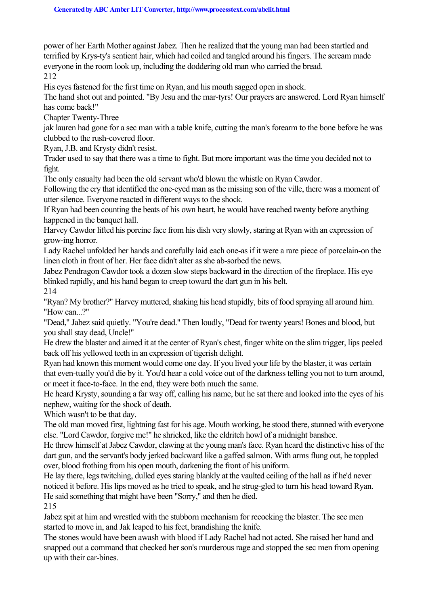power of her Earth Mother against Jabez. Then he realized that the young man had been startled and terrified by Krys-ty's sentient hair, which had coiled and tangled around his fingers. The scream made everyone in the room look up, including the doddering old man who carried the bread. 212

His eyes fastened for the first time on Ryan, and his mouth sagged open in shock.

The hand shot out and pointed. "By Jesu and the mar-tyrs! Our prayers are answered. Lord Ryan himself has come back!"

Chapter Twenty-Three

jak lauren had gone for a sec man with a table knife, cutting the man's forearm to the bone before he was clubbed to the rush-covered floor.

Ryan, J.B. and Krysty didn't resist.

Trader used to say that there was a time to fight. But more important was the time you decided not to fight.

The only casualty had been the old servant who'd blown the whistle on Ryan Cawdor.

Following the cry that identified the one-eyed man as the missing son of the ville, there was a moment of utter silence. Everyone reacted in different ways to the shock.

If Ryan had been counting the beats of his own heart, he would have reached twenty before anything happened in the banquet hall.

Harvey Cawdor lifted his porcine face from his dish very slowly, staring at Ryan with an expression of grow-ing horror.

Lady Rachel unfolded her hands and carefully laid each one-as if it were a rare piece of porcelain-on the linen cloth in front of her. Her face didn't alter as she ab-sorbed the news.

Jabez Pendragon Cawdor took a dozen slow steps backward in the direction of the fireplace. His eye blinked rapidly, and his hand began to creep toward the dart gun in his belt.

214

"Ryan? My brother?" Harvey muttered, shaking his head stupidly, bits of food spraying all around him. "How can...?"

"Dead," Jabez said quietly. "You're dead." Then loudly, "Dead for twenty years! Bones and blood, but you shall stay dead, Uncle!"

He drew the blaster and aimed it at the center of Ryan's chest, finger white on the slim trigger, lips peeled back off his yellowed teeth in an expression of tigerish delight.

Ryan had known this moment would come one day. If you lived your life by the blaster, it was certain that even-tually you'd die by it. You'd hear a cold voice out of the darkness telling you not to turn around, or meet it face-to-face. In the end, they were both much the same.

He heard Krysty, sounding a far way off, calling his name, but he sat there and looked into the eyes of his nephew, waiting for the shock of death.

Which wasn't to be that day.

The old man moved first, lightning fast for his age. Mouth working, he stood there, stunned with everyone else. "Lord Cawdor, forgive me!" he shrieked, like the eldritch howl of a midnight banshee.

He threw himself at Jabez Cawdor, clawing at the young man's face. Ryan heard the distinctive hiss of the dart gun, and the servant's body jerked backward like a gaffed salmon. With arms flung out, he toppled over, blood frothing from his open mouth, darkening the front of his uniform.

He lay there, legs twitching, dulled eyes staring blankly at the vaulted ceiling of the hall as if he'd never noticed it before. His lips moved as he tried to speak, and he strug-gled to turn his head toward Ryan. He said something that might have been "Sorry," and then he died.

215

Jabez spit at him and wrestled with the stubborn mechanism for recocking the blaster. The sec men started to move in, and Jak leaped to his feet, brandishing the knife.

The stones would have been awash with blood if Lady Rachel had not acted. She raised her hand and snapped out a command that checked her son's murderous rage and stopped the sec men from opening up with their car-bines.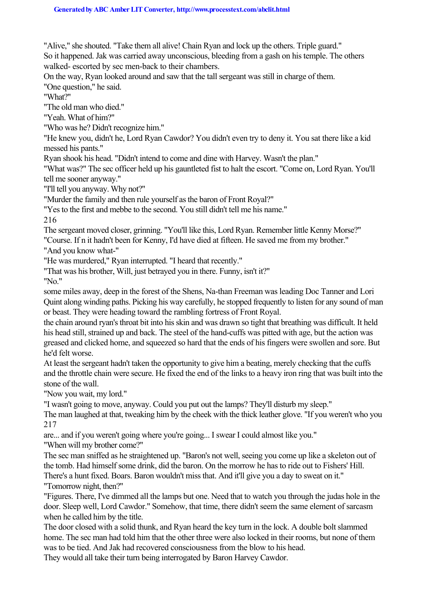"Alive," she shouted. "Take them all alive! Chain Ryan and lock up the others. Triple guard." So it happened. Jak was carried away unconscious, bleeding from a gash on his temple. The others walked- escorted by sec men-back to their chambers.

On the way, Ryan looked around and saw that the tall sergeant was still in charge of them.

"One question," he said.

"What?"

"The old man who died."

"Yeah. What of him?"

"Who was he? Didn't recognize him."

"He knew you, didn't he, Lord Ryan Cawdor? You didn't even try to deny it. You sat there like a kid messed his pants."

Ryan shook his head. "Didn't intend to come and dine with Harvey. Wasn't the plan."

"What was?" The sec officer held up his gauntleted fist to halt the escort. "Come on, Lord Ryan. You'll tell me sooner anyway."

"I'll tell you anyway. Why not?"

"Murder the family and then rule yourself as the baron of Front Royal?"

"Yes to the first and mebbe to the second. You still didn't tell me his name."

216

The sergeant moved closer, grinning. "You'll like this, Lord Ryan. Remember little Kenny Morse?" "Course. If n it hadn't been for Kenny, I'd have died at fifteen. He saved me from my brother."

"And you know what-"

"He was murdered," Ryan interrupted. "I heard that recently."

"That was his brother, Will, just betrayed you in there. Funny, isn't it?"

"No."

some miles away, deep in the forest of the Shens, Na-than Freeman was leading Doc Tanner and Lori Quint along winding paths. Picking his way carefully, he stopped frequently to listen for any sound of man or beast. They were heading toward the rambling fortress of Front Royal.

the chain around ryan's throat bit into his skin and was drawn so tight that breathing was difficult. It held his head still, strained up and back. The steel of the hand-cuffs was pitted with age, but the action was greased and clicked home, and squeezed so hard that the ends of his fingers were swollen and sore. But he'd felt worse.

At least the sergeant hadn't taken the opportunity to give him a beating, merely checking that the cuffs and the throttle chain were secure. He fixed the end of the links to a heavy iron ring that was built into the stone of the wall.

"Now you wait, my lord."

"I wasn't going to move, anyway. Could you put out the lamps? They'll disturb my sleep."

The man laughed at that, tweaking him by the cheek with the thick leather glove. "If you weren't who you 217

are... and if you weren't going where you're going... I swear I could almost like you."

"When will my brother come?"

The sec man sniffed as he straightened up. "Baron's not well, seeing you come up like a skeleton out of the tomb. Had himself some drink, did the baron. On the morrow he has to ride out to Fishers' Hill. There's a hunt fixed. Boars. Baron wouldn't miss that. And it'll give you a day to sweat on it." "Tomorrow night, then?"

"Figures. There, I've dimmed all the lamps but one. Need that to watch you through the judas hole in the door. Sleep well, Lord Cawdor." Somehow, that time, there didn't seem the same element of sarcasm when he called him by the title.

The door closed with a solid thunk, and Ryan heard the key turn in the lock. A double bolt slammed home. The sec man had told him that the other three were also locked in their rooms, but none of them was to be tied. And Jak had recovered consciousness from the blow to his head.

They would all take their turn being interrogated by Baron Harvey Cawdor.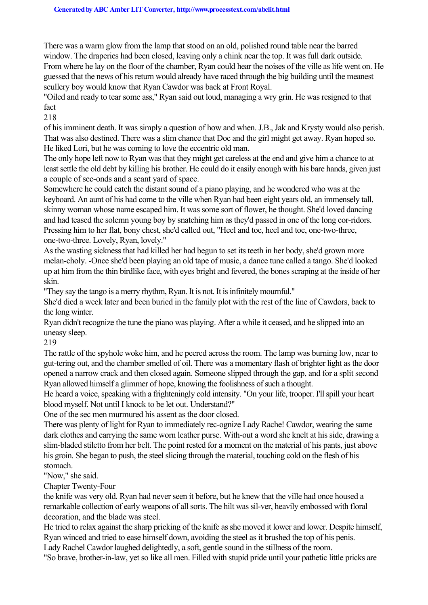## **Generated by ABC Amber LIT Converter, <http://www.processtext.com/abclit.html>**

There was a warm glow from the lamp that stood on an old, polished round table near the barred window. The draperies had been closed, leaving only a chink near the top. It was full dark outside. From where he lay on the floor of the chamber, Ryan could hear the noises of the ville as life went on. He guessed that the news of his return would already have raced through the big building until the meanest scullery boy would know that Ryan Cawdor was back at Front Royal.

"Oiled and ready to tear some ass," Ryan said out loud, managing a wry grin. He was resigned to that fact

218

of his imminent death. It was simply a question of how and when. J.B., Jak and Krysty would also perish. That was also destined. There was a slim chance that Doc and the girl might get away. Ryan hoped so. He liked Lori, but he was coming to love the eccentric old man.

The only hope left now to Ryan was that they might get careless at the end and give him a chance to at least settle the old debt by killing his brother. He could do it easily enough with his bare hands, given just a couple of sec-onds and a scant yard of space.

Somewhere he could catch the distant sound of a piano playing, and he wondered who was at the keyboard. An aunt of his had come to the ville when Ryan had been eight years old, an immensely tall, skinny woman whose name escaped him. It was some sort of flower, he thought. She'd loved dancing and had teased the solemn young boy by snatching him as they'd passed in one of the long cor-ridors. Pressing him to her flat, bony chest, she'd called out, "Heel and toe, heel and toe, one-two-three, one-two-three. Lovely, Ryan, lovely."

As the wasting sickness that had killed her had begun to set its teeth in her body, she'd grown more melan-choly. -Once she'd been playing an old tape of music, a dance tune called a tango. She'd looked up at him from the thin birdlike face, with eyes bright and fevered, the bones scraping at the inside of her skin.

"They say the tango is a merry rhythm, Ryan. It is not. It is infinitely mournful."

She'd died a week later and been buried in the family plot with the rest of the line of Cawdors, back to the long winter.

Ryan didn't recognize the tune the piano was playing. After a while it ceased, and he slipped into an uneasy sleep.

219

The rattle of the spyhole woke him, and he peered across the room. The lamp was burning low, near to gut-tering out, and the chamber smelled of oil. There was a momentary flash of brighter light as the door opened a narrow crack and then closed again. Someone slipped through the gap, and for a split second Ryan allowed himself a glimmer of hope, knowing the foolishness of such a thought.

He heard a voice, speaking with a frighteningly cold intensity. "On your life, trooper. I'll spill your heart blood myself. Not until I knock to be let out. Understand?"

One of the sec men murmured his assent as the door closed.

There was plenty of light for Ryan to immediately rec-ognize Lady Rache! Cawdor, wearing the same dark clothes and carrying the same worn leather purse. With-out a word she knelt at his side, drawing a slim-bladed stiletto from her belt. The point rested for a moment on the material of his pants, just above his groin. She began to push, the steel slicing through the material, touching cold on the flesh of his stomach.

"Now," she said.

Chapter Twenty-Four

the knife was very old. Ryan had never seen it before, but he knew that the ville had once housed a remarkable collection of early weapons of all sorts. The hilt was sil-ver, heavily embossed with floral decoration, and the blade was steel.

He tried to relax against the sharp pricking of the knife as she moved it lower and lower. Despite himself, Ryan winced and tried to ease himself down, avoiding the steel as it brushed the top of his penis.

Lady Rachel Cawdor laughed delightedly, a soft, gentle sound in the stillness of the room.

"So brave, brother-in-law, yet so like all men. Filled with stupid pride until your pathetic little pricks are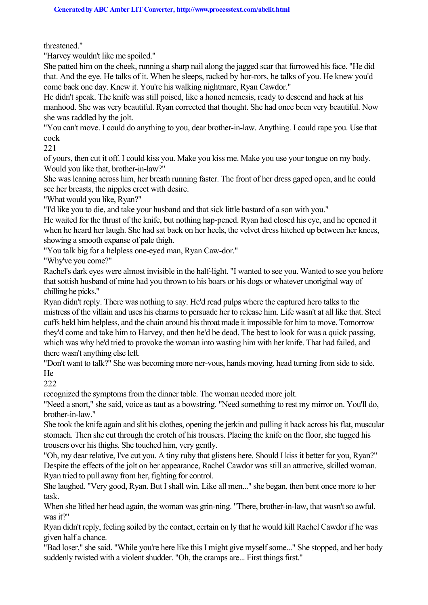threatened."

"Harvey wouldn't like me spoiled."

She patted him on the cheek, running a sharp nail along the jagged scar that furrowed his face. "He did that. And the eye. He talks of it. When he sleeps, racked by hor-rors, he talks of you. He knew you'd come back one day. Knew it. You're his walking nightmare, Ryan Cawdor."

He didn't speak. The knife was still poised, like a honed nemesis, ready to descend and hack at his manhood. She was very beautiful. Ryan corrected that thought. She had once been very beautiful. Now she was raddled by the jolt.

"You can't move. I could do anything to you, dear brother-in-law. Anything. I could rape you. Use that cock

221

of yours, then cut it off. I could kiss you. Make you kiss me. Make you use your tongue on my body. Would you like that, brother-in-law?"

She was leaning across him, her breath running faster. The front of her dress gaped open, and he could see her breasts, the nipples erect with desire.

"What would you like, Ryan?"

"I'd like you to die, and take your husband and that sick little bastard of a son with you."

He waited for the thrust of the knife, but nothing hap-pened. Ryan had closed his eye, and he opened it when he heard her laugh. She had sat back on her heels, the velvet dress hitched up between her knees, showing a smooth expanse of pale thigh.

"You talk big for a helpless one-eyed man, Ryan Caw-dor."

"Why've you come?"

Rachel's dark eyes were almost invisible in the half-light. "I wanted to see you. Wanted to see you before that sottish husband of mine had you thrown to his boars or his dogs or whatever unoriginal way of chilling he picks."

Ryan didn't reply. There was nothing to say. He'd read pulps where the captured hero talks to the mistress of the villain and uses his charms to persuade her to release him. Life wasn't at all like that. Steel cuffs held him helpless, and the chain around his throat made it impossible for him to move. Tomorrow they'd come and take him to Harvey, and then he'd be dead. The best to look for was a quick passing, which was why he'd tried to provoke the woman into wasting him with her knife. That had failed, and there wasn't anything else left.

"Don't want to talk?" She was becoming more ner-vous, hands moving, head turning from side to side. He

222

recognized the symptoms from the dinner table. The woman needed more jolt.

"Need a snort," she said, voice as taut as a bowstring. "Need something to rest my mirror on. You'll do, brother-in-law."

She took the knife again and slit his clothes, opening the jerkin and pulling it back across his flat, muscular stomach. Then she cut through the crotch of his trousers. Placing the knife on the floor, she tugged his trousers over his thighs. She touched him, very gently.

"Oh, my dear relative, I've cut you. A tiny ruby that glistens here. Should I kiss it better for you, Ryan?" Despite the effects of the jolt on her appearance, Rachel Cawdor was still an attractive, skilled woman. Ryan tried to pull away from her, fighting for control.

She laughed. "Very good, Ryan. But I shall win. Like all men..." she began, then bent once more to her task.

When she lifted her head again, the woman was grin-ning. "There, brother-in-law, that wasn't so awful, was it?"

Ryan didn't reply, feeling soiled by the contact, certain on ly that he would kill Rachel Cawdor if he was given half a chance.

"Bad loser," she said. "While you're here like this I might give myself some..." She stopped, and her body suddenly twisted with a violent shudder. "Oh, the cramps are... First things first."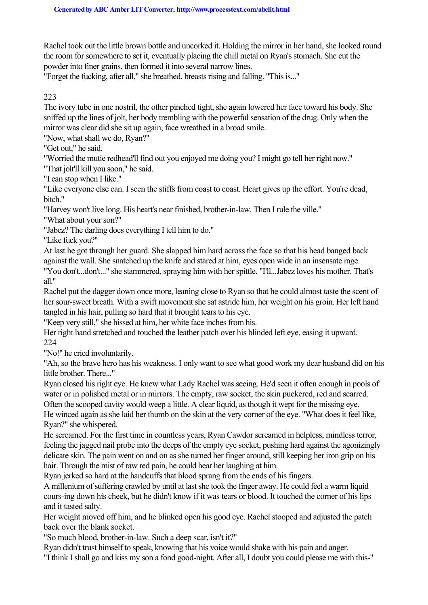Rachel took out the little brown bottle and uncorked it. Holding the mirror in her hand, she looked round the room for somewhere to set it, eventually placing the chill metal on Ryan's stomach. She cut the powder into finer grains, then formed it into several narrow lines.

"Forget the fucking, after all," she breathed, breasts rising and falling. "This is..."

## 223

The ivory tube in one nostril, the other pinched tight, she again lowered her face toward his body. She sniffed up the lines of jolt, her body trembling with the powerful sensation of the drug. Only when the mirror was clear did she sit up again, face wreathed in a broad smile.

"Now, what shall we do, Ryan?"

"Get out," he said.

"Worried the mutie redhead'll find out you enjoyed me doing you? I might go tell her right now."

"That jolt'll kill you soon," he said.

"I can stop when I like."

"Like everyone else can. I seen the stiffs from coast to coast. Heart gives up the effort. You're dead, bitch."

"Harvey won't live long. His heart's near finished, brother-in-law. Then I rule the ville."

"What about your son?"

"Jabez? The darling does everything I tell him to do."

"Like fuck you?"

At last he got through her guard. She slapped him hard across the face so that his head banged back against the wall. She snatched up the knife and stared at him, eyes open wide in an insensate rage. "You don't...don't..." she stammered, spraying him with her spittle. "I'll...Jabez loves his mother. That's all"

Rachel put the dagger down once more, leaning close to Ryan so that he could almost taste the scent of her sour-sweet breath. With a swift movement she sat astride him, her weight on his groin. Her left hand tangled in his hair, pulling so hard that it brought tears to his eye.

"Keep very still," she hissed at him, her white face inches from his.

Her right hand stretched and touched the leather patch over his blinded left eye, easing it upward. 224

"No!" he cried involuntarily.

"Ah, so the brave hero has his weakness. I only want to see what good work my dear husband did on his little brother. There..."

Ryan closed his right eye. He knew what Lady Rachel was seeing. He'd seen it often enough in pools of water or in polished metal or in mirrors. The empty, raw socket, the skin puckered, red and scarred.

Often the scooped cavity would weep a little. A clear liquid, as though it wept for the missing eye. He winced again as she laid her thumb on the skin at the very corner of the eye. "What does it feel like, Ryan?" she whispered.

He screamed. For the first time in countless years, Ryan Cawdor screamed in helpless, mindless terror, feeling the jagged nail probe into the deeps of the empty eye socket, pushing hard against the agonizingly delicate skin. The pain went on and on as she turned her finger around, still keeping her iron grip on his hair. Through the mist of raw red pain, he could hear her laughing at him.

Ryan jerked so hard at the handcuffs that blood sprang from the ends of his fingers.

A millenium of suffering crawled by until at last she took the finger away. He could feel a warm liquid cours-ing down his cheek, but he didn't know if it was tears or blood. It touched the corner of his lips and it tasted salty.

Her weight moved off him, and he blinked open his good eye. Rachel stooped and adjusted the patch back over the blank socket.

"So much blood, brother-in-law. Such a deep scar, isn't it?"

Ryan didn't trust himself to speak, knowing that his voice would shake with his pain and anger.

"I think I shall go and kiss my son a fond good-night. After all, I doubt you could please me with this-"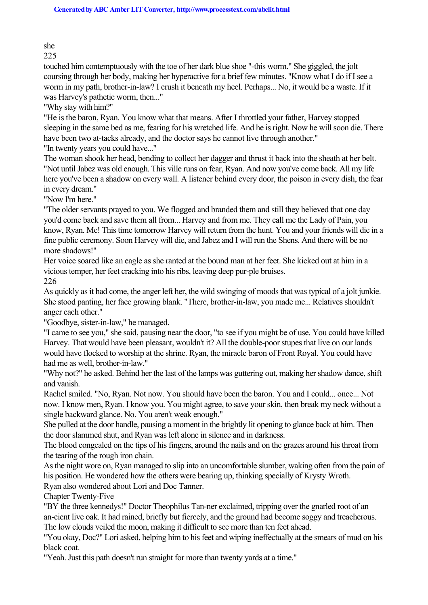she

225

touched him contemptuously with the toe of her dark blue shoe "-this worm." She giggled, the jolt coursing through her body, making her hyperactive for a brief few minutes. "Know what I do if I see a worm in my path, brother-in-law? I crush it beneath my heel. Perhaps... No, it would be a waste. If it was Harvey's pathetic worm, then..."

"Why stay with him?"

"He is the baron, Ryan. You know what that means. After I throttled your father, Harvey stopped sleeping in the same bed as me, fearing for his wretched life. And he is right. Now he will soon die. There have been two at-tacks already, and the doctor says he cannot live through another." "In twenty years you could have..."

The woman shook her head, bending to collect her dagger and thrust it back into the sheath at her belt. "Not until Jabez was old enough. This ville runs on fear, Ryan. And now you've come back. All my life here you've been a shadow on every wall. A listener behind every door, the poison in every dish, the fear in every dream."

"Now I'm here."

"The older servants prayed to you. We flogged and branded them and still they believed that one day you'd come back and save them all from... Harvey and from me. They call me the Lady of Pain, you know, Ryan. Me! This time tomorrow Harvey will return from the hunt. You and your friends will die in a fine public ceremony. Soon Harvey will die, and Jabez and I will run the Shens. And there will be no more shadows!"

Her voice soared like an eagle as she ranted at the bound man at her feet. She kicked out at him in a vicious temper, her feet cracking into his ribs, leaving deep pur-ple bruises. 226

As quickly as it had come, the anger left her, the wild swinging of moods that was typical of a jolt junkie. She stood panting, her face growing blank. "There, brother-in-law, you made me... Relatives shouldn't anger each other."

"Goodbye, sister-in-law," he managed.

"I came to see you," she said, pausing near the door, "to see if you might be of use. You could have killed Harvey. That would have been pleasant, wouldn't it? All the double-poor stupes that live on our lands would have flocked to worship at the shrine. Ryan, the miracle baron of Front Royal. You could have had me as well, brother-in-law."

"Why not?" he asked. Behind her the last of the lamps was guttering out, making her shadow dance, shift and vanish.

Rachel smiled. "No, Ryan. Not now. You should have been the baron. You and I could... once... Not now. I know men, Ryan. I know you. You might agree, to save your skin, then break my neck without a single backward glance. No. You aren't weak enough."

She pulled at the door handle, pausing a moment in the brightly lit opening to glance back at him. Then the door slammed shut, and Ryan was left alone in silence and in darkness.

The blood congealed on the tips of his fingers, around the nails and on the grazes around his throat from the tearing of the rough iron chain.

As the night wore on, Ryan managed to slip into an uncomfortable slumber, waking often from the pain of his position. He wondered how the others were bearing up, thinking specially of Krysty Wroth. Ryan also wondered about Lori and Doc Tanner.

Chapter Twenty-Five

"BY the three kennedys!" Doctor Theophilus Tan-ner exclaimed, tripping over the gnarled root of an an-cient live oak. It had rained, briefly but fiercely, and the ground had become soggy and treacherous. The low clouds veiled the moon, making it difficult to see more than ten feet ahead.

"You okay, Doc?" Lori asked, helping him to his feet and wiping ineffectually at the smears of mud on his black coat.

"Yeah. Just this path doesn't run straight for more than twenty yards at a time."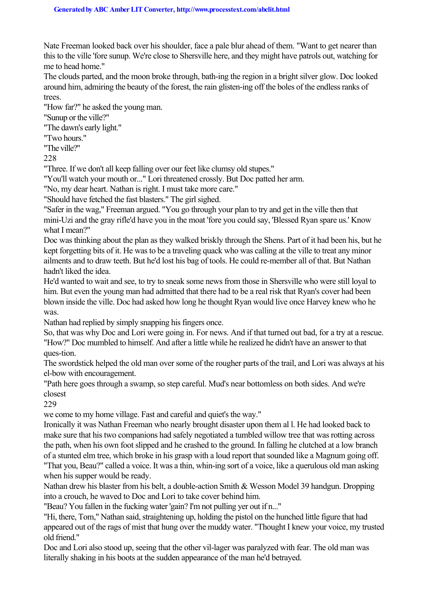Nate Freeman looked back over his shoulder, face a pale blur ahead of them. "Want to get nearer than this to the ville 'fore sunup. We're close to Shersville here, and they might have patrols out, watching for me to head home."

The clouds parted, and the moon broke through, bath-ing the region in a bright silver glow. Doc looked around him, admiring the beauty of the forest, the rain glisten-ing off the boles of the endless ranks of trees.

"How far?" he asked the young man.

"Sunup or the ville?"

"The dawn's early light."

"Two hours."

"The ville?"

228

"Three. If we don't all keep falling over our feet like clumsy old stupes."

"You'll watch your mouth or..." Lori threatened crossly. But Doc patted her arm.

"No, my dear heart. Nathan is right. I must take more care."

"Should have fetched the fast blasters." The girl sighed.

"Safer in the wag," Freeman argued. "You go through your plan to try and get in the ville then that mini-Uzi and the gray rifle'd have you in the moat 'fore you could say, 'Blessed Ryan spare us.' Know what I mean?"

Doc was thinking about the plan as they walked briskly through the Shens. Part of it had been his, but he kept forgetting bits of it. He was to be a traveling quack who was calling at the ville to treat any minor ailments and to draw teeth. But he'd lost his bag of tools. He could re-member all of that. But Nathan hadn't liked the idea.

He'd wanted to wait and see, to try to sneak some news from those in Shersville who were still loyal to him. But even the young man had admitted that there had to be a real risk that Ryan's cover had been blown inside the ville. Doc had asked how long he thought Ryan would live once Harvey knew who he was.

Nathan had replied by simply snapping his fingers once.

So, that was why Doc and Lori were going in. For news. And if that turned out bad, for a try at a rescue. "How?" Doc mumbled to himself. And after a little while he realized he didn't have an answer to that ques-tion.

The swordstick helped the old man over some of the rougher parts of the trail, and Lori was always at his el-bow with encouragement.

"Path here goes through a swamp, so step careful. Mud's near bottomless on both sides. And we're closest

229

we come to my home village. Fast and careful and quiet's the way."

Ironically it was Nathan Freeman who nearly brought disaster upon them al l. He had looked back to make sure that his two companions had safely negotiated a tumbled willow tree that was rotting across the path, when his own foot slipped and he crashed to the ground. In falling he clutched at a low branch of a stunted elm tree, which broke in his grasp with a loud report that sounded like a Magnum going off. "That you, Beau?" called a voice. It was a thin, whin-ing sort of a voice, like a querulous old man asking when his supper would be ready.

Nathan drew his blaster from his belt, a double-action Smith & Wesson Model 39 handgun. Dropping into a crouch, he waved to Doc and Lori to take cover behind him.

"Beau? You fallen in the fucking water 'gain? I'm not pulling yer out if n..."

"Hi, there, Tom," Nathan said, straightening up, holding the pistol on the hunched little figure that had appeared out of the rags of mist that hung over the muddy water. "Thought I knew your voice, my trusted old friend."

Doc and Lori also stood up, seeing that the other vil-lager was paralyzed with fear. The old man was literally shaking in his boots at the sudden appearance of the man he'd betrayed.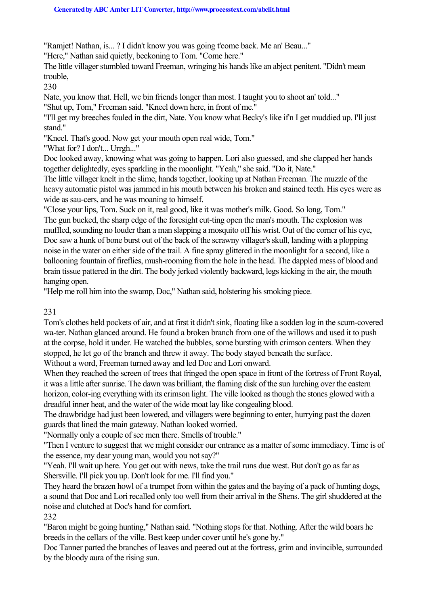"Ramjet! Nathan, is... ? I didn't know you was going t'come back. Me an' Beau..."

"Here," Nathan said quietly, beckoning to Tom. "Come here."

The little villager stumbled toward Freeman, wringing his hands like an abject penitent. "Didn't mean trouble,

230

Nate, you know that. Hell, we bin friends longer than most. I taught you to shoot an' told..."

"Shut up, Tom," Freeman said. "Kneel down here, in front of me."

"I'll get my breeches fouled in the dirt, Nate. You know what Becky's like if'n I get muddied up. I'll just stand"

"Kneel. That's good. Now get your mouth open real wide, Tom."

"What for? I don't... Urrgh..."

Doc looked away, knowing what was going to happen. Lori also guessed, and she clapped her hands together delightedly, eyes sparkling in the moonlight. "Yeah," she said. "Do it, Nate."

The little villager knelt in the slime, hands together, looking up at Nathan Freeman. The muzzle of the heavy automatic pistol was jammed in his mouth between his broken and stained teeth. His eyes were as wide as sau-cers, and he was moaning to himself.

"Close your lips, Tom. Suck on it, real good, like it was mother's milk. Good. So long, Tom." The gun bucked, the sharp edge of the foresight cut-ting open the man's mouth. The explosion was muffled, sounding no louder than a man slapping a mosquito off his wrist. Out of the corner of his eye, Doc saw a hunk of bone burst out of the back of the scrawny villager's skull, landing with a plopping noise in the water on either side of the trail. A fine spray glittered in the moonlight for a second, like a ballooning fountain of fireflies, mush-rooming from the hole in the head. The dappled mess of blood and brain tissue pattered in the dirt. The body jerked violently backward, legs kicking in the air, the mouth hanging open.

"Help me roll him into the swamp, Doc," Nathan said, holstering his smoking piece.

231

Tom's clothes held pockets of air, and at first it didn't sink, floating like a sodden log in the scum-covered wa-ter. Nathan glanced around. He found a broken branch from one of the willows and used it to push at the corpse, hold it under. He watched the bubbles, some bursting with crimson centers. When they stopped, he let go of the branch and threw it away. The body stayed beneath the surface.

Without a word, Freeman turned away and led Doc and Lori onward.

When they reached the screen of trees that fringed the open space in front of the fortress of Front Royal, it was a little after sunrise. The dawn was brilliant, the flaming disk of the sun lurching over the eastern horizon, color-ing everything with its crimson light. The ville looked as though the stones glowed with a dreadful inner heat, and the water of the wide moat lay like congealing blood.

The drawbridge had just been lowered, and villagers were beginning to enter, hurrying past the dozen guards that lined the main gateway. Nathan looked worried.

"Normally only a couple of sec men there. Smells of trouble."

"Then I venture to suggest that we might consider our entrance as a matter of some immediacy. Time is of the essence, my dear young man, would you not say?"

"Yeah. I'll wait up here. You get out with news, take the trail runs due west. But don't go as far as Shersville. I'll pick you up. Don't look for me. I'll find you."

They heard the brazen howl of a trumpet from within the gates and the baying of a pack of hunting dogs, a sound that Doc and Lori recalled only too well from their arrival in the Shens. The girl shuddered at the noise and clutched at Doc's hand for comfort.

232

"Baron might be going hunting," Nathan said. "Nothing stops for that. Nothing. After the wild boars he breeds in the cellars of the ville. Best keep under cover until he's gone by."

Doc Tanner parted the branches of leaves and peered out at the fortress, grim and invincible, surrounded by the bloody aura of the rising sun.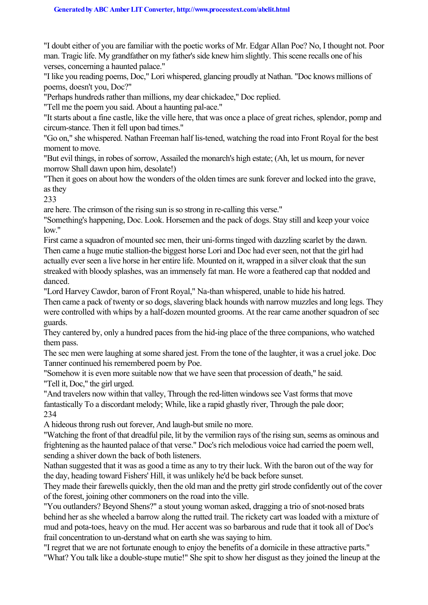"I doubt either of you are familiar with the poetic works of Mr. Edgar Allan Poe? No, I thought not. Poor man. Tragic life. My grandfather on my father's side knew him slightly. This scene recalls one of his verses, concerning a haunted palace."

"I like you reading poems, Doc," Lori whispered, glancing proudly at Nathan. "Doc knows millions of poems, doesn't you, Doc?"

"Perhaps hundreds rather than millions, my dear chickadee," Doc replied.

"Tell me the poem you said. About a haunting pal-ace."

"It starts about a fine castle, like the ville here, that was once a place of great riches, splendor, pomp and circum-stance. Then it fell upon bad times."

"Go on," she whispered. Nathan Freeman half lis-tened, watching the road into Front Royal for the best moment to move.

"But evil things, in robes of sorrow, Assailed the monarch's high estate; (Ah, let us mourn, for never morrow Shall dawn upon him, desolate!)

"Then it goes on about how the wonders of the olden times are sunk forever and locked into the grave, as they

233

are here. The crimson of the rising sun is so strong in re-calling this verse."

"Something's happening, Doc. Look. Horsemen and the pack of dogs. Stay still and keep your voice  $low$ "

First came a squadron of mounted sec men, their uni-forms tinged with dazzling scarlet by the dawn. Then came a huge mutie stallion-the biggest horse Lori and Doc had ever seen, not that the girl had actually ever seen a live horse in her entire life. Mounted on it, wrapped in a silver cloak that the sun streaked with bloody splashes, was an immensely fat man. He wore a feathered cap that nodded and danced.

"Lord Harvey Cawdor, baron of Front Royal," Na-than whispered, unable to hide his hatred.

Then came a pack of twenty or so dogs, slavering black hounds with narrow muzzles and long legs. They were controlled with whips by a half-dozen mounted grooms. At the rear came another squadron of sec guards.

They cantered by, only a hundred paces from the hid-ing place of the three companions, who watched them pass.

The sec men were laughing at some shared jest. From the tone of the laughter, it was a cruel joke. Doc Tanner continued his remembered poem by Poe.

"Somehow it is even more suitable now that we have seen that procession of death," he said. "Tell it, Doc," the girl urged.

"And travelers now within that valley, Through the red-litten windows see Vast forms that move fantastically To a discordant melody; While, like a rapid ghastly river, Through the pale door; 234

A hideous throng rush out forever, And laugh-but smile no more.

"Watching the front of that dreadful pile, lit by the vermilion rays of the rising sun, seems as ominous and frightening as the haunted palace of that verse." Doc's rich melodious voice had carried the poem well, sending a shiver down the back of both listeners.

Nathan suggested that it was as good a time as any to try their luck. With the baron out of the way for the day, heading toward Fishers' Hill, it was unlikely he'd be back before sunset.

They made their farewells quickly, then the old man and the pretty girl strode confidently out of the cover of the forest, joining other commoners on the road into the ville.

"You outlanders? Beyond Shens?" a stout young woman asked, dragging a trio of snot-nosed brats behind her as she wheeled a barrow along the rutted trail. The rickety cart was loaded with a mixture of mud and pota-toes, heavy on the mud. Her accent was so barbarous and rude that it took all of Doc's frail concentration to un-derstand what on earth she was saying to him.

"I regret that we are not fortunate enough to enjoy the benefits of a domicile in these attractive parts." "What? You talk like a double-stupe mutie!" She spit to show her disgust as they joined the lineup at the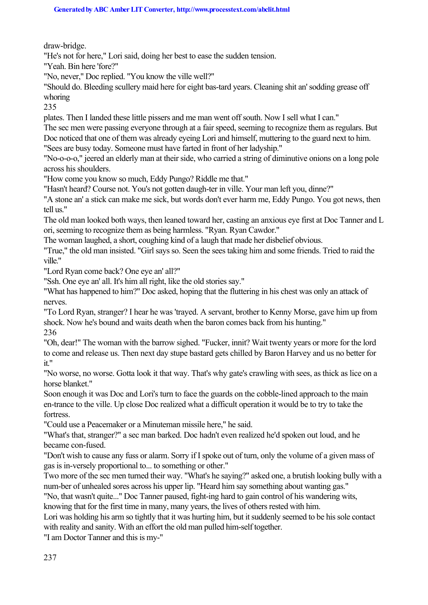draw-bridge.

"He's not for here," Lori said, doing her best to ease the sudden tension.

"Yeah. Bin here 'fore?"

"No, never," Doc replied. "You know the ville well?"

"Should do. Bleeding scullery maid here for eight bas-tard years. Cleaning shit an' sodding grease off whoring

235

plates. Then I landed these little pissers and me man went off south. Now I sell what I can."

The sec men were passing everyone through at a fair speed, seeming to recognize them as regulars. But Doc noticed that one of them was already eyeing Lori and himself, muttering to the guard next to him. "Sees are busy today. Someone must have farted in front of her ladyship."

"No-o-o-o," jeered an elderly man at their side, who carried a string of diminutive onions on a long pole across his shoulders.

"How come you know so much, Eddy Pungo? Riddle me that."

"Hasn't heard? Course not. You's not gotten daugh-ter in ville. Your man left you, dinne?"

"A stone an' a stick can make me sick, but words don't ever harm me, Eddy Pungo. You got news, then tell us."

The old man looked both ways, then leaned toward her, casting an anxious eye first at Doc Tanner and L ori, seeming to recognize them as being harmless. "Ryan. Ryan Cawdor."

The woman laughed, a short, coughing kind of a laugh that made her disbelief obvious.

"True," the old man insisted. "Girl says so. Seen the sees taking him and some friends. Tried to raid the ville."

"Lord Ryan come back? One eye an' all?"

"Ssh. One eye an' all. It's him all right, like the old stories say."

"What has happened to him?" Doc asked, hoping that the fluttering in his chest was only an attack of nerves.

"To Lord Ryan, stranger? I hear he was 'trayed. A servant, brother to Kenny Morse, gave him up from shock. Now he's bound and waits death when the baron comes back from his hunting." 236

"Oh, dear!" The woman with the barrow sighed. "Fucker, innit? Wait twenty years or more for the lord to come and release us. Then next day stupe bastard gets chilled by Baron Harvey and us no better for it."

"No worse, no worse. Gotta look it that way. That's why gate's crawling with sees, as thick as lice on a horse blanket."

Soon enough it was Doc and Lori's turn to face the guards on the cobble-lined approach to the main en-trance to the ville. Up close Doc realized what a difficult operation it would be to try to take the fortress.

"Could use a Peacemaker or a Minuteman missile here," he said.

"What's that, stranger?" a sec man barked. Doc hadn't even realized he'd spoken out loud, and he became con-fused.

"Don't wish to cause any fuss or alarm. Sorry if I spoke out of turn, only the volume of a given mass of gas is in-versely proportional to... to something or other."

Two more of the sec men turned their way. "What's he saying?" asked one, a brutish looking bully with a num-ber of unhealed sores across his upper lip. "Heard him say something about wanting gas."

"No, that wasn't quite..." Doc Tanner paused, fight-ing hard to gain control of his wandering wits, knowing that for the first time in many, many years, the lives of others rested with him.

Lori was holding his arm so tightly that it was hurting him, but it suddenly seemed to be his sole contact with reality and sanity. With an effort the old man pulled him-self together.

"I am Doctor Tanner and this is my-"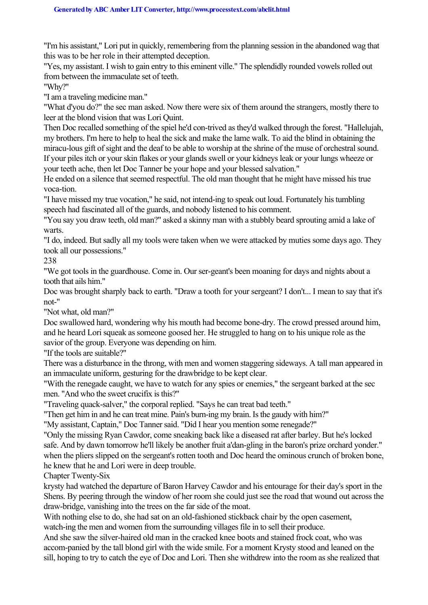"I'm his assistant," Lori put in quickly, remembering from the planning session in the abandoned wag that this was to be her role in their attempted deception.

"Yes, my assistant. I wish to gain entry to this eminent ville." The splendidly rounded vowels rolled out from between the immaculate set of teeth.

"Why?"

"I am a traveling medicine man."

"What d'you do?" the sec man asked. Now there were six of them around the strangers, mostly there to leer at the blond vision that was Lori Quint.

Then Doc recalled something of the spiel he'd con-trived as they'd walked through the forest. "Hallelujah, my brothers. I'm here to help to heal the sick and make the lame walk. To aid the blind in obtaining the miracu-lous gift of sight and the deaf to be able to worship at the shrine of the muse of orchestral sound. If your piles itch or your skin flakes or your glands swell or your kidneys leak or your lungs wheeze or your teeth ache, then let Doc Tanner be your hope and your blessed salvation."

He ended on a silence that seemed respectful. The old man thought that he might have missed his true voca-tion.

"I have missed my true vocation," he said, not intend-ing to speak out loud. Fortunately his tumbling speech had fascinated all of the guards, and nobody listened to his comment.

"You say you draw teeth, old man?" asked a skinny man with a stubbly beard sprouting amid a lake of warts.

"I do, indeed. But sadly all my tools were taken when we were attacked by muties some days ago. They took all our possessions."

238

"We got tools in the guardhouse. Come in. Our ser-geant's been moaning for days and nights about a tooth that ails him."

Doc was brought sharply back to earth. "Draw a tooth for your sergeant? I don't... I mean to say that it's not-"

"Not what, old man?"

Doc swallowed hard, wondering why his mouth had become bone-dry. The crowd pressed around him, and he heard Lori squeak as someone goosed her. He struggled to hang on to his unique role as the savior of the group. Everyone was depending on him.

"If the tools are suitable?"

There was a disturbance in the throng, with men and women staggering sideways. A tall man appeared in an immaculate uniform, gesturing for the drawbridge to be kept clear.

"With the renegade caught, we have to watch for any spies or enemies," the sergeant barked at the sec men. "And who the sweet crucifix is this?"

"Traveling quack-salver," the corporal replied. "Says he can treat bad teeth."

"Then get him in and he can treat mine. Pain's burn-ing my brain. Is the gaudy with him?"

"My assistant, Captain," Doc Tanner said. "Did I hear you mention some renegade?"

"Only the missing Ryan Cawdor, come sneaking back like a diseased rat after barley. But he's locked safe. And by dawn tomorrow he'll likely be another fruit a'dan-gling in the baron's prize orchard yonder." when the pliers slipped on the sergeant's rotten tooth and Doc heard the ominous crunch of broken bone, he knew that he and Lori were in deep trouble.

Chapter Twenty-Six

krysty had watched the departure of Baron Harvey Cawdor and his entourage for their day's sport in the Shens. By peering through the window of her room she could just see the road that wound out across the draw-bridge, vanishing into the trees on the far side of the moat.

With nothing else to do, she had sat on an old-fashioned stickback chair by the open casement, watch-ing the men and women from the surrounding villages file in to sell their produce.

And she saw the silver-haired old man in the cracked knee boots and stained frock coat, who was accom-panied by the tall blond girl with the wide smile. For a moment Krysty stood and leaned on the sill, hoping to try to catch the eye of Doc and Lori. Then she withdrew into the room as she realized that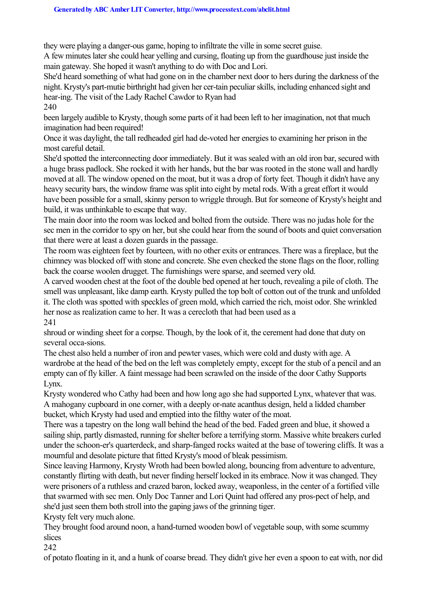they were playing a danger-ous game, hoping to infiltrate the ville in some secret guise.

A few minutes later she could hear yelling and cursing, floating up from the guardhouse just inside the main gateway. She hoped it wasn't anything to do with Doc and Lori.

She'd heard something of what had gone on in the chamber next door to hers during the darkness of the night. Krysty's part-mutie birthright had given her cer-tain peculiar skills, including enhanced sight and hear-ing. The visit of the Lady Rachel Cawdor to Ryan had

240

been largely audible to Krysty, though some parts of it had been left to her imagination, not that much imagination had been required!

Once it was daylight, the tall redheaded girl had de-voted her energies to examining her prison in the most careful detail.

She'd spotted the interconnecting door immediately. But it was sealed with an old iron bar, secured with a huge brass padlock. She rocked it with her hands, but the bar was rooted in the stone wall and hardly moved at all. The window opened on the moat, but it was a drop of forty feet. Though it didn't have any heavy security bars, the window frame was split into eight by metal rods. With a great effort it would have been possible for a small, skinny person to wriggle through. But for someone of Krysty's height and build, it was unthinkable to escape that way.

The main door into the room was locked and bolted from the outside. There was no judas hole for the sec men in the corridor to spy on her, but she could hear from the sound of boots and quiet conversation that there were at least a dozen guards in the passage.

The room was eighteen feet by fourteen, with no other exits or entrances. There was a fireplace, but the chimney was blocked off with stone and concrete. She even checked the stone flags on the floor, rolling back the coarse woolen drugget. The furnishings were sparse, and seemed very old.

A carved wooden chest at the foot of the double bed opened at her touch, revealing a pile of cloth. The smell was unpleasant, like damp earth. Krysty pulled the top bolt of cotton out of the trunk and unfolded it. The cloth was spotted with speckles of green mold, which carried the rich, moist odor. She wrinkled her nose as realization came to her. It was a cerecloth that had been used as a

241

shroud or winding sheet for a corpse. Though, by the look of it, the cerement had done that duty on several occa-sions.

The chest also held a number of iron and pewter vases, which were cold and dusty with age. A wardrobe at the head of the bed on the left was completely empty, except for the stub of a pencil and an empty can of fly killer. A faint message had been scrawled on the inside of the door Cathy Supports Lynx.

Krysty wondered who Cathy had been and how long ago she had supported Lynx, whatever that was. A mahogany cupboard in one corner, with a deeply or-nate acanthus design, held a lidded chamber bucket, which Krysty had used and emptied into the filthy water of the moat.

There was a tapestry on the long wall behind the head of the bed. Faded green and blue, it showed a sailing ship, partly dismasted, running for shelter before a terrifying storm. Massive white breakers curled under the schoon-er's quarterdeck, and sharp-fanged rocks waited at the base of towering cliffs. It was a mournful and desolate picture that fitted Krysty's mood of bleak pessimism.

Since leaving Harmony, Krysty Wroth had been bowled along, bouncing from adventure to adventure, constantly flirting with death, but never finding herself locked in its embrace. Now it was changed. They were prisoners of a ruthless and crazed baron, locked away, weaponless, in the center of a fortified ville that swarmed with sec men. Only Doc Tanner and Lori Quint had offered any pros-pect of help, and she'd just seen them both stroll into the gaping jaws of the grinning tiger.

Krysty felt very much alone.

They brought food around noon, a hand-turned wooden bowl of vegetable soup, with some scummy slices

242

of potato floating in it, and a hunk of coarse bread. They didn't give her even a spoon to eat with, nor did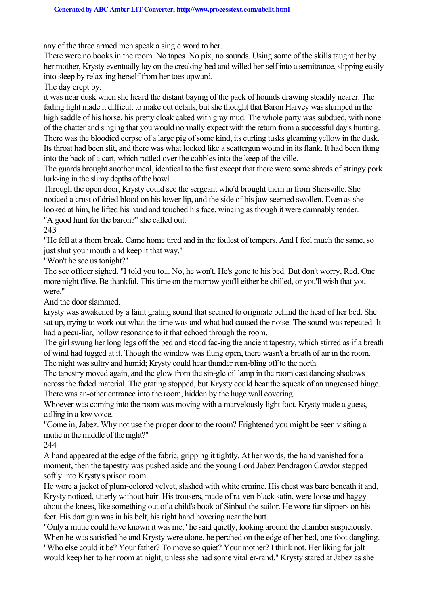any of the three armed men speak a single word to her.

There were no books in the room. No tapes. No pix, no sounds. Using some of the skills taught her by her mother, Krysty eventually lay on the creaking bed and willed her-self into a semitrance, slipping easily into sleep by relax-ing herself from her toes upward.

The day crept by.

it was near dusk when she heard the distant baying of the pack of hounds drawing steadily nearer. The fading light made it difficult to make out details, but she thought that Baron Harvey was slumped in the high saddle of his horse, his pretty cloak caked with gray mud. The whole party was subdued, with none of the chatter and singing that you would normally expect with the return from a successful day's hunting. There was the bloodied corpse of a large pig of some kind, its curling tusks gleaming yellow in the dusk. Its throat had been slit, and there was what looked like a scattergun wound in its flank. It had been flung into the back of a cart, which rattled over the cobbles into the keep of the ville.

The guards brought another meal, identical to the first except that there were some shreds of stringy pork lurk-ing in the slimy depths of the bowl.

Through the open door, Krysty could see the sergeant who'd brought them in from Shersville. She noticed a crust of dried blood on his lower lip, and the side of his jaw seemed swollen. Even as she looked at him, he lifted his hand and touched his face, wincing as though it were damnably tender. "A good hunt for the baron?" she called out.

243

"He fell at a thorn break. Came home tired and in the foulest of tempers. And I feel much the same, so just shut your mouth and keep it that way."

"Won't he see us tonight?"

The sec officer sighed. "I told you to... No, he won't. He's gone to his bed. But don't worry, Red. One more night t'live. Be thankful. This time on the morrow you'll either be chilled, or you'll wish that you were."

And the door slammed.

krysty was awakened by a faint grating sound that seemed to originate behind the head of her bed. She sat up, trying to work out what the time was and what had caused the noise. The sound was repeated. It had a pecu-liar, hollow resonance to it that echoed through the room.

The girl swung her long legs off the bed and stood fac-ing the ancient tapestry, which stirred as if a breath of wind had tugged at it. Though the window was flung open, there wasn't a breath of air in the room. The night was sultry and humid; Krysty could hear thunder rum-bling off to the north.

The tapestry moved again, and the glow from the sin-gle oil lamp in the room cast dancing shadows across the faded material. The grating stopped, but Krysty could hear the squeak of an ungreased hinge. There was an-other entrance into the room, hidden by the huge wall covering.

Whoever was coming into the room was moving with a marvelously light foot. Krysty made a guess, calling in a low voice.

"Come in, Jabez. Why not use the proper door to the room? Frightened you might be seen visiting a mutie in the middle of the night?"

244

A hand appeared at the edge of the fabric, gripping it tightly. At her words, the hand vanished for a moment, then the tapestry was pushed aside and the young Lord Jabez Pendragon Cawdor stepped softly into Krysty's prison room.

He wore a jacket of plum-colored velvet, slashed with white ermine. His chest was bare beneath it and, Krysty noticed, utterly without hair. His trousers, made of ra-ven-black satin, were loose and baggy about the knees, like something out of a child's book of Sinbad the sailor. He wore fur slippers on his feet. His dart gun was in his belt, his right hand hovering near the butt.

"Only a mutie could have known it was me," he said quietly, looking around the chamber suspiciously. When he was satisfied he and Krysty were alone, he perched on the edge of her bed, one foot dangling. "Who else could it be? Your father? To move so quiet? Your mother? I think not. Her liking for jolt would keep her to her room at night, unless she had some vital er-rand." Krysty stared at Jabez as she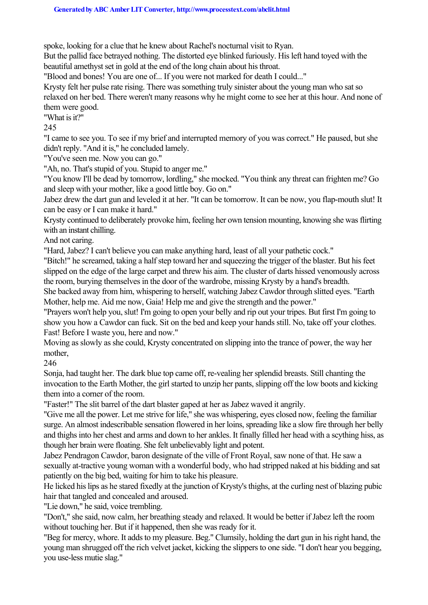spoke, looking for a clue that he knew about Rachel's nocturnal visit to Ryan.

But the pallid face betrayed nothing. The distorted eye blinked furiously. His left hand toyed with the beautiful amethyst set in gold at the end of the long chain about his throat.

"Blood and bones! You are one of... If you were not marked for death I could..."

Krysty felt her pulse rate rising. There was something truly sinister about the young man who sat so relaxed on her bed. There weren't many reasons why he might come to see her at this hour. And none of them were good.

"What is it?"

245

"I came to see you. To see if my brief and interrupted memory of you was correct." He paused, but she didn't reply. "And it is," he concluded lamely.

"You've seen me. Now you can go."

"Ah, no. That's stupid of you. Stupid to anger me."

"You know I'll be dead by tomorrow, lordling," she mocked. "You think any threat can frighten me? Go and sleep with your mother, like a good little boy. Go on."

Jabez drew the dart gun and leveled it at her. "It can be tomorrow. It can be now, you flap-mouth slut! It can be easy or I can make it hard."

Krysty continued to deliberately provoke him, feeling her own tension mounting, knowing she was flirting with an instant chilling.

And not caring.

"Hard, Jabez? I can't believe you can make anything hard, least of all your pathetic cock."

"Bitch!" he screamed, taking a half step toward her and squeezing the trigger of the blaster. But his feet slipped on the edge of the large carpet and threw his aim. The cluster of darts hissed venomously across the room, burying themselves in the door of the wardrobe, missing Krysty by a hand's breadth.

She backed away from him, whispering to herself, watching Jabez Cawdor through slitted eyes. "Earth Mother, help me. Aid me now, Gaia! Help me and give the strength and the power."

"Prayers won't help you, slut! I'm going to open your belly and rip out your tripes. But first I'm going to show you how a Cawdor can fuck. Sit on the bed and keep your hands still. No, take off your clothes. Fast! Before I waste you, here and now."

Moving as slowly as she could, Krysty concentrated on slipping into the trance of power, the way her mother

246

Sonja, had taught her. The dark blue top came off, re-vealing her splendid breasts. Still chanting the invocation to the Earth Mother, the girl started to unzip her pants, slipping off the low boots and kicking them into a corner of the room.

"Faster!" The slit barrel of the dart blaster gaped at her as Jabez waved it angrily.

"Give me all the power. Let me strive for life," she was whispering, eyes closed now, feeling the familiar surge. An almost indescribable sensation flowered in her loins, spreading like a slow fire through her belly and thighs into her chest and arms and down to her ankles. It finally filled her head with a scything hiss, as though her brain were floating. She felt unbelievably light and potent.

Jabez Pendragon Cawdor, baron designate of the ville of Front Royal, saw none of that. He saw a sexually at-tractive young woman with a wonderful body, who had stripped naked at his bidding and sat patiently on the big bed, waiting for him to take his pleasure.

He licked his lips as he stared fixedly at the junction of Krysty's thighs, at the curling nest of blazing pubic hair that tangled and concealed and aroused.

"Lie down," he said, voice trembling.

"Don't," she said, now calm, her breathing steady and relaxed. It would be better if Jabez left the room without touching her. But if it happened, then she was ready for it.

"Beg for mercy, whore. It adds to my pleasure. Beg." Clumsily, holding the dart gun in his right hand, the young man shrugged off the rich velvet jacket, kicking the slippers to one side. "I don't hear you begging, you use-less mutie slag."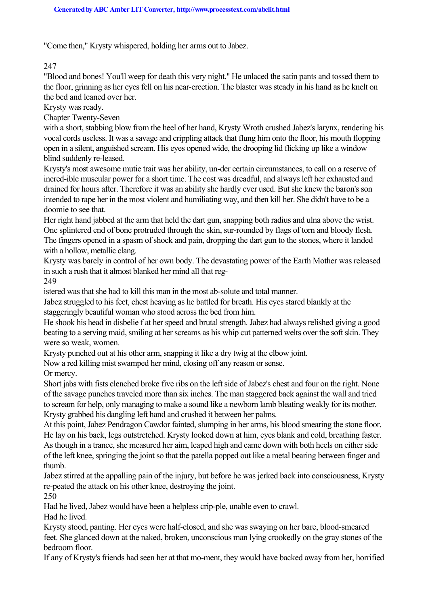"Come then," Krysty whispered, holding her arms out to Jabez.

247

"Blood and bones! You'll weep for death this very night." He unlaced the satin pants and tossed them to the floor, grinning as her eyes fell on his near-erection. The blaster was steady in his hand as he knelt on the bed and leaned over her.

Krysty was ready.

Chapter Twenty-Seven

with a short, stabbing blow from the heel of her hand, Krysty Wroth crushed Jabez's larynx, rendering his vocal cords useless. It was a savage and crippling attack that flung him onto the floor, his mouth flopping open in a silent, anguished scream. His eyes opened wide, the drooping lid flicking up like a window blind suddenly re-leased.

Krysty's most awesome mutie trait was her ability, un-der certain circumstances, to call on a reserve of incred-ible muscular power for a short time. The cost was dreadful, and always left her exhausted and drained for hours after. Therefore it was an ability she hardly ever used. But she knew the baron's son intended to rape her in the most violent and humiliating way, and then kill her. She didn't have to be a doomie to see that.

Her right hand jabbed at the arm that held the dart gun, snapping both radius and ulna above the wrist. One splintered end of bone protruded through the skin, sur-rounded by flags of torn and bloody flesh. The fingers opened in a spasm of shock and pain, dropping the dart gun to the stones, where it landed with a hollow, metallic clang.

Krysty was barely in control of her own body. The devastating power of the Earth Mother was released in such a rush that it almost blanked her mind all that reg-

249

istered was that she had to kill this man in the most ab-solute and total manner.

Jabez struggled to his feet, chest heaving as he battled for breath. His eyes stared blankly at the staggeringly beautiful woman who stood across the bed from him.

He shook his head in disbelie f at her speed and brutal strength. Jabez had always relished giving a good beating to a serving maid, smiling at her screams as his whip cut patterned welts over the soft skin. They were so weak, women.

Krysty punched out at his other arm, snapping it like a dry twig at the elbow joint.

Now a red killing mist swamped her mind, closing off any reason or sense.

Or mercy.

Short jabs with fists clenched broke five ribs on the left side of Jabez's chest and four on the right. None of the savage punches traveled more than six inches. The man staggered back against the wall and tried to scream for help, only managing to make a sound like a newborn lamb bleating weakly for its mother. Krysty grabbed his dangling left hand and crushed it between her palms.

At this point, Jabez Pendragon Cawdor fainted, slumping in her arms, his blood smearing the stone floor. He lay on his back, legs outstretched. Krysty looked down at him, eyes blank and cold, breathing faster. As though in a trance, she measured her aim, leaped high and came down with both heels on either side of the left knee, springing the joint so that the patella popped out like a metal bearing between finger and thumb.

Jabez stirred at the appalling pain of the injury, but before he was jerked back into consciousness, Krysty re-peated the attack on his other knee, destroying the joint.

250

Had he lived, Jabez would have been a helpless crip-ple, unable even to crawl.

Had he lived.

Krysty stood, panting. Her eyes were half-closed, and she was swaying on her bare, blood-smeared feet. She glanced down at the naked, broken, unconscious man lying crookedly on the gray stones of the bedroom floor.

If any of Krysty's friends had seen her at that mo-ment, they would have backed away from her, horrified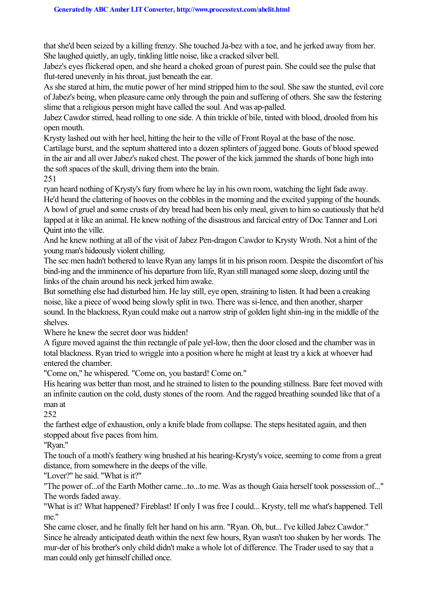that she'd been seized by a killing frenzy. She touched Ja-bez with a toe, and he jerked away from her. She laughed quietly, an ugly, tinkling little noise, like a cracked silver bell.

Jabez's eyes flickered open, and she heard a choked groan of purest pain. She could see the pulse that flut-tered unevenly in his throat, just beneath the ear.

As she stared at him, the mutie power of her mind stripped him to the soul. She saw the stunted, evil core of Jabez's being, when pleasure came only through the pain and suffering of others. She saw the festering slime that a religious person might have called the soul. And was ap-palled.

Jabez Cawdor stirred, head rolling to one side. A thin trickle of bile, tinted with blood, drooled from his open mouth.

Krysty lashed out with her heel, hitting the heir to the ville of Front Royal at the base of the nose. Cartilage burst, and the septum shattered into a dozen splinters of jagged bone. Gouts of blood spewed in the air and all over Jabez's naked chest. The power of the kick jammed the shards of bone high into the soft spaces of the skull, driving them into the brain.

251

ryan heard nothing of Krysty's fury from where he lay in his own room, watching the light fade away. He'd heard the clattering of hooves on the cobbles in the morning and the excited yapping of the hounds. A bowl of gruel and some crusts of dry bread had been his only meal, given to him so cautiously that he'd lapped at it like an animal. He knew nothing of the disastrous and farcical entry of Doc Tanner and Lori Quint into the ville.

And he knew nothing at all of the visit of Jabez Pen-dragon Cawdor to Krysty Wroth. Not a hint of the young man's hideously violent chilling.

The sec men hadn't bothered to leave Ryan any lamps lit in his prison room. Despite the discomfort of his bind-ing and the imminence of his departure from life, Ryan still managed some sleep, dozing until the links of the chain around his neck jerked him awake.

But something else had disturbed him. He lay still, eye open, straining to listen. It had been a creaking noise, like a piece of wood being slowly split in two. There was si-lence, and then another, sharper sound. In the blackness, Ryan could make out a narrow strip of golden light shin-ing in the middle of the shelves.

Where he knew the secret door was hidden!

A figure moved against the thin rectangle of pale yel-low, then the door closed and the chamber was in total blackness. Ryan tried to wriggle into a position where he might at least try a kick at whoever had entered the chamber.

"Come on," he whispered. "Come on, you bastard! Come on."

His hearing was better than most, and he strained to listen to the pounding stillness. Bare feet moved with an infinite caution on the cold, dusty stones of the room. And the ragged breathing sounded like that of a man at

252

the farthest edge of exhaustion, only a knife blade from collapse. The steps hesitated again, and then stopped about five paces from him.

"Ryan."

The touch of a moth's feathery wing brushed at his hearing-Krysty's voice, seeming to come from a great distance, from somewhere in the deeps of the ville.

"Lover?" he said. "What is it?"

"The power of...of the Earth Mother came...to...to me. Was as though Gaia herself took possession of..." The words faded away.

"What is it? What happened? Fireblast! If only I was free I could... Krysty, tell me what's happened. Tell me."

She came closer, and he finally felt her hand on his arm. "Ryan. Oh, but... I've killed Jabez Cawdor." Since he already anticipated death within the next few hours, Ryan wasn't too shaken by her words. The mur-der of his brother's only child didn't make a whole lot of difference. The Trader used to say that a man could only get himself chilled once.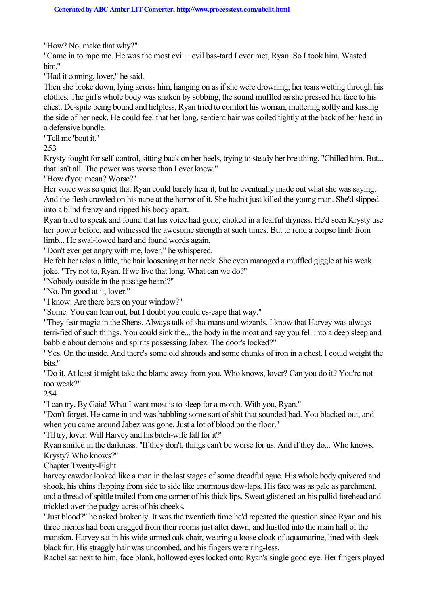"How? No, make that why?"

"Came in to rape me. He was the most evil... evil bas-tard I ever met, Ryan. So I took him. Wasted him."

"Had it coming, lover," he said.

Then she broke down, lying across him, hanging on as if she were drowning, her tears wetting through his clothes. The girl's whole body was shaken by sobbing, the sound muffled as she pressed her face to his chest. De-spite being bound and helpless, Ryan tried to comfort his woman, muttering softly and kissing the side of her neck. He could feel that her long, sentient hair was coiled tightly at the back of her head in a defensive bundle.

"Tell me 'bout it."

253

Krysty fought for self-control, sitting back on her heels, trying to steady her breathing. "Chilled him. But... that isn't all. The power was worse than I ever knew."

"How d'you mean? Worse?"

Her voice was so quiet that Ryan could barely hear it, but he eventually made out what she was saying. And the flesh crawled on his nape at the horror of it. She hadn't just killed the young man. She'd slipped into a blind frenzy and ripped his body apart.

Ryan tried to speak and found that his voice had gone, choked in a fearful dryness. He'd seen Krysty use her power before, and witnessed the awesome strength at such times. But to rend a corpse limb from limb... He swal-lowed hard and found words again.

"Don't ever get angry with me, lover," he whispered.

He felt her relax a little, the hair loosening at her neck. She even managed a muffled giggle at his weak joke. "Try not to, Ryan. If we live that long. What can we do?"

"Nobody outside in the passage heard?"

"No. I'm good at it, lover."

"I know. Are there bars on your window?"

"Some. You can lean out, but I doubt you could es-cape that way."

"They fear magic in the Shens. Always talk of sha-mans and wizards. I know that Harvey was always terri-fied of such things. You could sink the... the body in the moat and say you fell into a deep sleep and babble about demons and spirits possessing Jabez. The door's locked?"

"Yes. On the inside. And there's some old shrouds and some chunks of iron in a chest. I could weight the bits."

"Do it. At least it might take the blame away from you. Who knows, lover? Can you do it? You're not too weak?"

254

"I can try. By Gaia! What I want most is to sleep for a month. With you, Ryan."

"Don't forget. He came in and was babbling some sort of shit that sounded bad. You blacked out, and when you came around Jabez was gone. Just a lot of blood on the floor."

"I'll try, lover. Will Harvey and his bitch-wife fall for it?"

Ryan smiled in the darkness. "If they don't, things can't be worse for us. And if they do... Who knows, Krysty? Who knows?"

Chapter Twenty-Eight

harvey cawdor looked like a man in the last stages of some dreadful ague. His whole body quivered and shook, his chins flapping from side to side like enormous dew-laps. His face was as pale as parchment, and a thread of spittle trailed from one corner of his thick lips. Sweat glistened on his pallid forehead and trickled over the pudgy acres of his cheeks.

"Just blood?" he asked brokenly. It was the twentieth time he'd repeated the question since Ryan and his three friends had been dragged from their rooms just after dawn, and hustled into the main hall of the mansion. Harvey sat in his wide-armed oak chair, wearing a loose cloak of aquamarine, lined with sleek black fur. His straggly hair was uncombed, and his fingers were ring-less.

Rachel sat next to him, face blank, hollowed eyes locked onto Ryan's single good eye. Her fingers played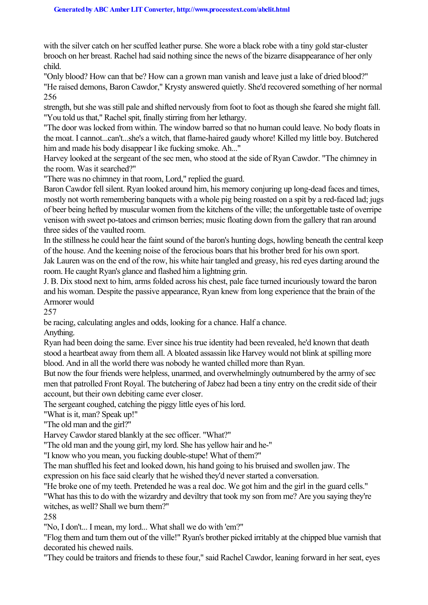with the silver catch on her scuffed leather purse. She wore a black robe with a tiny gold star-cluster brooch on her breast. Rachel had said nothing since the news of the bizarre disappearance of her only child.

"Only blood? How can that be? How can a grown man vanish and leave just a lake of dried blood?" "He raised demons, Baron Cawdor," Krysty answered quietly. She'd recovered something of her normal 256

strength, but she was still pale and shifted nervously from foot to foot as though she feared she might fall. "You told us that," Rachel spit, finally stirring from her lethargy.

"The door was locked from within. The window barred so that no human could leave. No body floats in the moat. I cannot...can't...she's a witch, that flame-haired gaudy whore! Killed my little boy. Butchered him and made his body disappear l ike fucking smoke. Ah..."

Harvey looked at the sergeant of the sec men, who stood at the side of Ryan Cawdor. "The chimney in the room. Was it searched?"

"There was no chimney in that room, Lord," replied the guard.

Baron Cawdor fell silent. Ryan looked around him, his memory conjuring up long-dead faces and times, mostly not worth remembering banquets with a whole pig being roasted on a spit by a red-faced lad; jugs of beer being hefted by muscular women from the kitchens of the ville; the unforgettable taste of overripe venison with sweet po-tatoes and crimson berries; music floating down from the gallery that ran around three sides of the vaulted room.

In the stillness he could hear the faint sound of the baron's hunting dogs, howling beneath the central keep of the house. And the keening noise of the ferocious boars that his brother bred for his own sport. Jak Lauren was on the end of the row, his white hair tangled and greasy, his red eyes darting around the room. He caught Ryan's glance and flashed him a lightning grin.

J. B. Dix stood next to him, arms folded across his chest, pale face turned incuriously toward the baron and his woman. Despite the passive appearance, Ryan knew from long experience that the brain of the Armorer would

257

be racing, calculating angles and odds, looking for a chance. Half a chance.

Anything.

Ryan had been doing the same. Ever since his true identity had been revealed, he'd known that death stood a heartbeat away from them all. A bloated assassin like Harvey would not blink at spilling more blood. And in all the world there was nobody he wanted chilled more than Ryan.

But now the four friends were helpless, unarmed, and overwhelmingly outnumbered by the army of sec men that patrolled Front Royal. The butchering of Jabez had been a tiny entry on the credit side of their account, but their own debiting came ever closer.

The sergeant coughed, catching the piggy little eyes of his lord.

"What is it, man? Speak up!"

"The old man and the girl?"

Harvey Cawdor stared blankly at the sec officer. "What?"

"The old man and the young girl, my lord. She has yellow hair and he-"

"I know who you mean, you fucking double-stupe! What of them?"

The man shuffled his feet and looked down, his hand going to his bruised and swollen jaw. The expression on his face said clearly that he wished they'd never started a conversation.

"He broke one of my teeth. Pretended he was a real doc. We got him and the girl in the guard cells."

"What has this to do with the wizardry and deviltry that took my son from me? Are you saying they're witches, as well? Shall we burn them?"

258

"No, I don't... I mean, my lord... What shall we do with 'em?"

"Flog them and turn them out of the ville!" Ryan's brother picked irritably at the chipped blue varnish that decorated his chewed nails.

"They could be traitors and friends to these four," said Rachel Cawdor, leaning forward in her seat, eyes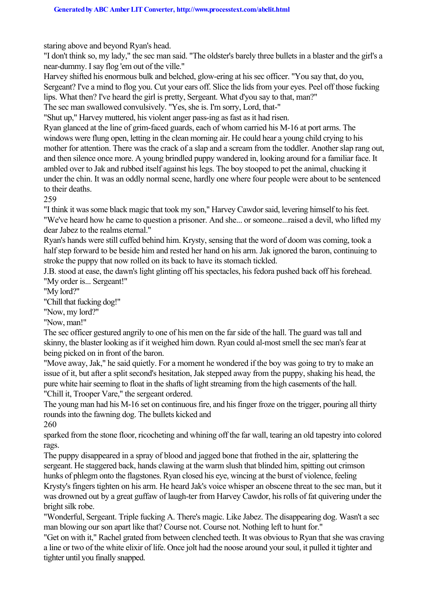staring above and beyond Ryan's head.

"I don't think so, my lady," the sec man said. "The oldster's barely three bullets in a blaster and the girl's a near-dummy. I say flog 'em out of the ville."

Harvey shifted his enormous bulk and belched, glow-ering at his sec officer. "You say that, do you, Sergeant? I've a mind to flog you. Cut your ears off. Slice the lids from your eyes. Peel off those fucking lips. What then? I've heard the girl is pretty, Sergeant. What d'you say to that, man?"

The sec man swallowed convulsively. "Yes, she is. I'm sorry, Lord, that-"

"Shut up," Harvey muttered, his violent anger pass-ing as fast as it had risen.

Ryan glanced at the line of grim-faced guards, each of whom carried his M-16 at port arms. The windows were flung open, letting in the clean morning air. He could hear a young child crying to his mother for attention. There was the crack of a slap and a scream from the toddler. Another slap rang out, and then silence once more. A young brindled puppy wandered in, looking around for a familiar face. It ambled over to Jak and rubbed itself against his legs. The boy stooped to pet the animal, chucking it under the chin. It was an oddly normal scene, hardly one where four people were about to be sentenced to their deaths.

259

"I think it was some black magic that took my son," Harvey Cawdor said, levering himself to his feet. "We've heard how he came to question a prisoner. And she... or someone...raised a devil, who lifted my dear Jabez to the realms eternal."

Ryan's hands were still cuffed behind him. Krysty, sensing that the word of doom was coming, took a half step forward to be beside him and rested her hand on his arm. Jak ignored the baron, continuing to stroke the puppy that now rolled on its back to have its stomach tickled.

J.B. stood at ease, the dawn's light glinting off his spectacles, his fedora pushed back off his forehead. "My order is... Sergeant!"

"My lord?"

"Chill that fucking dog!"

"Now, my lord?"

"Now, man!"

The sec officer gestured angrily to one of his men on the far side of the hall. The guard was tall and skinny, the blaster looking as if it weighed him down. Ryan could al-most smell the sec man's fear at being picked on in front of the baron.

"Move away, Jak," he said quietly. For a moment he wondered if the boy was going to try to make an issue of it, but after a split second's hesitation, Jak stepped away from the puppy, shaking his head, the pure white hair seeming to float in the shafts of light streaming from the high casements of the hall. "Chill it, Trooper Vare," the sergeant ordered.

The young man had his M-16 set on continuous fire, and his finger froze on the trigger, pouring all thirty rounds into the fawning dog. The bullets kicked and 260

sparked from the stone floor, ricocheting and whining off the far wall, tearing an old tapestry into colored rags.

The puppy disappeared in a spray of blood and jagged bone that frothed in the air, splattering the sergeant. He staggered back, hands clawing at the warm slush that blinded him, spitting out crimson hunks of phlegm onto the flagstones. Ryan closed his eye, wincing at the burst of violence, feeling Krysty's fingers tighten on his arm. He heard Jak's voice whisper an obscene threat to the sec man, but it was drowned out by a great guffaw of laugh-ter from Harvey Cawdor, his rolls of fat quivering under the bright silk robe.

"Wonderful, Sergeant. Triple fucking A. There's magic. Like Jabez. The disappearing dog. Wasn't a sec man blowing our son apart like that? Course not. Course not. Nothing left to hunt for."

"Get on with it," Rachel grated from between clenched teeth. It was obvious to Ryan that she was craving a line or two of the white elixir of life. Once jolt had the noose around your soul, it pulled it tighter and tighter until you finally snapped.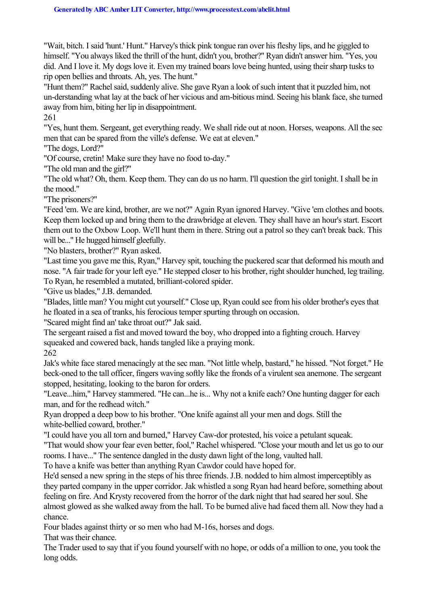"Wait, bitch. I said 'hunt.' Hunt." Harvey's thick pink tongue ran over his fleshy lips, and he giggled to himself. "You always liked the thrill of the hunt, didn't you, brother?" Ryan didn't answer him. "Yes, you did. And I love it. My dogs love it. Even my trained boars love being hunted, using their sharp tusks to rip open bellies and throats. Ah, yes. The hunt."

"Hunt them?" Rachel said, suddenly alive. She gave Ryan a look of such intent that it puzzled him, not un-derstanding what lay at the back of her vicious and am-bitious mind. Seeing his blank face, she turned away from him, biting her lip in disappointment.

261

"Yes, hunt them. Sergeant, get everything ready. We shall ride out at noon. Horses, weapons. All the sec men that can be spared from the ville's defense. We eat at eleven."

"The dogs, Lord?"

"Of course, cretin! Make sure they have no food to-day."

"The old man and the girl?"

"The old what? Oh, them. Keep them. They can do us no harm. I'll question the girl tonight. I shall be in the mood."

"The prisoners?"

"Feed 'em. We are kind, brother, are we not?" Again Ryan ignored Harvey. "Give 'em clothes and boots. Keep them locked up and bring them to the drawbridge at eleven. They shall have an hour's start. Escort them out to the Oxbow Loop. We'll hunt them in there. String out a patrol so they can't break back. This will be..." He hugged himself gleefully.

"No blasters, brother?" Ryan asked.

"Last time you gave me this, Ryan," Harvey spit, touching the puckered scar that deformed his mouth and nose. "A fair trade for your left eye." He stepped closer to his brother, right shoulder hunched, leg trailing. To Ryan, he resembled a mutated, brilliant-colored spider.

"Give us blades," J.B. demanded.

"Blades, little man? You might cut yourself." Close up, Ryan could see from his older brother's eyes that he floated in a sea of tranks, his ferocious temper spurting through on occasion.

"Scared might find an' take throat out?" Jak said.

The sergeant raised a fist and moved toward the boy, who dropped into a fighting crouch. Harvey squeaked and cowered back, hands tangled like a praying monk.

262

Jak's white face stared menacingly at the sec man. "Not little whelp, bastard," he hissed. "Not forget." He beck-oned to the tall officer, fingers waving softly like the fronds of a virulent sea anemone. The sergeant stopped, hesitating, looking to the baron for orders.

"Leave...him," Harvey stammered. "He can...he is... Why not a knife each? One hunting dagger for each man, and for the redhead witch."

Ryan dropped a deep bow to his brother. "One knife against all your men and dogs. Still the white-bellied coward, brother."

"I could have you all torn and burned," Harvey Caw-dor protested, his voice a petulant squeak.

"That would show your fear even better, fool," Rachel whispered. "Close your mouth and let us go to our rooms. I have..." The sentence dangled in the dusty dawn light of the long, vaulted hall.

To have a knife was better than anything Ryan Cawdor could have hoped for.

He'd sensed a new spring in the steps of his three friends. J.B. nodded to him almost imperceptibly as they parted company in the upper corridor. Jak whistled a song Ryan had heard before, something about feeling on fire. And Krysty recovered from the horror of the dark night that had seared her soul. She almost glowed as she walked away from the hall. To be burned alive had faced them all. Now they had a chance.

Four blades against thirty or so men who had M-16s, horses and dogs.

That was their chance.

The Trader used to say that if you found yourself with no hope, or odds of a million to one, you took the long odds.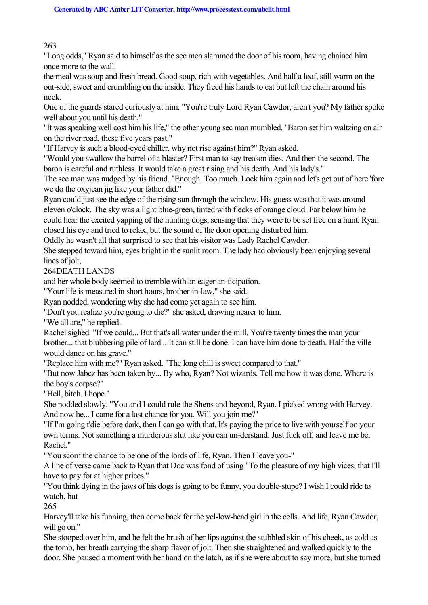## 263

"Long odds," Ryan said to himself as the sec men slammed the door of his room, having chained him once more to the wall.

the meal was soup and fresh bread. Good soup, rich with vegetables. And half a loaf, still warm on the out-side, sweet and crumbling on the inside. They freed his hands to eat but left the chain around his neck.

One of the guards stared curiously at him. "You're truly Lord Ryan Cawdor, aren't you? My father spoke well about you until his death."

"It was speaking well cost him his life," the other young sec man mumbled. "Baron set him waltzing on air on the river road, these five years past."

"If Harvey is such a blood-eyed chiller, why not rise against him?" Ryan asked.

"Would you swallow the barrel of a blaster? First man to say treason dies. And then the second. The baron is careful and ruthless. It would take a great rising and his death. And his lady's."

The sec man was nudged by his friend. "Enough. Too much. Lock him again and let's get out of here 'fore we do the oxyjean jig like your father did."

Ryan could just see the edge of the rising sun through the window. His guess was that it was around eleven o'clock. The sky was a light blue-green, tinted with flecks of orange cloud. Far below him he could hear the excited yapping of the hunting dogs, sensing that they were to be set free on a hunt. Ryan closed his eye and tried to relax, but the sound of the door opening disturbed him.

Oddly he wasn't all that surprised to see that his visitor was Lady Rachel Cawdor.

She stepped toward him, eyes bright in the sunlit room. The lady had obviously been enjoying several lines of jolt,

264DEATH LANDS

and her whole body seemed to tremble with an eager an-ticipation.

"Your life is measured in short hours, brother-in-law," she said.

Ryan nodded, wondering why she had come yet again to see him.

"Don't you realize you're going to die?" she asked, drawing nearer to him.

"We all are," he replied.

Rachel sighed. "If we could... But that's all water under the mill. You're twenty times the man your brother... that blubbering pile of lard... It can still be done. I can have him done to death. Half the ville would dance on his grave."

"Replace him with me?" Ryan asked. "The long chill is sweet compared to that."

"But now Jabez has been taken by... By who, Ryan? Not wizards. Tell me how it was done. Where is the boy's corpse?"

"Hell, bitch. I hope."

She nodded slowly. "You and I could rule the Shens and beyond, Ryan. I picked wrong with Harvey. And now he... I came for a last chance for you. Will you join me?"

"If I'm going t'die before dark, then I can go with that. It's paying the price to live with yourself on your own terms. Not something a murderous slut like you can un-derstand. Just fuck off, and leave me be, Rachel<sup>"</sup>

"You scorn the chance to be one of the lords of life, Ryan. Then I leave you-"

A line of verse came back to Ryan that Doc was fond of using "To the pleasure of my high vices, that I'll have to pay for at higher prices."

"You think dying in the jaws of his dogs is going to be funny, you double-stupe? I wish I could ride to watch, but

265

Harvey'll take his funning, then come back for the yel-low-head girl in the cells. And life, Ryan Cawdor, will go on."

She stooped over him, and he felt the brush of her lips against the stubbled skin of his cheek, as cold as the tomb, her breath carrying the sharp flavor of jolt. Then she straightened and walked quickly to the door. She paused a moment with her hand on the latch, as if she were about to say more, but she turned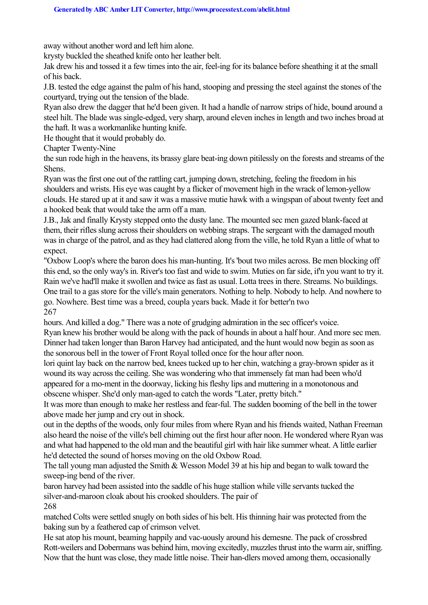away without another word and left him alone.

krysty buckled the sheathed knife onto her leather belt.

Jak drew his and tossed it a few times into the air, feel-ing for its balance before sheathing it at the small of his back.

J.B. tested the edge against the palm of his hand, stooping and pressing the steel against the stones of the courtyard, trying out the tension of the blade.

Ryan also drew the dagger that he'd been given. It had a handle of narrow strips of hide, bound around a steel hilt. The blade was single-edged, very sharp, around eleven inches in length and two inches broad at the haft. It was a workmanlike hunting knife.

He thought that it would probably do.

Chapter Twenty-Nine

the sun rode high in the heavens, its brassy glare beat-ing down pitilessly on the forests and streams of the Shens.

Ryan was the first one out of the rattling cart, jumping down, stretching, feeling the freedom in his shoulders and wrists. His eye was caught by a flicker of movement high in the wrack of lemon-yellow clouds. He stared up at it and saw it was a massive mutie hawk with a wingspan of about twenty feet and a hooked beak that would take the arm off a man.

J.B., Jak and finally Krysty stepped onto the dusty lane. The mounted sec men gazed blank-faced at them, their rifles slung across their shoulders on webbing straps. The sergeant with the damaged mouth was in charge of the patrol, and as they had clattered along from the ville, he told Ryan a little of what to expect.

"Oxbow Loop's where the baron does his man-hunting. It's 'bout two miles across. Be men blocking off this end, so the only way's in. River's too fast and wide to swim. Muties on far side, if'n you want to try it. Rain we've had'll make it swollen and twice as fast as usual. Lotta trees in there. Streams. No buildings. One trail to a gas store for the ville's main generators. Nothing to help. Nobody to help. And nowhere to go. Nowhere. Best time was a breed, coupla years back. Made it for better'n two 267

hours. And killed a dog." There was a note of grudging admiration in the sec officer's voice.

Ryan knew his brother would be along with the pack of hounds in about a half hour. And more sec men. Dinner had taken longer than Baron Harvey had anticipated, and the hunt would now begin as soon as the sonorous bell in the tower of Front Royal tolled once for the hour after noon.

lori quint lay back on the narrow bed, knees tucked up to her chin, watching a gray-brown spider as it wound its way across the ceiling. She was wondering who that immensely fat man had been who'd appeared for a mo-ment in the doorway, licking his fleshy lips and muttering in a monotonous and obscene whisper. She'd only man-aged to catch the words "Later, pretty bitch."

It was more than enough to make her restless and fear-ful. The sudden booming of the bell in the tower above made her jump and cry out in shock.

out in the depths of the woods, only four miles from where Ryan and his friends waited, Nathan Freeman also heard the noise of the ville's bell chiming out the first hour after noon. He wondered where Ryan was and what had happened to the old man and the beautiful girl with hair like summer wheat. A little earlier he'd detected the sound of horses moving on the old Oxbow Road.

The tall young man adjusted the Smith & Wesson Model 39 at his hip and began to walk toward the sweep-ing bend of the river.

baron harvey had been assisted into the saddle of his huge stallion while ville servants tucked the silver-and-maroon cloak about his crooked shoulders. The pair of 268

matched Colts were settled snugly on both sides of his belt. His thinning hair was protected from the baking sun by a feathered cap of crimson velvet.

He sat atop his mount, beaming happily and vac-uously around his demesne. The pack of crossbred Rott-weilers and Dobermans was behind him, moving excitedly, muzzles thrust into the warm air, sniffing. Now that the hunt was close, they made little noise. Their han-dlers moved among them, occasionally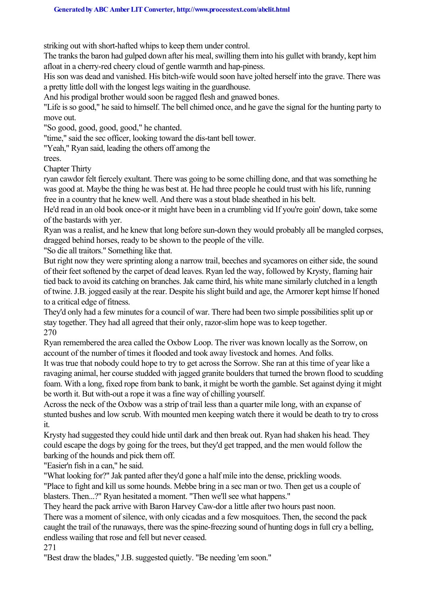striking out with short-hafted whips to keep them under control.

The tranks the baron had gulped down after his meal, swilling them into his gullet with brandy, kept him afloat in a cherry-red cheery cloud of gentle warmth and hap-piness.

His son was dead and vanished. His bitch-wife would soon have jolted herself into the grave. There was a pretty little doll with the longest legs waiting in the guardhouse.

And his prodigal brother would soon be ragged flesh and gnawed bones.

"Life is so good," he said to himself. The bell chimed once, and he gave the signal for the hunting party to move out.

"So good, good, good, good," he chanted.

"time," said the sec officer, looking toward the dis-tant bell tower.

"Yeah," Ryan said, leading the others off among the

trees.

Chapter Thirty

ryan cawdor felt fiercely exultant. There was going to be some chilling done, and that was something he was good at. Maybe the thing he was best at. He had three people he could trust with his life, running free in a country that he knew well. And there was a stout blade sheathed in his belt.

He'd read in an old book once-or it might have been in a crumbling vid If you're goin' down, take some of the bastards with yer.

Ryan was a realist, and he knew that long before sun-down they would probably all be mangled corpses, dragged behind horses, ready to be shown to the people of the ville.

"So die all traitors." Something like that.

But right now they were sprinting along a narrow trail, beeches and sycamores on either side, the sound of their feet softened by the carpet of dead leaves. Ryan led the way, followed by Krysty, flaming hair tied back to avoid its catching on branches. Jak came third, his white mane similarly clutched in a length of twine. J.B. jogged easily at the rear. Despite his slight build and age, the Armorer kept himse lf honed to a critical edge of fitness.

They'd only had a few minutes for a council of war. There had been two simple possibilities split up or stay together. They had all agreed that their only, razor-slim hope was to keep together. 270

Ryan remembered the area called the Oxbow Loop. The river was known locally as the Sorrow, on account of the number of times it flooded and took away livestock and homes. And folks.

It was true that nobody could hope to try to get across the Sorrow. She ran at this time of year like a ravaging animal, her course studded with jagged granite boulders that turned the brown flood to scudding foam. With a long, fixed rope from bank to bank, it might be worth the gamble. Set against dying it might be worth it. But with-out a rope it was a fine way of chilling yourself.

Across the neck of the Oxbow was a strip of trail less than a quarter mile long, with an expanse of stunted bushes and low scrub. With mounted men keeping watch there it would be death to try to cross it.

Krysty had suggested they could hide until dark and then break out. Ryan had shaken his head. They could escape the dogs by going for the trees, but they'd get trapped, and the men would follow the barking of the hounds and pick them off.

"Easier'n fish in a can," he said.

"What looking for?" Jak panted after they'd gone a half mile into the dense, prickling woods.

"Place to fight and kill us some hounds. Mebbe bring in a sec man or two. Then get us a couple of blasters. Then...?" Ryan hesitated a moment. "Then we'll see what happens."

They heard the pack arrive with Baron Harvey Caw-dor a little after two hours past noon.

There was a moment of silence, with only cicadas and a few mosquitoes. Then, the second the pack caught the trail of the runaways, there was the spine-freezing sound of hunting dogs in full cry a belling, endless wailing that rose and fell but never ceased.

271

"Best draw the blades," J.B. suggested quietly. "Be needing 'em soon."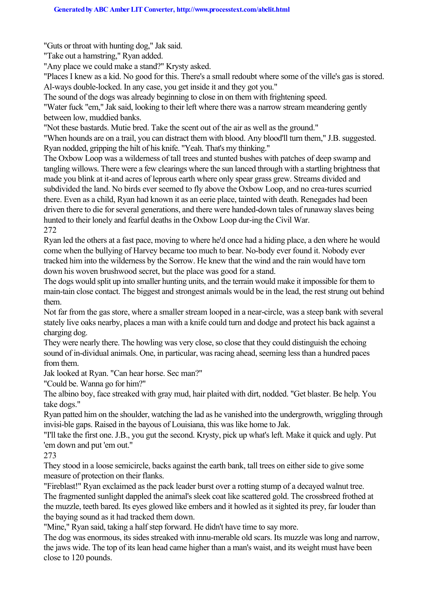"Guts or throat with hunting dog," Jak said.

"Take out a hamstring," Ryan added.

"Any place we could make a stand?" Krysty asked.

"Places I knew as a kid. No good for this. There's a small redoubt where some of the ville's gas is stored. Al-ways double-locked. In any case, you get inside it and they got you."

The sound of the dogs was already beginning to close in on them with frightening speed.

"Water fuck "em," Jak said, looking to their left where there was a narrow stream meandering gently between low, muddied banks.

"Not these bastards. Mutie bred. Take the scent out of the air as well as the ground."

"When hounds are on a trail, you can distract them with blood. Any blood'll turn them," J.B. suggested. Ryan nodded, gripping the hilt of his knife. "Yeah. That's my thinking."

The Oxbow Loop was a wilderness of tall trees and stunted bushes with patches of deep swamp and tangling willows. There were a few clearings where the sun lanced through with a startling brightness that made you blink at it-and acres of leprous earth where only spear grass grew. Streams divided and subdivided the land. No birds ever seemed to fly above the Oxbow Loop, and no crea-tures scurried there. Even as a child, Ryan had known it as an eerie place, tainted with death. Renegades had been driven there to die for several generations, and there were handed-down tales of runaway slaves being hunted to their lonely and fearful deaths in the Oxbow Loop dur-ing the Civil War. 272

Ryan led the others at a fast pace, moving to where he'd once had a hiding place, a den where he would come when the bullying of Harvey became too much to bear. No-body ever found it. Nobody ever tracked him into the wilderness by the Sorrow. He knew that the wind and the rain would have torn down his woven brushwood secret, but the place was good for a stand.

The dogs would split up into smaller hunting units, and the terrain would make it impossible for them to main-tain close contact. The biggest and strongest animals would be in the lead, the rest strung out behind them.

Not far from the gas store, where a smaller stream looped in a near-circle, was a steep bank with several stately live oaks nearby, places a man with a knife could turn and dodge and protect his back against a charging dog.

They were nearly there. The howling was very close, so close that they could distinguish the echoing sound of in-dividual animals. One, in particular, was racing ahead, seeming less than a hundred paces from them.

Jak looked at Ryan. "Can hear horse. Sec man?"

"Could be. Wanna go for him?"

The albino boy, face streaked with gray mud, hair plaited with dirt, nodded. "Get blaster. Be help. You take dogs."

Ryan patted him on the shoulder, watching the lad as he vanished into the undergrowth, wriggling through invisi-ble gaps. Raised in the bayous of Louisiana, this was like home to Jak.

"I'll take the first one. J.B., you gut the second. Krysty, pick up what's left. Make it quick and ugly. Put 'em down and put 'em out."

273

They stood in a loose semicircle, backs against the earth bank, tall trees on either side to give some measure of protection on their flanks.

"Fireblast!" Ryan exclaimed as the pack leader burst over a rotting stump of a decayed walnut tree. The fragmented sunlight dappled the animal's sleek coat like scattered gold. The crossbreed frothed at the muzzle, teeth bared. Its eyes glowed like embers and it howled as it sighted its prey, far louder than the baying sound as it had tracked them down.

"Mine," Ryan said, taking a half step forward. He didn't have time to say more.

The dog was enormous, its sides streaked with innu-merable old scars. Its muzzle was long and narrow, the jaws wide. The top of its lean head came higher than a man's waist, and its weight must have been close to 120 pounds.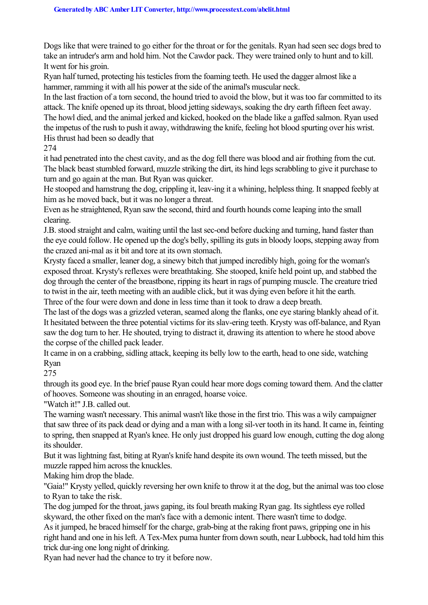Dogs like that were trained to go either for the throat or for the genitals. Ryan had seen sec dogs bred to take an intruder's arm and hold him. Not the Cawdor pack. They were trained only to hunt and to kill. It went for his groin.

Ryan half turned, protecting his testicles from the foaming teeth. He used the dagger almost like a hammer, ramming it with all his power at the side of the animal's muscular neck.

In the last fraction of a torn second, the hound tried to avoid the blow, but it was too far committed to its attack. The knife opened up its throat, blood jetting sideways, soaking the dry earth fifteen feet away. The howl died, and the animal jerked and kicked, hooked on the blade like a gaffed salmon. Ryan used the impetus of the rush to push it away, withdrawing the knife, feeling hot blood spurting over his wrist. His thrust had been so deadly that

274

it had penetrated into the chest cavity, and as the dog fell there was blood and air frothing from the cut. The black beast stumbled forward, muzzle striking the dirt, its hind legs scrabbling to give it purchase to turn and go again at the man. But Ryan was quicker.

He stooped and hamstrung the dog, crippling it, leav-ing it a whining, helpless thing. It snapped feebly at him as he moved back, but it was no longer a threat.

Even as he straightened, Ryan saw the second, third and fourth hounds come leaping into the small clearing.

J.B. stood straight and calm, waiting until the last sec-ond before ducking and turning, hand faster than the eye could follow. He opened up the dog's belly, spilling its guts in bloody loops, stepping away from the crazed ani-mal as it bit and tore at its own stomach.

Krysty faced a smaller, leaner dog, a sinewy bitch that jumped incredibly high, going for the woman's exposed throat. Krysty's reflexes were breathtaking. She stooped, knife held point up, and stabbed the dog through the center of the breastbone, ripping its heart in rags of pumping muscle. The creature tried to twist in the air, teeth meeting with an audible click, but it was dying even before it hit the earth. Three of the four were down and done in less time than it took to draw a deep breath.

The last of the dogs was a grizzled veteran, seamed along the flanks, one eye staring blankly ahead of it. It hesitated between the three potential victims for its slav-ering teeth. Krysty was off-balance, and Ryan saw the dog turn to her. He shouted, trying to distract it, drawing its attention to where he stood above the corpse of the chilled pack leader.

It came in on a crabbing, sidling attack, keeping its belly low to the earth, head to one side, watching Ryan

275

through its good eye. In the brief pause Ryan could hear more dogs coming toward them. And the clatter of hooves. Someone was shouting in an enraged, hoarse voice.

"Watch it!" J.B. called out.

The warning wasn't necessary. This animal wasn't like those in the first trio. This was a wily campaigner that saw three of its pack dead or dying and a man with a long sil-ver tooth in its hand. It came in, feinting to spring, then snapped at Ryan's knee. He only just dropped his guard low enough, cutting the dog along its shoulder.

But it was lightning fast, biting at Ryan's knife hand despite its own wound. The teeth missed, but the muzzle rapped him across the knuckles.

Making him drop the blade.

"Gaia!" Krysty yelled, quickly reversing her own knife to throw it at the dog, but the animal was too close to Ryan to take the risk.

The dog jumped for the throat, jaws gaping, its foul breath making Ryan gag. Its sightless eye rolled skyward, the other fixed on the man's face with a demonic intent. There wasn't time to dodge.

As it jumped, he braced himself for the charge, grab-bing at the raking front paws, gripping one in his right hand and one in his left. A Tex-Mex puma hunter from down south, near Lubbock, had told him this trick dur-ing one long night of drinking.

Ryan had never had the chance to try it before now.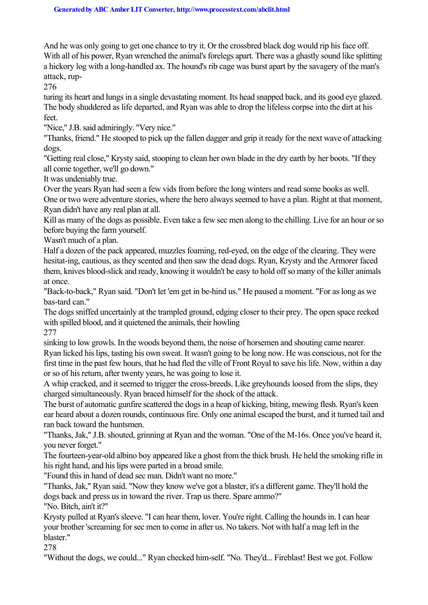And he was only going to get one chance to try it. Or the crossbred black dog would rip his face off. With all of his power, Ryan wrenched the animal's forelegs apart. There was a ghastly sound like splitting a hickory log with a long-handled ax. The hound's rib cage was burst apart by the savagery of the man's attack, rup-

276

turing its heart and lungs in a single devastating moment. Its head snapped back, and its good eye glazed. The body shuddered as life departed, and Ryan was able to drop the lifeless corpse into the dirt at his feet.

"Nice," J.B. said admiringly. "Very nice."

"Thanks, friend." He stooped to pick up the fallen dagger and grip it ready for the next wave of attacking dogs.

"Getting real close," Krysty said, stooping to clean her own blade in the dry earth by her boots. "If they all come together, we'll go down."

It was undeniably true.

Over the years Ryan had seen a few vids from before the long winters and read some books as well.

One or two were adventure stories, where the hero always seemed to have a plan. Right at that moment, Ryan didn't have any real plan at all.

Kill as many of the dogs as possible. Even take a few sec men along to the chilling. Live for an hour or so before buying the farm yourself.

Wasn't much of a plan.

Half a dozen of the pack appeared, muzzles foaming, red-eyed, on the edge of the clearing. They were hesitat-ing, cautious, as they scented and then saw the dead dogs. Ryan, Krysty and the Armorer faced them, knives blood-slick and ready, knowing it wouldn't be easy to hold off so many of the killer animals at once.

"Back-to-back," Ryan said. "Don't let 'em get in be-hind us." He paused a moment. "For as long as we bas-tard can."

The dogs sniffed uncertainly at the trampled ground, edging closer to their prey. The open space reeked with spilled blood, and it quietened the animals, their howling

277

sinking to low growls. In the woods beyond them, the noise of horsemen and shouting came nearer. Ryan licked his lips, tasting his own sweat. It wasn't going to be long now. He was conscious, not for the first time in the past few hours, that he had fled the ville of Front Royal to save his life. Now, within a day or so of his return, after twenty years, he was going to lose it.

A whip cracked, and it seemed to trigger the cross-breeds. Like greyhounds loosed from the slips, they charged simultaneously. Ryan braced himself for the shock of the attack.

The burst of automatic gunfire scattered the dogs in a heap of kicking, biting, mewing flesh. Ryan's keen ear heard about a dozen rounds, continuous fire. Only one animal escaped the burst, and it turned tail and ran back toward the huntsmen.

"Thanks, Jak," J.B. shouted, grinning at Ryan and the woman. "One of the M-16s. Once you've heard it, you never forget."

The fourteen-year-old albino boy appeared like a ghost from the thick brush. He held the smoking rifle in his right hand, and his lips were parted in a broad smile.

"Found this in hand of dead sec man. Didn't want no more."

"Thanks, Jak," Ryan said. "Now they know we've got a blaster, it's a different game. They'll hold the dogs back and press us in toward the river. Trap us there. Spare ammo?"

"No. Bitch, ain't it?"

Krysty pulled at Ryan's sleeve. "I can hear them, lover. You're right. Calling the hounds in. I can hear your brother 'screaming for sec men to come in after us. No takers. Not with half a mag left in the blaster."

278

"Without the dogs, we could..." Ryan checked him-self. "No. They'd... Fireblast! Best we got. Follow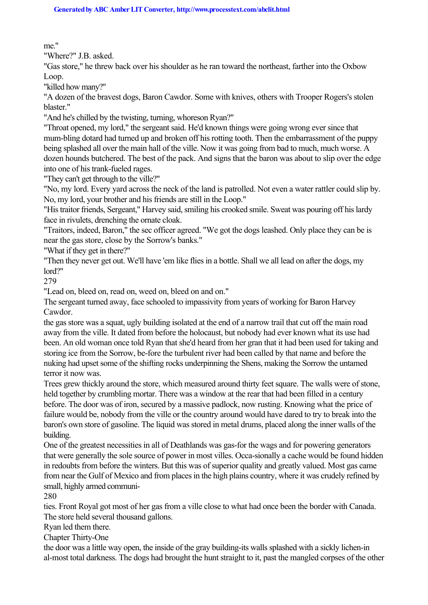me"

"Where?" J.B. asked.

"Gas store," he threw back over his shoulder as he ran toward the northeast, farther into the Oxbow Loop.

"killed how many?"

"A dozen of the bravest dogs, Baron Cawdor. Some with knives, others with Trooper Rogers's stolen blaster."

"And he's chilled by the twisting, turning, whoreson Ryan?"

"Throat opened, my lord," the sergeant said. He'd known things were going wrong ever since that mum-bling dotard had turned up and broken off his rotting tooth. Then the embarrassment of the puppy being splashed all over the main hall of the ville. Now it was going from bad to much, much worse. A dozen hounds butchered. The best of the pack. And signs that the baron was about to slip over the edge into one of his trank-fueled rages.

"They can't get through to the ville?"

"No, my lord. Every yard across the neck of the land is patrolled. Not even a water rattler could slip by. No, my lord, your brother and his friends are still in the Loop."

"His traitor friends, Sergeant," Harvey said, smiling his crooked smile. Sweat was pouring off his lardy face in rivulets, drenching the ornate cloak.

"Traitors, indeed, Baron," the sec officer agreed. "We got the dogs leashed. Only place they can be is near the gas store, close by the Sorrow's banks."

"What if they get in there?"

"Then they never get out. We'll have 'em like flies in a bottle. Shall we all lead on after the dogs, my lord?"

279

"Lead on, bleed on, read on, weed on, bleed on and on."

The sergeant turned away, face schooled to impassivity from years of working for Baron Harvey Cawdor.

the gas store was a squat, ugly building isolated at the end of a narrow trail that cut off the main road away from the ville. It dated from before the holocaust, but nobody had ever known what its use had been. An old woman once told Ryan that she'd heard from her gran that it had been used for taking and storing ice from the Sorrow, be-fore the turbulent river had been called by that name and before the nuking had upset some of the shifting rocks underpinning the Shens, making the Sorrow the untamed terror it now was.

Trees grew thickly around the store, which measured around thirty feet square. The walls were of stone, held together by crumbling mortar. There was a window at the rear that had been filled in a century before. The door was of iron, secured by a massive padlock, now rusting. Knowing what the price of failure would be, nobody from the ville or the country around would have dared to try to break into the baron's own store of gasoline. The liquid was stored in metal drums, placed along the inner walls of the building.

One of the greatest necessities in all of Deathlands was gas-for the wags and for powering generators that were generally the sole source of power in most villes. Occa-sionally a cache would be found hidden in redoubts from before the winters. But this was of superior quality and greatly valued. Most gas came from near the Gulf of Mexico and from places in the high plains country, where it was crudely refined by small, highly armed communi-

280

ties. Front Royal got most of her gas from a ville close to what had once been the border with Canada. The store held several thousand gallons.

Ryan led them there.

Chapter Thirty-One

the door was a little way open, the inside of the gray building-its walls splashed with a sickly lichen-in al-most total darkness. The dogs had brought the hunt straight to it, past the mangled corpses of the other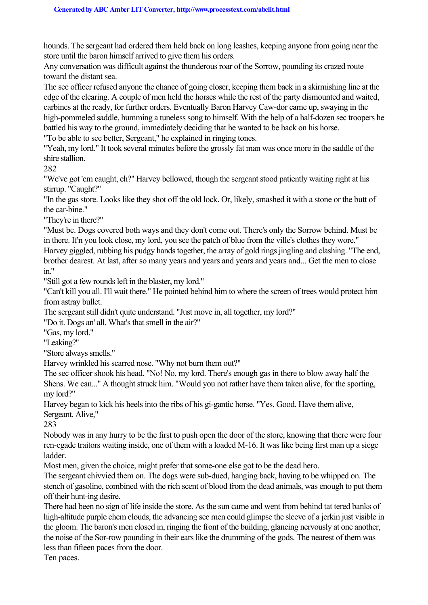hounds. The sergeant had ordered them held back on long leashes, keeping anyone from going near the store until the baron himself arrived to give them his orders.

Any conversation was difficult against the thunderous roar of the Sorrow, pounding its crazed route toward the distant sea.

The sec officer refused anyone the chance of going closer, keeping them back in a skirmishing line at the edge of the clearing. A couple of men held the horses while the rest of the party dismounted and waited, carbines at the ready, for further orders. Eventually Baron Harvey Caw-dor came up, swaying in the high-pommeled saddle, humming a tuneless song to himself. With the help of a half-dozen sec troopers he battled his way to the ground, immediately deciding that he wanted to be back on his horse.

"To be able to see better, Sergeant," he explained in ringing tones.

"Yeah, my lord." It took several minutes before the grossly fat man was once more in the saddle of the shire stallion.

282

"We've got 'em caught, eh?" Harvey bellowed, though the sergeant stood patiently waiting right at his stirrup. "Caught?"

"In the gas store. Looks like they shot off the old lock. Or, likely, smashed it with a stone or the butt of the car-bine."

"They're in there?"

"Must be. Dogs covered both ways and they don't come out. There's only the Sorrow behind. Must be in there. If n you look close, my lord, you see the patch of blue from the ville's clothes they wore."

Harvey giggled, rubbing his pudgy hands together, the array of gold rings jingling and clashing. "The end, brother dearest. At last, after so many years and years and years and years and... Get the men to close in."

"Still got a few rounds left in the blaster, my lord."

"Can't kill you all. I'll wait there." He pointed behind him to where the screen of trees would protect him from astray bullet.

The sergeant still didn't quite understand. "Just move in, all together, my lord?"

"Do it. Dogs an' all. What's that smell in the air?"

"Gas, my lord."

"Leaking?"

"Store always smells."

Harvey wrinkled his scarred nose. "Why not burn them out?"

The sec officer shook his head. "No! No, my lord. There's enough gas in there to blow away half the Shens. We can..." A thought struck him. "Would you not rather have them taken alive, for the sporting, my lord?"

Harvey began to kick his heels into the ribs of his gi-gantic horse. "Yes. Good. Have them alive, Sergeant. Alive,"

283

Nobody was in any hurry to be the first to push open the door of the store, knowing that there were four ren-egade traitors waiting inside, one of them with a loaded M-16. It was like being first man up a siege ladder.

Most men, given the choice, might prefer that some-one else got to be the dead hero.

The sergeant chivvied them on. The dogs were sub-dued, hanging back, having to be whipped on. The stench of gasoline, combined with the rich scent of blood from the dead animals, was enough to put them off their hunt-ing desire.

There had been no sign of life inside the store. As the sun came and went from behind tat tered banks of high-altitude purple chem clouds, the advancing sec men could glimpse the sleeve of a jerkin just visible in the gloom. The baron's men closed in, ringing the front of the building, glancing nervously at one another, the noise of the Sor-row pounding in their ears like the drumming of the gods. The nearest of them was less than fifteen paces from the door.

Ten paces.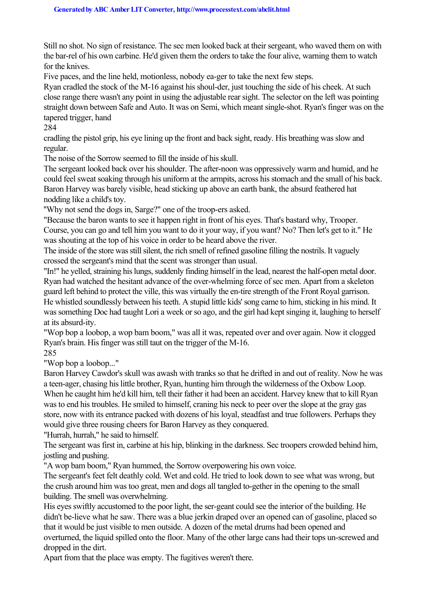Still no shot. No sign of resistance. The sec men looked back at their sergeant, who waved them on with the bar-rel of his own carbine. He'd given them the orders to take the four alive, warning them to watch for the knives.

Five paces, and the line held, motionless, nobody ea-ger to take the next few steps.

Ryan cradled the stock of the M-16 against his shoul-der, just touching the side of his cheek. At such close range there wasn't any point in using the adjustable rear sight. The selector on the left was pointing straight down between Safe and Auto. It was on Semi, which meant single-shot. Ryan's finger was on the tapered trigger, hand

284

cradling the pistol grip, his eye lining up the front and back sight, ready. His breathing was slow and regular.

The noise of the Sorrow seemed to fill the inside of his skull.

The sergeant looked back over his shoulder. The after-noon was oppressively warm and humid, and he could feel sweat soaking through his uniform at the armpits, across his stomach and the small of his back. Baron Harvey was barely visible, head sticking up above an earth bank, the absurd feathered hat nodding like a child's toy.

''Why not send the dogs in, Sarge?" one of the troop-ers asked.

"Because the baron wants to see it happen right in front of his eyes. That's bastard why, Trooper. Course, you can go and tell him you want to do it your way, if you want? No? Then let's get to it." He was shouting at the top of his voice in order to be heard above the river.

The inside of the store was still silent, the rich smell of refined gasoline filling the nostrils. It vaguely crossed the sergeant's mind that the scent was stronger than usual.

"In!" he yelled, straining his lungs, suddenly finding himself in the lead, nearest the half-open metal door. Ryan had watched the hesitant advance of the over-whelming force of sec men. Apart from a skeleton guard left behind to protect the ville, this was virtually the en-tire strength of the Front Royal garrison. He whistled soundlessly between his teeth. A stupid little kids' song came to him, sticking in his mind. It was something Doc had taught Lori a week or so ago, and the girl had kept singing it, laughing to herself at its absurd-ity.

"Wop bop a loobop, a wop bam boom," was all it was, repeated over and over again. Now it clogged Ryan's brain. His finger was still taut on the trigger of the M-16.

285

"Wop bop a loobop..."

Baron Harvey Cawdor's skull was awash with tranks so that he drifted in and out of reality. Now he was a teen-ager, chasing his little brother, Ryan, hunting him through the wilderness of the Oxbow Loop. When he caught him he'd kill him, tell their father it had been an accident. Harvey knew that to kill Ryan was to end his troubles. He smiled to himself, craning his neck to peer over the slope at the gray gas store, now with its entrance packed with dozens of his loyal, steadfast and true followers. Perhaps they would give three rousing cheers for Baron Harvey as they conquered.

"Hurrah, hurrah," he said to himself.

The sergeant was first in, carbine at his hip, blinking in the darkness. Sec troopers crowded behind him, jostling and pushing.

"A wop bam boom," Ryan hummed, the Sorrow overpowering his own voice.

The sergeant's feet felt deathly cold. Wet and cold. He tried to look down to see what was wrong, but the crush around him was too great, men and dogs all tangled to-gether in the opening to the small building. The smell was overwhelming.

His eyes swiftly accustomed to the poor light, the ser-geant could see the interior of the building. He didn't be-lieve what he saw. There was a blue jerkin draped over an opened can of gasoline, placed so that it would be just visible to men outside. A dozen of the metal drums had been opened and overturned, the liquid spilled onto the floor. Many of the other large cans had their tops un-screwed and dropped in the dirt.

Apart from that the place was empty. The fugitives weren't there.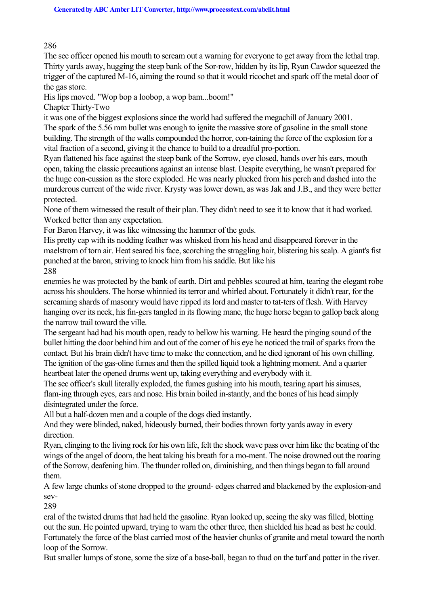286

The sec officer opened his mouth to scream out a warning for everyone to get away from the lethal trap. Thirty yards away, hugging the steep bank of the Sor-row, hidden by its lip, Ryan Cawdor squeezed the trigger of the captured M-16, aiming the round so that it would ricochet and spark off the metal door of the gas store.

His lips moved. "Wop bop a loobop, a wop bam...boom!"

Chapter Thirty-Two

it was one of the biggest explosions since the world had suffered the megachill of January 2001.

The spark of the 5.56 mm bullet was enough to ignite the massive store of gasoline in the small stone building. The strength of the walls compounded the horror, con-taining the force of the explosion for a vital fraction of a second, giving it the chance to build to a dreadful pro-portion.

Ryan flattened his face against the steep bank of the Sorrow, eye closed, hands over his ears, mouth open, taking the classic precautions against an intense blast. Despite everything, he wasn't prepared for the huge con-cussion as the store exploded. He was nearly plucked from his perch and dashed into the murderous current of the wide river. Krysty was lower down, as was Jak and J.B., and they were better protected.

None of them witnessed the result of their plan. They didn't need to see it to know that it had worked. Worked better than any expectation.

For Baron Harvey, it was like witnessing the hammer of the gods.

His pretty cap with its nodding feather was whisked from his head and disappeared forever in the maelstrom of torn air. Heat seared his face, scorching the straggling hair, blistering his scalp. A giant's fist punched at the baron, striving to knock him from his saddle. But like his 288

enemies he was protected by the bank of earth. Dirt and pebbles scoured at him, tearing the elegant robe across his shoulders. The horse whinnied its terror and whirled about. Fortunately it didn't rear, for the screaming shards of masonry would have ripped its lord and master to tat-ters of flesh. With Harvey hanging over its neck, his fin-gers tangled in its flowing mane, the huge horse began to gallop back along the narrow trail toward the ville.

The sergeant had had his mouth open, ready to bellow his warning. He heard the pinging sound of the bullet hitting the door behind him and out of the corner of his eye he noticed the trail of sparks from the contact. But his brain didn't have time to make the connection, and he died ignorant of his own chilling. The ignition of the gas-oline fumes and then the spilled liquid took a lightning moment. And a quarter heartbeat later the opened drums went up, taking everything and everybody with it.

The sec officer's skull literally exploded, the fumes gushing into his mouth, tearing apart his sinuses, flam-ing through eyes, ears and nose. His brain boiled in-stantly, and the bones of his head simply disintegrated under the force.

All but a half-dozen men and a couple of the dogs died instantly.

And they were blinded, naked, hideously burned, their bodies thrown forty yards away in every direction.

Ryan, clinging to the living rock for his own life, felt the shock wave pass over him like the beating of the wings of the angel of doom, the heat taking his breath for a mo-ment. The noise drowned out the roaring of the Sorrow, deafening him. The thunder rolled on, diminishing, and then things began to fall around them.

A few large chunks of stone dropped to the ground- edges charred and blackened by the explosion-and sev-

289

eral of the twisted drums that had held the gasoline. Ryan looked up, seeing the sky was filled, blotting out the sun. He pointed upward, trying to warn the other three, then shielded his head as best he could. Fortunately the force of the blast carried most of the heavier chunks of granite and metal toward the north loop of the Sorrow.

But smaller lumps of stone, some the size of a base-ball, began to thud on the turf and patter in the river.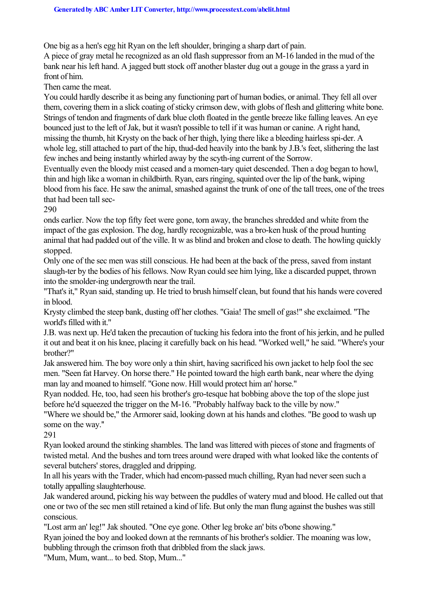One big as a hen's egg hit Ryan on the left shoulder, bringing a sharp dart of pain.

A piece of gray metal he recognized as an old flash suppressor from an M-16 landed in the mud of the bank near his left hand. A jagged butt stock off another blaster dug out a gouge in the grass a yard in front of him.

Then came the meat.

You could hardly describe it as being any functioning part of human bodies, or animal. They fell all over them, covering them in a slick coating of sticky crimson dew, with globs of flesh and glittering white bone. Strings of tendon and fragments of dark blue cloth floated in the gentle breeze like falling leaves. An eye bounced just to the left of Jak, but it wasn't possible to tell if it was human or canine. A right hand, missing the thumb, hit Krysty on the back of her thigh, lying there like a bleeding hairless spi-der. A whole leg, still attached to part of the hip, thud-ded heavily into the bank by J.B.'s feet, slithering the last few inches and being instantly whirled away by the scyth-ing current of the Sorrow.

Eventually even the bloody mist ceased and a momen-tary quiet descended. Then a dog began to howl, thin and high like a woman in childbirth. Ryan, ears ringing, squinted over the lip of the bank, wiping blood from his face. He saw the animal, smashed against the trunk of one of the tall trees, one of the trees that had been tall sec-

290

onds earlier. Now the top fifty feet were gone, torn away, the branches shredded and white from the impact of the gas explosion. The dog, hardly recognizable, was a bro-ken husk of the proud hunting animal that had padded out of the ville. It w as blind and broken and close to death. The howling quickly stopped.

Only one of the sec men was still conscious. He had been at the back of the press, saved from instant slaugh-ter by the bodies of his fellows. Now Ryan could see him lying, like a discarded puppet, thrown into the smolder-ing undergrowth near the trail.

"That's it," Ryan said, standing up. He tried to brush himself clean, but found that his hands were covered in blood.

Krysty climbed the steep bank, dusting off her clothes. "Gaia! The smell of gas!" she exclaimed. "The world's filled with it."

J.B. was next up. He'd taken the precaution of tucking his fedora into the front of his jerkin, and he pulled it out and beat it on his knee, placing it carefully back on his head. "Worked well," he said. "Where's your brother?"

Jak answered him. The boy wore only a thin shirt, having sacrificed his own jacket to help fool the sec men. "Seen fat Harvey. On horse there." He pointed toward the high earth bank, near where the dying man lay and moaned to himself. "Gone now. Hill would protect him an' horse."

Ryan nodded. He, too, had seen his brother's gro-tesque hat bobbing above the top of the slope just before he'd squeezed the trigger on the M-16. "Probably halfway back to the ville by now."

"Where we should be," the Armorer said, looking down at his hands and clothes. "Be good to wash up some on the way.''

291

Ryan looked around the stinking shambles. The land was littered with pieces of stone and fragments of twisted metal. And the bushes and torn trees around were draped with what looked like the contents of several butchers' stores, draggled and dripping.

In all his years with the Trader, which had encom-passed much chilling, Ryan had never seen such a totally appalling slaughterhouse.

Jak wandered around, picking his way between the puddles of watery mud and blood. He called out that one or two of the sec men still retained a kind of life. But only the man flung against the bushes was still conscious.

"Lost arm an' leg!" Jak shouted. "One eye gone. Other leg broke an' bits o'bone showing." Ryan joined the boy and looked down at the remnants of his brother's soldier. The moaning was low, bubbling through the crimson froth that dribbled from the slack jaws.

"Mum, Mum, want... to bed. Stop, Mum..."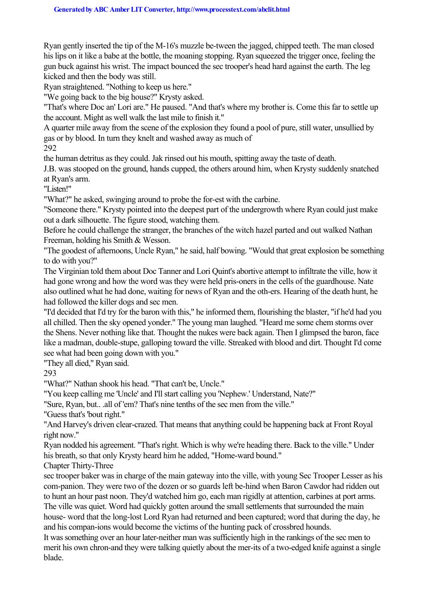Ryan gently inserted the tip of the M-16's muzzle be-tween the jagged, chipped teeth. The man closed his lips on it like a babe at the bottle, the moaning stopping. Ryan squeezed the trigger once, feeling the gun buck against his wrist. The impact bounced the sec trooper's head hard against the earth. The leg kicked and then the body was still.

Ryan straightened. "Nothing to keep us here."

"We going back to the big house?" Krysty asked.

"That's where Doc an' Lori are." He paused. "And that's where my brother is. Come this far to settle up the account. Might as well walk the last mile to finish it."

A quarter mile away from the scene of the explosion they found a pool of pure, still water, unsullied by gas or by blood. In turn they knelt and washed away as much of

292

the human detritus as they could. Jak rinsed out his mouth, spitting away the taste of death.

J.B. was stooped on the ground, hands cupped, the others around him, when Krysty suddenly snatched at Ryan's arm.

"Listen!"

"What?" he asked, swinging around to probe the for-est with the carbine.

"Someone there." Krysty pointed into the deepest part of the undergrowth where Ryan could just make out a dark silhouette. The figure stood, watching them.

Before he could challenge the stranger, the branches of the witch hazel parted and out walked Nathan Freeman, holding his Smith & Wesson.

"The goodest of afternoons, Uncle Ryan," he said, half bowing. "Would that great explosion be something to do with you?"

The Virginian told them about Doc Tanner and Lori Quint's abortive attempt to infiltrate the ville, how it had gone wrong and how the word was they were held pris-oners in the cells of the guardhouse. Nate also outlined what he had done, waiting for news of Ryan and the oth-ers. Hearing of the death hunt, he had followed the killer dogs and sec men.

"I'd decided that I'd try for the baron with this," he informed them, flourishing the blaster, "if he'd had you all chilled. Then the sky opened yonder." The young man laughed. "Heard me some chem storms over the Shens. Never nothing like that. Thought the nukes were back again. Then I glimpsed the baron, face like a madman, double-stupe, galloping toward the ville. Streaked with blood and dirt. Thought I'd come see what had been going down with you."

"They all died," Ryan said.

293

"What?" Nathan shook his head. "That can't be, Uncle."

"You keep calling me 'Uncle' and I'll start calling you 'Nephew.' Understand, Nate?"

"Sure, Ryan, but.. .all of 'em? That's nine tenths of the sec men from the ville."

"Guess that's 'bout right."

"And Harvey's driven clear-crazed. That means that anything could be happening back at Front Royal right now."

Ryan nodded his agreement. "That's right. Which is why we're heading there. Back to the ville." Under his breath, so that only Krysty heard him he added, "Home-ward bound."

Chapter Thirty-Three

sec trooper baker was in charge of the main gateway into the ville, with young Sec Trooper Lesser as his com-panion. They were two of the dozen or so guards left be-hind when Baron Cawdor had ridden out to hunt an hour past noon. They'd watched him go, each man rigidly at attention, carbines at port arms. The ville was quiet. Word had quickly gotten around the small settlements that surrounded the main

house- word that the long-lost Lord Ryan had returned and been captured; word that during the day, he and his compan-ions would become the victims of the hunting pack of crossbred hounds.

It was something over an hour later-neither man was sufficiently high in the rankings of the sec men to merit his own chron-and they were talking quietly about the mer-its of a two-edged knife against a single blade.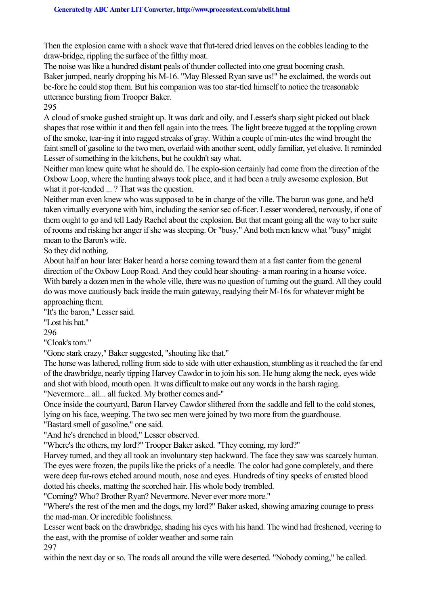Then the explosion came with a shock wave that flut-tered dried leaves on the cobbles leading to the draw-bridge, rippling the surface of the filthy moat.

The noise was like a hundred distant peals of thunder collected into one great booming crash. Baker jumped, nearly dropping his M-16. "May Blessed Ryan save us!" he exclaimed, the words out be-fore he could stop them. But his companion was too star-tled himself to notice the treasonable utterance bursting from Trooper Baker.

## 295

A cloud of smoke gushed straight up. It was dark and oily, and Lesser's sharp sight picked out black shapes that rose within it and then fell again into the trees. The light breeze tugged at the toppling crown of the smoke, tear-ing it into ragged streaks of gray. Within a couple of min-utes the wind brought the faint smell of gasoline to the two men, overlaid with another scent, oddly familiar, yet elusive. It reminded Lesser of something in the kitchens, but he couldn't say what.

Neither man knew quite what he should do. The explo-sion certainly had come from the direction of the Oxbow Loop, where the hunting always took place, and it had been a truly awesome explosion. But what it por-tended ...? That was the question.

Neither man even knew who was supposed to be in charge of the ville. The baron was gone, and he'd taken virtually everyone with him, including the senior sec of-ficer. Lesser wondered, nervously, if one of them ought to go and tell Lady Rachel about the explosion. But that meant going all the way to her suite of rooms and risking her anger if she was sleeping. Or "busy." And both men knew what "busy" might mean to the Baron's wife.

So they did nothing.

About half an hour later Baker heard a horse coming toward them at a fast canter from the general direction of the Oxbow Loop Road. And they could hear shouting- a man roaring in a hoarse voice. With barely a dozen men in the whole ville, there was no question of turning out the guard. All they could do was move cautiously back inside the main gateway, readying their M-16s for whatever might be approaching them.

"It's the baron," Lesser said.

"Lost his hat."

296

"Cloak's torn."

"Gone stark crazy," Baker suggested, "shouting like that."

The horse was lathered, rolling from side to side with utter exhaustion, stumbling as it reached the far end of the drawbridge, nearly tipping Harvey Cawdor in to join his son. He hung along the neck, eyes wide and shot with blood, mouth open. It was difficult to make out any words in the harsh raging. "Nevermore... all... all fucked. My brother comes and-"

Once inside the courtyard, Baron Harvey Cawdor slithered from the saddle and fell to the cold stones, lying on his face, weeping. The two sec men were joined by two more from the guardhouse.

"Bastard smell of gasoline," one said.

"And he's drenched in blood," Lesser observed.

"Where's the others, my lord?" Trooper Baker asked. "They coming, my lord?"

Harvey turned, and they all took an involuntary step backward. The face they saw was scarcely human. The eyes were frozen, the pupils like the pricks of a needle. The color had gone completely, and there were deep fur-rows etched around mouth, nose and eyes. Hundreds of tiny specks of crusted blood dotted his cheeks, matting the scorched hair. His whole body trembled.

"Coming? Who? Brother Ryan? Nevermore. Never ever more more."

"Where's the rest of the men and the dogs, my lord?" Baker asked, showing amazing courage to press the mad-man. Or incredible foolishness.

Lesser went back on the drawbridge, shading his eyes with his hand. The wind had freshened, veering to the east, with the promise of colder weather and some rain 297

within the next day or so. The roads all around the ville were deserted. "Nobody coming," he called.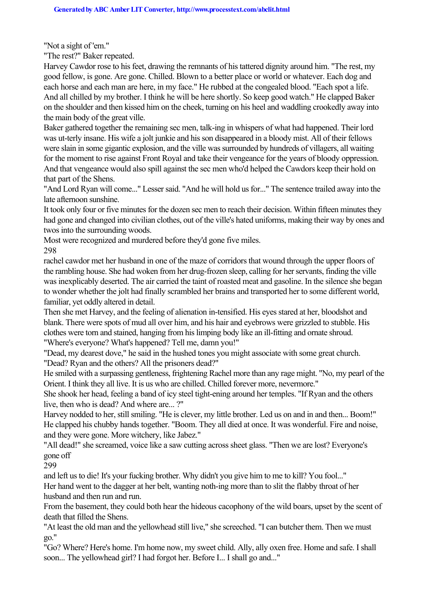"Not a sight of 'em."

"The rest?" Baker repeated.

Harvey Cawdor rose to his feet, drawing the remnants of his tattered dignity around him. "The rest, my good fellow, is gone. Are gone. Chilled. Blown to a better place or world or whatever. Each dog and each horse and each man are here, in my face." He rubbed at the congealed blood. "Each spot a life. And all chilled by my brother. I think he will be here shortly. So keep good watch." He clapped Baker on the shoulder and then kissed him on the cheek, turning on his heel and waddling crookedly away into the main body of the great ville.

Baker gathered together the remaining sec men, talk-ing in whispers of what had happened. Their lord was ut-terly insane. His wife a jolt junkie and his son disappeared in a bloody mist. All of their fellows were slain in some gigantic explosion, and the ville was surrounded by hundreds of villagers, all waiting for the moment to rise against Front Royal and take their vengeance for the years of bloody oppression. And that vengeance would also spill against the sec men who'd helped the Cawdors keep their hold on that part of the Shens.

"And Lord Ryan will come..." Lesser said. "And he will hold us for..." The sentence trailed away into the late afternoon sunshine.

It took only four or five minutes for the dozen sec men to reach their decision. Within fifteen minutes they had gone and changed into civilian clothes, out of the ville's hated uniforms, making their way by ones and twos into the surrounding woods.

Most were recognized and murdered before they'd gone five miles. 298

rachel cawdor met her husband in one of the maze of corridors that wound through the upper floors of the rambling house. She had woken from her drug-frozen sleep, calling for her servants, finding the ville was inexplicably deserted. The air carried the taint of roasted meat and gasoline. In the silence she began to wonder whether the jolt had finally scrambled her brains and transported her to some different world, familiar, yet oddly altered in detail.

Then she met Harvey, and the feeling of alienation in-tensified. His eyes stared at her, bloodshot and blank. There were spots of mud all over him, and his hair and eyebrows were grizzled to stubble. His clothes were torn and stained, hanging from his limping body like an ill-fitting and ornate shroud. "Where's everyone? What's happened? Tell me, damn you!"

"Dead, my dearest dove," he said in the hushed tones you might associate with some great church. "Dead? Ryan and the others? All the prisoners dead?"

He smiled with a surpassing gentleness, frightening Rachel more than any rage might. "No, my pearl of the Orient. I think they all live. It is us who are chilled. Chilled forever more, nevermore."

She shook her head, feeling a band of icy steel tight-ening around her temples. "If Ryan and the others live, then who is dead? And where are... ?"

Harvey nodded to her, still smiling. "He is clever, my little brother. Led us on and in and then... Boom!" He clapped his chubby hands together. "Boom. They all died at once. It was wonderful. Fire and noise, and they were gone. More witchery, like Jabez."

"All dead!" she screamed, voice like a saw cutting across sheet glass. "Then we are lost? Everyone's gone off

299

and left us to die! It's your fucking brother. Why didn't you give him to me to kill? You fool..." Her hand went to the dagger at her belt, wanting noth-ing more than to slit the flabby throat of her husband and then run and run.

From the basement, they could both hear the hideous cacophony of the wild boars, upset by the scent of death that filled the Shens.

"At least the old man and the yellowhead still live," she screeched. "I can butcher them. Then we must go."

"Go? Where? Here's home. I'm home now, my sweet child. Ally, ally oxen free. Home and safe. I shall soon... The yellowhead girl? I had forgot her. Before I... I shall go and..."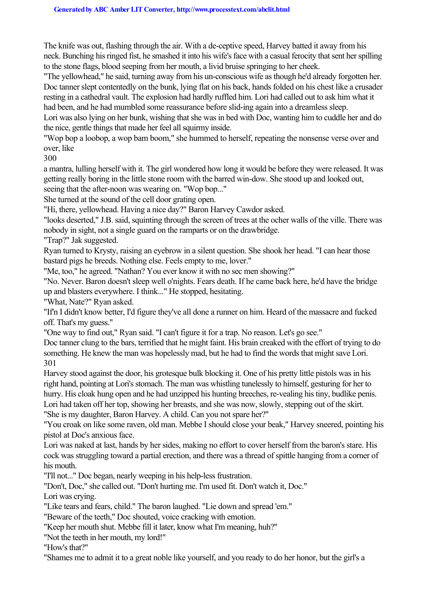The knife was out, flashing through the air. With a de-ceptive speed, Harvey batted it away from his neck. Bunching his ringed fist, he smashed it into his wife's face with a casual ferocity that sent her spilling to the stone flags, blood seeping from her mouth, a livid bruise springing to her cheek.

"The yellowhead," he said, turning away from his un-conscious wife as though he'd already forgotten her. Doc tanner slept contentedly on the bunk, lying flat on his back, hands folded on his chest like a crusader resting in a cathedral vault. The explosion had hardly ruffled him. Lori had called out to ask him what it had been, and he had mumbled some reassurance before slid-ing again into a dreamless sleep.

Lori was also lying on her bunk, wishing that she was in bed with Doc, wanting him to cuddle her and do the nice, gentle things that made her feel all squirmy inside.

"Wop bop a loobop, a wop bam boom," she hummed to herself, repeating the nonsense verse over and over, like

300

a mantra, lulling herself with it. The girl wondered how long it would be before they were released. It was getting really boring in the little stone room with the barred win-dow. She stood up and looked out,

seeing that the after-noon was wearing on. "Wop bop..."

She turned at the sound of the cell door grating open.

"Hi, there, yellowhead. Having a nice day?" Baron Harvey Cawdor asked.

"looks deserted," J.B. said, squinting through the screen of trees at the ocher walls of the ville. There was nobody in sight, not a single guard on the ramparts or on the drawbridge.

"Trap?" Jak suggested.

Ryan turned to Krysty, raising an eyebrow in a silent question. She shook her head. "I can hear those bastard pigs he breeds. Nothing else. Feels empty to me, lover."

"Me, too," he agreed. "Nathan? You ever know it with no sec men showing?"

"No. Never. Baron doesn't sleep well o'nights. Fears death. If he came back here, he'd have the bridge up and blasters everywhere. I think..." He stopped, hesitating.

"What, Nate?" Ryan asked.

"If'n I didn't know better, I'd figure they've all done a runner on him. Heard of the massacre and fucked off. That's my guess."

"One way to find out," Ryan said. "I can't figure it for a trap. No reason. Let's go see."

Doc tanner clung to the bars, terrified that he might faint. His brain creaked with the effort of trying to do something. He knew the man was hopelessly mad, but he had to find the words that might save Lori. 301

Harvey stood against the door, his grotesque bulk blocking it. One of his pretty little pistols was in his right hand, pointing at Lori's stomach. The man was whistling tunelessly to himself, gesturing for her to hurry. His cloak hung open and he had unzipped his hunting breeches, re-vealing his tiny, budlike penis. Lori had taken off her top, showing her breasts, and she was now, slowly, stepping out of the skirt. "She is my daughter, Baron Harvey. A child. Can you not spare her?"

"You croak on like some raven, old man. Mebbe I should close your beak," Harvey sneered, pointing his pistol at Doc's anxious face.

Lori was naked at last, hands by her sides, making no effort to cover herself from the baron's stare. His cock was struggling toward a partial erection, and there was a thread of spittle hanging from a corner of his mouth.

"I'll not..." Doc began, nearly weeping in his help-less frustration.

"Don't, Doc," she called out. "Don't hurting me. I'm used fit. Don't watch it, Doc." Lori was crying.

"Like tears and fears, child." The baron laughed. "Lie down and spread 'em."

"Beware of the teeth," Doc shouted, voice cracking with emotion.

"Keep her mouth shut. Mebbe fill it later, know what I'm meaning, huh?"

"Not the teeth in her mouth, my lord!"

"How's that?"

"Shames me to admit it to a great noble like yourself, and you ready to do her honor, but the girl's a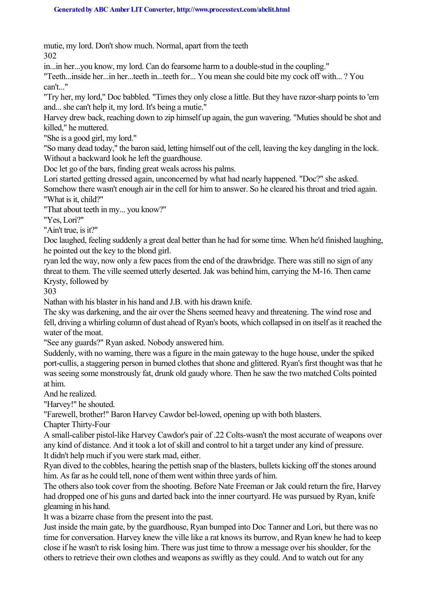mutie, my lord. Don't show much. Normal, apart from the teeth

302

in...in her...you know, my lord. Can do fearsome harm to a double-stud in the coupling."

"Teeth...inside her...in her...teeth in...teeth for... You mean she could bite my cock off with... ? You can't..."

"Try her, my lord," Doc babbled. "Times they only close a little. But they have razor-sharp points to 'em and... she can't help it, my lord. It's being a mutie."

Harvey drew back, reaching down to zip himself up again, the gun wavering. "Muties should be shot and killed," he muttered.

"She is a good girl, my lord."

"So many dead today," the baron said, letting himself out of the cell, leaving the key dangling in the lock. Without a backward look he left the guardhouse.

Doc let go of the bars, finding great weals across his palms.

Lori started getting dressed again, unconcerned by what had nearly happened. "Doc?" she asked.

Somehow there wasn't enough air in the cell for him to answer. So he cleared his throat and tried again. "What is it, child?"

"That about teeth in my... you know?"

"Yes, Lori?"

"Ain't true, is it?"

Doc laughed, feeling suddenly a great deal better than he had for some time. When he'd finished laughing, he pointed out the key to the blond girl.

ryan led the way, now only a few paces from the end of the drawbridge. There was still no sign of any threat to them. The ville seemed utterly deserted. Jak was behind him, carrying the M-16. Then came Krysty, followed by

303

Nathan with his blaster in his hand and J.B. with his drawn knife.

The sky was darkening, and the air over the Shens seemed heavy and threatening. The wind rose and fell, driving a whirling column of dust ahead of Ryan's boots, which collapsed in on itself as it reached the water of the moat.

"See any guards?" Ryan asked. Nobody answered him.

Suddenly, with no warning, there was a figure in the main gateway to the huge house, under the spiked port-cullis, a staggering person in burned clothes that shone and glittered. Ryan's first thought was that he was seeing some monstrously fat, drunk old gaudy whore. Then he saw the two matched Colts pointed at him.

And he realized.

"Harvey!" he shouted.

"Farewell, brother!" Baron Harvey Cawdor bel-lowed, opening up with both blasters.

Chapter Thirty-Four

A small-caliber pistol-like Harvey Cawdor's pair of .22 Colts-wasn't the most accurate of weapons over any kind of distance. And it took a lot of skill and control to hit a target under any kind of pressure. It didn't help much if you were stark mad, either.

Ryan dived to the cobbles, hearing the pettish snap of the blasters, bullets kicking off the stones around him. As far as he could tell, none of them went within three yards of him.

The others also took cover from the shooting. Before Nate Freeman or Jak could return the fire, Harvey had dropped one of his guns and darted back into the inner courtyard. He was pursued by Ryan, knife gleaming in his hand.

It was a bizarre chase from the present into the past.

Just inside the main gate, by the guardhouse, Ryan bumped into Doc Tanner and Lori, but there was no time for conversation. Harvey knew the ville like a rat knows its burrow, and Ryan knew he had to keep close if he wasn't to risk losing him. There was just time to throw a message over his shoulder, for the others to retrieve their own clothes and weapons as swiftly as they could. And to watch out for any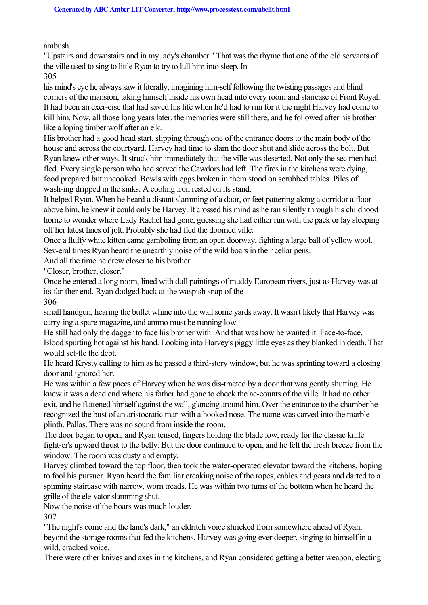ambush.

"Upstairs and downstairs and in my lady's chamber." That was the rhyme that one of the old servants of the ville used to sing to little Ryan to try to lull him into sleep. In 305

his mind's eye he always saw it literally, imagining him-self following the twisting passages and blind corners of the mansion, taking himself inside his own head into every room and staircase of Front Royal. It had been an exer-cise that had saved his life when he'd had to run for it the night Harvey had come to kill him. Now, all those long years later, the memories were still there, and he followed after his brother like a loping timber wolf after an elk.

His brother had a good head start, slipping through one of the entrance doors to the main body of the house and across the courtyard. Harvey had time to slam the door shut and slide across the bolt. But Ryan knew other ways. It struck him immediately that the ville was deserted. Not only the sec men had fled. Every single person who had served the Cawdors had left. The fires in the kitchens were dying, food prepared but uncooked. Bowls with eggs broken in them stood on scrubbed tables. Piles of wash-ing dripped in the sinks. A cooling iron rested on its stand.

It helped Ryan. When he heard a distant slamming of a door, or feet pattering along a corridor a floor above him, he knew it could only be Harvey. It crossed his mind as he ran silently through his childhood home to wonder where Lady Rachel had gone, guessing she had either run with the pack or lay sleeping off her latest lines of jolt. Probably she had fled the doomed ville.

Once a fluffy white kitten came gamboling from an open doorway, fighting a large ball of yellow wool. Sev-eral times Ryan heard the unearthly noise of the wild boars in their cellar pens.

And all the time he drew closer to his brother.

"Closer, brother, closer."

Once he entered a long room, lined with dull paintings of muddy European rivers, just as Harvey was at its far-ther end. Ryan dodged back at the waspish snap of the 306

small handgun, hearing the bullet whine into the wall some yards away. It wasn't likely that Harvey was carry-ing a spare magazine, and ammo must be running low.

He still had only the dagger to face his brother with. And that was how he wanted it. Face-to-face. Blood spurting hot against his hand. Looking into Harvey's piggy little eyes as they blanked in death. That would set-tle the debt.

He heard Krysty calling to him as he passed a third-story window, but he was sprinting toward a closing door and ignored her.

He was within a few paces of Harvey when he was dis-tracted by a door that was gently shutting. He knew it was a dead end where his father had gone to check the ac-counts of the ville. It had no other exit, and he flattened himself against the wall, glancing around him. Over the entrance to the chamber he recognized the bust of an aristocratic man with a hooked nose. The name was carved into the marble plinth. Pallas. There was no sound from inside the room.

The door began to open, and Ryan tensed, fingers holding the blade low, ready for the classic knife fight-er's upward thrust to the belly. But the door continued to open, and he felt the fresh breeze from the window. The room was dusty and empty.

Harvey climbed toward the top floor, then took the water-operated elevator toward the kitchens, hoping to fool his pursuer. Ryan heard the familiar creaking noise of the ropes, cables and gears and darted to a spinning staircase with narrow, worn treads. He was within two turns of the bottom when he heard the grille of the ele-vator slamming shut.

Now the noise of the boars was much louder.

307

"The night's come and the land's dark," an eldritch voice shrieked from somewhere ahead of Ryan, beyond the storage rooms that fed the kitchens. Harvey was going ever deeper, singing to himself in a wild, cracked voice.

There were other knives and axes in the kitchens, and Ryan considered getting a better weapon, electing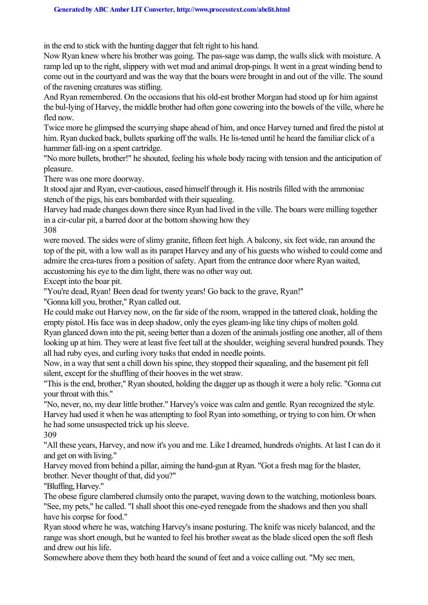in the end to stick with the hunting dagger that felt right to his hand.

Now Ryan knew where his brother was going. The pas-sage was damp, the walls slick with moisture. A ramp led up to the right, slippery with wet mud and animal drop-pings. It went in a great winding bend to come out in the courtyard and was the way that the boars were brought in and out of the ville. The sound of the ravening creatures was stifling.

And Ryan remembered. On the occasions that his old-est brother Morgan had stood up for him against the bul-lying of Harvey, the middle brother had often gone cowering into the bowels of the ville, where he fled now

Twice more he glimpsed the scurrying shape ahead of him, and once Harvey turned and fired the pistol at him. Ryan ducked back, bullets sparking off the walls. He lis-tened until he heard the familiar click of a hammer fall-ing on a spent cartridge.

"No more bullets, brother!" he shouted, feeling his whole body racing with tension and the anticipation of pleasure.

There was one more doorway.

It stood ajar and Ryan, ever-cautious, eased himself through it. His nostrils filled with the ammoniac stench of the pigs, his ears bombarded with their squealing.

Harvey had made changes down there since Ryan had lived in the ville. The boars were milling together in a cir-cular pit, a barred door at the bottom showing how they

308

were moved. The sides were of slimy granite, fifteen feet high. A balcony, six feet wide, ran around the top of the pit, with a low wall as its parapet Harvey and any of his guests who wished to could come and admire the crea-tures from a position of safety. Apart from the entrance door where Ryan waited, accustoming his eye to the dim light, there was no other way out.

Except into the boar pit.

"You're dead, Ryan! Been dead for twenty years! Go back to the grave, Ryan!''

"Gonna kill you, brother," Ryan called out.

He could make out Harvey now, on the far side of the room, wrapped in the tattered cloak, holding the empty pistol. His face was in deep shadow, only the eyes gleam-ing like tiny chips of molten gold.

Ryan glanced down into the pit, seeing better than a dozen of the animals jostling one another, all of them looking up at him. They were at least five feet tall at the shoulder, weighing several hundred pounds. They all had ruby eyes, and curling ivory tusks that ended in needle points.

Now, in a way that sent a chill down his spine, they stopped their squealing, and the basement pit fell silent, except for the shuffling of their hooves in the wet straw.

"This is the end, brother," Ryan shouted, holding the dagger up as though it were a holy relic. "Gonna cut your throat with this."

"No, never, no, my dear little brother." Harvey's voice was calm and gentle. Ryan recognized the style. Harvey had used it when he was attempting to fool Ryan into something, or trying to con him. Or when he had some unsuspected trick up his sleeve.

309

"All these years, Harvey, and now it's you and me. Like I dreamed, hundreds o'nights. At last I can do it and get on with living."

Harvey moved from behind a pillar, aiming the hand-gun at Ryan. "Got a fresh mag for the blaster, brother. Never thought of that, did you?"

"Bluffing, Harvey."

The obese figure clambered clumsily onto the parapet, waving down to the watching, motionless boars. "See, my pets," he called. "I shall shoot this one-eyed renegade from the shadows and then you shall have his corpse for food."

Ryan stood where he was, watching Harvey's insane posturing. The knife was nicely balanced, and the range was short enough, but he wanted to feel his brother sweat as the blade sliced open the soft flesh and drew out his life.

Somewhere above them they both heard the sound of feet and a voice calling out. "My sec men,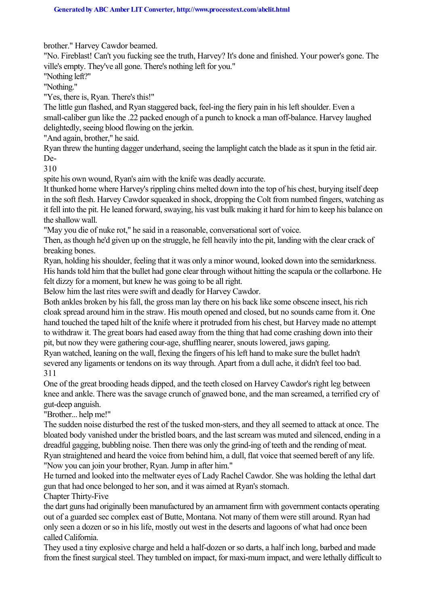brother." Harvey Cawdor beamed.

"No. Fireblast! Can't you fucking see the truth, Harvey? It's done and finished. Your power's gone. The ville's empty. They've all gone. There's nothing left for you."

"Nothing left?"

"Nothing."

"Yes, there is, Ryan. There's this!"

The little gun flashed, and Ryan staggered back, feel-ing the fiery pain in his left shoulder. Even a small-caliber gun like the .22 packed enough of a punch to knock a man off-balance. Harvey laughed delightedly, seeing blood flowing on the jerkin.

"And again, brother," he said.

Ryan threw the hunting dagger underhand, seeing the lamplight catch the blade as it spun in the fetid air. De-

310

spite his own wound, Ryan's aim with the knife was deadly accurate.

It thunked home where Harvey's rippling chins melted down into the top of his chest, burying itself deep in the soft flesh. Harvey Cawdor squeaked in shock, dropping the Colt from numbed fingers, watching as it fell into the pit. He leaned forward, swaying, his vast bulk making it hard for him to keep his balance on the shallow wall.

"May you die of nuke rot," he said in a reasonable, conversational sort of voice.

Then, as though he'd given up on the struggle, he fell heavily into the pit, landing with the clear crack of breaking bones.

Ryan, holding his shoulder, feeling that it was only a minor wound, looked down into the semidarkness. His hands told him that the bullet had gone clear through without hitting the scapula or the collarbone. He felt dizzy for a moment, but knew he was going to be all right.

Below him the last rites were swift and deadly for Harvey Cawdor.

Both ankles broken by his fall, the gross man lay there on his back like some obscene insect, his rich cloak spread around him in the straw. His mouth opened and closed, but no sounds came from it. One hand touched the taped hilt of the knife where it protruded from his chest, but Harvey made no attempt to withdraw it. The great boars had eased away from the thing that had come crashing down into their pit, but now they were gathering cour-age, shuffling nearer, snouts lowered, jaws gaping.

Ryan watched, leaning on the wall, flexing the fingers of his left hand to make sure the bullet hadn't severed any ligaments or tendons on its way through. Apart from a dull ache, it didn't feel too bad. 311

One of the great brooding heads dipped, and the teeth closed on Harvey Cawdor's right leg between knee and ankle. There was the savage crunch of gnawed bone, and the man screamed, a terrified cry of gut-deep anguish.

"Brother... help me!"

The sudden noise disturbed the rest of the tusked mon-sters, and they all seemed to attack at once. The bloated body vanished under the bristled boars, and the last scream was muted and silenced, ending in a dreadful gagging, bubbling noise. Then there was only the grind-ing of teeth and the rending of meat. Ryan straightened and heard the voice from behind him, a dull, flat voice that seemed bereft of any life. "Now you can join your brother, Ryan. Jump in after him."

He turned and looked into the meltwater eyes of Lady Rachel Cawdor. She was holding the lethal dart gun that had once belonged to her son, and it was aimed at Ryan's stomach.

Chapter Thirty-Five

the dart guns had originally been manufactured by an armament firm with government contacts operating out of a guarded sec complex east of Butte, Montana. Not many of them were still around. Ryan had only seen a dozen or so in his life, mostly out west in the deserts and lagoons of what had once been called California.

They used a tiny explosive charge and held a half-dozen or so darts, a half inch long, barbed and made from the finest surgical steel. They tumbled on impact, for maxi-mum impact, and were lethally difficult to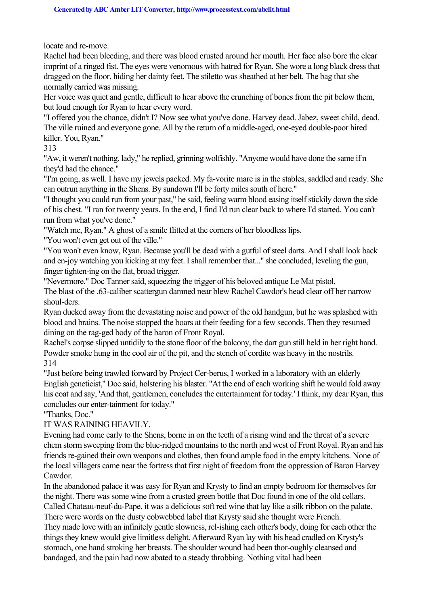locate and re-move.

Rachel had been bleeding, and there was blood crusted around her mouth. Her face also bore the clear imprint of a ringed fist. The eyes were venomous with hatred for Ryan. She wore a long black dress that dragged on the floor, hiding her dainty feet. The stiletto was sheathed at her belt. The bag that she normally carried was missing.

Her voice was quiet and gentle, difficult to hear above the crunching of bones from the pit below them, but loud enough for Ryan to hear every word.

"I offered you the chance, didn't I? Now see what you've done. Harvey dead. Jabez, sweet child, dead. The ville ruined and everyone gone. All by the return of a middle-aged, one-eyed double-poor hired killer. You, Ryan."

313

"Aw, it weren't nothing, lady," he replied, grinning wolfishly. "Anyone would have done the same if n they'd had the chance."

"I'm going, as well. I have my jewels packed. My fa-vorite mare is in the stables, saddled and ready. She can outrun anything in the Shens. By sundown I'll be forty miles south of here."

"I thought you could run from your past," he said, feeling warm blood easing itself stickily down the side of his chest. "I ran for twenty years. In the end, I find I'd run clear back to where I'd started. You can't run from what you've done."

"Watch me, Ryan." A ghost of a smile flitted at the corners of her bloodless lips.

"You won't even get out of the ville."

"You won't even know, Ryan. Because you'll be dead with a gutful of steel darts. And I shall look back and en-joy watching you kicking at my feet. I shall remember that..." she concluded, leveling the gun, finger tighten-ing on the flat, broad trigger.

"Nevermore," Doc Tanner said, squeezing the trigger of his beloved antique Le Mat pistol. The blast of the .63-caliber scattergun damned near blew Rachel Cawdor's head clear off her narrow

shoul-ders. Ryan ducked away from the devastating noise and power of the old handgun, but he was splashed with blood and brains. The noise stopped the boars at their feeding for a few seconds. Then they resumed dining on the rag-ged body of the baron of Front Royal.

Rachel's corpse slipped untidily to the stone floor of the balcony, the dart gun still held in her right hand. Powder smoke hung in the cool air of the pit, and the stench of cordite was heavy in the nostrils. 314

"Just before being trawled forward by Project Cer-berus, I worked in a laboratory with an elderly English geneticist," Doc said, holstering his blaster. "At the end of each working shift he would fold away his coat and say, 'And that, gentlemen, concludes the entertainment for today.' I think, my dear Ryan, this concludes our enter-tainment for today."

"Thanks, Doc."

IT WAS RAINING HEAVILY.

Evening had come early to the Shens, borne in on the teeth of a rising wind and the threat of a severe chem storm sweeping from the blue-ridged mountains to the north and west of Front Royal. Ryan and his friends re-gained their own weapons and clothes, then found ample food in the empty kitchens. None of the local villagers came near the fortress that first night of freedom from the oppression of Baron Harvey Cawdor.

In the abandoned palace it was easy for Ryan and Krysty to find an empty bedroom for themselves for the night. There was some wine from a crusted green bottle that Doc found in one of the old cellars. Called Chateau-neuf-du-Pape, it was a delicious soft red wine that lay like a silk ribbon on the palate.

There were words on the dusty cobwebbed label that Krysty said she thought were French. They made love with an infinitely gentle slowness, rel-ishing each other's body, doing for each other the things they knew would give limitless delight. Afterward Ryan lay with his head cradled on Krysty's stomach, one hand stroking her breasts. The shoulder wound had been thor-oughly cleansed and bandaged, and the pain had now abated to a steady throbbing. Nothing vital had been